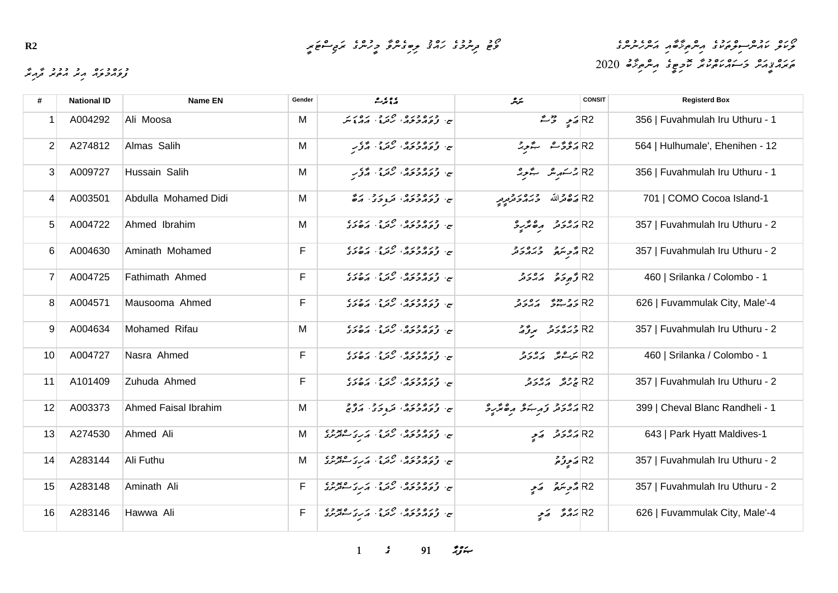*sCw7q7s5w7m< o<n9nOoAw7o< sCq;mAwBoEw7q<m; wBm;vB 2020<sup>, م</sup>وسوق المسجد التحقيق وسرمونية والم*جمع المسجد المسجد المسجد المسجد المسجد المسجد المسجد المسجد المسجد ال

| #              | <b>National ID</b> | Name EN              | Gender | ړيږے                                                                                                                                                                                                                             | سرپر                                             | <b>CONSIT</b> | <b>Registerd Box</b>            |
|----------------|--------------------|----------------------|--------|----------------------------------------------------------------------------------------------------------------------------------------------------------------------------------------------------------------------------------|--------------------------------------------------|---------------|---------------------------------|
| 1              | A004292            | Ali Moosa            | M      | $\mathcal{L}$ , and $\mathcal{L}$ , and $\mathcal{L}$ , and $\mathcal{L}$ , and $\mathcal{L}$ , and $\mathcal{L}$                                                                                                                | R2 کی تخ <sup>م</sup> گ                          |               | 356   Fuvahmulah Iru Uthuru - 1 |
| $\overline{2}$ | A274812            | Almas Salih          | M      | ים נפחבבהי לנדי הצי                                                                                                                                                                                                              | R2 كەنزۇش بەئە <i>ر</i>                          |               | 564   Hulhumale', Ehenihen - 12 |
| 3              | A009727            | Hussain Salih        | M      | ים: 2005 בחירה בין היותר בין היותר בין היותר בין היותר בין היותר בין היותר בין היותר בין היום בין היום בין היו<br>היום היום בין היום בין היום בין היום בין היום בין היום בין היום בין היום בין בין היום בין בין בין בין היום בין | R2   پرستہر شرعہ مگور                            |               | 356   Fuvahmulah Iru Uthuru - 1 |
| 4              | A003501            | Abdulla Mohamed Didi | M      | ים צפו כברי נגד בצ' ונים                                                                                                                                                                                                         | R2  رَجْعَرْاللَّهُ - وَبَرْجُرْوَمَّتِرِيْرِ    |               | 701   COMO Cocoa Island-1       |
| 5              | A004722            | Ahmed Ibrahim        | M      | ים - כמה כמה המינה - מינה הייתר בינה בין הייתר בין הייתר בין הייתר בין הייתר בין הייתר בין הייתר בין הייתר בין<br>הייתר בין הייתר בין הייתר בין הייתר בין הייתר בין הייתר בין הייתר בין הייתר בין הייתר בין הייתר בין הייתר בין  | R2 <i>جَهُدَوتر م</i> ِ <i>هُ بُرْرِ وَ</i>      |               | 357   Fuvahmulah Iru Uthuru - 2 |
| 6              | A004630            | Aminath Mohamed      | F      | ים - כמה כמה הריטורה - הריטורה<br>ישי <sub>ה</sub> פא <i>ב כ</i> אלי הריטורה -                                                                                                                                                   | R2 أَمُّ حِسَنَ مِنْ مَسَرِ حَمْدَ حَسَّرَ حَسَّ |               | 357   Fuvahmulah Iru Uthuru - 2 |
| $\overline{7}$ | A004725            | Fathimath Ahmed      | F      | יז ניסינים יוני נינים<br>יז נפחביבה לנגז הסינ                                                                                                                                                                                    | R2 تُرجوح م مركز قر                              |               | 460   Srilanka / Colombo - 1    |
| 8              | A004571            | Mausooma Ahmed       | F      | ر وره وره به در در در در د<br>س وه د و در در کنده ۱۰ د ه د د                                                                                                                                                                     | R2 خەم بىرە بەر بەر بەر                          |               | 626   Fuvammulak City, Male'-4  |
| 9              | A004634            | Mohamed Rifau        | M      | ים - כמה כמה הריטורה - הריטורה<br>ישי <sub>ה</sub> פא <i>ב כ</i> אלי הריטורה -                                                                                                                                                   | R2  2 <i>2,252, بروَّة</i>                       |               | 357   Fuvahmulah Iru Uthuru - 2 |
| 10             | A004727            | Nasra Ahmed          | F      | ים - כמה כמה המינה - מינה היידי היידי ביידי ביידי ביידי ביידי ביידי ביידי ביידי ביידי ביידי ביידי בי<br>מודעי היידי ביידי ביידי ביידי ביידי ביידי ביידי ביידי ביידי ביידי ביידי ביידי ביידי ביידי ביידי ביידי ביידי בי           | R2 يترشق بر بروتر                                |               | 460   Srilanka / Colombo - 1    |
| 11             | A101409            | Zuhuda Ahmed         | F      |                                                                                                                                                                                                                                  | R2 يحرثر كم يروكر                                |               | 357   Fuvahmulah Iru Uthuru - 2 |
| 12             | A003373            | Ahmed Faisal Ibrahim | M      | שי צמח כמה מש כל מציב                                                                                                                                                                                                            | R2 رَوْرُ وَرِجُوْ رِهْتُرِ وَ                   |               | 399   Cheval Blanc Randheli - 1 |
| 13             | A274530            | Ahmed Ali            | M      | יז ניסי כים ימיד הייז בינים.<br>יז ניסו <i>ב ב</i> וז ייני וייז ביינים.                                                                                                                                                          | R2 كەنزى قەمىي ھەم                               |               | 643   Park Hyatt Maldives-1     |
| 14             | A283144            | Ali Futhu            | M      | ים יו פרוס בים יום הדינים ובים בים בים בים יום בים יום בים יום בים יום בים יום בים יום בים יום בים בים יום בים<br>יום יום בים בים בים לא מים היום בים לא היום בים לא היום בים לא היום בים יום בים לא היום בים יום בים בים יום בי | R2ج وَتَرُوُّج                                   |               | 357   Fuvahmulah Iru Uthuru - 2 |
| 15             | A283148            | Aminath Ali          | F      | כנס כנס ריני הנגם היו ביותר.<br>ישי צפוניביבור יניט ביותר בייניקודי                                                                                                                                                              | R2 مُجِسَعَةً صَعِ                               |               | 357   Fuvahmulah Iru Uthuru - 2 |
| 16             | A283146            | Hawwa Ali            | F      | יז צפח כמים ימנדי המביע בדיניים.<br>ישי צפח כיכחי מעדי המביעיים                                                                                                                                                                  | R2 حَجمٍ صَحِي                                   |               | 626   Fuvammulak City, Male'-4  |

*n8o<n@ q8qAq< q8o< w<mBq>w<m=q?*

*1 s* 91 *i*<sub>s</sub>  $\rightarrow$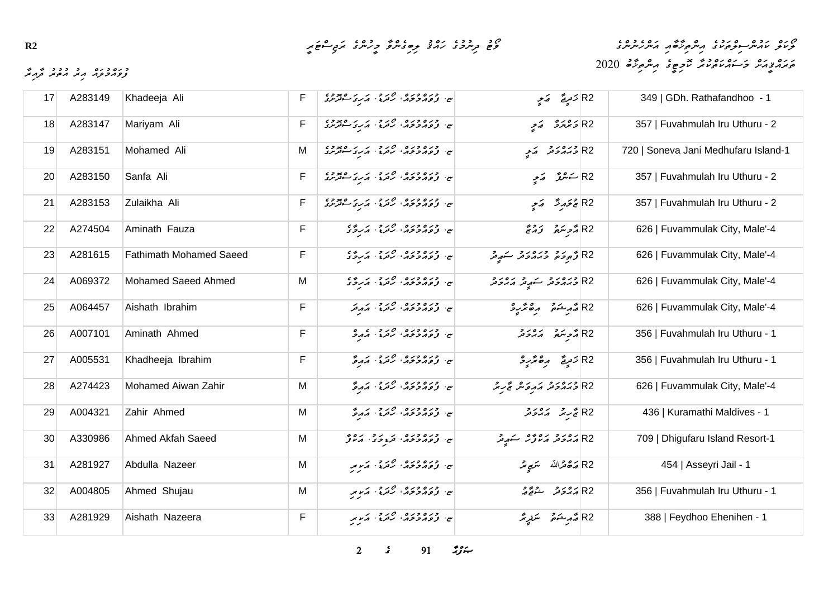*sCw7q7s5w7m< o<n9nOoAw7o< sCq;mAwBoEw7q<m; wBm;vB 2020<sup>, م</sup>وسوق المسجد التحقيق وسرمونية والم*جمع المسجد المسجد المسجد المسجد المسجد المسجد المسجد المسجد المسجد ال

| 17 | A283149 | Khadeeja Ali                   | $\mathsf F$ | ים י 3 מ 2 מ מ מ מ מ מ 2 מ 2 מ 2 מ<br>יש י 3 מ 2 <i>ש מ 2 מ - מ מ 2 ש <sup>3</sup> ש 2 מ</i>                                                                                                                                     | R2  تَرْمِيعٌ = مَرْمٍ                                   | 349   GDh. Rathafandhoo - 1          |
|----|---------|--------------------------------|-------------|----------------------------------------------------------------------------------------------------------------------------------------------------------------------------------------------------------------------------------|----------------------------------------------------------|--------------------------------------|
| 18 | A283147 | Mariyam Ali                    | $\mathsf F$ | ים ו פינים פינים ו מיידעים בין היידעים בין היידעים בין היידעים בין היידעים בין היידעים בין היידעים בין היידעים<br>היידעים לידעים לא היידעים בין היידעים בין היידעים בין היידעים בין היידעים בין היידעים בין היידעים בין היידעים  | R2 دېمگرو کمکم                                           | 357   Fuvahmulah Iru Uthuru - 2      |
| 19 | A283151 | Mohamed Ali                    | M           | ים: 2005 בינים יותר בינים בינים בינים בינים בינים בינים בינים בינים בינים בינים בינים בינים בינים בינים בינים<br>יום: 2015 בינים לינים בינים בינים בינים בינים בינים בינים בינים בינים בינים בינים בינים בינים בינים בינים ביני  | R2 ج <i>زه دي چې</i>                                     | 720   Soneva Jani Medhufaru Island-1 |
| 20 | A283150 | Sanfa Ali                      | $\mathsf F$ | ים ניס כים ים היב היה ביינים בים<br>ישי נפח ביבחי יהיב ביינים ביינים                                                                                                                                                             | R2 شمعدٌ صَعِ                                            | 357   Fuvahmulah Iru Uthuru - 2      |
| 21 | A283153 | Zulaikha Ali                   | $\mathsf F$ | ים יצים בינים יישוב בין האיניב ו-יידים בין<br>יים ייצים מיכורים איניב ו-ידי האיניב ו-ידיעות בין                                                                                                                                  | R2 يح <i>قرق مک</i> م                                    | 357   Fuvahmulah Iru Uthuru - 2      |
| 22 | A274504 | Aminath Fauza                  | F           | יזי צפח כלכם ישנה מתכל                                                                                                                                                                                                           | R2 أُمْرِسَمْ وَأَمْرَةً                                 | 626   Fuvammulak City, Male'-4       |
| 23 | A281615 | <b>Fathimath Mohamed Saeed</b> | F           | יזי צפח כדים יו מיד בי די היידי בי היידי בי היידי בי היידי בי היידי בי היידי בי היידי בי היידי בי היידי בי היי<br>היידי ביו בי היידי בי היידי היידי בי היידי בי היידי בי היידי בי היידי בי היידי בי היידי בי היידי בי היידי בי ה | R2 زُب <i>وِدَة وبرودو سَهِيدُ</i>                       | 626   Fuvammulak City, Male'-4       |
| 24 | A069372 | Mohamed Saeed Ahmed            | M           | ים בנסכנס לנדי הנבצ                                                                                                                                                                                                              | R2 ويرە دىر سەرىتى كەيرى قر                              | 626   Fuvammulak City, Male'-4       |
| 25 | A064457 | Aishath Ibrahim                | F           | שי נפגביבגי הנגדי הגב                                                                                                                                                                                                            | R2 مەم ئىقى مەھ ئىر بى                                   | 626   Fuvammulak City, Male'-4       |
| 26 | A007101 | Aminath Ahmed                  | F           | יזי נכתכ בתי הנגב התכ                                                                                                                                                                                                            | R2 گەج سىھ كەمدى تەر                                     | 356   Fuvahmulah Iru Uthuru - 1      |
| 27 | A005531 | Khadheeja Ibrahim              | F           | ים נפחדתם הנדי ההל                                                                                                                                                                                                               | R2 كَتَوِيعٌ - مِنْ مُحَرِيبٌ وَ                         | 356   Fuvahmulah Iru Uthuru - 1      |
| 28 | A274423 | Mohamed Aiwan Zahir            | M           | יזי צפחכיבתי הנגד החבר<br>יזי צפחכיבתי הנגד החב                                                                                                                                                                                  | R2 <i>وَيُ</i> مُحَمَّدَ مَهْرِهَ مَنْ يَجْرِبُرْ        | 626   Fuvammulak City, Male'-4       |
| 29 | A004321 | Zahir Ahmed                    | M           | ح دە درە مەد تەرىخ بەدە ئە                                                                                                                                                                                                       | R2 تج بر تمر مرد و تر                                    | 436   Kuramathi Maldives - 1         |
| 30 | A330986 | <b>Ahmed Akfah Saeed</b>       | M           | ים: 2015 באורד ביצ' הטיב<br>ים: 2015 באי באיבצ' הטיב                                                                                                                                                                             | R2 <i>גُرُوَنْدْ مُنْ تَوَرُّ</i> رْ سَمَ <i>دِيْر</i> ُ | 709   Dhigufaru Island Resort-1      |
| 31 | A281927 | Abdulla Nazeer                 | M           | ים נפחבלתי לעשי העינ                                                                                                                                                                                                             | R2 كەھەراللە سىرىپ                                       | 454   Asseyri Jail - 1               |
| 32 | A004805 | Ahmed Shujau                   | M           | שי צפתכיכתי לנגזי העינ                                                                                                                                                                                                           | R2 كەبرى ئىس ئىقتى كە                                    | 356   Fuvahmulah Iru Uthuru - 1      |
| 33 | A281929 | Aishath Nazeera                | F           | ים נפגבינה יכנד העיק                                                                                                                                                                                                             | R2 مُرمِّ شَمَعٍ مَسْرِمُّ                               | 388   Feydhoo Ehenihen - 1           |

*n8o<n@ q8qAq< q8o< w<mBq>w<m=q?*

*2 sC 91 nNw?mS*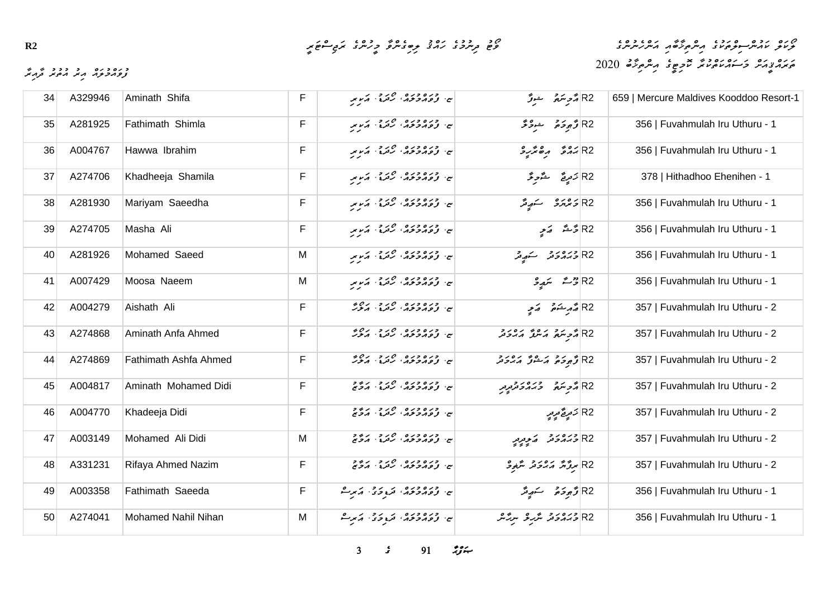*sCw7q7s5w7m< o<n9nOoAw7o< sCq;mAwBoEw7q<m; wBm;vB* م من المسجد المسجد المسجد المسجد المسجد العام 2020<br>مسجد المسجد المسجد المسجد المسجد المسجد المسجد المسجد المسجد ال

| 34 | A329946 | Aminath Shifa         | F           | $\begin{array}{cc} \mathcal{L}_{\mathcal{A}} & \mathcal{L}_{\mathcal{A}} & \mathcal{L}_{\mathcal{A}} & \mathcal{L}_{\mathcal{A}} & \mathcal{L}_{\mathcal{A}} \\ \mathcal{L}_{\mathcal{A}} & \mathcal{L}_{\mathcal{A}} & \mathcal{L}_{\mathcal{A}} & \mathcal{L}_{\mathcal{A}} & \mathcal{L}_{\mathcal{A}} & \mathcal{L}_{\mathcal{A}} & \mathcal{L}_{\mathcal{A}} \end{array}$ | R2 مُّحِ سَمَعُ مُصَوَّرٌ                    | 659   Mercure Maldives Kooddoo Resort-1 |
|----|---------|-----------------------|-------------|--------------------------------------------------------------------------------------------------------------------------------------------------------------------------------------------------------------------------------------------------------------------------------------------------------------------------------------------------------------------------------|----------------------------------------------|-----------------------------------------|
| 35 | A281925 | Fathimath Shimla      | F           | ים נפחבלחי לנגז העיק                                                                                                                                                                                                                                                                                                                                                           | R2 رَّجِ حَمَّ صَوَّرَ \$                    | 356   Fuvahmulah Iru Uthuru - 1         |
| 36 | A004767 | Hawwa Ibrahim         | F           | ים נפחביבה יכנשי העיק                                                                                                                                                                                                                                                                                                                                                          | R2 بَرْ <i>مَرَّة وَ هُرَّبِ</i> دَّ         | 356   Fuvahmulah Iru Uthuru - 1         |
| 37 | A274706 | Khadheeja Shamila     | $\mathsf F$ | ים יצפח כלכם יסקי בי העית                                                                                                                                                                                                                                                                                                                                                      | R2 زَمرِيحٌ     شَرْوِتْرُ                   | 378   Hithadhoo Ehenihen - 1            |
| 38 | A281930 | Mariyam Saeedha       | F           | ים יצפח כלכלי לעשי העינ                                                                                                                                                                                                                                                                                                                                                        | R2 كا ترترتر محمد ترتيز                      | 356   Fuvahmulah Iru Uthuru - 1         |
| 39 | A274705 | Masha Ali             | F           | ים יצפח כלכם יסקי כי העיק                                                                                                                                                                                                                                                                                                                                                      | R2 \$2 مَعِ                                  | 356   Fuvahmulah Iru Uthuru - 1         |
| 40 | A281926 | Mohamed Saeed         | M           | שי צפתכיכתי לנגזי העינ                                                                                                                                                                                                                                                                                                                                                         | R2 <i>322.3 سكون</i> تر                      | 356   Fuvahmulah Iru Uthuru - 1         |
| 41 | A007429 | Moosa Naeem           | M           | שי צפתכיכתי לנגדי העינ                                                                                                                                                                                                                                                                                                                                                         | R2 شَهِرْ \$                                 | 356   Fuvahmulah Iru Uthuru - 1         |
| 42 | A004279 | Aishath Ali           | F           | יזי צפחברמה ימנד ומנד<br>יזי צפחברמה מנגד הכל                                                                                                                                                                                                                                                                                                                                  | R2 مُجم <i>دِ شَمَعِ مَدَمِ</i>              | 357   Fuvahmulah Iru Uthuru - 2         |
| 43 | A274868 | Aminath Anfa Ahmed    | F           | יזי צפחביבה' מנדי הקים.<br>יזי צפחביבה' מנגד היביל                                                                                                                                                                                                                                                                                                                             | R2 مُجمِسَعْ مَسْرٌ مَ <sup>رور</sup> و      | 357   Fuvahmulah Iru Uthuru - 2         |
| 44 | A274869 | Fathimath Ashfa Ahmed | $\mathsf F$ | ים - 2000 סיניב - 200<br>ים - 30,290 ישיבה - 200                                                                                                                                                                                                                                                                                                                               | R2 وَجوحة مَشْرَقَ مَدَود                    | 357   Fuvahmulah Iru Uthuru - 2         |
| 45 | A004817 | Aminath Mohamed Didi  | F           | ر دره دره مرد و برود<br>س و <i>و مرح څ</i> ر کرده کر <i>خ</i>                                                                                                                                                                                                                                                                                                                  | R2 <i>مُّجِسَعُ وَبَرْمُ</i> حَقِّرِمِرِ     | 357   Fuvahmulah Iru Uthuru - 2         |
| 46 | A004770 | Khadeeja Didi         | F           | ים יצפת כבר סיביר ביולי ביולי ביולי ביולי ביולי ביולי ביולי ביולי ביולי ביולי ביולי ביולי ביולי ביולי ביולי בי<br>יולי ביולי ביולי ביולי ביולי ביולי ביולי ביולי ביולי ביולי ביולי ביולי ביולי ביולי ביולי ביולי ביולי ביולי ביו                                                                                                                                               | R2 زَمرِيَّ مرِمرِ                           | 357   Fuvahmulah Iru Uthuru - 2         |
| 47 | A003149 | Mohamed Ali Didi      | M           | יזי צפחברמה ימנד ומדי<br>יזי צפחברמה נעד הכז                                                                                                                                                                                                                                                                                                                                   | R2  <i>ورەرو كەبو</i> تىرىن                  | 357   Fuvahmulah Iru Uthuru - 2         |
| 48 | A331231 | Rifaya Ahmed Nazim    | F           | ים - 2005 ברים - 2007<br>ים - 2005 ברים - 2007                                                                                                                                                                                                                                                                                                                                 | R2 بر <i>ؤنڈ مک</i> ونر سگھوٹ                | 357   Fuvahmulah Iru Uthuru - 2         |
| 49 | A003358 | Fathimath Saeeda      | F           | سي وره وره ترويخ کرير ه                                                                                                                                                                                                                                                                                                                                                        | R2 وَّجِوَدَةٌ مَسَيِّرَةٌ                   | 356   Fuvahmulah Iru Uthuru - 1         |
| 50 | A274041 | Mohamed Nahil Nihan   | M           | سي وره وره تروري کريده                                                                                                                                                                                                                                                                                                                                                         | R2 <i>وَيُهُوَفُرْ مُرَّرِوْ مِرِدُّ</i> مْر | 356   Fuvahmulah Iru Uthuru - 1         |

*n8o<n@ q8qAq< q8o< w<mBq>w<m=q?*

**3** *3* **<b>91** *zji***<sub>n</sub>**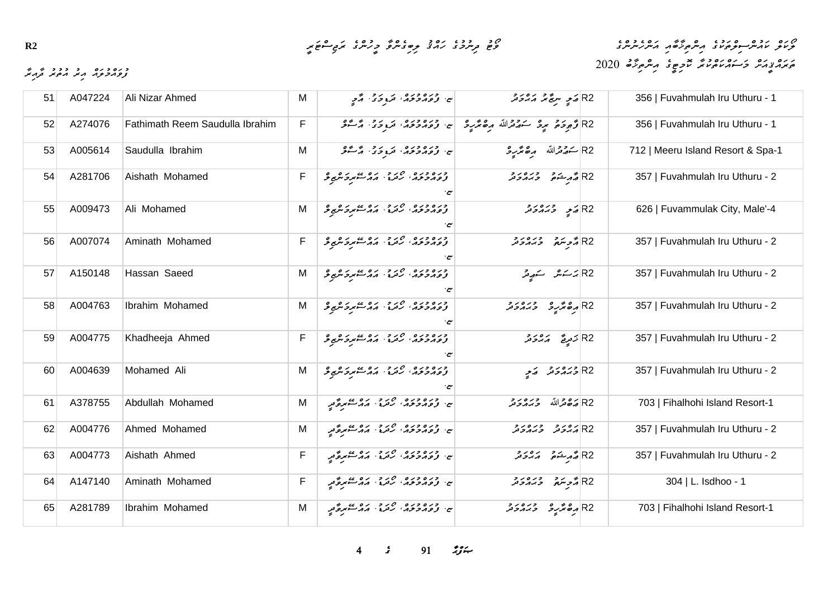*sCw7q7s5w7m< o<n9nOoAw7o< sCq;mAwBoEw7q<m; wBm;vB 2020<sup>, م</sup>وسر در مدد مدرج به مدرم مقرم قرار 2020*<br>موسر المستقرم المستقرم المستقرم المستقرم المستقرم المستقرم المستقرم المستقرم المستقرم المستقرم المستقرم المستقر

| 51 | A047224 | Ali Nizar Ahmed                 | M | سي وره وره در در در گرم                                                 | R2 كەبىي س <i>ېڭىڭ كەبگ</i> ونتر                                                         | 356   Fuvahmulah Iru Uthuru - 1   |
|----|---------|---------------------------------|---|-------------------------------------------------------------------------|------------------------------------------------------------------------------------------|-----------------------------------|
| 52 | A274076 | Fathimath Reem Saudulla Ibrahim | F |                                                                         | R2 وَجِودَةٌ بِرِوْ سَهْرْ رَاللّه مِرْهُ مَرْرِوْ   بِهِ وَوَوْدُو مَدِ وَدَ مُرْسُوْدِ | 356   Fuvahmulah Iru Uthuru - 1   |
| 53 | A005614 | Saudulla Ibrahim                | M | سي وره وره در دو د دره<br>سي وره دره تروی د شو                          | R2 خور قدالله م <i>ی شرح</i>                                                             | 712   Meeru Island Resort & Spa-1 |
| 54 | A281706 | Aishath Mohamed                 | F | כנס כנס ים ניכן נס שי ניסים<br>צפונפיכולי ניבגו והונ ביוניביינוגיפ      | R2 مەم ئىق ئەم ئەر ئەر ئىق                                                               | 357   Fuvahmulah Iru Uthuru - 2   |
| 55 | A009473 | Ali Mohamed                     | M | وره وره همدو ده عدد مره و<br>ژوبرونژبر کرنده به برگر مرد مربع ن         | R2   كەبىر بەرگە ئەرەتىر                                                                 | 626   Fuvammulak City, Male'-4    |
| 56 | A007074 | Aminath Mohamed                 | F |                                                                         | R2 يُرمس ويه دور                                                                         | 357   Fuvahmulah Iru Uthuru - 2   |
| 57 | A150148 | Hassan Saeed                    | M | وره وره صدو ده عهد کرده و                                               | R2  پرستربر سک <i>رم</i> تر                                                              | 357   Fuvahmulah Iru Uthuru - 2   |
| 58 | A004763 | Ibrahim Mohamed                 | M | وره وره هم د و ده عدد ده و<br>ژوبر <i>و ب</i> ربر کردن امریک میرو شرح ب | R2 رەئزىرى دىرەرد                                                                        | 357   Fuvahmulah Iru Uthuru - 2   |
| 59 | A004775 | Khadheeja Ahmed                 | F | وره وره همدو ده عدد مدور                                                | R2 كَتَرِيعٌ - مُدْوَمْرٌ                                                                | 357   Fuvahmulah Iru Uthuru - 2   |
| 60 | A004639 | Mohamed Ali                     | M | وره وره ه د و ده عدد ده و                                               | R2 جەمجەمىي كەمبە                                                                        | 357   Fuvahmulah Iru Uthuru - 2   |
| 61 | A378755 | Abdullah Mohamed                | M | م. وره وره صدو ده مه محمد گرد                                           | R2 مَەھمَراللە جەمجەمْر                                                                  | 703   Fihalhohi Island Resort-1   |
| 62 | A004776 | Ahmed Mohamed                   | M | سي وره وره صدو ده ده در در در                                           | R2 ג׳כנג בגמבנג                                                                          | 357   Fuvahmulah Iru Uthuru - 2   |
| 63 | A004773 | Aishath Ahmed                   | F | مع وره وره صدو دره على دهم.<br>مع وحمد حرم رفع محمد شمير در             | R2 مەم ئەرەبىرى كەندى ئىس                                                                | 357   Fuvahmulah Iru Uthuru - 2   |
| 64 | A147140 | Aminath Mohamed                 | F | سي وره وره صدو ده علم در من                                             | R2 مُجِسَعَ حَمَدَ مِعَ                                                                  | 304   L. Isdhoo - 1               |
| 65 | A281789 | Ibrahim Mohamed                 | M | م - وره وره مرد - ده عه ره م                                            | R2 رەئزىرو مەدرەرد                                                                       | 703   Fihalhohi Island Resort-1   |

*n8o<n@ q8qAq< q8o< w<mBq>w<m=q?*

*4 s* 91 *i*<sub>s</sub>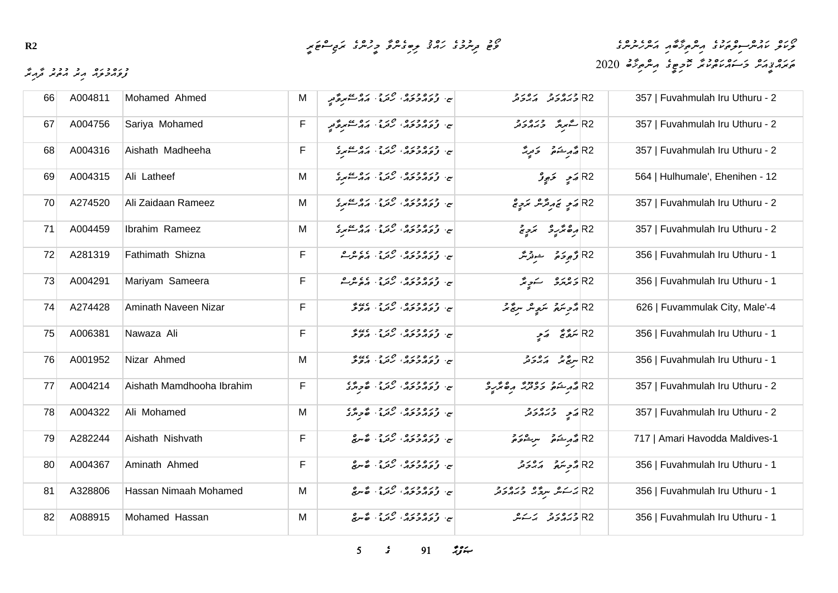*sCw7q7s5w7m< o<n9nOoAw7o< sCq;mAwBoEw7q<m; wBm;vB 2020<sup>, م</sup>وسر در مدد مدرج به مدرم مقرم قرار 2020*<br>موسر المستقرم المستقرم المستقرم المستقرم المستقرم المستقرم المستقرم المستقرم المستقرم المستقرم المستقرم المستقر

| A004811 | Mohamed Ahmed             | M           | שי צפח כנס יישובי החליי התלת                                                                                                                                                                                                    | R2 32,025 كروبرد                            | 357   Fuvahmulah Iru Uthuru - 2 |
|---------|---------------------------|-------------|---------------------------------------------------------------------------------------------------------------------------------------------------------------------------------------------------------------------------------|---------------------------------------------|---------------------------------|
| A004756 | Sariya Mohamed            | F           | س وره دره صدد بره در سورتر<br>س ژور <i>د برد اسر</i>                                                                                                                                                                            | R2 گىرى <i>گە 3،25 دى</i> ر                 | 357   Fuvahmulah Iru Uthuru - 2 |
| A004316 | Aishath Madheeha          | F           | $\begin{array}{cc} c & c & c \ c & c \end{array}$                                                                                                                                                                               | R2 مُەمِسْتَمْ كَ <sup>و</sup> ْرِيَّة      | 357   Fuvahmulah Iru Uthuru - 2 |
| A004315 | Ali Latheef               | M           | ه دره دره مرد ده برد.<br>س ژوبرونژن رور دبر شور                                                                                                                                                                                 | R2 کی تو تو تو تو تو 2                      | 564   Hulhumale', Ehenihen - 12 |
| A274520 | Ali Zaidaan Rameez        | M           | س وره وره هرد ده عدد .<br>س ژوم د ژمر شدن امام مسومرد                                                                                                                                                                           | R2  رَمِ بَرَمرتَشْ بَرَدٍ جَ               | 357   Fuvahmulah Iru Uthuru - 2 |
| A004459 | Ibrahim Rameez            | M           | ים יצפח כתם יסגב גם גם<br>ים צפח כיכה' הנגב החליי בינ                                                                                                                                                                           | R2 مەھەمگەر ئىس ئىمرىيەتى<br>R2             | 357   Fuvahmulah Iru Uthuru - 2 |
| A281319 | Fathimath Shizna          | F           | ے ۔ وہ ورہ میں دیکھیں ۔<br>سی تی جامعہ میں کھڑتا امیر میں                                                                                                                                                                       | R2 <i>وَّجِودَةْ</i> شِي <i>فَرْمَّدُ</i>   | 356   Fuvahmulah Iru Uthuru - 1 |
| A004291 | Mariyam Sameera           | $\mathsf F$ | ים - 2007 ביני 2007 ביני המיקודות היותר ביני היותר ביני היותר ביני היותר ביני היותר ביני היותר ביני היותר ביני<br>היותר ביני היותר ביני היותר ביני היותר ביני היותר ביני היותר ביני היותר ביני היותר ביני היותר ביני היותר ביני | R2 وَيُرْبَرُوْ سَوِيْرَ                    | 356   Fuvahmulah Iru Uthuru - 1 |
| A274428 | Aminath Naveen Nizar      | F           | ישי צפחברמה לינד המיד<br>ישי צפחברמה יינד הפיד                                                                                                                                                                                  | R2 أَمُّ حِسَنَةٌ سَمَّةٍ مَّرْ سِيُّ مَّرْ | 626   Fuvammulak City, Male'-4  |
| A006381 | Nawaza Ali                | F           | כנסכנס ימנכי המיני<br>ישי נפחכבתי מנגבי הפיב                                                                                                                                                                                    | R2 سَمَّةٌ مَرْمٍ                           | 356   Fuvahmulah Iru Uthuru - 1 |
| A001952 | Nizar Ahmed               | M           | כנסכנס ימנכח בעל<br>ישי צפונכיבותי מבנבי ומפיד                                                                                                                                                                                  | R2 سِيِّ پُر مَدْحَقَّرَ                    | 356   Fuvahmulah Iru Uthuru - 1 |
| A004214 | Aishath Mamdhooha Ibrahim | F           | ים - 2005 בים יישוב - 2006<br>ים - 2005 בית יאשוב - 2006                                                                                                                                                                        | R2 مەم شەھ بەرەت مەھەربە                    | 357   Fuvahmulah Iru Uthuru - 2 |
| A004322 | Ali Mohamed               | M           | כנסכנס הנבי שקת.<br>ישי צפונקיבו, נעשי שקתב                                                                                                                                                                                     | R2 <i>جُمْعٍ وَبَهُ</i> ومَ                 | 357   Fuvahmulah Iru Uthuru - 2 |
| A282244 | Aishath Nishvath          | F           | יז ניסנים יוני היים<br>יז ניבודים ישיבי היים                                                                                                                                                                                    | R2 مُ مِسْدَمْ مِنْ مِسْرَوْمُو             | 717   Amari Havodda Maldives-1  |
| A004367 | Aminath Ahmed             | F           | כנס כנס מנכה שיים<br>ישי <sub>ל</sub> פג <i>ב כ</i> ג' לינג' שיים                                                                                                                                                               | R2 مُجِسَمَة مَدَّدَمَّر                    | 356   Fuvahmulah Iru Uthuru - 1 |
| A328806 | Hassan Nimaah Mohamed     | M           | وره وره ه رو .<br>س· زود <i>و و</i> ر کرد . گاس                                                                                                                                                                                 | R2 كەسكەر س <i>رۇر دېم</i> مەدىر            | 356   Fuvahmulah Iru Uthuru - 1 |
| A088915 | Mohamed Hassan            | M           | دره دره ه در د.<br>س زود درد، ردر ن شرح                                                                                                                                                                                         | R2  <i>وبروبر برسكر</i>                     | 356   Fuvahmulah Iru Uthuru - 1 |
|         |                           |             |                                                                                                                                                                                                                                 |                                             |                                 |

*n8o<n@ q8qAq< q8o< w<mBq>w<m=q?*

 $5$   $5$   $91$   $25$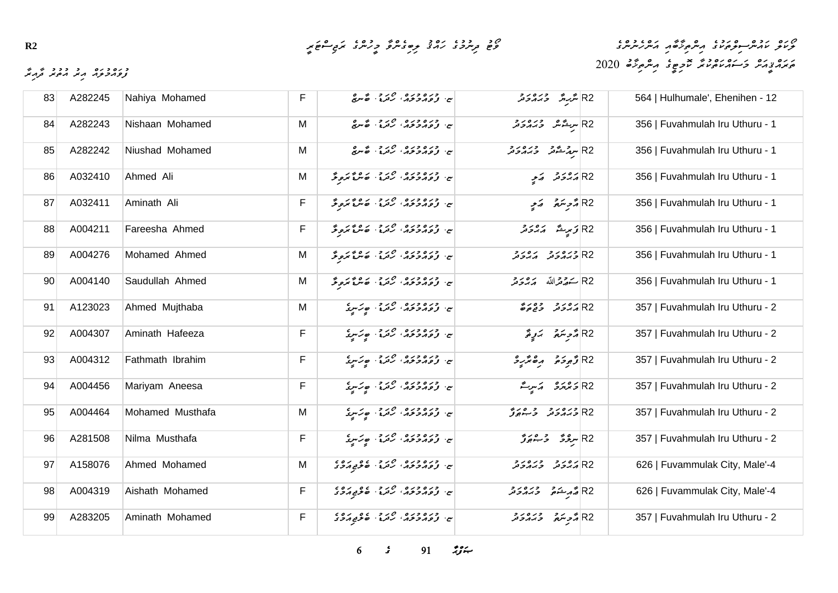*sCw7q7s5w7m< o<n9nOoAw7o< sCq;mAwBoEw7q<m; wBm;vB* م من المسجد المسجد المسجد المسجد المسجد العام 2020<br>مسجد المسجد المسجد المسجد المسجد المسجد المسجد المسجد المسجد ال

| 83 | A282245 | Nahiya Mohamed   | $\mathsf F$ | ים - כנס כנס - מני כ"<br>ישי <sub>ל</sub> פו <i>נכר</i> ול - מני כ"י של                                                                                                                                                                                                                 | R2 بَرْرِيْرٌ حَمَدُ وَحَدِ    | 564   Hulhumale', Ehenihen - 12 |
|----|---------|------------------|-------------|-----------------------------------------------------------------------------------------------------------------------------------------------------------------------------------------------------------------------------------------------------------------------------------------|--------------------------------|---------------------------------|
| 84 | A282243 | Nishaan Mohamed  | M           | دره دره مرد .<br>س زود درد، ردر . ځس                                                                                                                                                                                                                                                    | R2 سرشگىل قىر بر دىر           | 356   Fuvahmulah Iru Uthuru - 1 |
| 85 | A282242 | Niushad Mohamed  | M           | ح ده وره مرد .<br>س زود <i>ح</i> جه رمز . ځس                                                                                                                                                                                                                                            | R2 سەشقىر بەربەدىر             | 356   Fuvahmulah Iru Uthuru - 1 |
| 86 | A032410 | Ahmed Ali        | M           | م دره دره ه در دره در در د                                                                                                                                                                                                                                                              | R2 كەنزى كە كەر                | 356   Fuvahmulah Iru Uthuru - 1 |
| 87 | A032411 | Aminath Ali      | F           | م دره دره ۵ در در ۵۵ در د                                                                                                                                                                                                                                                               | R2 مُحرِسَمُ مَعٍ              | 356   Fuvahmulah Iru Uthuru - 1 |
| 88 | A004211 | Fareesha Ahmed   | F           | م دره دره ه درد ه ه ه د د .<br>م د ومدر د م . سرد ه که سره مره گر                                                                                                                                                                                                                       | R2 كوموستة مركز قرقر           | 356   Fuvahmulah Iru Uthuru - 1 |
| 89 | A004276 | Mohamed Ahmed    | M           | من تحره وره صدر و مره و در د                                                                                                                                                                                                                                                            | R2 وبرەبرو برەبرو              | 356   Fuvahmulah Iru Uthuru - 1 |
| 90 | A004140 | Saudullah Ahmed  | M           | م دره دره ه در دره در در د                                                                                                                                                                                                                                                              | R2 كەچمى ئاللە كەبرى تەر       | 356   Fuvahmulah Iru Uthuru - 1 |
| 91 | A123023 | Ahmed Mujthaba   | M           | م وره وره مرد و کرد.<br>م توجه وحها رفره صر س                                                                                                                                                                                                                                           | R2 كەرد دەرە                   | 357   Fuvahmulah Iru Uthuru - 2 |
| 92 | A004307 | Aminath Hafeeza  | F           | ים נכחבבתי הנגד יפהעל                                                                                                                                                                                                                                                                   | R2 مُتَرِسَعَةٍ مَرْبِغَّةٍ    | 357   Fuvahmulah Iru Uthuru - 2 |
| 93 | A004312 | Fathmath Ibrahim | F           | ים נפחבבתי לנגר פליינג                                                                                                                                                                                                                                                                  | R2 <i>وُجودَة وڤترَب</i> وْ    | 357   Fuvahmulah Iru Uthuru - 2 |
| 94 | A004456 | Mariyam Aneesa   | F           | $\tilde{c}$ , $\tilde{c}$ , $\tilde{c}$ , $\tilde{c}$ , $\tilde{c}$ , $\tilde{c}$ , $\tilde{c}$ , $\tilde{c}$ , $\tilde{c}$ , $\tilde{c}$ , $\tilde{c}$ , $\tilde{c}$ , $\tilde{c}$ , $\tilde{c}$ , $\tilde{c}$ , $\tilde{c}$ , $\tilde{c}$ , $\tilde{c}$ , $\tilde{c}$ , $\tilde{c}$ , | R2 وَتَحْدَّرُوْ كَمَ سِرْسَةُ | 357   Fuvahmulah Iru Uthuru - 2 |
| 95 | A004464 | Mohamed Musthafa | M           | י נכתכ כנס פני קיליים                                                                                                                                                                                                                                                                   | R2 37073 R2                    | 357   Fuvahmulah Iru Uthuru - 2 |
| 96 | A281508 | Nilma Musthafa   | F           | ים נפח כנסי לנדי פליינג                                                                                                                                                                                                                                                                 | R2 بروگ و جوگر                 | 357   Fuvahmulah Iru Uthuru - 2 |
| 97 | A158076 | Ahmed Mohamed    | M           | س وره وره صرح عاه ره عا<br>س ژوم د حرم رمز - صحرح مرح د                                                                                                                                                                                                                                 | R2 ג׳כנק 22,000                | 626   Fuvammulak City, Male'-4  |
| 98 | A004319 | Aishath Mohamed  | $\mathsf F$ | ים - 2000 ס - 2000 - 2000 - 2000 - 2000 - 2000 - 2000 - 2000 - 2000 - 2000 - 2000 - 2000 - 2000 - 20<br>שיי צפור ביצור י' העגל י' שייב בן היב ג                                                                                                                                         | R2 مەم ئىق ئەم ئەر ئەر ئىس     | 626   Fuvammulak City, Male'-4  |
| 99 | A283205 | Aminath Mohamed  | F           | س وره وره صرح عده ره و<br>س توحد حرم رمز صحي برحر                                                                                                                                                                                                                                       |                                | 357   Fuvahmulah Iru Uthuru - 2 |
|    |         |                  |             |                                                                                                                                                                                                                                                                                         |                                |                                 |

*n8o<n@ q8qAq< q8o< w<mBq>w<m=q?*

 $6$   $3$   $91$   $39$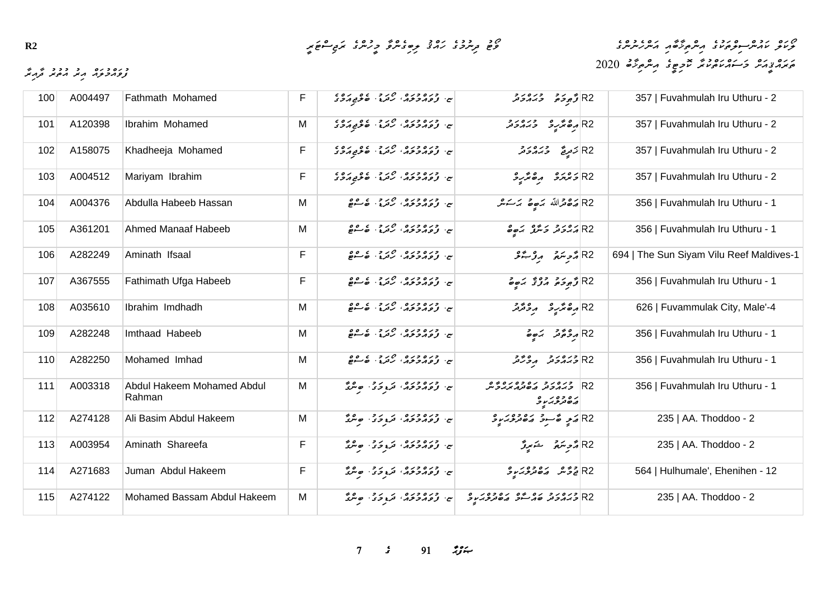*sCw7q7s5w7m< o<n9nOoAw7o< sCq;mAwBoEw7q<m; wBm;vB 2020<sup>, م</sup>وسوق المسجد التحقيق وسرمونية والم*جمع المسجد المسجد المسجد المسجد المسجد المسجد المسجد المسجد المسجد ال

| 100 | A004497 | Fathmath Mohamed                     | F           | م دره دره دره درد ده ده ده<br>س ژوبر ژوبر در د                                                                                                              | R2 وَجِعَة حَمَدَ مَعَ                                                                            | 357   Fuvahmulah Iru Uthuru - 2          |
|-----|---------|--------------------------------------|-------------|-------------------------------------------------------------------------------------------------------------------------------------------------------------|---------------------------------------------------------------------------------------------------|------------------------------------------|
| 101 | A120398 | Ibrahim Mohamed                      | M           | ים "רוס כנס" בני הים נסטים"<br>ישי "ך פו <i>נ כיכ</i> ול" ביש פייכה ביש וניכים                                                                              | R2 مەھەرىپى ئەمەدىر                                                                               | 357   Fuvahmulah Iru Uthuru - 2          |
| 102 | A158075 | Khadheeja Mohamed                    | F           | כנס כנס ימנד יש כנס נסט<br>ישי נפח כיכחי ניתג יש כנס בכנ                                                                                                    | R2 كَتْمِيعٌ - وْيَرْجُرْوَتْتْر                                                                  | 357   Fuvahmulah Iru Uthuru - 2          |
| 103 | A004512 | Mariyam Ibrahim                      | F           | יז "רוס דורס" הרג בי הס"ר ביטיק בי הריידי<br>המודע בי הרייד בי הרייד ביולידי בי הריידי בי הרייד בי הרייד בי הרייד בי הרייד בי הרייד בי הרייד בי הרייד בי הר | R2  <i>وبروج وهترب</i> و                                                                          | 357   Fuvahmulah Iru Uthuru - 2          |
| 104 | A004376 | Abdulla Habeeb Hassan                | м           | س وره وره صرح عده ه<br>س توحد حرم شرق کا من                                                                                                                 | R2 مَەھمَّدَاللَّهُ بَرَصٍ مَحَسَّرٌ مَثَّرٌ                                                      | 356   Fuvahmulah Iru Uthuru - 1          |
| 105 | A361201 | <b>Ahmed Manaaf Habeeb</b>           | M           | ימי ניסיכנים ימיקים בים.<br>ישי נפחי <i>כיב</i> ה יכות 1 יים שיים                                                                                           | R2 גُגُونَر وَسَّرٌ   رَصِّ                                                                       | 356   Fuvahmulah Iru Uthuru - 1          |
| 106 | A282249 | Aminath Ifsaal                       | F           | ימי ניסיכנים ימיקים בים.<br>ישי נפחי <i>כיב</i> ה יכות 1 יים שיים                                                                                           | R2 مُجِسَمَةُ مِنْ مُجْمَّر                                                                       | 694   The Sun Siyam Vilu Reef Maldives-1 |
| 107 | A367555 | Fathimath Ufga Habeeb                | F           | س وره وره ص د ع ده<br>س وحدد وحد کننده . ه شو                                                                                                               | R2 زُودَهُ مُرْتَزٌ مَهِ صُ                                                                       | 356   Fuvahmulah Iru Uthuru - 1          |
| 108 | A035610 | Ibrahim Imdhadh                      | M           | ימי ניסיכנים ימיקים בים.<br>ישי נפחי <i>כיב</i> ה יכות 1 יים שיים                                                                                           | R2 مەھەرىرى مەمەمە                                                                                | 626   Fuvammulak City, Male'-4           |
| 109 | A282248 | Imthaad Habeeb                       | M           | כנס כנס ימנד כי סיס<br>ישי נפח <i>ביב</i> חי נט <sub>ב</sub> יש <del>י</del> ש                                                                              | $\frac{2}{9}$ $\frac{2}{9}$ $\frac{2}{9}$ $\frac{2}{9}$ $\frac{2}{9}$ $\frac{2}{9}$ $\frac{2}{9}$ | 356   Fuvahmulah Iru Uthuru - 1          |
| 110 | A282250 | Mohamed Imhad                        | м           | ر وره وره به درون عن مرد و ده .<br>سي ورم د درم بر درون مرد م                                                                                               | R2 ويروبر برورتر                                                                                  | 356   Fuvahmulah Iru Uthuru - 1          |
| 111 | A003318 | Abdul Hakeem Mohamed Abdul<br>Rahman | M           | م دره دره<br>م زود دخه تروی صرف                                                                                                                             | R2 כנסגב גם כסגם בם<br>ړه ده رغ                                                                   | 356   Fuvahmulah Iru Uthuru - 1          |
| 112 | A274128 | Ali Basim Abdul Hakeem               | M           | س وره وره در دو ه شد                                                                                                                                        | R2 <i>مَرِّدٍ حُسِرةً مُ</i> ھت <i>ر دُب</i> رِ وُ                                                | 235   AA. Thoddoo - 2                    |
| 113 | A003954 | Aminath Shareefa                     | F           | س- ورەورە- ئروكى- ھ <sup>ىر</sup> ى                                                                                                                         | R2 أَمَّ حِ سَمَّ سَمَ سِرَدٌ                                                                     | 235   AA. Thoddoo - 2                    |
| 114 | A271683 | Juman Abdul Hakeem                   | $\mathsf F$ | س وره دره در در ده جنگ                                                                                                                                      | R2 يۇ ئەر مەھەر ئەر ئالى                                                                          | 564   Hulhumale', Ehenihen - 12          |
| 115 | A274122 | Mohamed Bassam Abdul Hakeem          | M           | سي وره وره در دو هندي.<br>سي وحدوجهها مرد وي هندي.                                                                                                          | R2 و ره ره ده ده ده ده ده ره وه د                                                                 | 235   AA. Thoddoo - 2                    |

*n8o<n@ q8qAq< q8o< w<mBq>w<m=q?*

*7 sC 91 nNw?mS*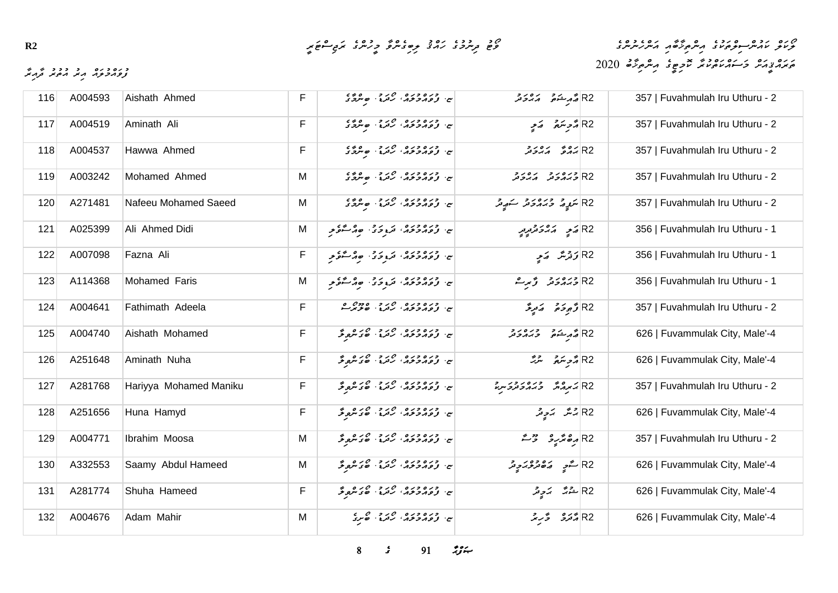*sCw7q7s5w7m< o<n9nOoAw7o< sCq;mAwBoEw7q<m; wBm;vB 2020<sup>, م</sup>وسوق المسجد التحقيق وسرمونية والم*جمع المسجد المسجد المسجد المسجد المسجد المسجد المسجد المسجد المسجد ال

| 116 | A004593 | Aishath Ahmed          | F | ים "כממכים" מיד - סייביב"<br>ים "פמכיבות" ייניגב" - סייביב                             | R2 مەم ئىقسى مەم <i>370 م</i>                     | 357   Fuvahmulah Iru Uthuru - 2 |
|-----|---------|------------------------|---|----------------------------------------------------------------------------------------|---------------------------------------------------|---------------------------------|
| 117 | A004519 | Aminath Ali            | F | יז צפח ברם יון כי יסיית ביב<br>יו צפח ביבחי הנגון יסיית ביב                            | R2 مُجرِسَعُ مَجرِ                                | 357   Fuvahmulah Iru Uthuru - 2 |
| 118 | A004537 | Hawwa Ahmed            | F | כנס כנס הנבר<br>יין נפח כבה' לינג' ים יינבצ                                            | R2 يَرْمُو مَ يَرْوَمُرْ                          | 357   Fuvahmulah Iru Uthuru - 2 |
| 119 | A003242 | Mohamed Ahmed          | M | כנס כנס הנבר<br>יין נפח כבה' לנגז' וסיינבצ                                             | R2 وبرەبرو برەبرو<br>R2 وبرورو مربرونر            | 357   Fuvahmulah Iru Uthuru - 2 |
| 120 | A271481 | Nafeeu Mohamed Saeed   | M | יזי צפחכלמי לנגר סיינבצ<br>יזי צפחכלמי לנגר סיינבצ                                     | R2 <i>سَوِرة - 3 مُدَوَّدة سَهِيد</i> ً           | 357   Fuvahmulah Iru Uthuru - 2 |
| 121 | A025399 | Ali Ahmed Didi         | M | ים " ניסריכתי " ביבי יסוד לפיק                                                         | R2 كەنچە كەنگە ئۇنى <sub>ي</sub> ىر               | 356   Fuvahmulah Iru Uthuru - 1 |
| 122 | A007098 | Fazna Ali              | F | س وره وره<br>س ژوبرونژبه ترون حه شونو                                                  | R2 توثرش ک <i>ی ی</i>                             | 356   Fuvahmulah Iru Uthuru - 1 |
| 123 | A114368 | Mohamed Faris          | M | ים: 2013 בים היו ביני ישות המוביק.                                                     | R2 <i>وُيَهُ وَيَوْ</i> وَ <sub>مَ</sub> رِ مُ    | 356   Fuvahmulah Iru Uthuru - 1 |
| 124 | A004641 | Fathimath Adeela       | F | ים - כנסכנס ים כבי סכבים ים<br>ישי <sub>ה</sub> כס <i>בכברי הכנ</i> צי ים <i>ב</i> ינו | R2 وَّجِ حَمَّ – مَ <sup>م</sup> تِرِ حَ          | 357   Fuvahmulah Iru Uthuru - 2 |
| 125 | A004740 | Aishath Mohamed        | F | س وره وره هرد و هره د                                                                  | R2 مەم ئىقتى ئەم ئەرىخىلىرى بىر ئىش               | 626   Fuvammulak City, Male'-4  |
| 126 | A251648 | Aminath Nuha           | F | دره دره دره ۲۵ و ۲۵ و مخ<br>س زورد دره کرد و صحیحه د                                   | R2 مُجِسَعَةٍ مِثْرَتَهُ                          | 626   Fuvammulak City, Male'-4  |
| 127 | A281768 | Hariyya Mohamed Maniku | F | س وره وره به رو به ره د<br>س ژومر <i>و و</i> ر رود به دره گر                           | R2 ג׳גרה כמרכנקבית                                | 357   Fuvahmulah Iru Uthuru - 2 |
| 128 | A251656 | Huna Hamyd             | F | ح دره دره صدر صده و علم در در د                                                        | R2 پُرنگ ټرونگر                                   | 626   Fuvammulak City, Male'-4  |
| 129 | A004771 | Ibrahim Moosa          | M | دره دره مرد مرد دره د<br>س زورد در ردد هزینی                                           | R2 مەمۇر ۋە ق                                     | 357   Fuvahmulah Iru Uthuru - 2 |
| 130 | A332553 | Saamy Abdul Hameed     | M | س وره وره صدو صرح چ                                                                    | R2  سَمَعِ الاھ <sup>2</sup> وتر <i>جو تر</i> وتر | 626   Fuvammulak City, Male'-4  |
| 131 | A281774 | Shuha Hameed           | F | دره دره دره ۲۵ ورو ۲۵ ورو د                                                            | R2 شترج كمتوفر                                    | 626   Fuvammulak City, Male'-4  |
| 132 | A004676 | Adam Mahir             | M | ים נפחד בחין הנגד ים יוד.<br>ים נפחד בחי הנגד ים יוד                                   | R2  مُحَمَّدُ - قُرِيمُ                           | 626   Fuvammulak City, Male'-4  |

*n8o<n@ q8qAq< q8o< w<mBq>w<m=q?*

**8** *s* **91** *n***<sub>y</sub> <b>***s*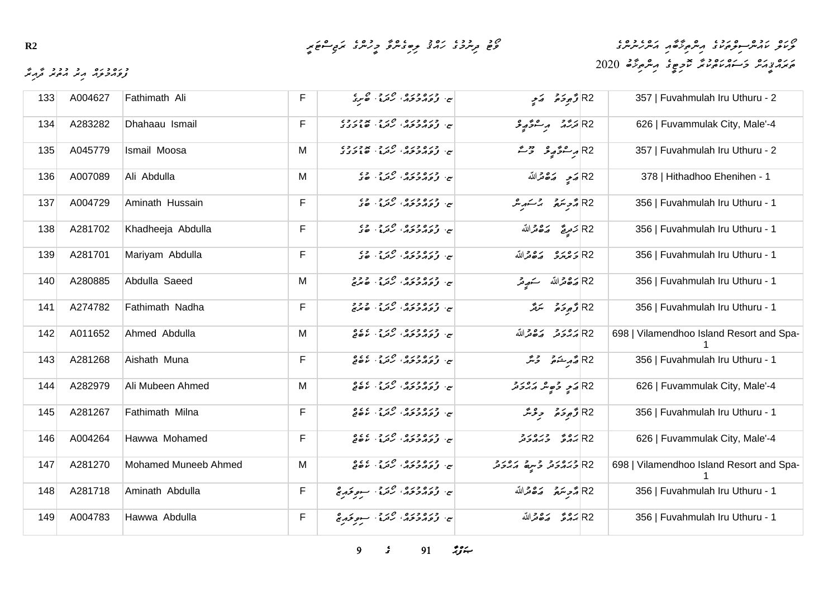*sCw7q7s5w7m< o<n9nOoAw7o< sCq;mAwBoEw7q<m; wBm;vB 2020<sup>, م</sup>وسر در مدد مدرج به مدرم مقرم قرار 2020*<br>موسر المستقرم المستقرم المستقرم المستقرم المستقرم المستقرم المستقرم المستقرم المستقرم المستقرم المستقرم المستقر

| 133 | A004627 | Fathimath Ali        | F           | כנסכנס בנכרים<br>ישי <sub>ה</sub> צפו <i>ביצורי ביצ</i> י פיינד                                                                                                                                                                  | R2 وَّجِوحَةً صَعِ                     | 357   Fuvahmulah Iru Uthuru - 2          |
|-----|---------|----------------------|-------------|----------------------------------------------------------------------------------------------------------------------------------------------------------------------------------------------------------------------------------|----------------------------------------|------------------------------------------|
| 134 | A283282 | Dhahaau Ismail       | F           | وره وره () دو برورون<br>س ژوبر <i>ورد</i> () رتره () در در                                                                                                                                                                       | R2  ترتر مر موسوح مربح                 | 626   Fuvammulak City, Male'-4           |
| 135 | A045779 | Ismail Moosa         | M           | - כנסכנס ימנד - הכנכי<br>ישי <sub>ב</sub> פו <i>נכת</i> י ינטצי יש בכצ                                                                                                                                                           | R2 پر شو <i>ڈ پ</i> وٹ تی ش            | 357   Fuvahmulah Iru Uthuru - 2          |
| 136 | A007089 | Ali Abdulla          | M           | ים - כנס כנס - מנד - כז<br>ישי נפחביבה' ניטג - פי                                                                                                                                                                                | R2 ضَعٍ ضَصْعَدَاللّه                  | 378   Hithadhoo Ehenihen - 1             |
| 137 | A004729 | Aminath Hussain      | F           | כנסכנס בנכיכים<br>ישי <sub>ה</sub> פתכיכת <sup>י</sup> לבג' יש                                                                                                                                                                   | R2 مُ <i>وِسَمَعُ بِرُسَمَ بِ</i> سُ   | 356   Fuvahmulah Iru Uthuru - 1          |
| 138 | A281702 | Khadheeja Abdulla    | $\mathsf F$ | ים ניסידום יונק בי<br>ישי נפחי <i>דיר</i> ה' מנגבי ים                                                                                                                                                                            | R2 تَرَمَّدِيَّةُ صَ6ْقَدَاللَّهُ      | 356   Fuvahmulah Iru Uthuru - 1          |
| 139 | A281701 | Mariyam Abdulla      | F           | ים ניסיכנס ימניק כא<br>ישי נפחי <i>כלה</i> ניט <sub>ב</sub> י פי                                                                                                                                                                 | R2 كربرد كركانية                       | 356   Fuvahmulah Iru Uthuru - 1          |
| 140 | A280885 | Abdulla Saeed        | M           | ים - 2005 בים - 2007 ב-20<br>יים - 2007 ב-20 יכול - 2000                                                                                                                                                                         | R2، مَدَّوَاللَّهُ سَمَّ مِرْتَمَرُ    | 356   Fuvahmulah Iru Uthuru - 1          |
| 141 | A274782 | Fathimath Nadha      | F           | כנסכנס ימנכ כככ<br>ייז' צפו <i>ב ב</i> וז' טבג ישיבי                                                                                                                                                                             | R2 وَج <i>وحَمْ سَ</i> تَرُ            | 356   Fuvahmulah Iru Uthuru - 1          |
| 142 | A011652 | Ahmed Abdulla        | M           | כנס כנס ימנד - 200<br>ישי <sub>2</sub> 01 <i>ביצ</i> ה' נעש                                                                                                                                                                      | R2 مَرْحَ مِنْ مَرْهُ مِنْ اللّه       | 698   Vilamendhoo Island Resort and Spa- |
| 143 | A281268 | Aishath Muna         | $\mathsf F$ | כנס כנס ימנים - 200<br>ישי נפגביבג'י נעשי שם ב                                                                                                                                                                                   | R2 مەم شىم قىگر                        | 356   Fuvahmulah Iru Uthuru - 1          |
| 144 | A282979 | Ali Mubeen Ahmed     | M           | ימי כנס כנס ימני בי שים<br>ישי צפח כי באי לא מים בי                                                                                                                                                                              | R2 <i>ړنو څو شمر پرو</i> تر            | 626   Fuvammulak City, Male'-4           |
| 145 | A281267 | Fathimath Milna      | F           | כנס כנס ימנד בים<br>ישי נפגביבג'י לבנשי שפי                                                                                                                                                                                      | R2 ۇ <sub>ج</sub> وڭ مۇمگر             | 356   Fuvahmulah Iru Uthuru - 1          |
| 146 | A004264 | Hawwa Mohamed        | F           | כנס כנס ימנד מספר<br>ישי צפו <i>נפיצ</i> ולי ענג <del>ו</del> ישם                                                                                                                                                                | R2 پُروژ ویروژو                        | 626   Fuvammulak City, Male'-4           |
| 147 | A281270 | Mohamed Muneeb Ahmed | M           | כנס כנס ימנד בסיס<br>ישי <sub>ב</sub> פג <i>ב בגי נ</i> יבי יו שם                                                                                                                                                                | R2 دبره دو و مره بروبرد                | 698   Vilamendhoo Island Resort and Spa- |
| 148 | A281718 | Aminath Abdulla      | F           | ה כנס כנס יותר.<br>הי נפונכיכולי לעלי הפיכולים                                                                                                                                                                                   | R2 مُرْحِ سَرَةَ      مَرْكَ قَدْاللّه | 356   Fuvahmulah Iru Uthuru - 1          |
| 149 | A004783 | Hawwa Abdulla        | F           | פי פרי פי פי בי היו ביני בי היו היו בי היו בי היו בי היו בי היו בי היו בי היו בי היו בי היו בי היו בי היו בי ה<br>היו היו בי היו בי היו בי היו בי היו בי היו בי היו בי היו בי היו בי היו בי היו בי היו בי היו בי היו בי היו בי ה | R2 بَرْمَرَّ بَرَصْحَراللَّه           | 356   Fuvahmulah Iru Uthuru - 1          |

*n8o<n@ q8qAq< q8o< w<mBq>w<m=q?*

*9 s* 91 *n*<sub>2</sub> *n*<sub>2</sub> *g*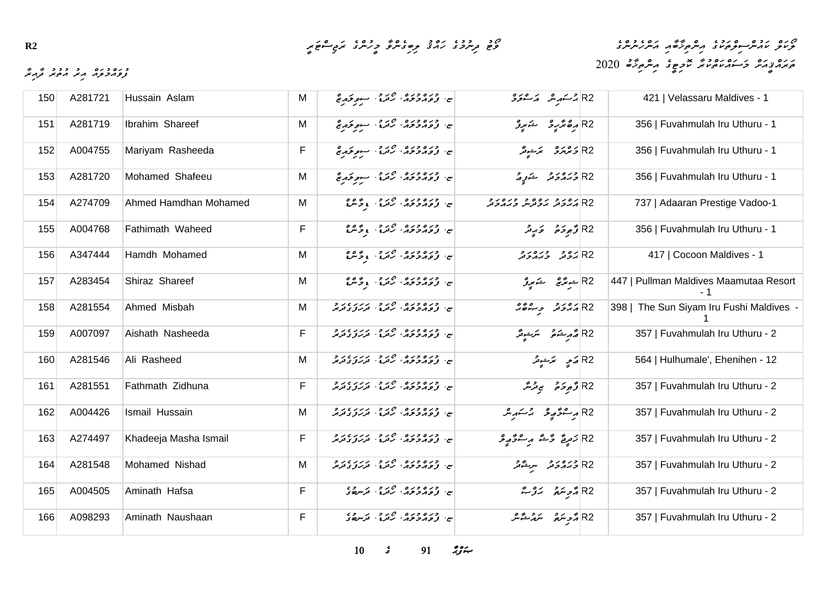*sCw7q7s5w7m< o<n9nOoAw7o< sCq;mAwBoEw7q<m; wBm;vB 2020<sup>, م</sup>وسوق المسجد التحقيق وسرمونية والم*جمع المسجد المسجد المسجد المسجد المسجد المسجد المسجد المسجد المسجد ال

| 150 | A281721 | Hussain Aslam         | M | سي وره وره مرد و .<br>سي وه د د ده رود .                                       | R2 يُرْسَمبر شَر مَرْسُوَتْرَ \$                               | 421   Velassaru Maldives - 1                  |
|-----|---------|-----------------------|---|--------------------------------------------------------------------------------|----------------------------------------------------------------|-----------------------------------------------|
| 151 | A281719 | Ibrahim Shareef       | M | ح وره وره حرج سوځه چ                                                           | R2 م <i>ەھترى</i> رو شەمرۇ                                     | 356   Fuvahmulah Iru Uthuru - 1               |
| 152 | A004755 | Mariyam Rasheeda      | F | ים בנסכנס לגב.<br>ים נפונכבו, לעלי הפבות                                       | R2 كەنگەنگە - ئەشبەنگە                                         | 356   Fuvahmulah Iru Uthuru - 1               |
| 153 | A281720 | Mohamed Shafeeu       | M | س وره وره صدر<br>س وحدوفه، رس سوفه                                             | R2 <i>252.2 منتوف</i>                                          | 356   Fuvahmulah Iru Uthuru - 1               |
| 154 | A274709 | Ahmed Hamdhan Mohamed | M | ים בנסכנס הנבי שליים                                                           | R2 גזכת גפתית כגופנק                                           | 737   Adaaran Prestige Vadoo-1                |
| 155 | A004768 | Fathimath Waheed      | F | יז נפחבבה <sup>,</sup> הנגר, בניים                                             | R2 وَّجِوحَمْ وَرِيْدَ                                         | 356   Fuvahmulah Iru Uthuru - 1               |
| 156 | A347444 | Hamdh Mohamed         | M | יז נפחבבה <sup>,</sup> גינג יבשם                                               | R2 پروټر وبرمړنو                                               | 417   Cocoon Maldives - 1                     |
| 157 | A283454 | Shiraz Shareef        | M |                                                                                | R2 شومگرمج شمعرو<br>                                           | 447   Pullman Maldives Maamutaa Resort<br>- 1 |
| 158 | A281554 | Ahmed Misbah          | M | س وره وره همرو. دربر پارو<br>سی تی <i>و ورونژو، رفر</i> ه تر <i>رتی و</i> ترین | R2 كەبروتر بەش <i>قە</i>                                       | 398   The Sun Siyam Iru Fushi Maldives -      |
| 159 | A007097 | Aishath Nasheeda      | F | وره وره همرون درز در د<br>س ژوه ژوهر شود کرد کرد ژوند                          | R2 مُ مِشَمَّر سَرَسُومُرَّ                                    | 357   Fuvahmulah Iru Uthuru - 2               |
| 160 | A281546 | Ali Rasheed           | M | - دره دره صدو - درر در د<br>س- ژوپروتوپر - درگروی تریمز                        | R2 كەمچە كەشىرىگە                                              | 564   Hulhumale', Ehenihen - 12               |
| 161 | A281551 | Fathmath Zidhuna      | F | - دره دره هرو - ررز در د<br>س- ژوه <i>دخه، ر</i> نره - تر <i>رژ د</i> نر       | R2 تُرجوحَ حَمَّ مِي تَرْسَّرُ                                 | 357   Fuvahmulah Iru Uthuru - 2               |
| 162 | A004426 | Ismail Hussain        | M | ر وره وره هم د و گرد درد.<br>س ژوه ژوه، گلا: ترگروی تریم                       | R2 م <i>ېشۇمۇ ئىمىشى</i> ر                                     | 357   Fuvahmulah Iru Uthuru - 2               |
| 163 | A274497 | Khadeeja Masha Ismail | F | س وره وره همرو دربر پارو<br>س توحه <i>وخه</i> شهره تر <i>س و ت</i> وس          | R2 دَمِيعٌ   وَّحْہُ   بِرِ حُوَّ بِرِ وَ                      | 357   Fuvahmulah Iru Uthuru - 2               |
| 164 | A281548 | Mohamed Nishad        | M | دره دره وره مهرد دربرد در<br>س ژوبرونژبر کردنی ترکرژوی                         | R2 <i>وُكەدى ئى سرىش</i> تىر                                   | 357   Fuvahmulah Iru Uthuru - 2               |
| 165 | A004505 | Aminath Hafsa         | F | ر وره وره هر د د در وي.<br>س وره د ده. رند و ترسي                              | R2 گەجەتتى ئەرقىگە                                             | 357   Fuvahmulah Iru Uthuru - 2               |
| 166 | A098293 | Aminath Naushaan      | F | س وره وره هر د د سره و.<br>س ومحدود کرده توسی <i>ه د</i>                       | R2 أَمُّ حِسَنَةً مِسْتَمَسْتَشْتَرْ الْمَرْكَبَةِ مِسْتَمَسْر | 357   Fuvahmulah Iru Uthuru - 2               |

*n8o<n@ q8qAq< q8o< w<mBq>w<m=q?*

*10 sC 91 nNw?mS*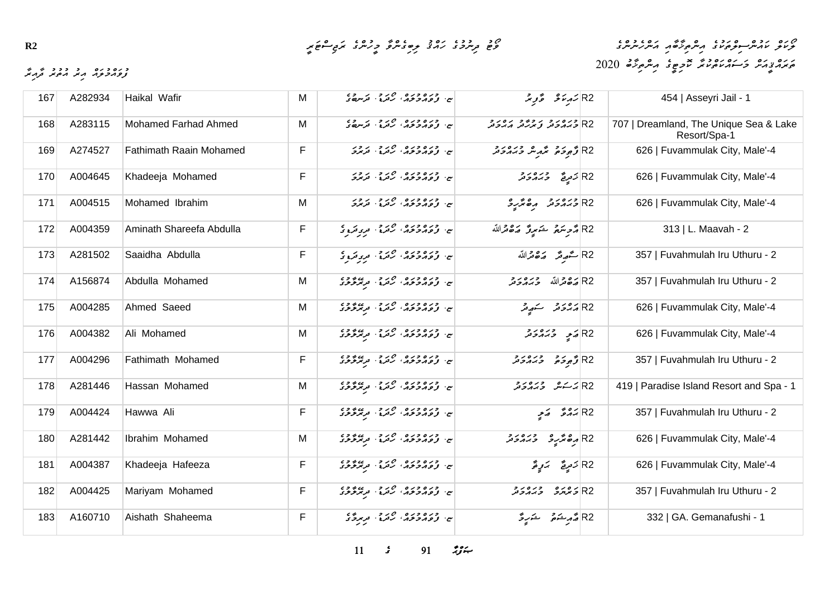*sCw7q7s5w7m< o<n9nOoAw7o< sCq;mAwBoEw7q<m; wBm;vB* م من المسجد المسجد المسجد المسجد المسجد العام 2020<br>مسجد المسجد المسجد المسجد المسجد المسجد المسجد المسجد المسجد ال

| A282934 | Haikal Wafir                | M           | ر وره وره صرح و در دره<br>سي وحدد وحرم رفعي ترسيفي                              | R2 كەرىمى ئۇرىمە                              | 454   Asseyri Jail - 1                                 |
|---------|-----------------------------|-------------|---------------------------------------------------------------------------------|-----------------------------------------------|--------------------------------------------------------|
| A283115 | <b>Mohamed Farhad Ahmed</b> | M           | م دره دره ه رو.<br>س وره دره، رس و برس                                          | R2 څره د و پر ده د ده د و                     | 707   Dreamland, The Unique Sea & Lake<br>Resort/Spa-1 |
| A274527 | Fathimath Raain Mohamed     | $\mathsf F$ | כנסכנס ימנכי נכנ<br>ישי צפו <i>בכברי ה</i> בנצי בנ <i>וב</i> כ                  | R2 زٌمودَهُ گُرمٌ مُرَ دَبَرَ دَور            | 626   Fuvammulak City, Male'-4                         |
| A004645 | Khadeeja Mohamed            | $\mathsf F$ | ים ו פרס פרס הריים ו פרט.<br>ים ו ציפוריבירו י הריה - נקידה                     | R2 كَتَمْرِيحٌ - وَيَرْدُونَدْ                | 626   Fuvammulak City, Male'-4                         |
| A004515 | Mohamed Ibrahim             | M           | כנס כנס - הני - ני בי<br>ישי צפו <i>ב כ</i> ול - ני ני בני בי                   | R2 دبرورو مره تربرو                           | 626   Fuvammulak City, Male'-4                         |
| A004359 | Aminath Shareefa Abdulla    | F           | سي وره وره صرح مريد.<br>سي و <i>ره در ده، ر</i> نده مريد ترو                    | R2 مَّرْسِتَمَعْ سَمَيْرَةٌ مَكَّمَّدَاللَّهُ | 313   L. Maavah - 2                                    |
| A281502 | Saaidha Abdulla             | F           | دره دره .<br>س- زود در دکار کلی از مرد مرد د                                    | R2 جُمِيعٌ صَرَّةَ مِنَاللَّه                 | 357   Fuvahmulah Iru Uthuru - 2                        |
| A156874 | Abdulla Mohamed             | M           |                                                                                 | R2 مَرْهُ مِّرْاللَّهُ حَمَدَ مِرْحَمَّدِ     | 357   Fuvahmulah Iru Uthuru - 2                        |
| A004285 | Ahmed Saeed                 | M           | ے ورہ ورہ صدو ۔<br>سی وی در حرد کردی تر مرحر حر                                 | R2 كەبرى بەر سىمبەتر                          | 626   Fuvammulak City, Male'-4                         |
| A004382 | Ali Mohamed                 | M           | ے ورہ ورہ صدو ۔<br>سی تی <i>ور حرمہ کر</i> تر ۔ تر <del>مرکز ت</del> ر          | R2 كەبىر بەردەتر                              | 626   Fuvammulak City, Male'-4                         |
| A004296 | Fathimath Mohamed           | F           | ے ورہ ورہ صدو ۔<br>سی تی <i>ور حرمہ کر</i> تر ۔ تر <del>مرکز ت</del> ر          | R2 تُجوحَمُ حَمَدُ مَعْ                       | 357   Fuvahmulah Iru Uthuru - 2                        |
| A281446 | Hassan Mohamed              | M           | ים - 2005 בנים יום בין המיבידים בין<br>יים - 2005 בנים יום בין בין המיבידים בין | R2 پرسش ويه دونر                              | 419   Paradise Island Resort and Spa - 1               |
| A004424 | Hawwa Ali                   | $\mathsf F$ | כנס כנס הנקים והוא בין<br>ישי נפח כיכה' לנגל והוא ביטיב                         | R2 حَجمٍ صَحِي                                | 357   Fuvahmulah Iru Uthuru - 2                        |
| A281442 | Ibrahim Mohamed             | M           | ے ورہ ورہ صدو ۔<br>سی وی در حرد کردی تر مرحر حر                                 | R2 رەڭرىرى ئەرەر د                            | 626   Fuvammulak City, Male'-4                         |
| A004387 | Khadeeja Hafeeza            | $\mathsf F$ | ے ورہ ورہ ممرد تریدوں<br>سی ووہ <i>و خ</i> ہ رہی تریر <del>و و</del> ی          | R2 زَمِرِجٌ     بَرَمٍ يُحْ                   | 626   Fuvammulak City, Male'-4                         |
| A004425 | Mariyam Mohamed             | F           |                                                                                 | R2 كەبەرە يەرەبەر                             | 357   Fuvahmulah Iru Uthuru - 2                        |
| A160710 | Aishath Shaheema            | F           | ے ورہ درہ گرد ۔ مریزی                                                           | R2 مُرمِشَمُ شَرِيَّ                          | 332   GA. Gemanafushi - 1                              |
|         |                             |             |                                                                                 |                                               |                                                        |

*n8o<n@ q8qAq< q8o< w<mBq>w<m=q?*

 $11$  *s* 91  $23$   $\div$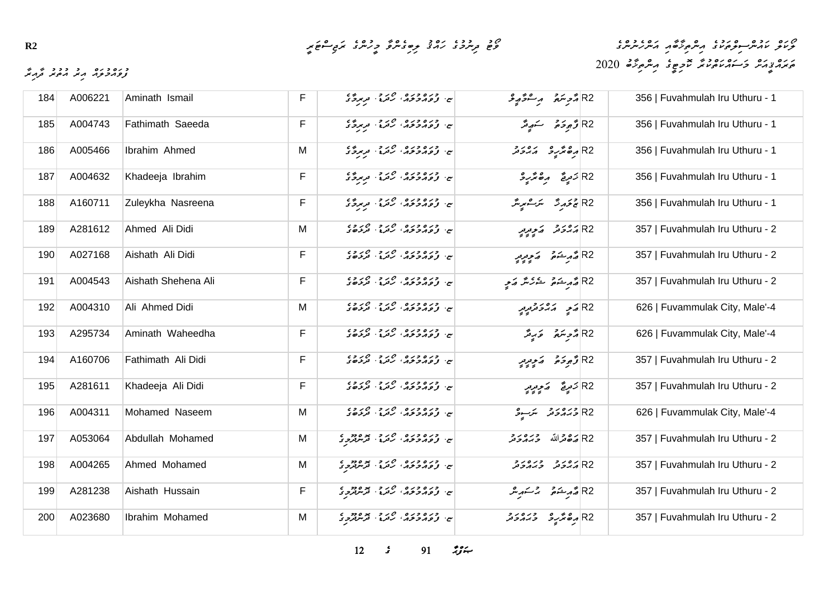*sCw7q7s5w7m< o<n9nOoAw7o< sCq;mAwBoEw7q<m; wBm;vB 2020<sup>, م</sup>وسر در مدد مدرج به مدرم مقرم قرار 2020*<br>موسر المستقرم المستقرم المستقرم المستقرم المستقرم المستقرم المستقرم المستقرم المستقرم المستقرم المستقرم المستقر

| 184 | A006221 | Aminath Ismail      | $\mathsf F$  | سي وره دره صرح مرديدگی<br>سي وحمد حرمي محمدي مريدگري                    | R2 أَمُّ حِبَّتُهُمْ مَتَّخْصُرِ مِنْ الْمُحْرَبِيْحْرِ                                               | 356   Fuvahmulah Iru Uthuru - 1 |
|-----|---------|---------------------|--------------|-------------------------------------------------------------------------|-------------------------------------------------------------------------------------------------------|---------------------------------|
| 185 | A004743 | Fathimath Saeeda    | F            | ەرەدىق 20مۇ.<br>س- ۋەمەدىمە، رىرە - ىرىردى                              | R2 وَّجوحَۃ کو سَوپش                                                                                  | 356   Fuvahmulah Iru Uthuru - 1 |
| 186 | A005466 | Ibrahim Ahmed       | M            | כנסכנס כנבר.<br>ישי נפחבבהי לנגז - נקינבצ                               | R2 مەھەرىپە ھەرەمە                                                                                    | 356   Fuvahmulah Iru Uthuru - 1 |
| 187 | A004632 | Khadeeja Ibrahim    | F            | כנסכנס הנבר<br>ים נפחבבה <sup>,</sup> לנגז <sub>ע</sub> תבצ             | R2 كَتَوِيعٌ مَنْ صَغَّرِينٌ مِنْ الْمَجَمَّةِ مِنْ الْمَجَمَّةِ مِنْ الْمَجْمَعَةِ مِنْ الْمَجْمَعَة | 356   Fuvahmulah Iru Uthuru - 1 |
| 188 | A160711 | Zuleykha Nasreena   | F            | مع وره وره مرد و.<br>مع وحمد وحمد کرد و مرمزدگ                          | R2 ىج تۇر <sub>ى</sub> گە سەر سەم <sub>ىي</sub> ىگە                                                   | 356   Fuvahmulah Iru Uthuru - 1 |
| 189 | A281612 | Ahmed Ali Didi      | M            | وره وره همر و هر د و.<br>س توجه د توهر، رقر و هر د و                    | R2  پرچريز    پرچوپور                                                                                 | 357   Fuvahmulah Iru Uthuru - 2 |
| 190 | A027168 | Aishath Ali Didi    | F            | ر وره وره هر ده بر د و.<br>س ژوپرونژي رنز و نورنونو                     | R2 مُجم <i>دِ شَمَعُ - مَ</i> حِمِيدِ                                                                 | 357   Fuvahmulah Iru Uthuru - 2 |
| 191 | A004543 | Aishath Shehena Ali | F            | ر وره وره همر و هر و ،<br>س ژوماو فرما گرفره کرده د                     | R2 مەم ئىكى ئىكەنگە كەم                                                                               | 357   Fuvahmulah Iru Uthuru - 2 |
| 192 | A004310 | Ali Ahmed Didi      | M            | ים - 2000 בים הרים הרים.<br>ישי - 30,400 בים - 2000 בים בים בים הרים בי | R2  رَمِ دَرْدَوْرُورِدِ                                                                              | 626   Fuvammulak City, Male'-4  |
| 193 | A295734 | Aminath Waheedha    | $\mathsf{F}$ | دره دره دره هرد هرده<br>س وومرونوم، رتوع توره د                         | R2 مُتَّحِسَّعَةُ - حَبِيقَّہ                                                                         | 626   Fuvammulak City, Male'-4  |
| 194 | A160706 | Fathimath Ali Didi  | F            | وره وره همر و هر د و.<br>س توجه د توهر، رقر و هر د و                    | R2 وَجوحَة صَمَّوِمِدِيرِ                                                                             | 357   Fuvahmulah Iru Uthuru - 2 |
| 195 | A281611 | Khadeeja Ali Didi   | F            | ر وره وره هر ده بر د و.<br>س ژوپرونژي رنز و نورنونو                     | R2 كَتَمَدِيعٌ = مَتَوَمِّدِيدٍ =                                                                     | 357   Fuvahmulah Iru Uthuru - 2 |
| 196 | A004311 | Mohamed Naseem      | M            | ر وره وره هم د و هر و و<br>س ژوماو وما گلاء گرده د                      | R2  <i>وُيَهُوَفَرْ سَرَ-وِدْ</i>                                                                     | 626   Fuvammulak City, Male'-4  |
| 197 | A053064 | Abdullah Mohamed    | M            |                                                                         | R2 مَەھمَّراللَّه حِمَدَ مَرَّدَ مَر                                                                  | 357   Fuvahmulah Iru Uthuru - 2 |
| 198 | A004265 | Ahmed Mohamed       | M            | ים נפחביבה' יכוב ציפוב ב<br>ים נפחביבה' יכוב עיתהבצ                     | R2 ג׳כנק 22,000                                                                                       | 357   Fuvahmulah Iru Uthuru - 2 |
| 199 | A281238 | Aishath Hussain     | F            |                                                                         | R2 مەم ئىشقى بىر شەم بىر                                                                              | 357   Fuvahmulah Iru Uthuru - 2 |
| 200 | A023680 | Ibrahim Mohamed     | M            | ים נפחביבה' יכוב ציפוב ב<br>ים נפחביבה' יכוב עיתהבצ                     | R2 مەھەرىرى بەر ئەردىر                                                                                | 357   Fuvahmulah Iru Uthuru - 2 |

*n8o<n@ q8qAq< q8o< w<mBq>w<m=q?*

*12 s* 91 *n*<sub>3</sub> *n*<sub>2</sub>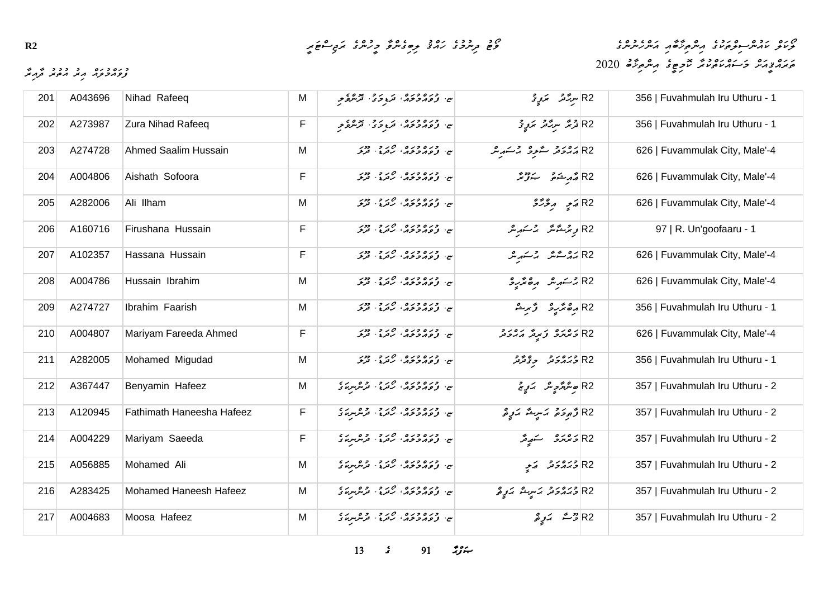*sCw7q7s5w7m< o<n9nOoAw7o< sCq;mAwBoEw7q<m; wBm;vB 2020<sup>, م</sup>وسر در مدد مدرج به مدرم مقرم قرار 2020*<br>موسر المستقرم المستقرم المستقرم المستقرم المستقرم المستقرم المستقرم المستقرم المستقرم المستقرم المستقرم المستقر

| 201 | A043696 | Nihad Rafeeq              | M | سي تح <i>وم وجره،</i> ترء وي ترسمبر د                                                                                                                                                                                           | R2 سربرٌ مَرَ مَرَ بِرَ تَرَ مِنْ الْمَرْكَبِيِّ فَيْ   | 356   Fuvahmulah Iru Uthuru - 1 |
|-----|---------|---------------------------|---|---------------------------------------------------------------------------------------------------------------------------------------------------------------------------------------------------------------------------------|---------------------------------------------------------|---------------------------------|
| 202 | A273987 | Zura Nihad Rafeeq         | F | ح. ووه دوره، مرورد محمده د                                                                                                                                                                                                      | R2  قَدَمَدٌ سِرْدَتْدٌ سَرَوٍ تَى                      | 356   Fuvahmulah Iru Uthuru - 1 |
| 203 | A274728 | Ahmed Saalim Hussain      | M | כנס כנס ימנים - חבר.<br>ישי "כבוב כבול " בנים - "בניב"                                                                                                                                                                          | R2 <i>مەدەنى سەرە بىستى</i> رىش                         | 626   Fuvammulak City, Male'-4  |
| 204 | A004806 | Aishath Sofoora           | F | وره وره<br>س- ژوپروتوپر، رتوپه- توتو                                                                                                                                                                                            | R2 مۇم شۇم سىزىرگ                                       | 626   Fuvammulak City, Male'-4  |
| 205 | A282006 | Ali Ilham                 | М | وره وره ه مرد  دور<br>س ژوپروتوپر، رتوپه  توتو                                                                                                                                                                                  | R2 <i>جَرِي م</i> ِ وَرُدَّةَ                           | 626   Fuvammulak City, Male'-4  |
| 206 | A160716 | Firushana Hussain         | F | ים - כנס כנס - 2 ניכן<br>ים - 3 פה כיכה - נינה - נקיב                                                                                                                                                                           | R2 <i>ویژگینگر پر شهر بگ</i> ر                          | 97   R. Un'goofaaru - 1         |
| 207 | A102357 | Hassana Hussain           | F | وره وره ه مرد ودر<br>س وه در ده. رتود تور                                                                                                                                                                                       | R2 ئەيم شىر بىر ئەسىر بىر                               | 626   Fuvammulak City, Male'-4  |
| 208 | A004786 | Hussain Ibrahim           | M | ים - כנס כנס - 2 ניכן<br>ים - 3 פה כיכה - נינה - נקיב                                                                                                                                                                           | R2  2سَمبرس مرگامریو                                    | 626   Fuvammulak City, Male'-4  |
| 209 | A274727 | Ibrahim Faarish           | M | ים ו פרוס בים הים בין הבין.<br>ישי את פרוכיברי יונים בין בין בין                                                                                                                                                                | R2 مەھەر بۇ تۇمرىشە                                     | 356   Fuvahmulah Iru Uthuru - 1 |
| 210 | A004807 | Mariyam Fareeda Ahmed     | F | ים ניסיכנס ימנים יחני<br>ים ניפחי <i>בי</i> תי לטני נק <i>יב</i>                                                                                                                                                                | R2 <i>وَجْهَدُوْ وَ<sub>مِرِيْزُ مَ</sub></i> بْرَوَنْز | 626   Fuvammulak City, Male'-4  |
| 211 | A282005 | Mohamed Migudad           | M | ים י ניס פינים יום בין בין.<br>ישי ניפו <i>ת כיכ</i> ולי יכוש יו נקיב                                                                                                                                                           | R2  2 <i>2,252, ج</i> \$قرقر                            | 356   Fuvahmulah Iru Uthuru - 1 |
| 212 | A367447 | Benyamin Hafeez           | M | ים - 2007 בים ישרא בים ישרא ביותר בים ישרא בים ישרא בים בים ישרא בים ישרא בים ישרא בים ישרא בים ישראל בים ישרא<br>ישרא בים בים בים ישראל בים ישראל ביותר ביותר ביותר ביותר ביותר ביותר ביותר ביותר בין השראל ביותר בין השראל בי | R2 ح <i>يثمو تحريثر بروج</i>                            | 357   Fuvahmulah Iru Uthuru - 2 |
| 213 | A120945 | Fathimath Haneesha Hafeez | F | ים - 2007 בים ישרא בייני ברייני בייני בייני בייני בייני בייני בייני בייני בייני בייני בייני בייני בי<br>מייני ברייני בייני בייני בייני בייני בייני בייני בייני בייני בייני בייני בייני בייני בייני בייני בייני בייני ב          | R2 <i>وَّجودَة بَ</i> سِيْةَ بَرَرٍ ثَرَ                | 357   Fuvahmulah Iru Uthuru - 2 |
| 214 | A004229 | Mariyam Saeeda            | F | س وره وره هرد وه وه.<br>س وهم دخمه رفره ترس                                                                                                                                                                                     | R2 كا ترترتز مسك <i>ر ب</i> رتر                         | 357   Fuvahmulah Iru Uthuru - 2 |
| 215 | A056885 | Mohamed Ali               | M | ים - 2007 בים ישרא בייני ברייני בייני בייני בייני בייני בייני בייני בייני בייני בייני בייני בייני בי<br>מייני ברייני בייני בייני בייני בייני בייני בייני בייני בייני בייני בייני בייני בייני בייני בייני בייני בייני ב          | R2  <i>وټه ډېر ډې</i>                                   | 357   Fuvahmulah Iru Uthuru - 2 |
| 216 | A283425 | Mohamed Haneesh Hafeez    | M | ים נפחביבה' לנגב בפינועט                                                                                                                                                                                                        | R2 <i>وَبَهُ وَوَبِّرٍ بَهْرِتْ بَرَوٍ وَ</i>           | 357   Fuvahmulah Iru Uthuru - 2 |
| 217 | A004683 | Moosa Hafeez              | M | ים - 2005 בנים ישרא בייטור ברייטור בייטור בייטור בייטור בייטור בייטור בייטור בייטור בייטור בייטור בי<br>בייטור ברייטור בייטור בייטור בייטור בייטור בייטור בייטור בייטור בייטור בייטור בייטור בייטור בייטור בייטור בייט          | R2 چريځ پر <i>پ</i> و                                   | 357   Fuvahmulah Iru Uthuru - 2 |

*n8o<n@ q8qAq< q8o< w<mBq>w<m=q?*

*13 s* 91 *n*<sub>y</sub>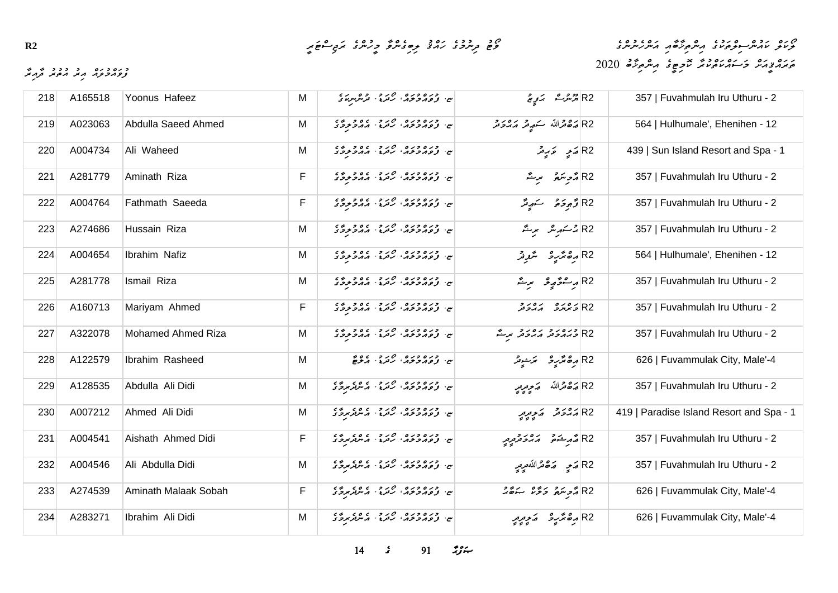*sCw7q7s5w7m< o<n9nOoAw7o< sCq;mAwBoEw7q<m; wBm;vB 2020<sup>, م</sup>وسر در مدد مدرج به مدرم مقرم قرار 2020*<br>موسر المستقرم المستقرم المستقرم المستقرم المستقرم المستقرم المستقرم المستقرم المستقرم المستقرم المستقرم المستقر

| 218 | A165518 | Yoonus Hafeez             | M           | ים - כנס כנס - מנגד - כס<br>ישי - צפחביבה י נינגד - נקייקייקט ב                                                                                                                                                                  | R2 پر ترميز ته کمبر پر ج                        | 357   Fuvahmulah Iru Uthuru - 2          |
|-----|---------|---------------------------|-------------|----------------------------------------------------------------------------------------------------------------------------------------------------------------------------------------------------------------------------------|-------------------------------------------------|------------------------------------------|
| 219 | A023063 | Abdulla Saeed Ahmed       | M           | ים: 2005 בים המיני 2007 בים בים<br>ישי 2007 ביבותי יהבת 2007 בים בי                                                                                                                                                              | R2 رَحْوَتْرَاللَّهُ سَمَّرِيْتَرَ رَحْدَدَتَرَ | 564   Hulhumale', Ehenihen - 12          |
| 220 | A004734 | Ali Waheed                | M           | ים: 1975 בים המיניה בים כדי הים<br>יש: 1975 בים, ישרא בים הזה ביבים בי                                                                                                                                                           | R2 <i>ڇَجِ وَب</i> ِعْرُ                        | 439   Sun Island Resort and Spa - 1      |
| 221 | A281779 | Aminath Riza              | $\mathsf F$ | ים: 2005 בים המיני 2007 בים בים<br>ישי 2007 ביבותי יהבת 2007 בים בי                                                                                                                                                              | R2 مُرْحِسَمُ مِنْ مِنْ                         | 357   Fuvahmulah Iru Uthuru - 2          |
| 222 | A004764 | Fathmath Saeeda           | F           |                                                                                                                                                                                                                                  | R2 وَجِوحَة مَ سَهِقَّ                          | 357   Fuvahmulah Iru Uthuru - 2          |
| 223 | A274686 | Hussain Riza              | M           | ים "רים בגם "ריב" בים ב" ב"ב".<br>ישי "רים מכיבות" ביטבי וממכיביבים.                                                                                                                                                             | R2  پرستمبریش موستہ                             | 357   Fuvahmulah Iru Uthuru - 2          |
| 224 | A004654 | Ibrahim Nafiz             | M           | ים: 1975 בים יודע בים די הודי המידע.<br>יש: 1975 ביאור אינג ביודע הודי המידע.                                                                                                                                                    | R2 م <i>وڭ تۇرۇ سىگى</i> رنى <i>گ</i>           | 564   Hulhumale', Ehenihen - 12          |
| 225 | A281778 | Ismail Riza               | M           | יז "רום כנס"ל נדי "זם כ"ל בי<br>ישי "ציפוריבית" נדיג "ההביביביב                                                                                                                                                                  | R2  <sub>م</sub> رشو <i>ڈ پو</i> ڈ برتڈ         | 357   Fuvahmulah Iru Uthuru - 2          |
| 226 | A160713 | Mariyam Ahmed             | $\mathsf F$ | יז צפח כתב היי המביביבים<br>ישי צפח כיכחי יינגי המביביבים                                                                                                                                                                        | R2 كەبىر بەر بەر بەر                            | 357   Fuvahmulah Iru Uthuru - 2          |
| 227 | A322078 | <b>Mohamed Ahmed Riza</b> | M           | ים: 2005 בנים יום בין 2005 בין<br>ים: 2005 בחי העשי ההבקבב                                                                                                                                                                       | R2 ورەرو رەرو پرت                               | 357   Fuvahmulah Iru Uthuru - 2          |
| 228 | A122579 | Ibrahim Rasheed           | M           | יזי צפו <i>בכברי יכיבי בפי</i><br>יזי צפו <i>בכברי י</i> כיבי ו <i>ב</i> כי                                                                                                                                                      | R2 ب <i>ر&amp;ټرُرٍ\$ بَرَحو</i> تر             | 626   Fuvammulak City, Male'-4           |
| 229 | A128535 | Abdulla Ali Didi          | M           | ים - כנסכנס - מנד - מס"ם - מיטים - מיטים - מיטים - מיטים - מיטים - מיטים - מיטים - מיטים - מיטים - מיטים - מיט<br>- מיטים - מיטים - מיטים - מיטים - מיטים - מיטים - מיטים - מיטים - מיטים - מיטים - מיטים - מיטים - מיטים - מיטי | R2 رَحْمَة اللّه - رَحِيْدِيرِ                  | 357   Fuvahmulah Iru Uthuru - 2          |
| 230 | A007212 | Ahmed Ali Didi            | M           | יז ניסינים יזני יוסי יזי<br>ישי נפחביבת' יינגו היינוקיובי                                                                                                                                                                        | R2  پرچريز کا کار موسیقی<br> پرچریز  پرچم       | 419   Paradise Island Resort and Spa - 1 |
| 231 | A004541 | Aishath Ahmed Didi        | F           | ים: 2005 בים יש היים בים שיש בים בים.<br>יש: 30,53,500 יש ביש: המיטוב משפילים בי                                                                                                                                                 | R2 مەم ئىكتى مەم كەن ئويولىر                    | 357   Fuvahmulah Iru Uthuru - 2          |
| 232 | A004546 | Ali Abdulla Didi          | M           | ים: 1975 בים יש היה בים שיש בים בים.<br>יש: 1975 ביבות: הנהג בי הניית בית ביבות בי                                                                                                                                               | R2 كەير كەھەقراللەمپەير                         | 357   Fuvahmulah Iru Uthuru - 2          |
| 233 | A274539 | Aminath Malaak Sobah      | F           | יז - 2007 היה היה היה היה בין<br>ישי "ציפוריפית" בנגון הייתנוקיופיב                                                                                                                                                              | R2 أُمُّ مِسْهُمْ وَقُرْمٌ سِنَعْمَدُ           | 626   Fuvammulak City, Male'-4           |
| 234 | A283271 | Ibrahim Ali Didi          | M           | ים - כנסכנס ים נכשי המטבעים.<br>ים - נפחביבה' נעשי הייטעינים.                                                                                                                                                                    | R2 م <i>ەھترى</i> ھەم مەمەمە                    | 626   Fuvammulak City, Male'-4           |

*n8o<n@ q8qAq< q8o< w<mBq>w<m=q?*

*14 s* 91 *n*<sub>s</sub>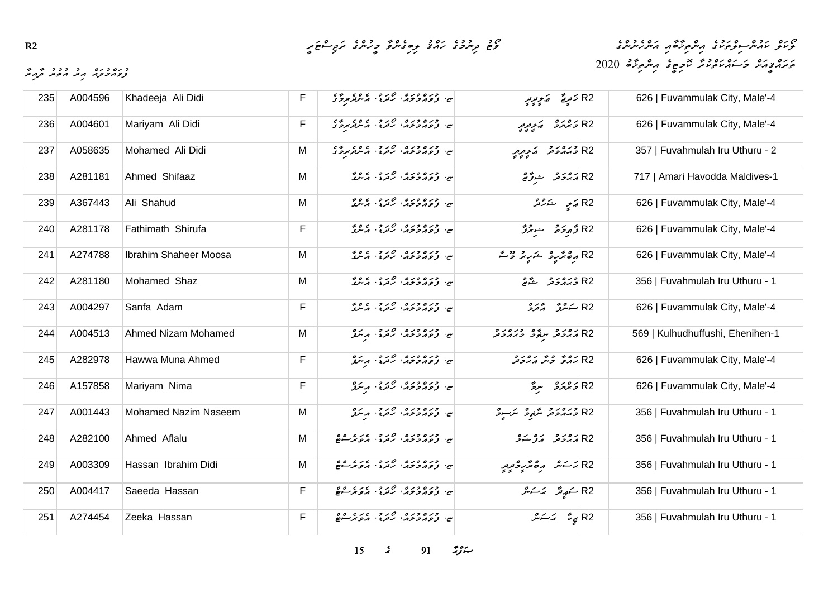*sCw7q7s5w7m< o<n9nOoAw7o< sCq;mAwBoEw7q<m; wBm;vB 2020<sup>, م</sup>وسر در مدد مدرج به مدرم مقرم قرار 2020*<br>موسر المستقرم المستقرم المستقرم المستقرم المستقرم المستقرم المستقرم المستقرم المستقرم المستقرم المستقرم المستقر

| 235 | A004596 | Khadeeja Ali Didi           | $\mathsf F$ | ים - כנס כנס - מנג כן מס מיטיק ביט<br>ישי - נפח כיכחי - מיטיק מיטיק ביטיק ביטיק | R2 كَتِرِيعٌ = صَحِيدٍ بِرِ                 | 626   Fuvammulak City, Male'-4   |
|-----|---------|-----------------------------|-------------|---------------------------------------------------------------------------------|---------------------------------------------|----------------------------------|
| 236 | A004601 | Mariyam Ali Didi            | $\mathsf F$ | ישי צפח כיכום ישיבים בים שישיבים בישי<br>ישי צפח כיכולי יהיה בי היית ביקובים בי | R2  <i>خ پڻ پڙ ۾ پي</i> پيرير               | 626   Fuvammulak City, Male'-4   |
| 237 | A058635 | Mohamed Ali Didi            | M           |                                                                                 | R2 <i>وبروبرة كمومرم</i> ر                  | 357   Fuvahmulah Iru Uthuru - 2  |
| 238 | A281181 | Ahmed Shifaaz               | M           |                                                                                 | R2 كەندۇقر شو <i>ۇ</i> نج                   | 717   Amari Havodda Maldives-1   |
| 239 | A367443 | Ali Shahud                  | M           | כנסכנס ימנכי מסיר<br>ישי נפחביבה' מעשי היינג                                    | R2 كەيچ ھەرقىر                              | 626   Fuvammulak City, Male'-4   |
| 240 | A281178 | Fathimath Shirufa           | F           | ים יצפת בכתו המניק המידיר.<br>ישי צפתכיכתי מינגבי היינג                         | R2 رَّجِوحَةُ مُ سُومَرُزَّ                 | 626   Fuvammulak City, Male'-4   |
| 241 | A274788 | Ibrahim Shaheer Moosa       | M           | س وره وره صرح مصري<br>س وحدوجهه، رس مس                                          | R2 پر <i>ەنگەر</i> ۇ شەرپر ۋىت              | 626   Fuvammulak City, Male'-4   |
| 242 | A281180 | Mohamed Shaz                | M           | יזי צפו <i>בכברי הבני ה</i> יינד.<br>יזי צפו <i>בכ</i> ברי הבני היינד           | R2  <i>وبروبوتر</i> حَدَّيْ                 | 356   Fuvahmulah Iru Uthuru - 1  |
| 243 | A004297 | Sanfa Adam                  | $\mathsf F$ | כנסכנס ימנכי מסיר<br>ישי נפחביבה' מעשי היינג                                    | R2 سەمبىر مەمرى                             | 626   Fuvammulak City, Male'-4   |
| 244 | A004513 | Ahmed Nizam Mohamed         | M           | ے ۔ وہ وورہ مصر و۔<br>سی توحدوفرہ کری کی مستق                                   | R2 בכביב יע <i>קביב בהח</i> כיב             | 569   Kulhudhuffushi, Ehenihen-1 |
| 245 | A282978 | Hawwa Muna Ahmed            | $\mathsf F$ | ים נפחביבה' הנגד הייטר.<br>ים נפחביבה' הנגד הייטר.                              | R2 يَهُمْ وَسَرَّ مَدَوْمَر                 | 626   Fuvammulak City, Male'-4   |
| 246 | A157858 | Mariyam Nima                | F           | ים נפחביבה' הנגד הייטר.<br>ים נפחביבה' הנגד הייטר.                              | R2 د بر پروگر مرگه                          | 626   Fuvammulak City, Male'-4   |
| 247 | A001443 | <b>Mohamed Nazim Naseem</b> | M           | ے ۔ وہ ووہ مرد ۔<br>س نوم دخہ کی کی جس ک                                        | R2 <i>وَيَهُوَدُ</i> مِّرْمُوِدُ مَرْسِرِدُ | 356   Fuvahmulah Iru Uthuru - 1  |
| 248 | A282100 | Ahmed Aflalu                | M           |                                                                                 | R2 كەبروتىر كەنى ئىكى 3                     | 356   Fuvahmulah Iru Uthuru - 1  |
| 249 | A003309 | Hassan Ibrahim Didi         | M           |                                                                                 | R2 ئەسەمىر ب <i>ەھ ئۇر</i> ۋىرىر            | 356   Fuvahmulah Iru Uthuru - 1  |
| 250 | A004417 | Saeeda Hassan               | $\mathsf F$ | י נים כים הרים ויני הרים הם<br>ישי נים מיכילים ויני הרים מיים                   | R2  سَموِقَر - بَرسَتَاشَ                   | 356   Fuvahmulah Iru Uthuru - 1  |
| 251 | A274454 | Zeeka Hassan                | F           | י כנס כנס יישוב ביני סיס<br>יישי גם <i>מכיכ</i> תי לעשי ו <i>מפיא</i> ל         | R2 پيءُ - بَرَسَهْر                         | 356   Fuvahmulah Iru Uthuru - 1  |

*n8o<n@ q8qAq< q8o< w<mBq>w<m=q?*

*15 s* 91 *if*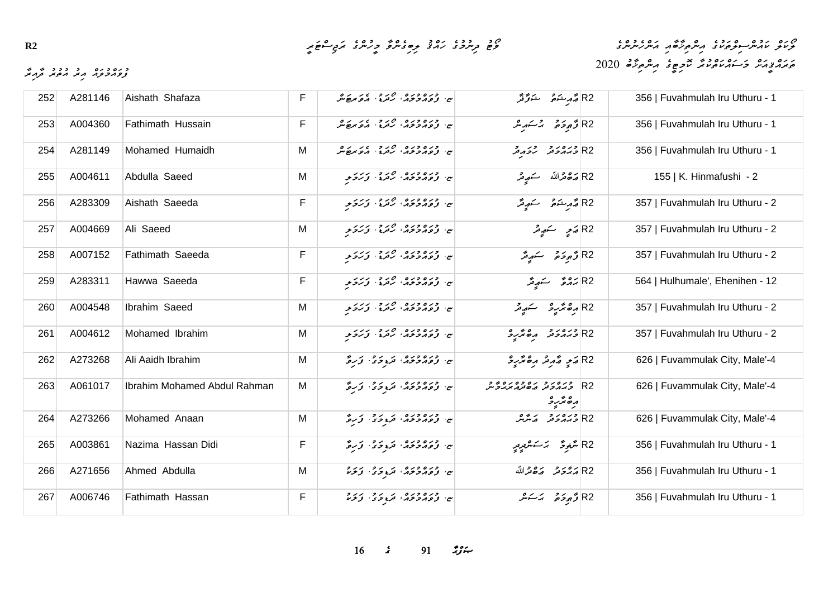*sCw7q7s5w7m< o<n9nOoAw7o< sCq;mAwBoEw7q<m; wBm;vB 2020<sup>, م</sup>وسر در مدد مدرج به مدرم مقرم قرار 2020*<br>موسر المستقرم المستقرم المستقرم المستقرم المستقرم المستقرم المستقرم المستقرم المستقرم المستقرم المستقرم المستقر

| 252 | A281146 | Aishath Shafaza              | F | - כנסכנס - הנכני הפינים יל                           | R2 مُرمِسْمَعُ شَوَّثَرُ                                | 356   Fuvahmulah Iru Uthuru - 1 |
|-----|---------|------------------------------|---|------------------------------------------------------|---------------------------------------------------------|---------------------------------|
| 253 | A004360 | Fathimath Hussain            | F | - دره دره صدر عدد عدد من                             | R2 ۇ <sub>ج</sub> وڭ بۇ سەرىكە                          | 356   Fuvahmulah Iru Uthuru - 1 |
| 254 | A281149 | Mohamed Humaidh              | M |                                                      | R2 32,023 R2                                            | 356   Fuvahmulah Iru Uthuru - 1 |
| 255 | A004611 | Abdulla Saeed                | M | ەرەدىدە، مەدەبەر ئەرەبىر<br>سەزى <i>مەدىن، ئىر</i> ى | R2 مَەھەراللە سەم <i>ب</i> ەتر                          | 155   K. Hinmafushi - 2         |
| 256 | A283309 | Aishath Saeeda               | F | سي- وده ودره مصر و در در د                           | R2 مۇم شەھ بە سىھرىتىگە                                 | 357   Fuvahmulah Iru Uthuru - 2 |
| 257 | A004669 | Ali Saeed                    | M | ر وره وره مرد ورزر<br>س وورونور، رس: ورزنو           | R2 ک <sup>ی</sup> پہ سکھی <sup>و</sup> ر                | 357   Fuvahmulah Iru Uthuru - 2 |
| 258 | A007152 | Fathimath Saeeda             | F | ەرەدىدە، مەدەبەر ئەرەبىر<br>سەزى <i>مەدىن، ئىر</i> ى | R2 وَّجِوحَة مَ سَهِيقَر                                | 357   Fuvahmulah Iru Uthuru - 2 |
| 259 | A283311 | Hawwa Saeeda                 | F | . دره دره هرد . زرد و                                | R2 كەبەبىر سەمپەتگ                                      | 564   Hulhumale', Ehenihen - 12 |
| 260 | A004548 | Ibrahim Saeed                | M | ים בנספנס הנפי לנביב                                 | R2 م <i>وھنگرد</i> و ڪمپيٽر                             | 357   Fuvahmulah Iru Uthuru - 2 |
| 261 | A004612 | Mohamed Ibrahim              | M | ى دوەددە ئەردىكەن                                    | R2 درورو مقتربة                                         | 357   Fuvahmulah Iru Uthuru - 2 |
| 262 | A273268 | Ali Aaidh Ibrahim            | M | ى ورەودە ئرود كەرگ                                   | R2 <i>مَرْمٍ مُ</i> مَر <i>ِّنْدُ م</i> ِنْ مُحَمَّدِيْ | 626   Fuvammulak City, Male'-4  |
| 263 | A061017 | Ibrahim Mohamed Abdul Rahman | M | ى درە دىرە، ئىدىكى ئىرگ                              | وە ئۆرۈ                                                 | 626   Fuvammulak City, Male'-4  |
| 264 | A273266 | Mohamed Anaan                | M | ى دوەددە ئروزى دىكى                                  | R2 دېږونو په ترش                                        | 626   Fuvammulak City, Male'-4  |
| 265 | A003861 | Nazima Hassan Didi           | F | ى ورەدىرە ئروزى ورۇ                                  | R2 سَّنِيرة – بَرَسَسْتِرْمِرِيرِ                       | 356   Fuvahmulah Iru Uthuru - 1 |
| 266 | A271656 | Ahmed Abdulla                | M | ים נפחבבתי בגבי נבנ                                  | R2 مَرْدَوْرٌ مَرْهُ مِّرَاللَّه                        | 356   Fuvahmulah Iru Uthuru - 1 |
| 267 | A006746 | Fathimath Hassan             | F | سي ورە دوھ، تروڭ ترى                                 | R2 <i>وَّېوچوڭ برخى</i> گر                              | 356   Fuvahmulah Iru Uthuru - 1 |

*n8o<n@ q8qAq< q8o< w<mBq>w<m=q?*

 $16$  *s* 91  $29$   $\div$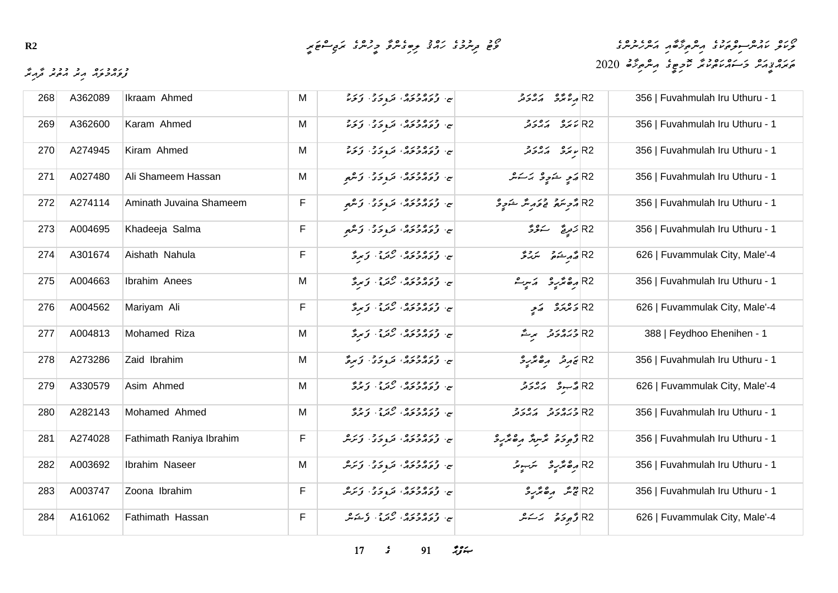*sCw7q7s5w7m< o<n9nOoAw7o< sCq;mAwBoEw7q<m; wBm;vB* م من المسجد المسجد المسجد المسجد المسجد العام 2020<br>مسجد المسجد المسجد المسجد المسجد المسجد المسجد المسجد المسجد ال

| 268 | A362089 | Ikraam Ahmed             | M | שי צפחככמי בגיביב ציבי                          | R2 مرعمر محمد حدد الم                     | 356   Fuvahmulah Iru Uthuru - 1 |
|-----|---------|--------------------------|---|-------------------------------------------------|-------------------------------------------|---------------------------------|
| 269 | A362600 | Karam Ahmed              | M | سي وره وره، تروتري وترة                         | R2 كالاترو كالدونر                        | 356   Fuvahmulah Iru Uthuru - 1 |
| 270 | A274945 | Kiram Ahmed              | M | سي توم <i>2009 مربو</i> حي ترتوم                | R2 بايمَرْدْ كَمْ يُرْدَفِرْ              | 356   Fuvahmulah Iru Uthuru - 1 |
| 271 | A027480 | Ali Shameem Hassan       | M | ح وره وره در دو.<br>ح وحدوفه، مروف ومهم         | R2  رَمِ حَرَدٍ \$ بَرَسَة \$             | 356   Fuvahmulah Iru Uthuru - 1 |
| 272 | A274114 | Aminath Juvaina Shameem  | F | ى ورەددە ئروكۇ ئەس                              | R2 أَمُّ حِسَرَةَ فَمَوَ تَرْسُ حَدَجٍ حَ | 356   Fuvahmulah Iru Uthuru - 1 |
| 273 | A004695 | Khadeeja Salma           | F | سي وره وره در دو.<br>سي وره دو در ترد وي و شرح  | R2 زَمَرِيحٌ سَکُوتٌ                      | 356   Fuvahmulah Iru Uthuru - 1 |
| 274 | A301674 | Aishath Nahula           | F | ים נפחבבהי לעשי נציב                            | R2 مُمْ مِسْتَمْ مِنْ مَرْكَزَ            | 626   Fuvammulak City, Male'-4  |
| 275 | A004663 | Ibrahim Anees            | M | ے ووروورو مرد و کرتے<br>سی وورو کرما کرتی کرترگ | R2 مەھمگرىدى مەسرىسى                      | 356   Fuvahmulah Iru Uthuru - 1 |
| 276 | A004562 | Mariyam Ali              | F | יזי צפחכלמי לנגלי צינגל                         | R2 كا <i>كەنگەن</i> چە                    | 626   Fuvammulak City, Male'-4  |
| 277 | A004813 | Mohamed Riza             | M | ים נפחבבהי לעשי נציב                            | R2  2 <i>2,252 برتگ</i>                   | 388   Feydhoo Ehenihen - 1      |
| 278 | A273286 | Zaid Ibrahim             | M | ى درە درە ئەدىر ئەر                             |                                           | 356   Fuvahmulah Iru Uthuru - 1 |
| 279 | A330579 | Asim Ahmed               | M | ر وره وره همرو .<br>سي توحد ورحد المركزي توسر   | R2 مُسبوڤ مَ <sup>ر</sup> ْدَوْرٌ         | 626   Fuvammulak City, Male'-4  |
| 280 | A282143 | Mohamed Ahmed            | M | יזי צפחבבמי לינדי ציבל<br>יזי צפחבבמי לטגר ציבל | R2 وبرەرو برەرو                           | 356   Fuvahmulah Iru Uthuru - 1 |
| 281 | A274028 | Fathimath Raniya Ibrahim | F | سي وره وره، ترورو، وره                          | R2 زُوِدَهُ بُرْسِرٌ رِهْبُرِ دِ          | 356   Fuvahmulah Iru Uthuru - 1 |
| 282 | A003692 | Ibrahim Naseer           | M | سي وره وره، ترورو، وترش                         | R2 ب <i>رھ بُرُرِ \$سرب ب</i> ر           | 356   Fuvahmulah Iru Uthuru - 1 |
| 283 | A003747 | Zoona Ibrahim            | F | ى دوەددە ئەرىمى ئەرە                            | R2 تۆشر مەھەردى                           | 356   Fuvahmulah Iru Uthuru - 1 |
| 284 | A161062 | Fathimath Hassan         | F | س وره دره صدر و عده.<br>س ومدروره شده وشکش      | R2 ۇ <sub>جۇ</sub> رۇ ئەسەمىر             | 626   Fuvammulak City, Male'-4  |

*n8o<n@ q8qAq< q8o< w<mBq>w<m=q?*

*17 sC 91 nNw?mS*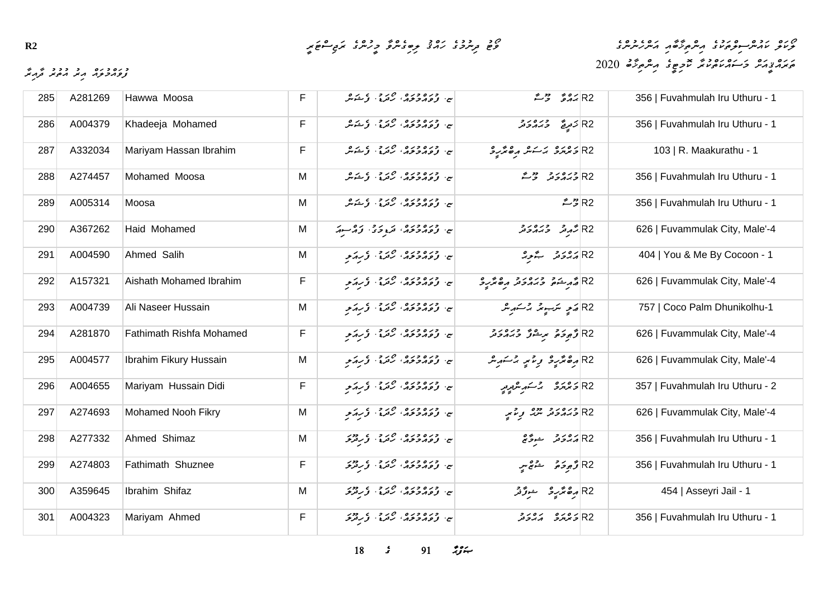*sCw7q7s5w7m< o<n9nOoAw7o< sCq;mAwBoEw7q<m; wBm;vB 2020<sup>, م</sup>وسر در مدد مدرج به مدرم مقرم قرار 2020*<br>موسر المستقرم المستقرم المستقرم المستقرم المستقرم المستقرم المستقرم المستقرم المستقرم المستقرم المستقرم المستقر

| 285 | A281269 | Hawwa Moosa                     | F | س وره وره صرح عديمه<br>سي وحدو وره شعر و غير         | 23 32 R2                                              | 356   Fuvahmulah Iru Uthuru - 1 |
|-----|---------|---------------------------------|---|------------------------------------------------------|-------------------------------------------------------|---------------------------------|
| 286 | A004379 | Khadeeja Mohamed                | F | بع. وره وره صروع شهر<br>بع. توح مرحوم، رفرع. توشهر   |                                                       | 356   Fuvahmulah Iru Uthuru - 1 |
| 287 | A332034 | Mariyam Hassan Ibrahim          | F | س وره وره صدو علمان.<br>سي وحدو وحد الرحمة المخاطر   | R2 <i>وَيُرْمُرُوْ بْرَحْبَرْ وِهْيُرْبِ</i> وْ       | 103   R. Maakurathu - 1         |
| 288 | A274457 | Mohamed Moosa                   | M | ى درەدرە مەد ئاسىمى<br>سى ئ <i>ۆمەمەمەد ئاسىمى</i> ئ | $23.5923$ R2                                          | 356   Fuvahmulah Iru Uthuru - 1 |
| 289 | A005314 | Moosa                           | м | ى درە درە بېرد ، ئىشەش                               | 2.3R2                                                 | 356   Fuvahmulah Iru Uthuru - 1 |
| 290 | A367262 | Haid Mohamed                    | M | שי צפורכבוי נגיב בצי צול ייול                        | R2 جُمعٍ حَمَدَ الله عنه الس                          | 626   Fuvammulak City, Male'-4  |
| 291 | A004590 | Ahmed Salih                     | M | سي- وده وده مصروح عدد و                              | R2، جُمْعَة مُسْتَعْرَبُّ                             | 404   You & Me By Cocoon - 1    |
| 292 | A157321 | Aishath Mohamed Ibrahim         | F | ى دوەددە ئەردىكەر                                    | R2 أَيُّ مِ شَوْءٍ وَبِرْ مِرْحَمْدٍ مِنْ مَرْبِرَى   | 626   Fuvammulak City, Male'-4  |
| 293 | A004739 | Ali Naseer Hussain              | M | ه دره دره مرد و عدد در در د                          | R2 كەبچە شەيبولىر 2-ئەكەرلىر                          | 757   Coco Palm Dhunikolhu-1    |
| 294 | A281870 | <b>Fathimath Rishfa Mohamed</b> | F | ے ۔ وہ وہ دورہ ۔ وہ وہ وہ دیکھ                       | R2 زُب <i>ودَه برِحْنُ دي</i> رورو                    | 626   Fuvammulak City, Male'-4  |
| 295 | A004577 | Ibrahim Fikury Hussain          | M | ح ده دوده مرد و کرد.<br>۳- وورونور، رس: کردنی        | R2 رەڭرىرى رى <sup>م</sup> ىي ق <i>ى</i> شىرىش        | 626   Fuvammulak City, Male'-4  |
| 296 | A004655 | Mariyam Hussain Didi            | F | س وره وره مرد و و رکن                                | R2 كەمەر بىر ئەسەر شەيرىيە<br>جاڭ ئىرىنىڭ ئاسىر ئىسىر | 357   Fuvahmulah Iru Uthuru - 2 |
| 297 | A274693 | <b>Mohamed Nooh Fikry</b>       | M | יזי גבו בגם בי הבי הבי הבית בי                       | R2  <i>ورورو ميرو ويتمب</i>                           | 626   Fuvammulak City, Male'-4  |
| 298 | A277332 | Ahmed Shimaz                    | M | יזי צפחכלסי לנדי ציטרת                               | R2 <i>جُهُدُو تَرَ</i> مُسْرِدٌ حَمَّ                 | 356   Fuvahmulah Iru Uthuru - 1 |
| 299 | A274803 | Fathimath Shuznee               | F | ים נפח כבים יותר ים בבי<br>ים נפח כבה יענגב ניטל     | R2 تُرجوحَ حَمَّ شَمَّ سِ                             | 356   Fuvahmulah Iru Uthuru - 1 |
| 300 | A359645 | Ibrahim Shifaz                  | M | יזי גבוה בגם ישנה יש בבי                             | R2 بر <i>ەڭرى</i> رو ھورتىر                           | 454   Asseyri Jail - 1          |
| 301 | A004323 | Mariyam Ahmed                   | F | س وره وره مرد و دور<br>س ژوبرونوبر، رندو، ژرندنو     | R2 كوجرير مدر كروبر                                   | 356   Fuvahmulah Iru Uthuru - 1 |

*n8o<n@ q8qAq< q8o< w<mBq>w<m=q?*

**18** *s* **91** *n***<sub>s</sub>**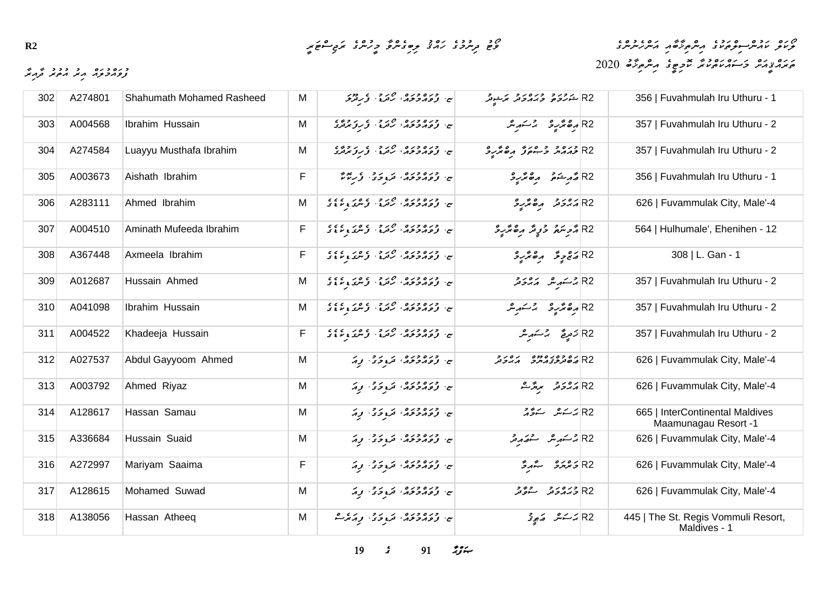*sCw7q7s5w7m< o<n9nOoAw7o< sCq;mAwBoEw7q<m; wBm;vB 2020<sup>, م</sup>وسر در مدد مدرج به مدرم مقرم قرار 2020*<br>موسر المستقرم المستقرم المستقرم المستقرم المستقرم المستقرم المستقرم المستقرم المستقرم المستقرم المستقرم المستقر

| 302 | A274801 | Shahumath Mohamed Rasheed | M           | יזי צפח כדים יו כדי גם ברי<br>יזי צפח כיכה' הנגז צהנג                                                                                                                                                                            | R2 شەرىرە بەرەرە تەشبەتە                                                                                                                                                        | 356   Fuvahmulah Iru Uthuru - 1                         |
|-----|---------|---------------------------|-------------|----------------------------------------------------------------------------------------------------------------------------------------------------------------------------------------------------------------------------------|---------------------------------------------------------------------------------------------------------------------------------------------------------------------------------|---------------------------------------------------------|
| 303 | A004568 | Ibrahim Hussain           | M           | س وره وره صدح و عربي در وره ع<br>سي وحاد و محادث مستونة و و و مرتوع                                                                                                                                                              | R2 مەھەردى بىر شەمبەش                                                                                                                                                           | 357   Fuvahmulah Iru Uthuru - 2                         |
| 304 | A274584 | Luayyu Musthafa Ibrahim   | M           | س وره وره صدر و د رود .<br>س وه د د د د .                                                                                                                                                                                        | R2 دره د و ورد و وه دره                                                                                                                                                         | 357   Fuvahmulah Iru Uthuru - 2                         |
| 305 | A003673 | Aishath Ibrahim           | F           | יז וכנס כנס הגבצי להיות<br>ישי לפחביבה' הגבצי צהיות                                                                                                                                                                              | R2 مُدِيسَة مِنْ مِرْرِدْ                                                                                                                                                       | 356   Fuvahmulah Iru Uthuru - 1                         |
| 306 | A283111 | Ahmed Ibrahim             | M           | ccc 10c 310 013013<br>ש' 320330' נטג' ציטג 2423                                                                                                                                                                                  | R2 <i>בֿ.כ</i> وتر م <i>ەھترى</i> دۇ                                                                                                                                            | 626   Fuvammulak City, Male'-4                          |
| 307 | A004510 | Aminath Mufeeda Ibrahim   | $\mathsf F$ | ימי פיט ביט פי פי פי פי פי ביט בי היו בי בי היו בי היו בי היו בי היו בי היו בי היו בי היו בי היו בי היו בי היו<br>בי היו בי היו היו היו היו היו היו בי היו בי היו בי היו בי היו בי היו בי היו בי היו בי היו בי היו בי היו היו בי | R2 أَمُّ مِسَمَّدٍ وَرٍ مَّدَ رِهْ مُرْرِدْ                                                                                                                                     | 564   Hulhumale', Ehenihen - 12                         |
| 308 | A367448 | Axmeela Ibrahim           | F           | ccc 10c 310 013013<br>שי צפורכיבורי "ניתר" ציינג ציע צב                                                                                                                                                                          | R2  رَجْوِيوٌ مِرْهُ مَّرْرِدْ                                                                                                                                                  | 308   L. Gan - 1                                        |
| 309 | A012687 | Hussain Ahmed             | M           | ים - 2007 בינים - 2007 בינים בינים בינים בינים בינים בינים בינים בינים בינים בינים בינים בינים בינים בינים בינ<br>בינים בינים בינים בינים בינים בינים בינים בינים בינים בינים בינים בינים בינים בינים בינים בינים בינים בינים בי | R2 يُرْسَمْ بِهِ مَدْوَمْرَ                                                                                                                                                     | 357   Fuvahmulah Iru Uthuru - 2                         |
| 310 | A041098 | Ibrahim Hussain           | M           | ים - 2007 בינים - 2007 בינים בינים בינים בינים בינים בינים בינים בינים בינים בינים בינים בינים בינים בינים בינ<br>בינים בינים בינים בינים בינים בינים בינים בינים בינים בינים בינים בינים בינים בינים בינים בינים בינים בינים בי | R2 مەھەر بۇ جۇ سەمبەتلەر                                                                                                                                                        | 357   Fuvahmulah Iru Uthuru - 2                         |
| 311 | A004522 | Khadeeja Hussain          | $\mathsf F$ | ימי פיט ביט פי פי פי פי פי ביט בי היו בי בי היו בי היו בי היו בי היו בי היו בי היו בי היו בי היו בי היו בי היו<br>בי היו בי היו היו היו היו היו היו בי היו בי היו בי היו בי היו בי היו בי היו בי היו בי היו בי היו בי היו היו בי | R2 كەنبەم كەسكەر بىر                                                                                                                                                            | 357   Fuvahmulah Iru Uthuru - 2                         |
| 312 | A027537 | Abdul Gayyoom Ahmed       | M           | ى دوەددە ترەت دېگ                                                                                                                                                                                                                | R2 ره وه ده ده د بر د د                                                                                                                                                         | 626   Fuvammulak City, Male'-4                          |
| 313 | A003792 | Ahmed Riyaz               | M           | س ورەودە، ترەت دېر                                                                                                                                                                                                               | R2  كەبرى كە ئەبەر ئىسىگە                                                                                                                                                       | 626   Fuvammulak City, Male'-4                          |
| 314 | A128617 | Hassan Samau              | M           | س ورەودە، ترەت دېر                                                                                                                                                                                                               | R2 پرسته سر برديز                                                                                                                                                               | 665   InterContinental Maldives<br>Maamunagau Resort -1 |
| 315 | A336684 | Hussain Suaid             | M           | ح وده دره مروكز وت                                                                                                                                                                                                               | R2 پر <i>شهر شهر مق</i> هر متر                                                                                                                                                  | 626   Fuvammulak City, Male'-4                          |
| 316 | A272997 | Mariyam Saaima            | $\mathsf F$ | ے ووروورہ تروتری ور                                                                                                                                                                                                              | $\mathcal{Z}_{\mathcal{A}} \mathcal{Z}_{\mathcal{A}}^{\mathcal{A}} = \mathcal{Z}_{\mathcal{A}} \mathcal{Z}_{\mathcal{A}}^{\mathcal{A}} \mathcal{Z}_{\mathcal{A}}^{\mathcal{A}}$ | 626   Fuvammulak City, Male'-4                          |
| 317 | A128615 | Mohamed Suwad             | M           | ے ووروورہ تروتری ور                                                                                                                                                                                                              | R2 32,023 مؤثر                                                                                                                                                                  | 626   Fuvammulak City, Male'-4                          |
| 318 | A138056 | Hassan Atheeq             | M           | سي توک <i>وه ويره</i> تروکوي تو پر پر گ                                                                                                                                                                                          | R2   پرسکور کا کاپوتی                                                                                                                                                           | 445   The St. Regis Vommuli Resort,<br>Maldives - 1     |

*n8o<n@ q8qAq< q8o< w<mBq>w<m=q?*

*19 s* 91 *n*<sub>2</sub> *n*<sub>2</sub> *n*<sub>2</sub> *n*<sub>2</sub> *n*<sub>2</sub> *n*<sub>2</sub> *n*<sub>2</sub> *n*<sub>2</sub> *n*<sub>2</sub> *n*<sub>2</sub> *n*<sub>2</sub> *n*<sub>2</sub> *n*<sub>2</sub> *n*<sub>2</sub> *n*<sub>2</sub> *n*<sub>2</sub> *n*<sub>2</sub> *n*<sub>2</sub> *n*<sub>2</sub> *n*<sub>2</sub> *n*<sub>2</sub> *n*<sub>2</sub> *n*<sub>2</sub> *n*<sub>2</sub> *n*<sub>2</sub> *n*<sub>2</sub> *n*<sub>2</sub> *n*<sub>2</sub> *n*<sub>2</sub> *n*<sub>2</sub>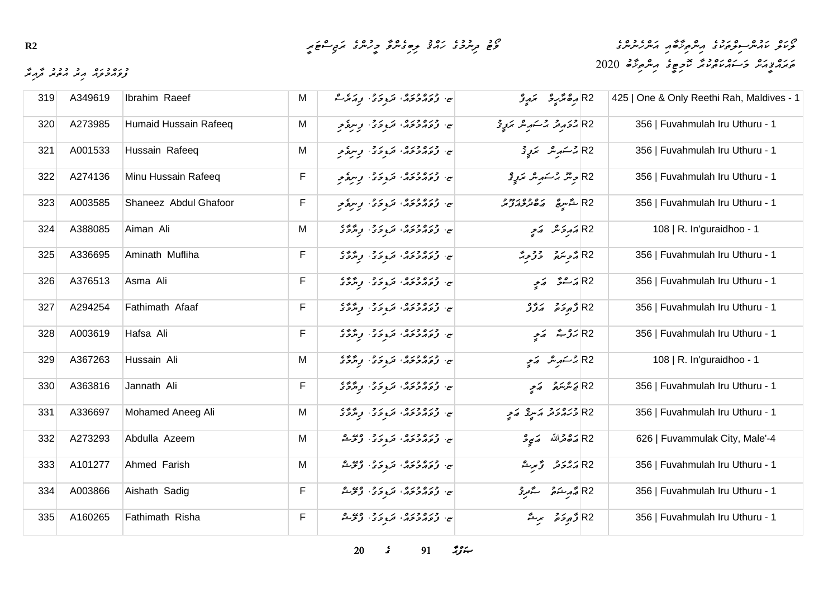*sCw7q7s5w7m< o<n9nOoAw7o< sCq;mAwBoEw7q<m; wBm;vB* م من المسجد المسجد المسجد المسجد المسجد العام 2020<br>مسجد المسجد المسجد المسجد المسجد المسجد المسجد المسجد المسجد ال

| 319 | A349619 | Ibrahim Raeef         | M           | سي وره وره. ترورو. در در د                  | R2 مەھەر بەر ئىمبرو                          | 425   One & Only Reethi Rah, Maldives - 1 |
|-----|---------|-----------------------|-------------|---------------------------------------------|----------------------------------------------|-------------------------------------------|
| 320 | A273985 | Humaid Hussain Rafeeq | M           | ح وره وره .<br>س وعلاح کله الگردگان و سره م | R2 برْدَىرِ بْرْ سَىرِ بْرُ بْرَبِيْتْ E2    | 356   Fuvahmulah Iru Uthuru - 1           |
| 321 | A001533 | Hussain Rafeeq        | M           | ج· ووه دوده، تروترو وسره و                  | R2 پر کمبر مگر ترک <sub>ی</sub> تح           | 356   Fuvahmulah Iru Uthuru - 1           |
| 322 | A274136 | Minu Hussain Rafeeq   | F           | ى دوە دىرە ئىدى ئ                           | R2 <sub>ج</sub> نتر برڪ <i>مب</i> ش برَوِيْر | 356   Fuvahmulah Iru Uthuru - 1           |
| 323 | A003585 | Shaneez Abdul Ghafoor | F           | خ دوه دره .<br>سي دوم د دم کرد د د او سوم   | R2 څسرچ مصر ده د د                           | 356   Fuvahmulah Iru Uthuru - 1           |
| 324 | A388085 | Aiman Ali             | M           | כנסכנס גדוד.<br>ישי צפונביבולי נקבבלי ציובב | R2  مَەدَسْ مَعٍ                             | 108   R. In'guraidhoo - 1                 |
| 325 | A336695 | Aminath Mufliha       | $\mathsf F$ | ے ورہ درہ گردی کے بھرت                      | R2 مُتَّحِسَمُ حَوْجِيَّ                     | 356   Fuvahmulah Iru Uthuru - 1           |
| 326 | A376513 | Asma Ali              | $\mathsf F$ | ים "כנים כנים" ומודע ביותר היותר ב          | R2 تەشىق كەيج                                | 356   Fuvahmulah Iru Uthuru - 1           |
| 327 | A294254 | Fathimath Afaaf       | F           | שי צפחככים ומגבבי צייבי                     | R2 وَّجِعَةَ صَوَّرٌ                         | 356   Fuvahmulah Iru Uthuru - 1           |
| 328 | A003619 | Hafsa Ali             | $\mathsf F$ | ים "ציפוריכים" והודבר "ציוריכי              | R2 پُرُوُ پُہ پرَ پِرِ                       | 356   Fuvahmulah Iru Uthuru - 1           |
| 329 | A367263 | Hussain Ali           | M           | שי צפחככים ומי כבי ציופים                   | R2 پرڪ <i>مبرنگھ پرکمبر</i>                  | 108   R. In'guraidhoo - 1                 |
| 330 | A363816 | Jannath Ali           | F           | ים "ציפוריכום" בגובר " צובבים"              | R2 فَ <i>يَ مُرْسَمَّةً مَدَّمِ</i>          | 356   Fuvahmulah Iru Uthuru - 1           |
| 331 | A336697 | Mohamed Aneeg Ali     | M           | ים "כנים כנים" ומודע ביותר היותר ב          | R2  <i>3-20-3 הَسِرِةٌ</i> صَعِ              | 356   Fuvahmulah Iru Uthuru - 1           |
| 332 | A273293 | Abdulla Azeem         | M           | س وره دره .<br>س وره دره، تروی وی ش         | R2 مَەھىراللە مَەيى2                         | 626   Fuvammulak City, Male'-4            |
| 333 | A101277 | Ahmed Farish          | M           | س وره دره .<br>س وره دره، تروی وی ش         | R2 كەبروگى ئى سىر شى                         | 356   Fuvahmulah Iru Uthuru - 1           |
| 334 | A003866 | Aishath Sadig         | F           | س وره دره .<br>س وره دره تروت ومن ه         |                                              | 356   Fuvahmulah Iru Uthuru - 1           |
| 335 | A160265 | Fathimath Risha       | F           | س وره دره .<br>س وره دره، ترء در وی ه       | R2 <i>وَّجودَة بِرِ</i> حَة                  | 356   Fuvahmulah Iru Uthuru - 1           |

*n8o<n@ q8qAq< q8o< w<mBq>w<m=q?*

 $20$  *s* 91  $29$   $\div$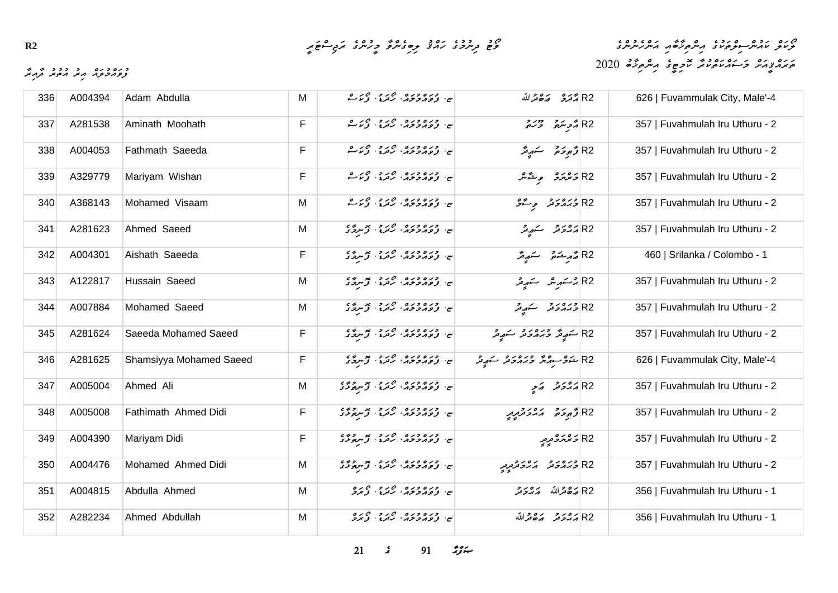*sCw7q7s5w7m< o<n9nOoAw7o< sCq;mAwBoEw7q<m; wBm;vB 2020<sup>, م</sup>وسر در مدد مدرج به مدرم مقرم قرار 2020*<br>موسر المستقرم المستقرم المستقرم المستقرم المستقرم المستقرم المستقرم المستقرم المستقرم المستقرم المستقرم المستقر

| 336 | A004394 | Adam Abdulla            | M           | ەرە دىرە بەر دەرە<br>س ۋەمەدىمە، رىر ئۇناس                                                                                                                                                                                      | R2 مُرْمَرْ مَرْهُ مِّرَاللَّه               | 626   Fuvammulak City, Male'-4  |
|-----|---------|-------------------------|-------------|---------------------------------------------------------------------------------------------------------------------------------------------------------------------------------------------------------------------------------|----------------------------------------------|---------------------------------|
| 337 | A281538 | Aminath Moohath         | F           | س وره دره ص د چره می<br>س وحدوده، رس و چرگ                                                                                                                                                                                      | R2 أُمُّ <i>جِسْهُ حَرْبُهُ</i>              | 357   Fuvahmulah Iru Uthuru - 2 |
| 338 | A004053 | Fathmath Saeeda         | F           | س وره وره ص د و ص ه<br>س وحدد وحد کرد و س                                                                                                                                                                                       | R2 وَجوحَة مَ سَهوتَد                        | 357   Fuvahmulah Iru Uthuru - 2 |
| 339 | A329779 | Mariyam Wishan          | F           | س وره وره ص د و ص ه<br>س توحد د د در کنده . تو ما ک                                                                                                                                                                             | R2 كوتر <i>وژ و</i> شگ <i>ر</i>              | 357   Fuvahmulah Iru Uthuru - 2 |
| 340 | A368143 | Mohamed Visaam          | M           | ים - כים כיכם - כיכם - כיכם - כי<br>ישי - <i>ב</i> פו <i>ב כיכ</i> ול - כיכם - כיכם - כ                                                                                                                                         | R2  <i>ويەم</i> ۇتر ب <i>وس<sup>ت</sup>ۇ</i> | 357   Fuvahmulah Iru Uthuru - 2 |
| 341 | A281623 | Ahmed Saeed             | M           | دره دره ۵۶۶۵ ورو پر ۵۶<br>۳- زوم د ترم کرده کرس                                                                                                                                                                                 | R2 كەبرىقر سى <i>مبە</i> تر                  | 357   Fuvahmulah Iru Uthuru - 2 |
| 342 | A004301 | Aishath Saeeda          | F           | כנסכנס הנכנית ולי<br>ישי נפחבבהי לעשי ניינבצ                                                                                                                                                                                    | R2 مۇم شەمۇر سىمبرىتىگە                      | 460   Srilanka / Colombo - 1    |
| 343 | A122817 | Hussain Saeed           | M           | כנס כנס יונק יונק ביונקים.<br>ישי נפח כבה' לינג לינדי ב                                                                                                                                                                         | R2 پرسکور شکھیے تھا۔<br>R2                   | 357   Fuvahmulah Iru Uthuru - 2 |
| 344 | A007884 | Mohamed Saeed           | M           | دره دره ۵۶۶۵ ورو پر ۵۶<br>۳- زوم د ترم کرده کرس                                                                                                                                                                                 | R2 <i>35223 سكوپى</i> تر                     | 357   Fuvahmulah Iru Uthuru - 2 |
| 345 | A281624 | Saeeda Mohamed Saeed    | F           | כנס כנס יונק יונק ביונקים.<br>ישי נפח כבה' לינג לינדי ב                                                                                                                                                                         | R2  سَموِسٌ وَبَرُودَوْ سَموتُ               | 357   Fuvahmulah Iru Uthuru - 2 |
| 346 | A281625 | Shamsiyya Mohamed Saeed | F           | יז נינונים לנדי ודי ויו                                                                                                                                                                                                         | R2 شۇھ مەمەد 2500 مىي                        | 626   Fuvammulak City, Male'-4  |
| 347 | A005004 | Ahmed Ali               | M           | ים נפחביבה <sup>,</sup> הבני יציינפיבי                                                                                                                                                                                          | R2 پُرتر تو په کو                            | 357   Fuvahmulah Iru Uthuru - 2 |
| 348 | A005008 | Fathimath Ahmed Didi    | $\mathsf F$ | כנסכנס הנכנס היי ביים<br>יי נפחביבה <sup>,</sup> לנג נייט <sub>ב</sub> לב                                                                                                                                                       | R2 وَّجِ رَحْمَ مَدَ دَوْمِرِ مِرِ           | 357   Fuvahmulah Iru Uthuru - 2 |
| 349 | A004390 | Mariyam Didi            | F           | ים נפחביבה' הניב יביי ביים.<br>ים נפחביבה' הנגז' נייטביבי                                                                                                                                                                       | R2 كەچرىر <i>8 يوپى</i> ر                    | 357   Fuvahmulah Iru Uthuru - 2 |
| 350 | A004476 | Mohamed Ahmed Didi      | М           | ים נפחביבה' הבני יציינפיה<br>ים נפחביבה' הבני ניינפינ                                                                                                                                                                           | R2 <i>32650 مرور وتربر</i> بر                | 357   Fuvahmulah Iru Uthuru - 2 |
| 351 | A004815 | Abdulla Ahmed           | M           | ים יציפת ביברי היים וביברי היים וביברי היים וביברי היים ביברי היים ביברי היים ביברי היים ביברי היים ביברי היים<br>מודעים היים ביברי היים היים היים ביברי היים ביברי היים ביברי היים ביברי היים ביברי היים ביברי היים ביברי היים | R2 مَەڤراللە مَەرقىر                         | 356   Fuvahmulah Iru Uthuru - 1 |
| 352 | A282234 | Ahmed Abdullah          | M           | س وره دره هرد هره<br>س وه محمد کرد و محمد                                                                                                                                                                                       | R2 مَرْكِرْتِرْ مَرْكَةِ اللَّه              | 356   Fuvahmulah Iru Uthuru - 1 |

*n8o<n@ q8qAq< q8o< w<mBq>w<m=q?*

 $21$  *s* 91  $29$   $\div$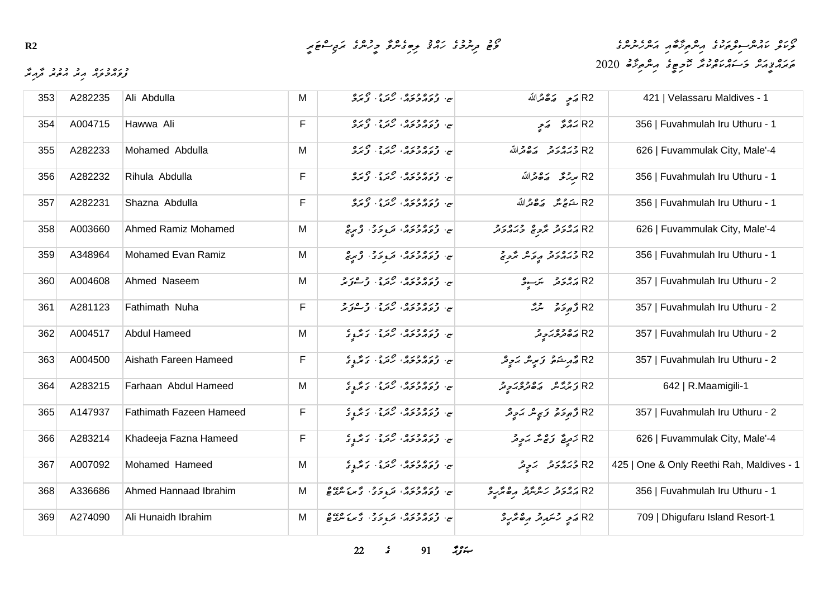*sCw7q7s5w7m< o<n9nOoAw7o< sCq;mAwBoEw7q<m; wBm;vB* م من المسجد المسجد المسجد المسجد المسجد العام 2020<br>مسجد المسجد المسجد المسجد المسجد المسجد المسجد المسجد المسجد ال

| 353 | A282235 | Ali Abdulla                    | M | ים - כים כים - מים - מים<br>ישי <sub>ל</sub> פח <i>ב כ</i> אי - ניינג - <sub>ל</sub> יינב | R2  تەمچە   تەھەتمەاللە                                   | 421   Velassaru Maldives - 1              |
|-----|---------|--------------------------------|---|-------------------------------------------------------------------------------------------|-----------------------------------------------------------|-------------------------------------------|
| 354 | A004715 | Hawwa Ali                      | F | כנסכנס מנכחים<br>ישי נפגביבג'י לעשי ניבב                                                  | R2 كەبۇ كەي                                               | 356   Fuvahmulah Iru Uthuru - 1           |
| 355 | A282233 | Mohamed Abdulla                | M | ے ورہ ورہ صدوح صدہ<br>سے وحد مرحد مرحد و سرح                                              | R2 وبره ديم وره ورالله                                    | 626   Fuvammulak City, Male'-4            |
| 356 | A282232 | Rihula Abdulla                 | F | ימי בגם בגם המגברי המים.<br>ישי צפו <i>בבריו</i> מבגברי ציבב                              | R2 برترنز كم محدث الله                                    | 356   Fuvahmulah Iru Uthuru - 1           |
| 357 | A282231 | Shazna Abdulla                 | F | כנסכנס ימנכ ימנס<br>ישי נפחכבהי לטגב צעב                                                  | R2 خَوَيْمَ شَرَّ صَرْحَ قَرْاللَّه                       | 356   Fuvahmulah Iru Uthuru - 1           |
| 358 | A003660 | Ahmed Ramiz Mohamed            | M | ى دوەددە ئرود. ئۇيدى                                                                      |                                                           | 626   Fuvammulak City, Male'-4            |
| 359 | A348964 | <b>Mohamed Evan Ramiz</b>      | M | سي وره وره در در در ومړي                                                                  | R2 <i>وُبُهُ دُوَنَّر <sub>م</sub>ِوَنَّرْ بَرُّدِ</i> جُ | 356   Fuvahmulah Iru Uthuru - 1           |
| 360 | A004608 | Ahmed Naseem                   | M | ر وره وره ص د و ه د و<br>س ژوه د ده، رتر د تر سویر                                        | R2 كەبرى كىلى ئىرسونى                                     | 357   Fuvahmulah Iru Uthuru - 2           |
| 361 | A281123 | Fathimath Nuha                 | F | ים - 2005 בנים - 2005 ב-2006.<br>ישי - 2005 בנים - 2005 ב-2006.                           | R2 وَج <i>وح</i> و هُمْ مَرْتَهُ                          | 357   Fuvahmulah Iru Uthuru - 2           |
| 362 | A004517 | <b>Abdul Hameed</b>            | M | دره دره دره<br>س وومرونوم، رس در د برو                                                    | R2 كەھ ترىۋىر ب <sub>و</sub> تر                           | 357   Fuvahmulah Iru Uthuru - 2           |
| 363 | A004500 | Aishath Fareen Hameed          | F | دره دره ۵ روم دره<br>س ووه د ده، رس دره سر                                                | R2 مَّەمِسْتَمْ تَرَمْرِسْ بَرْدِيْر                      | 357   Fuvahmulah Iru Uthuru - 2           |
| 364 | A283215 | Farhaan Abdul Hameed           | M | دره دره ده مرد در د<br>س وومرونوما گرفره کانگروی                                          | R2 زىرتىش مەھىر <i>وبى</i> دىر                            | 642   R.Maamigili-1                       |
| 365 | A147937 | <b>Fathimath Fazeen Hameed</b> | F | دره دره ده.<br>س- ژومان دره ۱۳۷۰ کامل و برای                                              | R2 وَّجِ يَرَمَّ وَيَ يَشْ بَرَجِ مَّرْ                   | 357   Fuvahmulah Iru Uthuru - 2           |
| 366 | A283214 | Khadeeja Fazna Hameed          | F | دره دره دره مرد در دره با<br>س <sup>.</sup> ژوبرونژن رتره کانگرو                          | R2  كَتَمِيعٌ - تَوَجَّسٌ - يَرْحِيشُ                     | 626   Fuvammulak City, Male'-4            |
| 367 | A007092 | Mohamed Hameed                 | M | دره دره دره<br>س وومرونوم، رس در د برو                                                    | R2  23,25%   برَوِيْرُ                                    | 425   One & Only Reethi Rah, Maldives - 1 |
| 368 | A336686 | Ahmed Hannaad Ibrahim          | M | ور ہ ور ہ<br>س کی ت <i>حدہ ح</i> رم کرنے <del>ور کا مرب</del> ع سری ہے                    | R2 رور و رومو روم گردی                                    | 356   Fuvahmulah Iru Uthuru - 1           |
| 369 | A274090 | Ali Hunaidh Ibrahim            | M | 2000 - 2000 - 2000 EXT<br>שי נפח ביבחי " בגוב ב 2 - 2 דיגו יינג ש                         | R2 <i>مَرْمٍ رُسَمُ بِهُ م</i> ِ مُحَمَّدٍ وَ             | 709   Dhigufaru Island Resort-1           |

*n8o<n@ q8qAq< q8o< w<mBq>w<m=q?*

 $22$  *s* 91  $23$   $\div$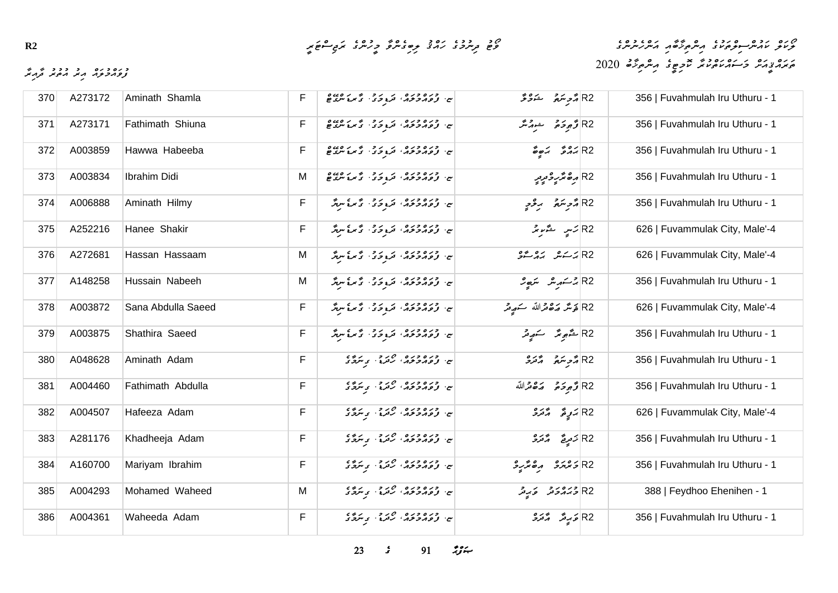*sCw7q7s5w7m< o<n9nOoAw7o< sCq;mAwBoEw7q<m; wBm;vB 2020*<br>*په پوهر وسوډيرونو لومو د موجو د مرمونه* 2020

| 370 | A273172 | Aminath Shamla     | $\mathsf{F}$ | ים - 2007 בין 2007 ומשיר בין 2007 ומשיר של<br>ישיר 2019 בין 2017 ומשיר בין המשיר של | R2 مُجِسَمَة شَكَرْتَرُ                                                                              | 356   Fuvahmulah Iru Uthuru - 1 |
|-----|---------|--------------------|--------------|-------------------------------------------------------------------------------------|------------------------------------------------------------------------------------------------------|---------------------------------|
| 371 | A273171 | Fathimath Shiuna   | F            | - 2007-070 كر يوم 2007-070<br>سي: فى 20, 2007-071 لرغ 20% لرغ سرغ سرغ               | R2 <i>وَّجوحَةْ</i> سِبْرَتْتَر                                                                      | 356   Fuvahmulah Iru Uthuru - 1 |
| 372 | A003859 | Hawwa Habeeba      | $\mathsf F$  | - 2000 0000 مرد 2000 0000<br>سي: في 200 <i>0 كرما 2000 كي توجي</i> ع سمك            | $602$ $52$ $R2$                                                                                      | 356   Fuvahmulah Iru Uthuru - 1 |
| 373 | A003834 | Ibrahim Didi       | M            | ور و د ر د د ر د .<br>س : ژوبر <i>و چ</i> ر کرد و کار کار کار و عدد اسری            | R2 <sub>مر</sub> ڭ <i>مَدَّرِ دُ</i> ومِرِ م                                                         | 356   Fuvahmulah Iru Uthuru - 1 |
| 374 | A006888 | Aminath Hilmy      | F            | ى دورە دىرە، ترە دى ئى سائى                                                         | R2 مُجرِسَمُ مَنْ مِنْ الْمَحْرِ                                                                     | 356   Fuvahmulah Iru Uthuru - 1 |
| 375 | A252216 | Hanee Shakir       | F            | ى دورە دىرە، ترە دى ئى سائى                                                         | R2 كىير مىقىرىتى                                                                                     | 626   Fuvammulak City, Male'-4  |
| 376 | A272681 | Hassan Hassaam     | M            | ى دورە دىرە، ترە دى ئى سائى                                                         | R2 بَر <i>سَدْ بَدْرُ سُ</i> وْرُ                                                                    | 626   Fuvammulak City, Male'-4  |
| 377 | A148258 | Hussain Nabeeh     | M            | ى دورە دىرە، ترە دى ئى سائى                                                         | R2 بڑے پہ شریب میں مقدم کرنے کی محمد استعمام کرنے کے مقدم کے ان کے مقدم کے ان کے مقدم کے مقدم کے مقد | 356   Fuvahmulah Iru Uthuru - 1 |
| 378 | A003872 | Sana Abdulla Saeed | F            | دره دره دره کرد در در به سرگر<br>س و و ماد دره کرد در کامه سرگر                     | R2 فَوَسَّرَ وَكَ صَرَاللَّهُ كَمَ وَمِرْ                                                            | 626   Fuvammulak City, Male'-4  |
| 379 | A003875 | Shathira Saeed     | $\mathsf F$  | ى دوە دىرە ئروختى ئىركىس                                                            | R2 شَهرِمَّد سَهرِمْر                                                                                | 356   Fuvahmulah Iru Uthuru - 1 |
| 380 | A048628 | Aminath Adam       | $\mathsf F$  | ے ورہ درہ کرد ۔                                                                     | R2 مُج سَمَع مُحَمَّدة                                                                               | 356   Fuvahmulah Iru Uthuru - 1 |
| 381 | A004460 | Fathimath Abdulla  | F            | ים נפחבברים לקבוע קום                                                               | R2 تُرْجِعَةً صَدَّةَ مَدَاللَّه                                                                     | 356   Fuvahmulah Iru Uthuru - 1 |
| 382 | A004507 | Hafeeza Adam       | F            | ے ورہ درہ کرد ۔                                                                     | R2 بَرَمٍ تَمَرَّدُّ \$                                                                              | 626   Fuvammulak City, Male'-4  |
| 383 | A281176 | Khadheeja Adam     | F            | יז נפח כנסי לנדי ניינטי                                                             | R2  تَرْمِيعٌ = مُرْمَرْدً                                                                           | 356   Fuvahmulah Iru Uthuru - 1 |
| 384 | A160700 | Mariyam Ibrahim    | F            | יזי צפח כלים לגבן הניטים                                                            | R2 ويروره مره تربرد                                                                                  | 356   Fuvahmulah Iru Uthuru - 1 |
| 385 | A004293 | Mohamed Waheed     | M            | ے ۔ ورہ درہ ، روی ۔ روی                                                             | R2  2 <i>2,252 كەب</i> ىر                                                                            | 388   Feydhoo Ehenihen - 1      |
| 386 | A004361 | Waheeda Adam       | F            | ەرەدىدە 200 كەرە<br>سىن ئۆتۈرۈشى ئەترىق ئېشگەن                                      | R2 <i>ق ب</i> ِعَر مُرْمَرْد <i>ُ</i>                                                                | 356   Fuvahmulah Iru Uthuru - 1 |

*n8o<n@ q8qAq< q8o< w<mBq>w<m=q?*

 $23$  *s* 91  $23$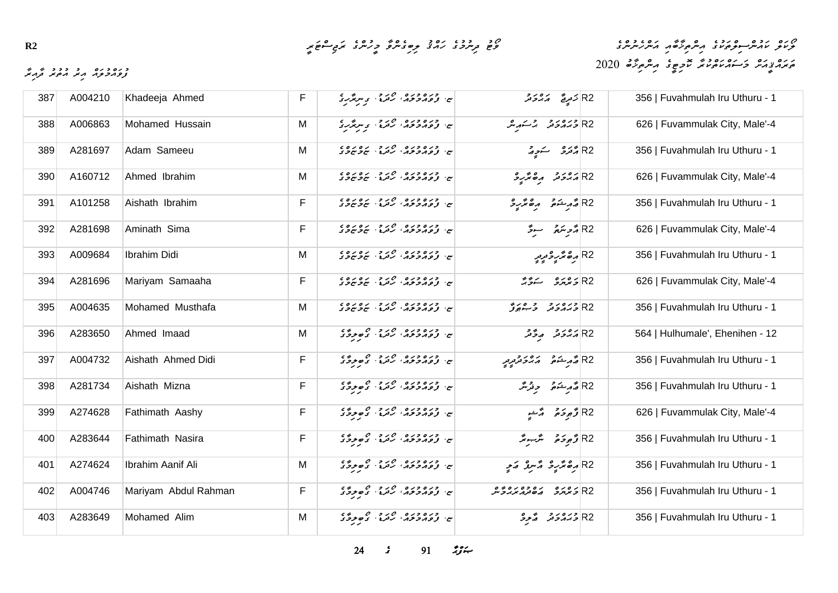*sCw7q7s5w7m< o<n9nOoAw7o< sCq;mAwBoEw7q<m; wBm;vB 2020<sup>, م</sup>وسر در مدد مدرج به مدرم مقرم قرار 2020*<br>موسر المستقرم المستقرم المستقرم المستقرم المستقرم المستقرم المستقرم المستقرم المستقرم المستقرم المستقرم المستقر

| 387 | A004210 | Khadeeja Ahmed       | F           | ים נפחבבתי לנפי ביינולנים                                                          | R2  زَمِرِيَّ      دَرُدُوَّرْ | 356   Fuvahmulah Iru Uthuru - 1 |
|-----|---------|----------------------|-------------|------------------------------------------------------------------------------------|--------------------------------|---------------------------------|
| 388 | A006863 | Mohamed Hussain      | M           | م دره دره مرد و سرگرد                                                              | R2 <i>32923</i> برسكه مر       | 626   Fuvammulak City, Male'-4  |
| 389 | A281697 | Adam Sameeu          | M           |                                                                                    | R2 \$بمقرقر ستهور              | 356   Fuvahmulah Iru Uthuru - 1 |
| 390 | A160712 | Ahmed Ibrahim        | M           |                                                                                    | R2 <i>ג׳.כ د م ه مُرْرٍ و</i>  | 626   Fuvammulak City, Male'-4  |
| 391 | A101258 | Aishath Ibrahim      | F           | יי ניסינים יוני ניסים<br>יי נפחביבה' לעי יישבייבי                                  | R2 مەم شىم مەھەر بەر           | 356   Fuvahmulah Iru Uthuru - 1 |
| 392 | A281698 | Aminath Sima         | F           | כנס כנס ימנדי נסנס.<br>ישי צפונדיכולי לבגו ישרישרב                                 | R2 مُرْحِبَتْهُ سِرْحٌ         | 626   Fuvammulak City, Male'-4  |
| 393 | A009684 | Ibrahim Didi         | M           | ים - כנסכנס - מנכה - נסנס<br>ישי <sub>ב</sub> פרנ <i>כלרי - נינ</i> שי - ישכישכצ   | R2  بر <i>ەڭ ئۆر يې</i> رىر    | 356   Fuvahmulah Iru Uthuru - 1 |
| 394 | A281696 | Mariyam Samaaha      | F           | ים - 2007 בים הריכון בין 2007.<br>ישי <sub>2</sub> 007 בי <i>ם הריכו</i> ן בין המש | R2 دېمه دي سکونه               | 626   Fuvammulak City, Male'-4  |
| 395 | A004635 | Mohamed Musthafa     | M           |                                                                                    | R2 ديره د د ه د و              | 356   Fuvahmulah Iru Uthuru - 1 |
| 396 | A283650 | Ahmed Imaad          | M           | ים "3 נים בים "סיב" ביסיבביב                                                       | R2 , جو جو مروگر               | 564   Hulhumale', Ehenihen - 12 |
| 397 | A004732 | Aishath Ahmed Didi   | F           | ים "כנס כנס" לנד לי הפידי ב"                                                       | R2 مەم خىم ھەركە ئىر تېرىپر    | 356   Fuvahmulah Iru Uthuru - 1 |
| 398 | A281734 | Aishath Mizna        | F           | ים "3 נים בים "סיב" ביסיבביב                                                       | R2 مُرمِسُومُ وِنْرَسَّ        | 356   Fuvahmulah Iru Uthuru - 1 |
| 399 | A274628 | Fathimath Aashy      | $\mathsf F$ | כנס כנס מנכח מיני<br>ישי נפח כיכה' ליטובי ביסיביב ב                                | R2 تُوحِمُ مُّشِ               | 626   Fuvammulak City, Male'-4  |
| 400 | A283644 | Fathimath Nasira     | F           | ים " צפחביבה " ביני ביסיבב" ב                                                      | R2 <i>وَّجوحَةْ مَدْسِعَةْ</i> | 356   Fuvahmulah Iru Uthuru - 1 |
| 401 | A274624 | Ibrahim Aanif Ali    | M           | כנס כנס קנביק פיני<br>ישי נפח ביבה' לעשי בסיבבצ                                    | R2 مەھم <i>گرى</i> ئەسرىم كەم  | 356   Fuvahmulah Iru Uthuru - 1 |
| 402 | A004746 | Mariyam Abdul Rahman | F           | ים - 2005 בים יינים ביסיבביבים ביינים ו                                            | R2 كەيرە بەھ دە دە دە ھ        | 356   Fuvahmulah Iru Uthuru - 1 |
| 403 | A283649 | Mohamed Alim         | M           |                                                                                    | $33.3.3$ R2                    | 356   Fuvahmulah Iru Uthuru - 1 |

*n8o<n@ q8qAq< q8o< w<mBq>w<m=q?*

 $24$  *s* 91  $29$   $\div$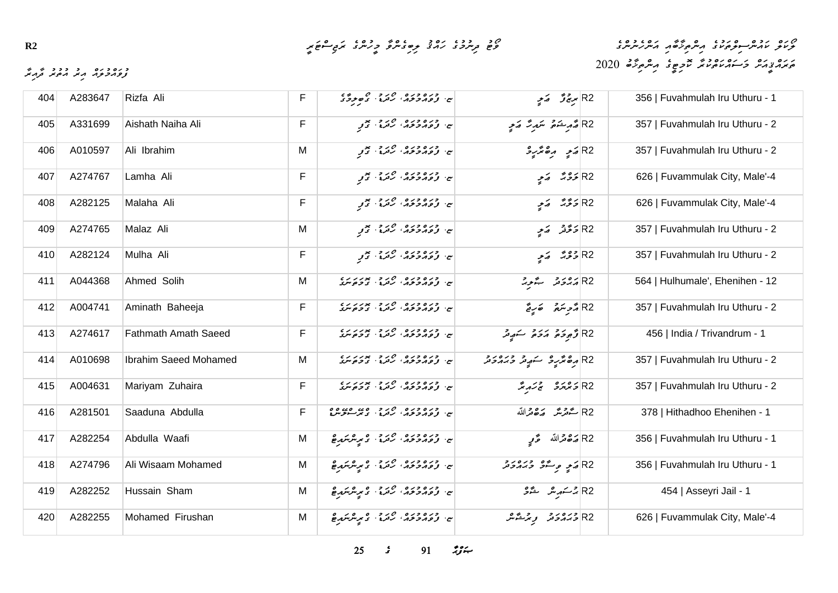*sCw7q7s5w7m< o<n9nOoAw7o< sCq;mAwBoEw7q<m; wBm;vB* م من المسجد المسجد المسجد المسجد المسجد العام 2020<br>مسجد المسجد المسجد المسجد المسجد المسجد المسجد المسجد المسجد ال

| 404 | A283647 | Rizfa Ali                    | F | ים "כנים כנים" לניב" ביסיבביב                                                                                                                                                                                                    | R2 بريج تھ گھ پر                  | 356   Fuvahmulah Iru Uthuru - 1 |
|-----|---------|------------------------------|---|----------------------------------------------------------------------------------------------------------------------------------------------------------------------------------------------------------------------------------|-----------------------------------|---------------------------------|
| 405 | A331699 | Aishath Naiha Ali            | F | ہے۔ ورہ ورہ مرد و۔ ہو<br>سے وومرونوما رفرہ ت                                                                                                                                                                                     | R2 مُەمِسْمَة سَمِدٌ مَعِ         | 357   Fuvahmulah Iru Uthuru - 2 |
| 406 | A010597 | Ali Ibrahim                  | M | وره وره به رو بد<br>س ژوبرونژن رتره ک                                                                                                                                                                                            | R2 <i>جَجِهِ م</i> ِنْ مَحْرِكَةِ | 357   Fuvahmulah Iru Uthuru - 2 |
| 407 | A274767 | Lamha Ali                    | F | כנסכנס מנכיא.<br>ישי נפגביבגי לנגדי צינ                                                                                                                                                                                          | R2 تورُ مَم <i>وٍ</i>             | 626   Fuvammulak City, Male'-4  |
| 408 | A282125 | Malaha Ali                   | F | כנסכנס מנכים.<br>ישי נפחביבהי לנגז - צינ                                                                                                                                                                                         | R2 \$رَمَج حَ <i>مَ</i> حٍ        | 626   Fuvammulak City, Male'-4  |
| 409 | A274765 | Malaz Ali                    | M | ים נפח כנס יסנים וב<br>ישי נפח כיכה' לטש ובנ                                                                                                                                                                                     | R2 ك <sup>3</sup> محقر كمكمي      | 357   Fuvahmulah Iru Uthuru - 2 |
| 410 | A282124 | Mulha Ali                    | F | י ניסנים יוני אי<br>י' נפגביבג' לעש' צי                                                                                                                                                                                          | R2 \$3 مَعِ                       | 357   Fuvahmulah Iru Uthuru - 2 |
| 411 | A044368 | Ahmed Solih                  | M |                                                                                                                                                                                                                                  | R2 كەبرىق بەئىرىر                 | 564   Hulhumale', Ehenihen - 12 |
| 412 | A004741 | Aminath Baheeja              | F | - כנסכנס - מנכ"ד בנגנט<br>ישי <sub>ה</sub> פח <i>בבחי לט</i> צי - בכפי <i>טב</i>                                                                                                                                                 | R2 مُتصِبَعَةً صَبِيَّةً          | 357   Fuvahmulah Iru Uthuru - 2 |
| 413 | A274617 | <b>Fathmath Amath Saeed</b>  | F |                                                                                                                                                                                                                                  | R2 وَج <i>وحو مَحوم سَهِيمْ</i>   | 456   India / Trivandrum - 1    |
| 414 | A010698 | <b>Ibrahim Saeed Mohamed</b> | M | ים - 2007 ביני הייני הייני הייני הייני הייני הייני הייני הייני הייני הייני הייני הייני הייני הייני הייני הייני<br>הייני הייני הייני הייני הייני הייני הייני הייני הייני הייני הייני הייני הייני הייני הייני הייני הייני הייני הי | R2 رەڭرىرى سەرىر <i>دىمەدى</i> ر  | 357   Fuvahmulah Iru Uthuru - 2 |
| 415 | A004631 | Mariyam Zuhaira              | F |                                                                                                                                                                                                                                  | R2 كا <i>ترمرد مح ترم ب</i> گر    | 357   Fuvahmulah Iru Uthuru - 2 |
| 416 | A281501 | Saaduna Abdulla              | F | - כנס כנס - ימנד - סגם סגם סיס<br>ישי - تو <i>ס</i> ו <i>נ כלמי - ימ</i> נד - מיד בימנד - מיד בימנד                                                                                                                              | R2 جُوْسٌ صَرْهُ قَدَاللَّه       | 378   Hithadhoo Ehenihen - 1    |
| 417 | A282254 | Abdulla Waafi                | M | כנס כנס הנכנס ביתיית המיידים                                                                                                                                                                                                     | R2 صَرَصْدَاللّه مَّ مِ           | 356   Fuvahmulah Iru Uthuru - 1 |
| 418 | A274796 | Ali Wisaam Mohamed           | M | כנס כנס הנכנס היו הייתיות ש<br>ישי נפח כיכחי לנגז - צינייתיות ש                                                                                                                                                                  | R2  روپه وسنه وره دو              | 356   Fuvahmulah Iru Uthuru - 1 |
| 419 | A282252 | Hussain Sham                 | M | سي وره وره مرد و و پرسمهاي                                                                                                                                                                                                       | R2 پر <i>کمبر پر سنگ</i> و        | 454   Asseyri Jail - 1          |
| 420 | A282255 | Mohamed Firushan             | M | س وره وره هرد و و ره شده                                                                                                                                                                                                         | R2 <i>528 ديگر وير مش</i> هر      | 626   Fuvammulak City, Male'-4  |

 $25$  *s* 91  $25$ 

*n8o<n@ q8qAq< q8o< w<mBq>w<m=q?*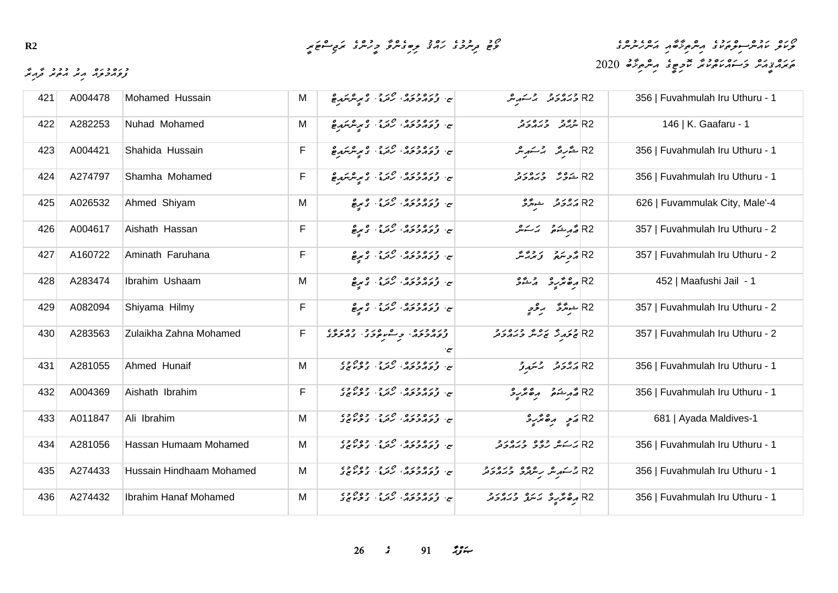*sCw7q7s5w7m< o<n9nOoAw7o< sCq;mAwBoEw7q<m; wBm;vB 2020<sup>, م</sup>وسر در مدد مدرج به مدرم مقرم قرار 2020*<br>موسر المستقرم المستقرم المستقرم المستقرم المستقرم المستقرم المستقرم المستقرم المستقرم المستقرم المستقرم المستقر

| 421 | A004478 | Mohamed Hussain          | M | سي وره وره صدر و و پرسرس                                                                                                                                                                                                        | R2 <i>32023 جـــَمب</i> ـسر           | 356   Fuvahmulah Iru Uthuru - 1 |
|-----|---------|--------------------------|---|---------------------------------------------------------------------------------------------------------------------------------------------------------------------------------------------------------------------------------|---------------------------------------|---------------------------------|
| 422 | A282253 | Nuhad Mohamed            | M |                                                                                                                                                                                                                                 | R2 برْرُتْرْ بِ 25,25 كَرْ            | 146   K. Gaafaru - 1            |
| 423 | A004421 | Shahida Hussain          | F | כנס כנס הנכנס היו הייתור.<br>ישי נפח כיכחי ניטובי בינייתורים                                                                                                                                                                    | R2  متَّمرِيْر كَمْ سَنَهْرِيْشْ      | 356   Fuvahmulah Iru Uthuru - 1 |
| 424 | A274797 | Shamha Mohamed           | F | س وره دره ه در ده و ره شم                                                                                                                                                                                                       | R2 شەخ دىمەدىر                        | 356   Fuvahmulah Iru Uthuru - 1 |
| 425 | A026532 | Ahmed Shiyam             | M | כנס כנס יוני כי ס<br>ישי <sub>ב</sub> פו <i>נכיבוי ה</i> עשי ציינים                                                                                                                                                             |                                       | 626   Fuvammulak City, Male'-4  |
| 426 | A004617 | Aishath Hassan           | F | ح ده وړه ه ده وه وه وه وه د                                                                                                                                                                                                     | R2 مەم ئەيم كە يەسكەنلەر              | 357   Fuvahmulah Iru Uthuru - 2 |
| 427 | A160722 | Aminath Faruhana         | F | ים ונוס בנים ומנים יום ים הם ביתים                                                                                                                                                                                              | R2 مُ <i>جِسَمْهُ وَ بَدْنَ</i> مَّرَ | 357   Fuvahmulah Iru Uthuru - 2 |
| 428 | A283474 | Ibrahim Ushaam           | M | م وره وره مرد و ه<br>م زوارونوار کرد کام د                                                                                                                                                                                      | R2 مەھم <i>گىرى م</i> ىشك             | 452   Maafushi Jail - 1         |
| 429 | A082094 | Shiyama Hilmy            | F | ح ده وړه ه ده وه وه وه وه د                                                                                                                                                                                                     | R2  سەنزى بوقويە                      | 357   Fuvahmulah Iru Uthuru - 2 |
| 430 | A283563 | Zulaikha Zahna Mohamed   | F |                                                                                                                                                                                                                                 | R2 بِحَمْدِرَ بِحَرْسٌ وَبَرْدُونَدِ  | 357   Fuvahmulah Iru Uthuru - 2 |
| 431 | A281055 | Ahmed Hunaif             | м | כנס כנס יותר כסילים<br>ישי נפח כיכה' תבני ביביו שב                                                                                                                                                                              | R2 كەبرى بىر بەشكىر تى                | 356   Fuvahmulah Iru Uthuru - 1 |
| 432 | A004369 | Aishath Ibrahim          | F | ים - 2005 בנים יום בין 2005 בין<br>ישי - 30,45 בינואי - 2005 בין שי                                                                                                                                                             | R2 مُرِيشَمُ مِنْ مُرَكِّبِ وَ        | 356   Fuvahmulah Iru Uthuru - 1 |
| 433 | A011847 | Ali Ibrahim              | M | ים - 2005 בנים יום בין 2005 בין<br>ישי - 2005 בנים יום בין הבינו שיב                                                                                                                                                            | R2 <i>ڇَڄِ رِهُ پُرِچ</i> ُ           | 681   Ayada Maldives-1          |
| 434 | A281056 | Hassan Humaam Mohamed    | M | ים - כנס כנס - 2000 כם<br>ישי - 300 כי 100 יונג - 200 שיב                                                                                                                                                                       | R2 بزر دور وبرورو در در د             | 356   Fuvahmulah Iru Uthuru - 1 |
| 435 | A274433 | Hussain Hindhaam Mohamed | M | ים - 2005 שם - 2005 ביטוח ביטוח ביטוח ביטוח ביטוח ביטוח ביטוח ביטוח ביטוח ביטוח ביטוח ביטוח ביטוח ביטוח ביטוח<br>ביטוח ביטוח ביטוח ביטוח ביטוח ביטוח ביטוח ביטוח ביטוח ביטוח ביטוח ביטוח ביטוח ביטוח ביטוח ביטוח ביטוח ביטוח בי | R2 پر کمبر شر بر مربوط و بر مرد تر    | 356   Fuvahmulah Iru Uthuru - 1 |
| 436 | A274432 | Ibrahim Hanaf Mohamed    | M | ים - 2005 בנים יום בין 2005 בין<br>ישי - 2005 בנים יום בין הבינו שיב                                                                                                                                                            | R2 مەھمەر 2 مەسمى 27مەد 3             | 356   Fuvahmulah Iru Uthuru - 1 |

 $26$  *s* 91  $29$   $\div$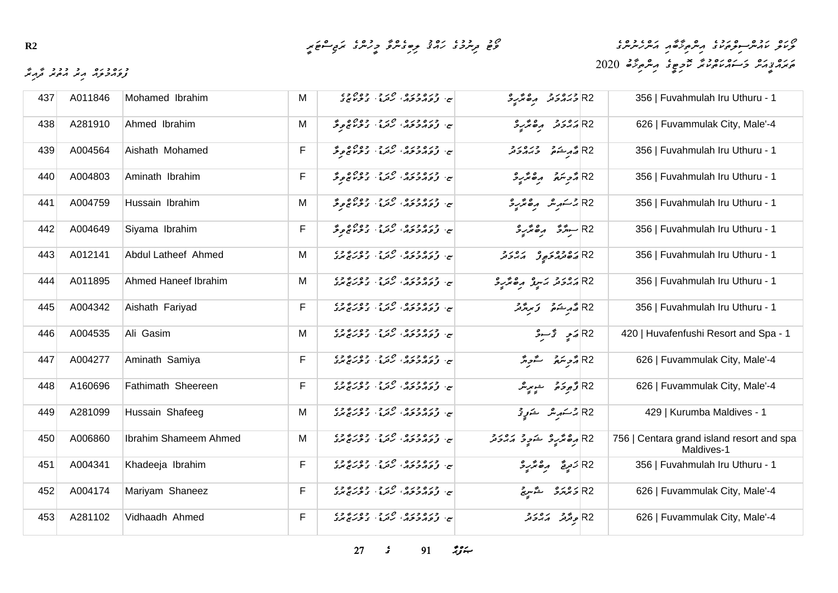*sCw7q7s5w7m< o<n9nOoAw7o< sCq;mAwBoEw7q<m; wBm;vB 2020<sup>, م</sup>وسر در مدد مدرج به مدرم مقرم قرار 2020*<br>موسر المستقرم المستقرم المستقرم المستقرم المستقرم المستقرم المستقرم المستقرم المستقرم المستقرم المستقرم المستقر

| 437 | A011846 | Mohamed Ibrahim       | M | ים - 2005 בנים יותר בים בים בים<br>ישי - 2005 בנים יותר ביביע ביב                                                                                                                                                                | R2 دُبَرْدُونْ مِنْ مَرْرِدْ              | 356   Fuvahmulah Iru Uthuru - 1                         |
|-----|---------|-----------------------|---|----------------------------------------------------------------------------------------------------------------------------------------------------------------------------------------------------------------------------------|-------------------------------------------|---------------------------------------------------------|
| 438 | A281910 | Ahmed Ibrahim         | M |                                                                                                                                                                                                                                  | R2 <i>הُגُכ</i> تر مِنْ مُرْرِدْ          | 626   Fuvammulak City, Male'-4                          |
| 439 | A004564 | Aishath Mohamed       | F | م دره دره به رد دره ۵۵۵۰<br>س ژوبرونژبه رتره دنژنگونون                                                                                                                                                                           | R2 مەم ئىقتى ھەر دىر                      | 356   Fuvahmulah Iru Uthuru - 1                         |
| 440 | A004803 | Aminath Ibrahim       | F | כנס כנס ימנד בסמס בי<br>ישי נפח כבחי נכנד בבטמפי                                                                                                                                                                                 | R2 أُمُّ جِسَمُهُ مِنْ مُحَمَّدِ فِي      | 356   Fuvahmulah Iru Uthuru - 1                         |
| 441 | A004759 | Hussain Ibrahim       | M |                                                                                                                                                                                                                                  | R2 جُسَمبر شهر مرکار پر دیگر پر د         | 356   Fuvahmulah Iru Uthuru - 1                         |
| 442 | A004649 | Siyama Ibrahim        | F | م - دره دره مرد - ده ۵۵۵ و د<br>س - زه در دره استرو - د نرمانوه د                                                                                                                                                                | R2 سورمج مقدم محمد من                     | 356   Fuvahmulah Iru Uthuru - 1                         |
| 443 | A012141 | Abdul Latheef Ahmed   | M |                                                                                                                                                                                                                                  | R2 בטריק 1976 ביניק ביניק R2              | 356   Fuvahmulah Iru Uthuru - 1                         |
| 444 | A011895 | Ahmed Haneef Ibrahim  | M | - כנס כנס - הנכ"ר בטני כל<br>ישי "ציפומביבומי" בני הציבור ביבוא                                                                                                                                                                  | R2 كەندى كە ئەرەك مەھەر يەنج              | 356   Fuvahmulah Iru Uthuru - 1                         |
| 445 | A004342 | Aishath Fariyad       | F | - כנסכנס - סנכ- כסנדבים<br>ישי <sub>ב</sub> פח <i>בבה</i> י נכנש- בי <i>בנישיב</i>                                                                                                                                               | R2 مُرمِسْدَمْ وَمِرمَّرْتَرْ             | 356   Fuvahmulah Iru Uthuru - 1                         |
| 446 | A004535 | Ali Gasim             | М | ים: 1975 ביני 2016 ביני 2016<br>ים: 1975 ביני ייני 1975 ביני 2016                                                                                                                                                                | R2 <i>ړنې تخ</i> سو د                     | 420   Huvafenfushi Resort and Spa - 1                   |
| 447 | A004277 | Aminath Samiya        | F | ים - 2007 הם כנים - 2007 הם בין בין<br>ישי - 300 בירוח - 2007 הם ישרא בין השייתים                                                                                                                                                | R2 مُ <i>جِسَمُ</i> مُ مُ مُحَمَّدِ مُرَّ | 626   Fuvammulak City, Male'-4                          |
| 448 | A160696 | Fathimath Sheereen    | F | - כנס כנס - הניכן - כסנט כז<br>ישי - تو פו <i>ניכיט - ליניכו ליניי</i> ביניק                                                                                                                                                     | R2 ۇ <sub>جو</sub> رَمْ مىسمىرىتىر        | 626   Fuvammulak City, Male'-4                          |
| 449 | A281099 | Hussain Shafeeg       | M | יז "רו ס כו ס"ר בין "כי היה כי היו"<br>ישי "רו ס היכו ביה "היה היה ביבוד היה היה בי                                                                                                                                              | R2  پرستمبر شروی <sub>د</sub> تح          | 429   Kurumba Maldives - 1                              |
| 450 | A006860 | Ibrahim Shameem Ahmed | M | ישי "ציפורים" ביטורים ו"דישיים וביטורים ו"דישיים וביטורים וביטורים וביטורים וביטורים וביטורים וביטורים וביטורי<br>די המודע לא המודע המודע המודע המודע ביטורים וביטורים וביטורים וביטורים וביטורים וביטורים וביטורים וביטורים ובי | R2 <sub>م</sub> ەنگەپى خەرچ كەرجى         | 756   Centara grand island resort and spa<br>Maldives-1 |
| 451 | A004341 | Khadeeja Ibrahim      | F | ים - 2007 הם כנים - 2007 הם בין<br>ישי - 3007 היה יונד - 2007 הם                                                                                                                                                                 | R2 زَمرِيَّ مِنْ حَمَّرِيْتَ              | 356   Fuvahmulah Iru Uthuru - 1                         |
| 452 | A004174 | Mariyam Shaneez       | F | י דנים דנים ומניד ודסיניבים.<br>ישי "ציפומידימים ומניד ודימידים מני                                                                                                                                                              | R2 كەنگەر ئۇسىيىتى R2                     | 626   Fuvammulak City, Male'-4                          |
| 453 | A281102 | Vidhaadh Ahmed        | F | - כנס כנס - הנכ"ר בסנט כז<br>ישי "ציפומביבומי" בניי ביביני ביבי                                                                                                                                                                  | R2  مومَّزْتْزِ    مَدْوَتْر              | 626   Fuvammulak City, Male'-4                          |

*n8o<n@ q8qAq< q8o< w<mBq>w<m=q?*

*27 sC 91 nNw?mS*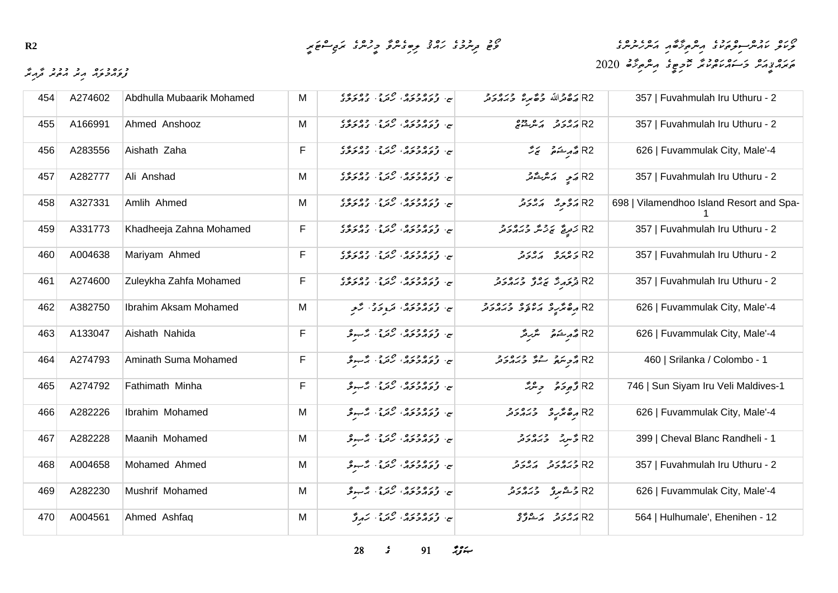*sCw7q7s5w7m< o<n9nOoAw7o< sCq;mAwBoEw7q<m; wBm;vB 2020<sup>, م</sup>وسر در مدد مدرج به مدرم مقرم قرار 2020*<br>موسر المستقرم المستقرم المستقرم المستقرم المستقرم المستقرم المستقرم المستقرم المستقرم المستقرم المستقرم المستقر

| 454 | A274602 | Abdhulla Mubaarik Mohamed | M | من وره وره همرد و وه روه<br>سي توحاد حرد کرد و ده مرمور              | R2 رَحْمَتْرَاللَّهُ وَصَّمَرْ وَبَرْدُونَرْ   | 357   Fuvahmulah Iru Uthuru - 2          |
|-----|---------|---------------------------|---|----------------------------------------------------------------------|------------------------------------------------|------------------------------------------|
| 455 | A166991 | Ahmed Anshooz             | M | من وره وره همرد و وه روه<br>سي توحمد حرم كردي و روحر                 | R2 كەبروتىر كەنگرىشى <i>غ</i>                  | 357   Fuvahmulah Iru Uthuru - 2          |
| 456 | A283556 | Aishath Zaha              | F | ر وره وره همرد و وه روه<br>سي توجه وحرم كرمره كه وحر                 | R2 مەم شىم تىم تىم                             | 626   Fuvammulak City, Male'-4           |
| 457 | A282777 | Ali Anshad                | M | ر وره وره همرد و وه روه<br>سي توجه وحرم کردني ورحر                   | R2 كەير كەشرىشىتىر                             | 357   Fuvahmulah Iru Uthuru - 2          |
| 458 | A327331 | Amlih Ahmed               | M | ים: 1975 בנים יום בינים 2016.<br>יש: 1985 בנים יום בינים בונים בינים | R2ج و محرور مدوند                              | 698   Vilamendhoo Island Resort and Spa- |
| 459 | A331773 | Khadheeja Zahna Mohamed   | F |                                                                      | R2  دَمِرِيحُ نَج دُنْرٌ وَبَرَ رَوَ وَ        | 357   Fuvahmulah Iru Uthuru - 2          |
| 460 | A004638 | Mariyam Ahmed             | F | - دره دره مرد - ده رور<br>س- ژوبرونوبر، رس - دبرنونو                 | R2 <i>ذبرہو مہدونہ</i>                         | 357   Fuvahmulah Iru Uthuru - 2          |
| 461 | A274600 | Zuleykha Zahfa Mohamed    | F | ر وره وره همرد و وه روه<br>سي توجه وحره، رکن و رحومی                 | R2 نَرْحَهِ رَبَّ مَ رَبَّ وَبَرَ رَحَمَ وَ دَ | 357   Fuvahmulah Iru Uthuru - 2          |
| 462 | A382750 | Ibrahim Aksam Mohamed     | M | دره دره در درد. دگو                                                  | R2 رەش دەرە دىرەرد                             | 626   Fuvammulak City, Male'-4           |
| 463 | A133047 | Aishath Nahida            | F | س وره دره صدد بر د<br>س ومدونوه، رس بر د                             | R2 مُرمِسْمَعْ مُرْسِعٌر                       | 626   Fuvammulak City, Male'-4           |
| 464 | A274793 | Aminath Suma Mohamed      | F | ى دىرە دىرە بىردىكە بەلىدۇ                                           | R2 أَرُوسَمَ مَسْرٌ وَرَمَّدُونَر              | 460   Srilanka / Colombo - 1             |
| 465 | A274792 | Fathimath Minha           | F | ى تەرەبەرە بەربەي ئەسورى<br>سى توجەملىرىمە ئىسىرى                    | R2 وَجوحَة وِ عِرْبٌ                           | 746   Sun Siyam Iru Veli Maldives-1      |
| 466 | A282226 | Ibrahim Mohamed           | M | ەرە دىرە بەرد گەردى<br>س ۋەمەدىمە، رىرى گەسوگى                       | R2 مەھەر بول 25 مەدر بول                       | 626   Fuvammulak City, Male'-4           |
| 467 | A282228 | Maanih Mohamed            | M | ے ۔ ورہ درہ ۔ مرد ۔ مجہوری                                           | R2 دُسِرَ 255.5 د                              | 399   Cheval Blanc Randheli - 1          |
| 468 | A004658 | Mohamed Ahmed             | M | ەرەدرە 200 كەردىكى بەر<br>سى ئەھەد <i>و</i> مەدىمە كىلىدۇ            | R2 37073 R2                                    | 357   Fuvahmulah Iru Uthuru - 2          |
| 469 | A282230 | Mushrif Mohamed           | M | ى درەدرە مەدد شەر                                                    | R2 ۇشمېر <i>دىمەدىر</i>                        | 626   Fuvammulak City, Male'-4           |
| 470 | A004561 | Ahmed Ashfaq              | M | ے ۔ وہ ورہ مرد ۔ زروی<br>ے ۔ وہ مرحوم ، رمزہ ۔ زروی                  | R2 كەبروتىر كەش <i>ەۋ</i> تى                   | 564   Hulhumale', Ehenihen - 12          |

*n8o<n@ q8qAq< q8o< w<mBq>w<m=q?*

 $28$  *s* 91  $29$   $\div$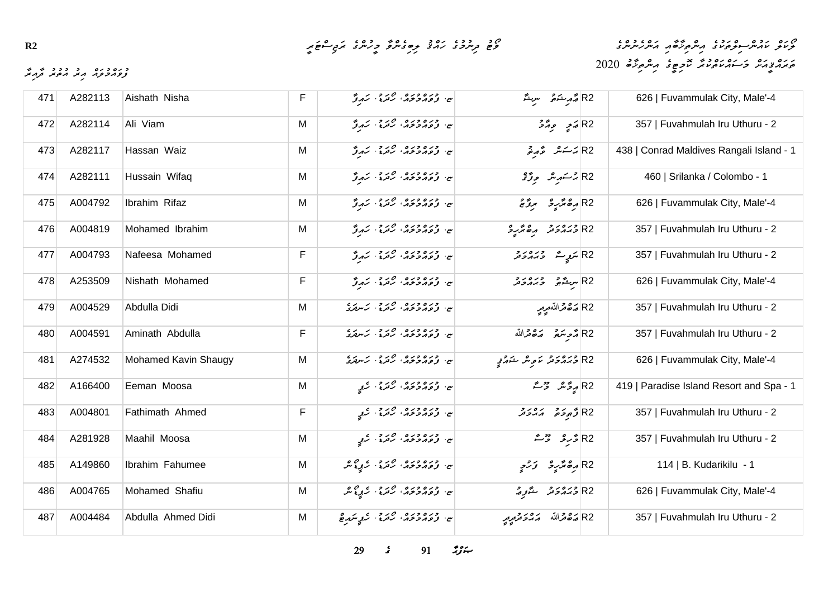*sCw7q7s5w7m< o<n9nOoAw7o< sCq;mAwBoEw7q<m; wBm;vB 2020<sup>, م</sup>وسر در مدد مدرج به مدرم مقرم قرار 2020*<br>موسر المستقرم المستقرم المستقرم المستقرم المستقرم المستقرم المستقرم المستقرم المستقرم المستقرم المستقرم المستقر

| 471 | A282113 | Aishath Nisha        | F | ے ۔ وہ وورہ مصرور کہ تھ<br>س توحدونوں کی تھا۔ کہ ت                                                             | R2 مُذہب مُحدِّد سِرِحَہُ        | 626   Fuvammulak City, Male'-4           |
|-----|---------|----------------------|---|----------------------------------------------------------------------------------------------------------------|----------------------------------|------------------------------------------|
| 472 | A282114 | Ali Viam             | M | ے وہ دورہ مرد بھرتی ہے۔                                                                                        | R2 پَرمٍ وِرَّدَّ                | 357   Fuvahmulah Iru Uthuru - 2          |
| 473 | A282117 | Hassan Waiz          | м | ے ۔ وہ ووہ صدور کہ تھا۔<br>س توحدونوں کی تھا۔ کہاتی                                                            | R2 بَر <i>َــدَ شَهدة وَ</i>     | 438   Conrad Maldives Rangali Island - 1 |
| 474 | A282111 | Hussain Wifaq        | M | ەرەدىرە 200 كەرد.<br>س ۋەمەدىمە، رىرى رىمەتى                                                                   | R2 پرڪيريش <sub>جو</sub> ري      | 460   Srilanka / Colombo - 1             |
| 475 | A004792 | Ibrahim Rifaz        | M | ے وہ دورہ مرد بھرتی ہے۔                                                                                        | R2 مەھەمگەر ئەسىردىنى R2         | 626   Fuvammulak City, Male'-4           |
| 476 | A004819 | Mohamed Ibrahim      | M | ے وہ ورہ صرح کرنے<br>س وہ وی کری کری کہ و                                                                      | R2 323.5 مۇمۇرى                  | 357   Fuvahmulah Iru Uthuru - 2          |
| 477 | A004793 | Nafeesa Mohamed      | F | ים נכחבבתי היה הודר<br>ים נכחבבתי היה הודר                                                                     | R2 بتربر شمی وزیر دیگر           | 357   Fuvahmulah Iru Uthuru - 2          |
| 478 | A253509 | Nishath Mohamed      | F | ے وہ ورہ صرح کرنے<br>س وہ وی کری کری کہ و                                                                      | R2 سرشگه و در در در              | 626   Fuvammulak City, Male'-4           |
| 479 | A004529 | Abdulla Didi         | M | ح د و د و د و اړه د سربره.<br>س و و مرحوم ار روي کس                                                            | R2 كەڭداللەمپرىيە                | 357   Fuvahmulah Iru Uthuru - 2          |
| 480 | A004591 | Aminath Abdulla      | F | دره دره ۵٫۰۵ ورو.<br>س- ژومرونور، رکوري- رکسهری                                                                | R2 مُرْحِسَمُ مَصْحَدِ اللّه     | 357   Fuvahmulah Iru Uthuru - 2          |
| 481 | A274532 | Mohamed Kavin Shaugy | M | دره دره ۵٫۰۵ م.<br>۳- زوم <i>دخم</i> ، کنده کسیری                                                              | R2 <i>ويُهوفو مَوِسْ حُمَّةٍ</i> | 626   Fuvammulak City, Male'-4           |
| 482 | A166400 | Eeman Moosa          | M | ه دره دره صرح عربي<br>۳- زودونود، رتزي- ربي                                                                    | R2 پروگنر وحت                    | 419   Paradise Island Resort and Spa - 1 |
| 483 | A004801 | Fathimath Ahmed      | F | ے وہ دورہ صدر عربی                                                                                             | R2 وَّجِوَدَ حَمَدَ حَمَد        | 357   Fuvahmulah Iru Uthuru - 2          |
| 484 | A281928 | Maahil Moosa         | M | ے وہ دورہ صدر عربی                                                                                             | R2 وُرِوْ وَسَةَ                 | 357   Fuvahmulah Iru Uthuru - 2          |
| 485 | A149860 | Ibrahim Fahumee      | M | ے ورہ درہ گردی کے محمد کے محمد اللہ کا اللہ کا اللہ کا اللہ کا اللہ کا اللہ کا اللہ کا اللہ کا اللہ کا اللہ کا | R2 مەھمەر تۇرىي E2               | 114   B. Kudarikilu - 1                  |
| 486 | A004765 | Mohamed Shafiu       | M | ح ده وره مرد د عرم محمد د شود.<br>سي توجه فرقه مرکز د الرابع مرکز مرکز                                         | R2 <i>2222 متَّوَمَّ</i>         | 626   Fuvammulak City, Male'-4           |
| 487 | A004484 | Abdulla Ahmed Didi   | M | ى ورەورە مەدىب ئوسمە                                                                                           |                                  | 357   Fuvahmulah Iru Uthuru - 2          |

*29 sC 91 nNw?mS*

*n8o<n@ q8qAq< q8o< w<mBq>w<m=q?*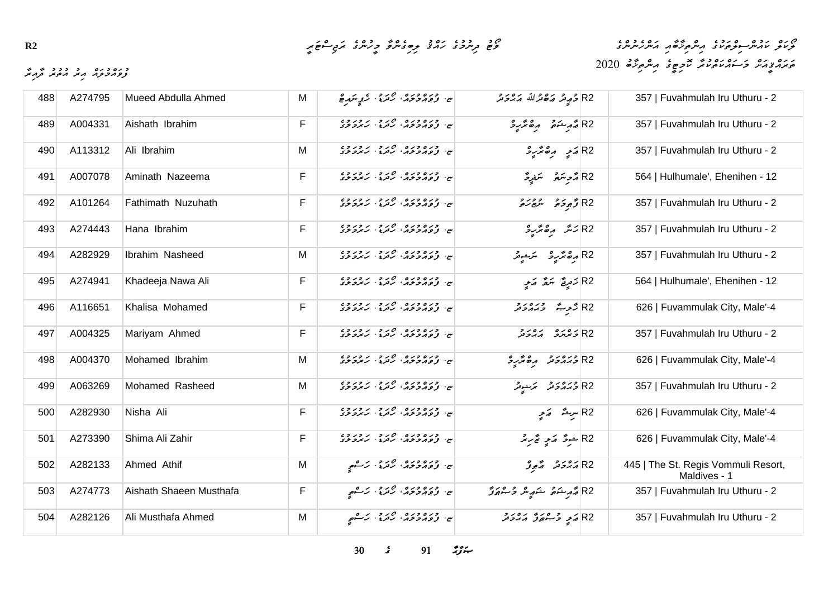*sCw7q7s5w7m< o<n9nOoAw7o< sCq;mAwBoEw7q<m; wBm;vB 2020<sup>, م</sup>وسر در مدد مدرج به مدرم مقرم قرار 2020*<br>موسر المستقرم المستقرم المستقرم المستقرم المستقرم المستقرم المستقرم المستقرم المستقرم المستقرم المستقرم المستقر

| 488 | A274795 | Mueed Abdulla Ahmed     | M           | ى ورە دىرە مەدىب كريىتمەغ                                                                                                                                                                                                       | R2 دَمِيعْرَ مَرْحَمْدَاللّهِ مَدْدَوْرَ | 357   Fuvahmulah Iru Uthuru - 2                     |
|-----|---------|-------------------------|-------------|---------------------------------------------------------------------------------------------------------------------------------------------------------------------------------------------------------------------------------|------------------------------------------|-----------------------------------------------------|
| 489 | A004331 | Aishath Ibrahim         | F           |                                                                                                                                                                                                                                 | R2 مُرمِسَمُ مِهْمَرِ وُ                 | 357   Fuvahmulah Iru Uthuru - 2                     |
| 490 | A113312 | Ali Ibrahim             | M           | د ده دره دره هرد دردره<br>س وومروزمن رکزه رسود د                                                                                                                                                                                | R2 <i>مَجِ م</i> ِ صَمَّرِ دَ            | 357   Fuvahmulah Iru Uthuru - 2                     |
| 491 | A007078 | Aminath Nazeema         | F           | ים - כנס כנס - מנד - ניכנים<br>ישי <sub>ה</sub> פ <i>חביבה</i> - מנד - ני <i>יביבי</i> ב                                                                                                                                        | R2 مُّحِسَمُ مَنْزِرَّ                   | 564   Hulhumale', Ehenihen - 12                     |
| 492 | A101264 | Fathimath Nuzuhath      | F           | ים - 2005 בנים - 2007 בינים בינים בינים בינים בינים בינים בינים בינים בינים בינים בינים בינים בינים בינים ביני<br>המודעים בינים בינים בינים בינים בינים בינים בינים בינים בינים בינים בינים בינים בינים בינים בינים בינים בינים | R2 ۇ <sub>ج</sub> وڭ مۇسىمى <i>كى</i> م  | 357   Fuvahmulah Iru Uthuru - 2                     |
| 493 | A274443 | Hana Ibrahim            | F           | ים - כנס כנס - מנד - נדני בא<br>ישי <sub>ה</sub> פ <i>חביבה</i> - נמשי - נמ <i>ביב</i> צ                                                                                                                                        | R2   رَسَّرَ مِنْ مَحْرَبِ 3             | 357   Fuvahmulah Iru Uthuru - 2                     |
| 494 | A282929 | Ibrahim Nasheed         | M           | ים - 20,000 סגב - 20,000<br>ים - 30,000 לטרב - ג'ונסיפיב                                                                                                                                                                        | R2 ب <i>ر&amp;ټرٌرٍ\$ سَرَشِ</i> رِتْر   | 357   Fuvahmulah Iru Uthuru - 2                     |
| 495 | A274941 | Khadeeja Nawa Ali       | $\mathsf F$ | د ده دره دره هرد دردره<br>س وومروزمن رکزه رسود د                                                                                                                                                                                | R2 كَتَمِيعٌ سَمَّةً صَعِ                | 564   Hulhumale', Ehenihen - 12                     |
| 496 | A116651 | Khalisa Mohamed         | F           | ים - 2005 בנים - 2007 בינים בינים בינים בינים בינים בינים בינים בינים בינים בינים בינים בינים בינים בינים ביני<br>המודעים בינים בינים בינים בינים בינים בינים בינים בינים בינים בינים בינים בינים בינים בינים בינים בינים בינים | R2 دُوبَةُ وَرَمُّ وَلَا                 | 626   Fuvammulak City, Male'-4                      |
| 497 | A004325 | Mariyam Ahmed           | F           | ים - 2005 בנים - 2007 בינים בינים בינים בינים בינים בינים בינים בינים בינים בינים בינים בינים בינים בינים ביני<br>המודעים בינים בינים בינים בינים בינים בינים בינים בינים בינים בינים בינים בינים בינים בינים בינים בינים בינים | R2 كەبىر بەر بەر بەر                     | 357   Fuvahmulah Iru Uthuru - 2                     |
| 498 | A004370 | Mohamed Ibrahim         | M           | ים - כנס כנס - מנד - נדני בא<br>ישי <sub>ה</sub> פ <i>חביבה</i> - נצנ - נדני בא                                                                                                                                                 | R2  <i>وبروبوفر م</i> ڤتربرو             | 626   Fuvammulak City, Male'-4                      |
| 499 | A063269 | Mohamed Rasheed         | M           | د ده دره دره هرد دردره<br>س وومروزمن رکزه رسود د                                                                                                                                                                                | R2 <i>32023 بم ش</i> عوتر                | 357   Fuvahmulah Iru Uthuru - 2                     |
| 500 | A282930 | Nisha Ali               | $\mathsf F$ | ים - 2005 בנים - 2007 בינים בינים בינים בינים בינים בינים בינים בינים בינים בינים בינים בינים בינים בינים ביני<br>יום - 2005 בינים בינים בינים בינים בינים בינים בינים בינים בינים                                              | R2 سريئة - رَمِ                          | 626   Fuvammulak City, Male'-4                      |
| 501 | A273390 | Shima Ali Zahir         | F           | ים - 2005 בנים - 2007 בינים בינים בינים בינים בינים בינים בינים בינים בינים בינים בינים בינים בינים בינים ביני<br>המודעים בינים בינים בינים בינים בינים בינים בינים בינים בינים בינים בינים בינים בינים בינים בינים בינים בינים | R2 صورًا ضمي گاريمًا                     | 626   Fuvammulak City, Male'-4                      |
| 502 | A282133 | Ahmed Athif             | M           | دره دره ۵٫۰۵ م.<br>س- زود <i>د د</i> ر، که در در ۱۰                                                                                                                                                                             | R2 كەندى قىرۇ                            | 445   The St. Regis Vommuli Resort,<br>Maldives - 1 |
| 503 | A274773 | Aishath Shaeen Musthafa | $\mathsf F$ | ح ده وره صدو المرد المراجعي المراجعي                                                                                                                                                                                            | R2 مۇم شەھ شەھ بىر ئى جويۇ ئى            | 357   Fuvahmulah Iru Uthuru - 2                     |
| 504 | A282126 | Ali Musthafa Ahmed      | M           | دره دره ۵٫۰۵ م.<br>س- زود <i>د ده</i> ، رس در ۲۰۰                                                                                                                                                                               | R2 كەير بۇ جەمبۇ كەبرى بولىرى بول        | 357   Fuvahmulah Iru Uthuru - 2                     |

*n8o<n@ q8qAq< q8o< w<mBq>w<m=q?*

*30 sC 91 nNw?mS*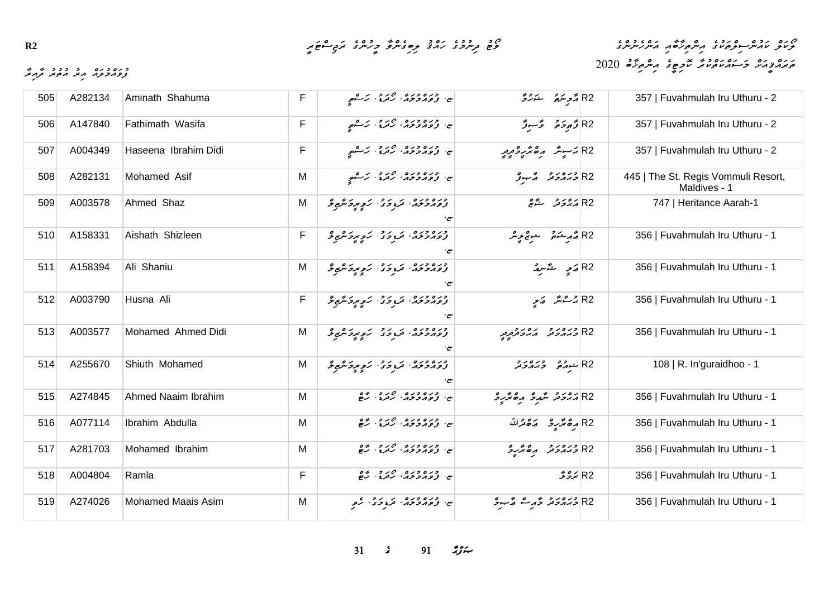*sCw7q7s5w7m< o<n9nOoAw7o< sCq;mAwBoEw7q<m; wBm;vB 2020<sup>, م</sup>وسر در مدد مدرج به مدرم مقرم قرار 2020*<br>موسر المستقرم المستقرم المستقرم المستقرم المستقرم المستقرم المستقرم المستقرم المستقرم المستقرم المستقرم المستقر

| 505 | A282134 | Aminath Shahuma           | F           | سي- وره ووره، صدح- تركسي                                  | R2 مُجِسَمَة شَرْرَةُ                           | 357   Fuvahmulah Iru Uthuru - 2                     |
|-----|---------|---------------------------|-------------|-----------------------------------------------------------|-------------------------------------------------|-----------------------------------------------------|
| 506 | A147840 | Fathimath Wasifa          | F           | ه دره دره هرد دره.<br>س وومرونوما رمزه رکستمبر            | R2 تَهْجِعَةً مُحْسِبةً                         | 357   Fuvahmulah Iru Uthuru - 2                     |
| 507 | A004349 | Haseena Ibrahim Didi      | F           | ەرە درە مەدەبىرى بەرە<br>س ۋەمەدىمە، رىرى كەسىم           | R2 ئەسەنىڭ ب <i>ەھ ئۈر</i> ۋىرىر                | 357   Fuvahmulah Iru Uthuru - 2                     |
| 508 | A282131 | Mohamed Asif              | M           | دره دره ۵٫۰۵ م.<br>۳۰ زود <i>د ده</i> ، رس کرد ک          | R2 <i>2222 مگ</i> رو                            | 445   The St. Regis Vommuli Resort,<br>Maldives - 1 |
| 509 | A003578 | Ahmed Shaz                | M           | وره وره به دود. کوپروکرد و<br>ے∙                          | R2 كەنزۇقر شەھقى                                | 747   Heritance Aarah-1                             |
| 510 | A158331 | Aishath Shizleen          | F           | ورە دىرە، تروخۇچ كېمپرۇش ئى                               | R2 مُرِسَمَ شَوتَمْ مِرْشَ                      | 356   Fuvahmulah Iru Uthuru - 1                     |
| 511 | A158394 | Ali Shaniu                | M           | وره وره مرور کوچرکرمن                                     | R2 رَمِ شَمْسِرَ                                | 356   Fuvahmulah Iru Uthuru - 1                     |
| 512 | A003790 | Husna Ali                 | $\mathsf F$ | وره وره به دو. کوپروکرونو                                 | R2 پر مشتر کم که پر                             | 356   Fuvahmulah Iru Uthuru - 1                     |
| 513 | A003577 | Mohamed Ahmed Didi        | M           | ورە دىرە، تروخۇ كەم بەر ش                                 | R2 <i>32025 مربوعيوبو</i> ر                     | 356   Fuvahmulah Iru Uthuru - 1                     |
| 514 | A255670 | Shiuth Mohamed            | M           | وره وره برود. کوپردگردن                                   | R2 شوره وره در                                  | 108   R. In'guraidhoo - 1                           |
| 515 | A274845 | Ahmed Naaim Ibrahim       | M           | ے وروورو مرد میں<br>سی زوہ <i>و ح</i> مہ کردنی گھ         | R2 <i>בک</i> وکو شهرو مرگزیرو                   | 356   Fuvahmulah Iru Uthuru - 1                     |
| 516 | A077114 | Ibrahim Abdulla           | M           | ے وروورو مرد دو<br>س زورورو رمزد ک                        | R2 م <i>وھ مگرچ</i> و محکم تھاللہ               | 356   Fuvahmulah Iru Uthuru - 1                     |
| 517 | A281703 | Mohamed Ibrahim           | M           | כנסכנס ימנכי שם<br>ישי נפגביבגי לעשי לפ                   | R2 32023 R2 جونرو                               | 356   Fuvahmulah Iru Uthuru - 1                     |
| 518 | A004804 | Ramla                     | F           | ەرەدرە ەردىيە<br>س <sup>.</sup> ۋو <i>ەد چەر، ر</i> ىرى گ | $332$ R2                                        | 356   Fuvahmulah Iru Uthuru - 1                     |
| 519 | A274026 | <b>Mohamed Maais Asim</b> | M           | ے وہ دورہ ترویز کے                                        | R2 <i>وَيُدُونُو وَ<sub>م</sub>ُ</i> مُ مُسِورُ | 356   Fuvahmulah Iru Uthuru - 1                     |

*n8o<n@ q8qAq< q8o< w<mBq>w<m=q?*

**31** *s* 91 *n***<sub>s</sub>**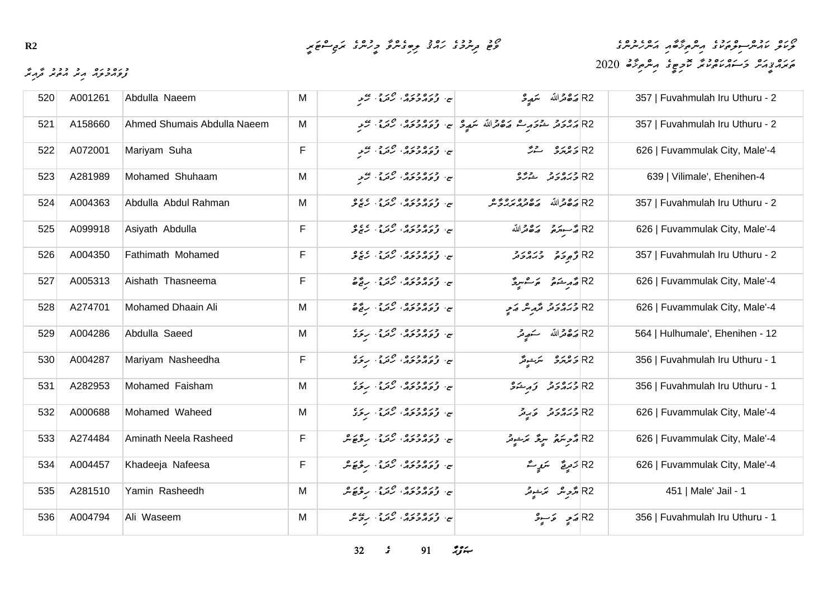*sCw7q7s5w7m< o<n9nOoAw7o< sCq;mAwBoEw7q<m; wBm;vB 2020<sup>, م</sup>وسر در مدد مدرج به مدرم مقرم قرار 2020*<br>موسر المستقرم المستقرم المستقرم المستقرم المستقرم المستقرم المستقرم المستقرم المستقرم المستقرم المستقرم المستقر

| 520 | A001261 | Abdulla Naeem               | Μ | ے ووړو وره مرد د عو                                                                                                                                                                                                              | R2 ≈صلالله سَمهِ 9                                                                                             | 357   Fuvahmulah Iru Uthuru - 2 |
|-----|---------|-----------------------------|---|----------------------------------------------------------------------------------------------------------------------------------------------------------------------------------------------------------------------------------|----------------------------------------------------------------------------------------------------------------|---------------------------------|
| 521 | A158660 | Ahmed Shumais Abdulla Naeem | M |                                                                                                                                                                                                                                  | R2 مرور و محتجز مرد مردور الله مكروح المع، محدود، محدود معدد المحدود المحدود المحدود المحدود المحدود المحدود ا | 357   Fuvahmulah Iru Uthuru - 2 |
| 522 | A072001 | Mariyam Suha                | F | ے ۔ ورہ ورہ مصروف گر<br>سی تو <i>وہ وح</i> مہ کرفروف گرم                                                                                                                                                                         | R2 وَيُرْدَّرُ بِّ 2ْ                                                                                          | 626   Fuvammulak City, Male'-4  |
| 523 | A281989 | Mohamed Shuhaam             | M | ے ورودیوں مرد ہے۔<br>س ووروفرن ری بڑ                                                                                                                                                                                             | R2 32,222 شرح                                                                                                  | 639   Vilimale', Ehenihen-4     |
| 524 | A004363 | Abdulla Abdul Rahman        | M | ים יצים פינים יודעים ובים כי היום יודעים וביות היודעים וביות היום יודעים וביות היודעים וביות היום וביות היום ו<br>מודעים ליודעים היום היודעים היום ליודעים ליודעים ליודעים ליודעים ליודעים ליודעים ליודעים ליודעים ליודעים ליודע | R2 كەھ ئەللە كەھ <i>قىرم بىر بىر قى</i> ر                                                                      | 357   Fuvahmulah Iru Uthuru - 2 |
| 525 | A099918 | Asiyath Abdulla             | F | ים ניסינים יוני הופי<br>ים ניסו <i>ב כ</i> ול לטר                                                                                                                                                                                | R2 مُرْسِ <i>مَرْمُ مَ</i> صْغَرِاللَّه                                                                        | 626   Fuvammulak City, Male'-4  |
| 526 | A004350 | Fathimath Mohamed           | F | ے ۔ ورہ ورہ مصر و مصر و علم کا اللہ اللہ کے اللہ اللہ کے اللہ کا اللہ کا اللہ کا اللہ کا اللہ کا اللہ کا اللہ<br>سی اللہ کی اللہ کا اللہ کا اللہ کا اللہ کا اللہ کا اللہ کا اللہ کا اللہ کا اللہ کا اللہ کا اللہ کا اللہ کا الل  | R2 وُجِوحَة وَبَرَهُ وَسَ                                                                                      | 357   Fuvahmulah Iru Uthuru - 2 |
| 527 | A005313 | Aishath Thasneema           | F | יז - 20,000 סן 2 ביוד.<br>יז - 30,000 לאנג - הש                                                                                                                                                                                  | R2 مۇم شەھرە سىمىسىدىگە                                                                                        | 626   Fuvammulak City, Male'-4  |
| 528 | A274701 | Mohamed Dhaain Ali          | M | ים ניס בנס יותר ביים<br>יי נפח ביחי תנג' תבים                                                                                                                                                                                    | R2   <i>وبرەبرو مۇ<sub>م</sub>بىر م</i> َىرٍ                                                                   | 626   Fuvammulak City, Male'-4  |
| 529 | A004286 | Abdulla Saeed               | M | ים נפח כבים יישוב - גם<br>יי נפח כבה ישנב - גבב                                                                                                                                                                                  | R2 مَەھىرَاللە سَىھەتىر                                                                                        | 564   Hulhumale', Ehenihen - 12 |
| 530 | A004287 | Mariyam Nasheedha           | F | ים בנסכנס לנדי נבצ                                                                                                                                                                                                               | R2 كەمەر ھەر سىرىغى <sub>ي</sub> ەتگە                                                                          | 356   Fuvahmulah Iru Uthuru - 1 |
| 531 | A282953 | Mohamed Faisham             | M | ים נפח כבים יישוב - גם<br>יי נפח כבה ישנב - גבב                                                                                                                                                                                  | R2   3,000 ق.م. شكر 2                                                                                          | 356   Fuvahmulah Iru Uthuru - 1 |
| 532 | A000688 | Mohamed Waheed              | M | س وره وره صرح ري                                                                                                                                                                                                                 | R2 <i>25222 وَب</i> ِيْر                                                                                       | 626   Fuvammulak City, Male'-4  |
| 533 | A274484 | Aminath Neela Rasheed       | F | ے ورہ درہ گرد و دورہ                                                                                                                                                                                                             | R2 مُّ حِسَمُهُ ۖ سِرْدٌ ۖ مَرَسُومُرُ                                                                         | 626   Fuvammulak City, Male'-4  |
| 534 | A004457 | Khadeeja Nafeesa            | F | ים נפח כנים יוני ניפים יינ                                                                                                                                                                                                       | R2 كَتْمِيعٌ = سَمَعٍ مُسَمَّ                                                                                  | 626   Fuvammulak City, Male'-4  |
| 535 | A281510 | Yamin Rasheedh              | M | ים נפח כנים יוני ניפים יינ                                                                                                                                                                                                       | R2 مُرْحِ مُرْ مَرْسُومُرْ                                                                                     | 451   Male' Jail - 1            |
| 536 | A004794 | Ali Waseem                  | M | ים נפחבבה <sup>,</sup> מנג מכיר.<br>ים נפחבבה <sup>,</sup> מנג מכית                                                                                                                                                              | R2 <i>جَمعٍ ۔ حَ</i> سِوْرٌ                                                                                    | 356   Fuvahmulah Iru Uthuru - 1 |

*n8o<n@ q8qAq< q8o< w<mBq>w<m=q?*

**32** *s* 91 *n***<sub>s</sub>**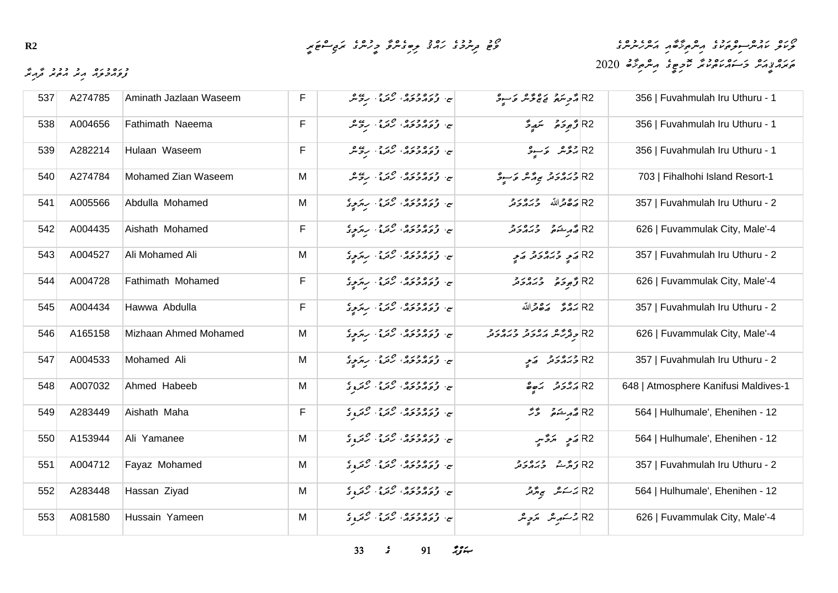*sCw7q7s5w7m< o<n9nOoAw7o< sCq;mAwBoEw7q<m; wBm;vB 2020<sup>, م</sup>وسر در مدد مدرج به مدرم مقرم قرار 2020*<br>موسر المستقرم المستقرم المستقرم المستقرم المستقرم المستقرم المستقرم المستقرم المستقرم المستقرم المستقرم المستقر

| A274785 | Aminath Jazlaan Waseem | F | ے وورودو مرد ہے۔<br>س ووروفر، رنز برگ                                                                                                                                                                                          | R2 أ <i>مَّ جِسَعَة بِيَ جُ</i> سُّر تَوَسِي <sup>و</sup> ً | 356   Fuvahmulah Iru Uthuru - 1      |
|---------|------------------------|---|--------------------------------------------------------------------------------------------------------------------------------------------------------------------------------------------------------------------------------|-------------------------------------------------------------|--------------------------------------|
| A004656 | Fathimath Naeema       | F | ے وورودو مرد دی۔<br>س ووروفرد کرد کوئی                                                                                                                                                                                         | R2 وَّجِوَدَ مَمْ سَمَدٍ وَّ                                | 356   Fuvahmulah Iru Uthuru - 1      |
| A282214 | Hulaan Waseem          | F | ے ورودرو مرد ہے۔<br>س ووروفرد کرد کوئی                                                                                                                                                                                         | R2 كەنزىش   ئەسىرى                                          | 356   Fuvahmulah Iru Uthuru - 1      |
| A274784 | Mohamed Zian Waseem    | M | ح ده وړه مرد و په و.<br>س زوه د ده، رتو د روس                                                                                                                                                                                  | R2 <i>وَيَدْوَدُو بِي مُ</i> سْ وَسِي <sup>و</sup> ُ        | 703   Fihalhohi Island Resort-1      |
| A005566 | Abdulla Mohamed        | M | ים נפחבדתי לנשי מתוכב                                                                                                                                                                                                          | R2 مَەھمَّراللَّه حِمَدَ مَرَّدَ مَر                        | 357   Fuvahmulah Iru Uthuru - 2      |
| A004435 | Aishath Mohamed        | F | ים בנסכנס לנבי נתפ                                                                                                                                                                                                             | R2 مەم شەھ بىر بەر دىر                                      | 626   Fuvammulak City, Male'-4       |
| A004527 | Ali Mohamed Ali        | M | כנס כנס מנדיק ונקב.<br>ישי צפונביבולי יכבשי והפיצב                                                                                                                                                                             | R2 בَبِي وَبَرْمُرْوَتَرْ <sub>مَ</sub> كَبِي               | 357   Fuvahmulah Iru Uthuru - 2      |
| A004728 | Fathimath Mohamed      | F | ים בנסכנס לנבי נתפ                                                                                                                                                                                                             | R2 وُجِعَة ورودور                                           | 626   Fuvammulak City, Male'-4       |
| A004434 | Hawwa Abdulla          | F | ים נפחבבתי הנגד החבב                                                                                                                                                                                                           | R2 بَرْمَرَّ مَرْهُ مِّرَاللَّه                             | 357   Fuvahmulah Iru Uthuru - 2      |
| A165158 | Mizhaan Ahmed Mohamed  | M | ים בנסכנס לנבי החתב                                                                                                                                                                                                            | R2 دِنْرِرَّسْ ړُرُدَنْ دِرُورْ                             | 626   Fuvammulak City, Male'-4       |
| A004533 | Mohamed Ali            | M | ים נפחבבהי לנדי נחיבב                                                                                                                                                                                                          | R2  <i>وټه ډېر م</i> َب <i>و</i>                            | 357   Fuvahmulah Iru Uthuru - 2      |
| A007032 | Ahmed Habeeb           | M | دره دره ۵ روم ۶ در مرد .<br>س- توجه دخهر، کرد : کرد و ی                                                                                                                                                                        | $\frac{2}{3}$ $\frac{2}{3}$ $\frac{2}{3}$ R2                | 648   Atmosphere Kanifusi Maldives-1 |
| A283449 | Aishath Maha           | F | כנס כנס היני היני היי<br>ישי <sub>ה</sub> כמיכלי ייני ייני ביני                                                                                                                                                                | R2 مُجرِسْتَمْ وَرَّ                                        | 564   Hulhumale', Ehenihen - 12      |
| A153944 | Ali Yamanee            | M | ים - 2005 בנים יותר בין היותר בין היותר בין היותר בין היותר בין היותר בין היותר בין היותר בין היותר בין היותר<br>היותר בין היותר בין היותר בין היותר בין היותר בין היותר בין היותר בין היותר בין היותר בין היותר בין היותר בין | R2 <i>ھَ جِه</i> مَرَگَّ سٍ                                 | 564   Hulhumale', Ehenihen - 12      |
| A004712 | Fayaz Mohamed          | M | יז ונס כנס ימנד ימנד<br>יז נפח כבחי לטר לעד ב                                                                                                                                                                                  | R2 ۇنۇت جەمھەدىر                                            | 357   Fuvahmulah Iru Uthuru - 2      |
| A283448 | Hassan Ziyad           | M | دره دره ده ۲۵ ورو می در و<br>س توجه دخه کرد و کرد و                                                                                                                                                                            | R2  پرستمبر ہے پڑ تقر                                       | 564   Hulhumale', Ehenihen - 12      |
| A081580 | Hussain Yameen         | M | ים נפחבדים יותר יותר ב<br>ים נפחבדים לעש                                                                                                                                                                                       | R2  ترستمبر شربی مرکز میرید                                 | 626   Fuvammulak City, Male'-4       |
|         |                        |   |                                                                                                                                                                                                                                |                                                             |                                      |

*n8o<n@ q8qAq< q8o< w<mBq>w<m=q?*

**33** *s* 91 *if***<sub>i</sub>**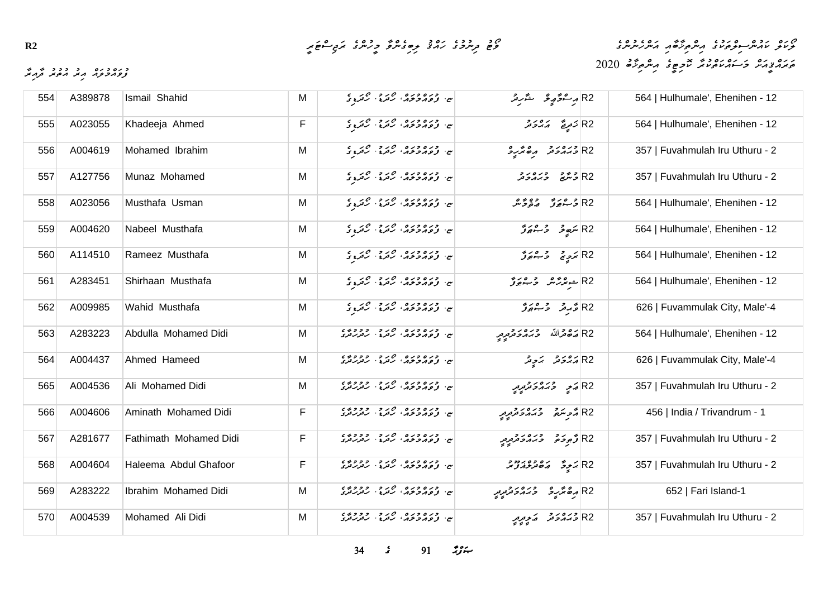*sCw7q7s5w7m< o<n9nOoAw7o< sCq;mAwBoEw7q<m; wBm;vB 2020<sup>, م</sup>وسر در مدد مدرج به مدرم مقرم قرار 2020*<br>موسر المستقرم المستقرم المستقرم المستقرم المستقرم المستقرم المستقرم المستقرم المستقرم المستقرم المستقرم المستقر

| 554 | A389878 | Ismail Shahid          | M | ים נפח כנס יישוב יישוב ב<br>יין נפח כבחי לטוב לטוב                   | R2 مرڪو <i>گوري ڪري</i> گر                  | 564   Hulhumale', Ehenihen - 12 |
|-----|---------|------------------------|---|----------------------------------------------------------------------|---------------------------------------------|---------------------------------|
| 555 | A023055 | Khadeeja Ahmed         | F | س وره وره هر ده هر د<br>س ژوه د ده، رنده رنده د                      | R2 كَتْمِيعٌ - مَكْرَوْمَرْ-                | 564   Hulhumale', Ehenihen - 12 |
| 556 | A004619 | Mohamed Ibrahim        | M | יז ניס בנס היה היה גם.<br>יז ניסוב בול תבני תבני ב                   | R2  <i>وبروبوفر م</i> ِ م <i>ِ مُ</i> رِ وَ | 357   Fuvahmulah Iru Uthuru - 2 |
| 557 | A127756 | Munaz Mohamed          | M |                                                                      | R2 دُسٌمٌ په درمونر                         | 357   Fuvahmulah Iru Uthuru - 2 |
| 558 | A023056 | Musthafa Usman         | M | ים נפח כנס יישוב יישוב ב<br>יין נפח כבחי לטוב לטוב                   | R2 ۋەربۇ دەپرە<br>R2 ۋىبوبۇ مۇرگىر          | 564   Hulhumale', Ehenihen - 12 |
| 559 | A004620 | Nabeel Musthafa        | M | دره دره ۵ روم ۵ در م.<br>س- ژوم د ترم کرد و م. کرد و ی               | R2 سَهِعْ دُبْهِ وَ                         | 564   Hulhumale', Ehenihen - 12 |
| 560 | A114510 | Rameez Musthafa        | м |                                                                      | R2 بَرَدٍ بِمَ وَسِبْهِوَ                   | 564   Hulhumale', Ehenihen - 12 |
| 561 | A283451 | Shirhaan Musthafa      | M | יז ניכח כנס ימנד מנדי<br>יז ניכח כבה לינד לינדי                      | R2 جو <i>يرگير</i> ويو <i>يو</i> ژ          | 564   Hulhumale', Ehenihen - 12 |
| 562 | A009985 | Wahid Musthafa         | M | دره دره ده مرد مرد<br>س وومرومه، رمزه رمزه و                         | R2 حَ بِرِيْر - حَ جُوتَرَ مَجْ             | 626   Fuvammulak City, Male'-4  |
| 563 | A283223 | Abdulla Mohamed Didi   | M | وره وره همره مرد و وود و<br>سي نوح <i>مرح مرد المرح</i> د المرح مرحد | R2 كەھەراللە <i>ھەمەھەرى</i> رىيە           | 564   Hulhumale', Ehenihen - 12 |
| 564 | A004437 | Ahmed Hameed           | M | ر وره وره همرد . ووود .<br>س ق <i>وم وحرم</i> شرق الرفرن             | R2 كەندۇقر كەرەتمر                          | 626   Fuvammulak City, Male'-4  |
| 565 | A004536 | Ali Mohamed Didi       | M | د ده دره دره هرد دودود.<br>س وومر <i>و</i> زم رتوبي رتورتور          | R2 كەير بەرگە ئەتەبەر بەر                   | 357   Fuvahmulah Iru Uthuru - 2 |
| 566 | A004606 | Aminath Mohamed Didi   | F | دره دره ۵ رور در دود در<br>س ژوه د ده، کرد و در تر                   | R2 <i>مُّحِسَمُهُ حَدُمُحَمَّدِيدِ</i>      | 456   India / Trivandrum - 1    |
| 567 | A281677 | Fathimath Mohamed Didi | F | ر وره وره صرح وودي<br>سي- توجه <i>وح</i> ه، رتوع- رتورتوي            | R2 وَجوحَة مَحْرَمَة مِرْمَرِمِرِ           | 357   Fuvahmulah Iru Uthuru - 2 |
| 568 | A004604 | Haleema Abdul Ghafoor  | F | ر وره وره صرح وودي<br>سي- توجه <i>وح</i> ه، رتوع- رتورتوي            | R2 يَرْمِرَّ صَفَرْمَ دُورَ مِنْ            | 357   Fuvahmulah Iru Uthuru - 2 |
| 569 | A283222 | Ibrahim Mohamed Didi   | M | دره دره دره همرد دروده<br>سی توجه دخهر، رکزو، رکزرگرد                | R2 رەئزېرو <i>مېر دې د</i> ېږېږ             | 652   Fari Island-1             |
| 570 | A004539 | Mohamed Ali Didi       | M | ه دره دره ه رو . دود و د<br>س ووم دره . رتو . رتورتور                | R2  <i>وبروبرو كموبربر</i>                  | 357   Fuvahmulah Iru Uthuru - 2 |

*n8o<n@ q8qAq< q8o< w<mBq>w<m=q?*

**34** *s* 91 *n***<sub>s</sub>**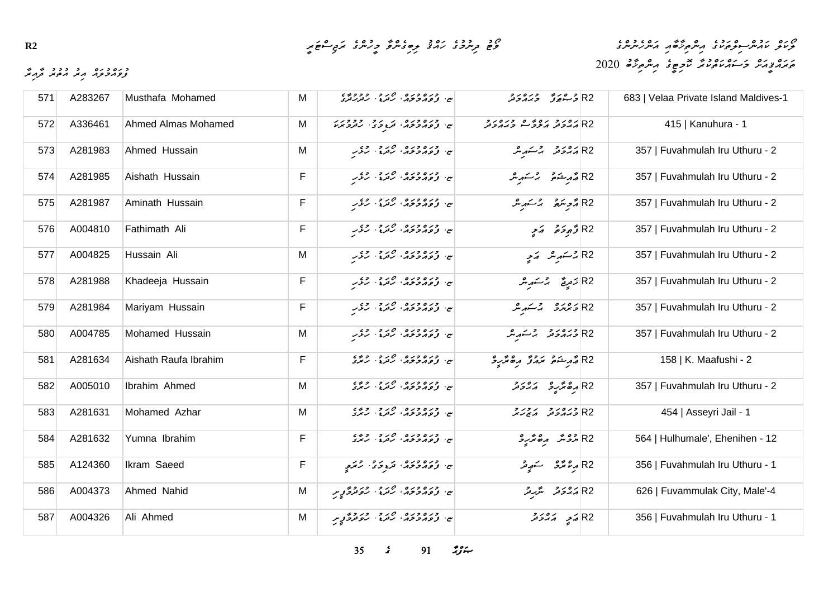*sCw7q7s5w7m< o<n9nOoAw7o< sCq;mAwBoEw7q<m; wBm;vB 2020<sup>, م</sup>وسوق المسجد التحقيق وسرمونية والم*جمع المسجد المسجد المسجد المسجد المسجد المسجد المسجد المسجد المسجد ال

| 571 | A283267 | Musthafa Mohamed           | M | ر وره وره صرح وودي<br>سي- توجه <i>وح</i> ها مرتوع ماتو <i>ر تور</i> | R2 ۋېبوتو دېرونې                         | 683   Velaa Private Island Maldives-1 |
|-----|---------|----------------------------|---|---------------------------------------------------------------------|------------------------------------------|---------------------------------------|
| 572 | A336461 | <b>Ahmed Almas Mohamed</b> | M | ים "ציפוריכות" בגיב בדי הברביניו                                    | R2 גזכת גפל כ 2005 ב                     | 415   Kanuhura - 1                    |
| 573 | A281983 | Ahmed Hussain              | M | ے ووروورو مرد دی۔<br>س ووروفرہ رنزلی رؤپ                            | R2 كەبرى بىر بەسكەر بىر                  | 357   Fuvahmulah Iru Uthuru - 2       |
| 574 | A281985 | Aishath Hussain            | F | ے ووروورو مرد وي<br>سي ووروفرد ريزي رو                              | R2 مەم شەقىر بىر شەم بىر                 | 357   Fuvahmulah Iru Uthuru - 2       |
| 575 | A281987 | Aminath Hussain            | F | ים נפחבבתי לנגב לע                                                  | R2 مُ <i>جِي مَدْهِ بِيُ سَنْهِ مِدْ</i> | 357   Fuvahmulah Iru Uthuru - 2       |
| 576 | A004810 | Fathimath Ali              | F | ים נפחבבתי לנגב לע                                                  | R2 وَّجِوحَةً صَعٍ                       | 357   Fuvahmulah Iru Uthuru - 2       |
| 577 | A004825 | Hussain Ali                | M | ے وہ دورہ مرد دی۔<br>س وہ دوخہ رتب رتب                              | R2  پرستمبریش م <i>ہ پ</i> ر             | 357   Fuvahmulah Iru Uthuru - 2       |
| 578 | A281988 | Khadeeja Hussain           | F | ים נפחבבתי לנגב לע                                                  | R2  كَتَمِيعٌ    إِيْسَتَهْرِيْشْ  R2    | 357   Fuvahmulah Iru Uthuru - 2       |
| 579 | A281984 | Mariyam Hussain            | F | ים נפחבבתי לנגב לע                                                  | R2 كالمحكم مركز بالتسمير مثل             | 357   Fuvahmulah Iru Uthuru - 2       |
| 580 | A004785 | Mohamed Hussain            | м | ے ووروورو مرد دی۔<br>س ووروفرہ رنزلی رؤپ                            | R2 32023 كريمبر مر                       | 357   Fuvahmulah Iru Uthuru - 2       |
| 581 | A281634 | Aishath Raufa Ibrahim      | F | ים - 2005 בים המיד - 2005<br>ים - 30,29,2007 - 2007                 | R2 مەم شىم ئىمەتى مەھ ئىر د              | 158   K. Maafushi - 2                 |
| 582 | A005010 | Ibrahim Ahmed              | M | ر وره وره همرو و وي<br>سي وحدو وير كري كري                          | R2 مەھەر بەر مەردىر                      | 357   Fuvahmulah Iru Uthuru - 2       |
| 583 | A281631 | Mohamed Azhar              | M | יה נפח כנס ימנד בשה<br>יה נפח כיכחי מנגד מינד                       | R2 ورەرو كەيزىر                          | 454   Asseyri Jail - 1                |
| 584 | A281632 | Yumna Ibrahim              | F | ישי צפחפיקים ומקור בשט<br>ישי צפחבי <i>ק</i> ה' הנגז ההב            | R2 الرَّدْ مَشْرِ مِنْ مِنْ الْمَرْدِ حَ | 564   Hulhumale', Ehenihen - 12       |
| 585 | A124360 | Ikram Saeed                | F | سي وره وره در دو در                                                 | R2 مرع مُرَّدَّ مسکور مَر                | 356   Fuvahmulah Iru Uthuru - 1       |
| 586 | A004373 | Ahmed Nahid                | M | س وره وره هم در ور دور.<br>س وه د د د د  مورد و بر                  | R2 كەبرى قىر شەرقى                       | 626   Fuvammulak City, Male'-4        |
| 587 | A004326 | Ali Ahmed                  | M | س وره وره هم در ور دور.<br>س وه د د د د  مورد و بر                  | R2   كەبىي كەندى قىر                     | 356   Fuvahmulah Iru Uthuru - 1       |

*n8o<n@ q8qAq< q8o< w<mBq>w<m=q?*

**35** *s* 91 *n***<sub>y</sub>** *s*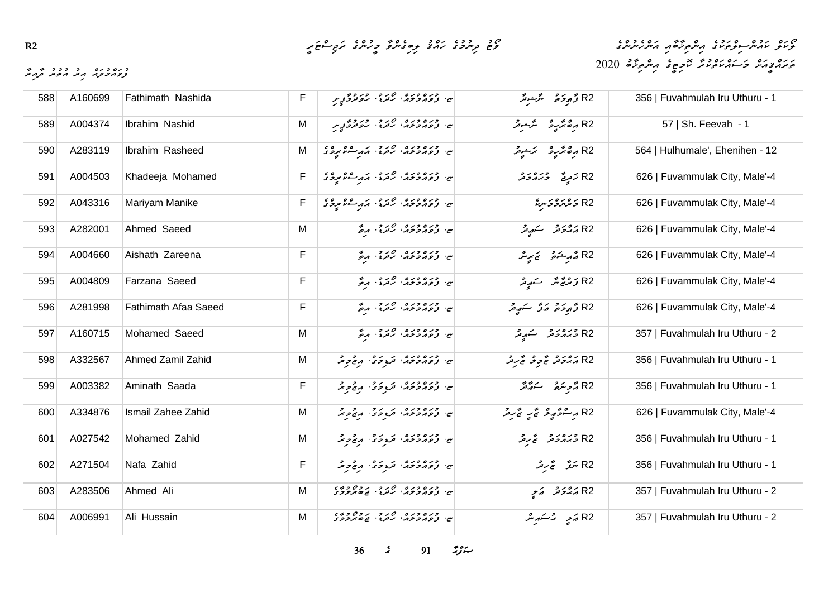*sCw7q7s5w7m< o<n9nOoAw7o< sCq;mAwBoEw7q<m; wBm;vB 2020<sup>, م</sup>وسوق المسجد التحقيق وسرمونية والم*جمع المسجد المسجد المسجد المسجد المسجد المسجد المسجد المسجد المسجد ال

| A160699 | Fathimath Nashida           | F           | ים " צ'פחביבה " בניביב בי בניב".                                                                                    | R2 <i>وَّجِوَدَة</i> مُرْسِيقَر             | 356   Fuvahmulah Iru Uthuru - 1 |
|---------|-----------------------------|-------------|---------------------------------------------------------------------------------------------------------------------|---------------------------------------------|---------------------------------|
| A004374 | Ibrahim Nashid              | M           | سي وره وره صدر ورود وريد<br>سي وهار د دارد رود ريد ورد و                                                            | R2 ب <i>ر&amp;نڈرِ \$ سُرْش</i> ون <i>ڈ</i> | 57   Sh. Feevah - 1             |
| A283119 | Ibrahim Rasheed             | M           | שי צפח כיבחי "מבשי הה ליטיק ביב                                                                                     | R2 مەھەمگەر تەسىم ئىشى <i>م</i>             | 564   Hulhumale', Ehenihen - 12 |
| A004503 | Khadeeja Mohamed            | $\mathsf F$ | ימי 2019 מים יותר מים מים כי האת השירות בי<br>ישי " ציפו <i>ת כי האים מים האי</i> ת האים מים מים מים מים בי האים בי |                                             | 626   Fuvammulak City, Male'-4  |
| A043316 | Mariyam Manike              | F           | ישי צפחפימים ישני די הקביטים מישי מידי בי<br>ישי צפח <i>ביב</i> תי געשי הקבי <del>ט</del>                           | R2 كەبەر <i>25 س</i> رىئە                   | 626   Fuvammulak City, Male'-4  |
| A282001 | Ahmed Saeed                 | M           | י ניסינים היו יילי הי                                                                                               | R2, كەبىر ئەر سىمبەر ئىس                    | 626   Fuvammulak City, Male'-4  |
| A004660 | Aishath Zareena             | F           | ים נפח כנס ים נביא הם.<br>ישי נפח כיכה יענשי הם.                                                                    | R2 مۇم شۇمۇس ئىم بېرىتىر                    | 626   Fuvammulak City, Male'-4  |
| A004809 | Farzana Saeed               | F           | כנסכנס מנכים<br>ישי נפגביבגי נעשי גם                                                                                | R2 ئۈترىچە شەھەر شەھەر                      | 626   Fuvammulak City, Male'-4  |
| A281998 | <b>Fathimath Afaa Saeed</b> | F           | י ניסינים יוני<br>יי נפגביבג' נינו גם                                                                               | R2 وَّجِوحَةً صَوَّ سَهِيمَ                 | 626   Fuvammulak City, Male'-4  |
| A160715 | Mohamed Saeed               | M           | כנסכנס ימנכי הם.<br>ישי נפגביבגי נעשי הם.                                                                           | R2 <i>2222 سكونتر</i>                       | 357   Fuvahmulah Iru Uthuru - 2 |
| A332567 | <b>Ahmed Zamil Zahid</b>    | M           | سي وره وره کرد ورځ ورځ د لر                                                                                         | R2 كەردى قى ئارىتى تەرىتى                   | 356   Fuvahmulah Iru Uthuru - 1 |
| A003382 | Aminath Saada               | F           | יזי נכתככתי תוכלי תגבת                                                                                              | R2 مُجِسَعَةٍ سَفَرَةٌ مُنْ                 | 356   Fuvahmulah Iru Uthuru - 1 |
| A334876 | Ismail Zahee Zahid          | M           | יזי צפורכבולי בשבבי ושכיב                                                                                           | R2 مرڪومچريڪ گچ پاڻچ پروگر                  | 626   Fuvammulak City, Male'-4  |
| A027542 | Mohamed Zahid               | M           | שי לפחבבתי בגובלי תלביל                                                                                             | R2 \$ پرو د مح بر قر                        | 356   Fuvahmulah Iru Uthuru - 1 |
| A271504 | Nafa Zahid                  | F           | שי צפחכבתי נגובלי תשקיל                                                                                             | R2 سَمَدٌ تَجْرِيمُرٌ                       | 356   Fuvahmulah Iru Uthuru - 1 |
| A283506 | Ahmed Ali                   | M           | ימי רגס כגם המגב הכל כבה<br>ימי צפוגביבוג' הנגב המשיבות ב                                                           | R2 كەندى ھەمبە                              | 357   Fuvahmulah Iru Uthuru - 2 |
| A006991 | Ali Hussain                 | M           | י נים כים הריי ייכה ביט ביט<br>ישי צפורביבורי ייכה - ביט ביבביב                                                     | R2 <i>ڇَجِي پُرڪوپنگ</i> ر                  | 357   Fuvahmulah Iru Uthuru - 2 |
|         |                             |             |                                                                                                                     |                                             |                                 |

*n8o<n@ q8qAq< q8o< w<mBq>w<m=q?*

**36** *s* 91 *if***<sub>i</sub>**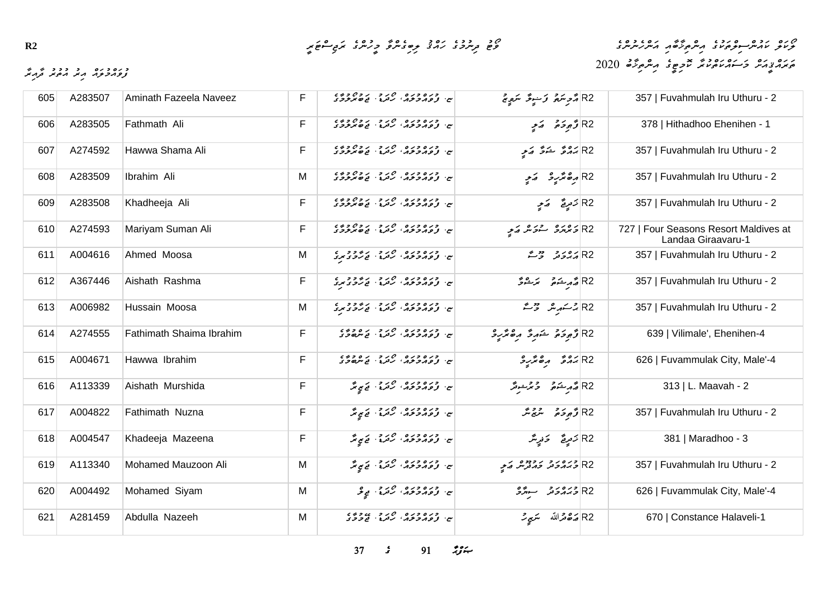*sCw7q7s5w7m< o<n9nOoAw7o< sCq;mAwBoEw7q<m; wBm;vB 2020<sup>, م</sup>وسر در مدد مدرج به مدرم مقرم قرار 2020*<br>موسر المستقرم المستقرم المستقرم المستقرم المستقرم المستقرم المستقرم المستقرم المستقرم المستقرم المستقرم المستقر

| 605 | A283507 | Aminath Fazeela Naveez   | F | - כנס כנס - הנכ"ד ביט כני<br>ישי צפונביבוני "ניט ביש ביביבי                                                                                                                                                                      | R2 مٌ <i>وِ سَمْۃُ</i> تَرْسِوَّدُ سَمِوِیْ       | 357   Fuvahmulah Iru Uthuru - 2                             |
|-----|---------|--------------------------|---|----------------------------------------------------------------------------------------------------------------------------------------------------------------------------------------------------------------------------------|---------------------------------------------------|-------------------------------------------------------------|
| 606 | A283505 | Fathmath Ali             | F | ים - כנסכנס - סנכ"ר ביסיביבי<br>ישי <sub>ב</sub> פג <i>ביבג'</i> נבנג' ביסיביביבי                                                                                                                                                | R2 وَج <i>وحَ</i> هُ صَعِ                         | 378   Hithadhoo Ehenihen - 1                                |
| 607 | A274592 | Hawwa Shama Ali          | F | - כנס כנס - הנכ"ד ביט כני<br>ישי <sub>ה</sub> כמכי <i>כ</i> ת' לעש - פיסיניפיב                                                                                                                                                   | R2 بَرْيْرٌ صَوَّ <sub>ض</sub> َعِ                | 357   Fuvahmulah Iru Uthuru - 2                             |
| 608 | A283509 | Ibrahim Ali              | M | 142021 210 212012<br>"2" ג'סמכימה' "מנג" בסמיכבי                                                                                                                                                                                 | R2 مەھم <i>گى</i> رى مەم                          | 357   Fuvahmulah Iru Uthuru - 2                             |
| 609 | A283508 | Khadheeja Ali            | F |                                                                                                                                                                                                                                  | R2  زَمرِيحٌ – رَمٍ                               | 357   Fuvahmulah Iru Uthuru - 2                             |
| 610 | A274593 | Mariyam Suman Ali        | F | י נים נים ים יידי נים נים.<br>ישי נפח ביבחי ייני ביש ביבוד                                                                                                                                                                       | R2 <i>وَجُهُرُوْ سُؤَيْرٌ مَ</i> عِ               | 727   Four Seasons Resort Maldives at<br>Landaa Giraavaru-1 |
| 611 | A004616 | Ahmed Moosa              | M | مع : وره وره مصر و مرد و و ع<br>مع : فی هم حراه محمد محمد الله الله الله عليه الله عليه الله عليه الله عليه الله عليه الله عليه الله                                                                                             | $23.527$ R2                                       | 357   Fuvahmulah Iru Uthuru - 2                             |
| 612 | A367446 | Aishath Rashma           | F |                                                                                                                                                                                                                                  | R2 مُجم <i>ِّسْتَمْ بَرَسْتْ</i> دَّرَّ           | 357   Fuvahmulah Iru Uthuru - 2                             |
| 613 | A006982 | Hussain Moosa            | M |                                                                                                                                                                                                                                  | R2 پر شہر شرح میں ت                               | 357   Fuvahmulah Iru Uthuru - 2                             |
| 614 | A274555 | Fathimath Shaima Ibrahim | F | ישי צפח בינס יישוב - יינס ביני<br>ישי צפח ביבחי יינגי - ביינס בינ                                                                                                                                                                | R2 زُب <i>وِدَة</i> شَهرةُ ب <i>رە تُرْب</i> رَدُ | 639   Vilimale', Ehenihen-4                                 |
| 615 | A004671 | Hawwa Ibrahim            | F | س وره وره همرو محمد و دره<br>سي وحدد وحمد محمد في محمد المحمد                                                                                                                                                                    | R2 بَرْمَرَّةَ مِنْ مِرْرِدْ                      | 626   Fuvammulak City, Male'-4                              |
| 616 | A113339 | Aishath Murshida         | F | ەرەدرە مەدەبەر<br>س ۋەمەدىمە كىرە ئىي                                                                                                                                                                                            | R2 مُرِسْدَة وَكَرْسْدِسَّ                        | 313   L. Maavah - 2                                         |
| 617 | A004822 | Fathimath Nuzna          | F | دره دره ۵٫۰۵ م.<br>۳۰ زود د دره کرد و نمی نگ                                                                                                                                                                                     | R2 تَ <i>وجود من شي</i>                           | 357   Fuvahmulah Iru Uthuru - 2                             |
| 618 | A004547 | Khadeeja Mazeena         | F | ەرەدرە مەدەبەر<br>س ۋەمەدىمە كىرە ئىي                                                                                                                                                                                            | R2 كَتَرِيعٌ = كَفِرِيثَرُ                        | 381   Maradhoo - 3                                          |
| 619 | A113340 | Mohamed Mauzoon Ali      | M | ح ده دره صدد می در در در نظام به تنگیر برگزاری برگزاری برگزاری برگزاری برگزاری برگزاری به تنگزاری به تنگزاری ب<br>برگزاری به تنگزاری برگزاری به تنگزاری به تنگزاری برگزاری برگزاری به تنگزاری به تنگزاری به تنگزاری به تنگزاری ب | R2 و پره د و پرووه مربع                           | 357   Fuvahmulah Iru Uthuru - 2                             |
| 620 | A004492 | Mohamed Siyam            | M | ەرە دىرە بەرد.<br>س زەمەدىمە، رىرد - يى                                                                                                                                                                                          | R2 <i>322.5 باند</i> و                            | 626   Fuvammulak City, Male'-4                              |
| 621 | A281459 | Abdulla Nazeeh           | M |                                                                                                                                                                                                                                  | R2 مَەھىراللە سَرىپى <sup>2</sup>                 | 670   Constance Halaveli-1                                  |

*n8o<n@ q8qAq< q8o< w<mBq>w<m=q?*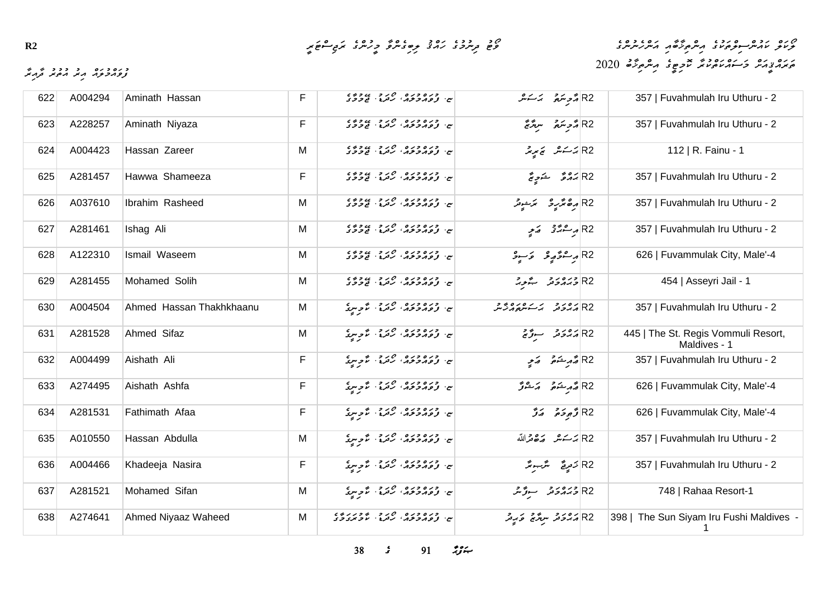*sCw7q7s5w7m< o<n9nOoAw7o< sCq;mAwBoEw7q<m; wBm;vB 2020<sup>, م</sup>وسوق المسجد التحقيق وسرمونية والم*جمع المسجد المسجد المسجد المسجد المسجد المسجد المسجد المسجد المسجد ال

| 622 | A004294 | Aminath Hassan           | F | ים - כמה כמה המידה - המידה בידיקי -<br>ישי - ניפחי <i>דיכ</i> ה - מידה - "בידיקיב | R2 گەجەتتىھ – ئەسكەنلە                 | 357   Fuvahmulah Iru Uthuru - 2                     |
|-----|---------|--------------------------|---|-----------------------------------------------------------------------------------|----------------------------------------|-----------------------------------------------------|
| 623 | A228257 | Aminath Niyaza           | F | כנס כנס יוני יוני ביון<br>ישי נפח כבחי לנגז יב כבצ                                | R2 أُمُّ حِرْسَةً مِسْرَنَّةً          | 357   Fuvahmulah Iru Uthuru - 2                     |
| 624 | A004423 | Hassan Zareer            | M | وره وره صرح عدد عدد دره<br>سی توجه حرحه کردنی تحریری                              | R2  پرستمبر کا پر پر                   | 112   R. Fainu - 1                                  |
| 625 | A281457 | Hawwa Shameeza           | F | כנס כנס יוני יוני ביון<br>ישי נפח כבחי לנגז יב כבצ                                | R2   يَهُمُّ شَجِيعٌ                   | 357   Fuvahmulah Iru Uthuru - 2                     |
| 626 | A037610 | Ibrahim Rasheed          | M | ים - כמה כמה המידה - המידה בידיקי -<br>ישי - ניפחי <i>דיכ</i> ה - מידה - "בידיקיב | R2 ر <i>ے پڑر و</i> بر <sub>شو</sub> ر | 357   Fuvahmulah Iru Uthuru - 2                     |
| 627 | A281461 | Ishag Ali                | M | ים - כים כים - סייב - הם כים ב<br>ישי - צפח כיבה - "מעש" - שכיב ב                 | R2 م س <sup>م</sup> پر تخته که تخی     | 357   Fuvahmulah Iru Uthuru - 2                     |
| 628 | A122310 | Ismail Waseem            | M | وره وره صرح عدد عدد دره<br>سی توجه حرحه کردنی تحریری                              | R2  مرےوً <i>م</i> وٹھ کے سور          | 626   Fuvammulak City, Male'-4                      |
| 629 | A281455 | Mohamed Solih            | M | כנס כנס ייניק ומיכילי<br>יין נפח כיכה' ליטוב ומיכילי                              | R2 <i>جەممى بىر سىگو</i> ر             | 454   Asseyri Jail - 1                              |
| 630 | A004504 | Ahmed Hassan Thakhkhaanu | M | دره دره ۵٫۰۵ ورو .<br>س- زورونور، رس: ناوس                                        | R2 رورو بر مورود تهر                   | 357   Fuvahmulah Iru Uthuru - 2                     |
| 631 | A281528 | Ahmed Sifaz              | M | ے ورودرو، مرد عربری                                                               | R2 كەندۇقر سو <i>ۋى</i> ج              | 445   The St. Regis Vommuli Resort,<br>Maldives - 1 |
| 632 | A004499 | Aishath Ali              | F | ے ورودورو، مرد عمر دی                                                             | R2 مُجم <i>دِ شَمَعِ</i> مَعِ          | 357   Fuvahmulah Iru Uthuru - 2                     |
| 633 | A274495 | Aishath Ashfa            | F | ے ورہ درہ گردی ہے۔                                                                | R2 مۇم شۇ مۇشۇ ئىش                     | 626   Fuvammulak City, Male'-4                      |
| 634 | A281531 | Fathimath Afaa           | F | ے ورودوں مرد ہوئے                                                                 | R2 وَّجِعَةٌ صَوَّرَ                   | 626   Fuvammulak City, Male'-4                      |
| 635 | A010550 | Hassan Abdulla           | M | ے ورودورو، مرد عمر دی                                                             | R2 بَرَسَمَّتْرِ بِرَصْحَرَاللَّهُ     | 357   Fuvahmulah Iru Uthuru - 2                     |
| 636 | A004466 | Khadeeja Nasira          | F | ے ورودرو ورد بارد کے بارگ                                                         | R2 كَتَرِيعٌ = مُدْسِومٌ               | 357   Fuvahmulah Iru Uthuru - 2                     |
| 637 | A281521 | Mohamed Sifan            | M | ے ورہ درہ گردی گے۔                                                                | R2 <i>دېم دولا</i> سوگېنل              | 748   Rahaa Resort-1                                |
| 638 | A274641 | Ahmed Niyaaz Waheed      | M | - כנס כנס - הנכ"ד בנינים<br>ישי <sub>ה</sub> פחב <i>יב</i> ה' לבנשי שבינובים      | R2 كەندى كە ئەيدىگى ھەرپىد             | 398   The Sun Siyam Iru Fushi Maldives -            |

*n8o<n@ q8qAq< q8o< w<mBq>w<m=q?*

**38** *s* 91 *if***<sub>i</sub>**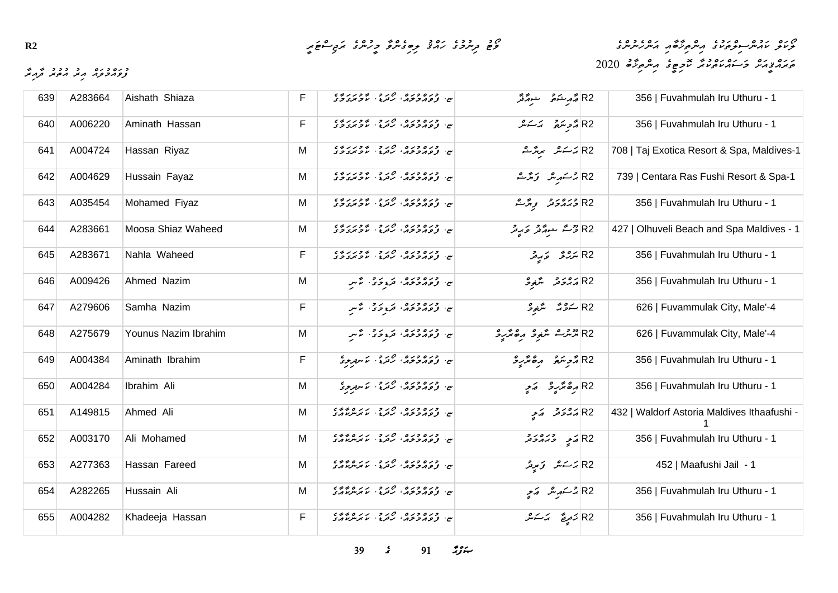*sCw7q7s5w7m< o<n9nOoAw7o< sCq;mAwBoEw7q<m; wBm;vB* م من المسجد المسجد المسجد المسجد المسجد العام 2020<br>مسجد المسجد المسجد المسجد المسجد المسجد المسجد المسجد المسجد ال

| 639 | A283664 | Aishath Shiaza       | F | - כנס כנס - הנכ"ד בנינים<br>ישי "ציפומביצומי" נשמש שכמבים ב                                                                                                                                                                      | R2 مُرمِسْمَعُ مُسِرَّمَتْرَ         | 356   Fuvahmulah Iru Uthuru - 1             |
|-----|---------|----------------------|---|----------------------------------------------------------------------------------------------------------------------------------------------------------------------------------------------------------------------------------|--------------------------------------|---------------------------------------------|
| 640 | A006220 | Aminath Hassan       | F | - כנס כנס - הנכ"ד בנינים<br>ישי צפח ביבחי "ניטוב" שביבביב                                                                                                                                                                        | R2 مَّحْرِسَمَّةَ مَرَسَسْ           | 356   Fuvahmulah Iru Uthuru - 1             |
| 641 | A004724 | Hassan Riyaz         | M | יז נים כנס ים גב ובכניבים.<br>ישי נפח ביבחי לטבי יוביינדים                                                                                                                                                                       | R2   پرسٹر مرمر شہ                   | 708   Taj Exotica Resort & Spa, Maldives-1  |
| 642 | A004629 | Hussain Fayaz        | M | ים: 1975 בינים יולים בינים בינים בינים בינים בינים בינים בינים בינים בינים בינים בינים בינים בינים בינים בינים<br>בינים בינים בינים בינים בינים בינים בינים בינים בינים בינים בינים בינים בינים בינים בינים בינים בינים בינים בי | R2  پرستمبر ترتگرشہ                  | 739   Centara Ras Fushi Resort & Spa-1      |
| 643 | A035454 | Mohamed Fiyaz        | M | ים: 1975 סיכום יסיכון 1976.<br>יש: 1975 שלטיל ישרא משיכות 1975                                                                                                                                                                   | R2  <i>وټرونو ویڅ</i> ش              | 356   Fuvahmulah Iru Uthuru - 1             |
| 644 | A283661 | Moosa Shiaz Waheed   | M | ישי "ציפורים" ביטרי שיפינדים ביידוריים<br>ישי "ציפורים בירוח" ביידוריים ביידוריים ביידוריים                                                                                                                                      | R2 ترْتُ حَبِيرٌ وَبِيتْر            | 427   Olhuveli Beach and Spa Maldives - 1   |
| 645 | A283671 | Nahla Waheed         | F | - כנס כנס - היה - יכני ביביא<br>ישי - צפח ביבחי - נבנג - יל ביביא בי                                                                                                                                                             | R2   يَرْدُقُ - وَرِيْرُ             | 356   Fuvahmulah Iru Uthuru - 1             |
| 646 | A009426 | Ahmed Nazim          | M | س- ورەورە، تروترى- ئاس                                                                                                                                                                                                           |                                      | 356   Fuvahmulah Iru Uthuru - 1             |
| 647 | A279606 | Samha Nazim          | F | ى دوەددە، ترەۋى ئەس                                                                                                                                                                                                              | R2 سَرْحَة مَّتَّبِهِ حَ             | 626   Fuvammulak City, Male'-4              |
| 648 | A275679 | Younus Nazim Ibrahim | M | سي- وره وره ، در ورو- رشمبر                                                                                                                                                                                                      | R2 الرسرے متنبر 3 ارکھ تربر 2        | 626   Fuvammulak City, Male'-4              |
| 649 | A004384 | Aminath Ibrahim      | F | سي وره وره مرد کا سربر و کا                                                                                                                                                                                                      | R2 أُمُّ مِسْمَعٌ مِنْ مُحَمَّدِ فِي | 356   Fuvahmulah Iru Uthuru - 1             |
| 650 | A004284 | Ibrahim Ali          | M | سي وره وره مهرو.<br>سي وحدد وحد محدث مستبرع                                                                                                                                                                                      | R2 مەھەر بۇ ھەمپە                    | 356   Fuvahmulah Iru Uthuru - 1             |
| 651 | A149815 | Ahmed Ali            | M | י כנס כנס ימנד נגס מיטים<br>ישי צפוניבינו, ניטי עינוניינו                                                                                                                                                                        | R2   <i>كەبۇجۇ كەنچ</i>              | 432   Waldorf Astoria Maldives Ithaafushi - |
| 652 | A003170 | Ali Mohamed          | M | ישי צפחביבה' ישני - ייני סיביבי<br>ישי צפחביבה' ישני - יוינייניוני                                                                                                                                                               | R2  جَرِم = 25,25 كَر                | 356   Fuvahmulah Iru Uthuru - 1             |
| 653 | A277363 | Hassan Fareed        | M | - כנסכנס - הנכ"ג נעספים<br>ישי <sub>ה</sub> פג <i>ביב</i> ג'י נשג יש מינואג                                                                                                                                                      | R2  پرسترسی کی مریتر                 | 452   Maafushi Jail - 1                     |
| 654 | A282265 | Hussain Ali          | M | ישי צפחביבה' כנד נינים בבי<br>ישי צפחביבה' נינג ייני מיניוני                                                                                                                                                                     | R2  پرستمبر م <i>گرم</i> ج           | 356   Fuvahmulah Iru Uthuru - 1             |
| 655 | A004282 | Khadeeja Hassan      | F | - כנסכנס יסנכ - ננספט<br>שי צפונכי <i>ב</i> ולי לנגר - מינימאומי                                                                                                                                                                 | R2  زَمرِيحٌ = بَرَسَرْرٌ            | 356   Fuvahmulah Iru Uthuru - 1             |

*n8o<n@ q8qAq< q8o< w<mBq>w<m=q?*

**39** *s* 91 *n***<sub>s</sub>**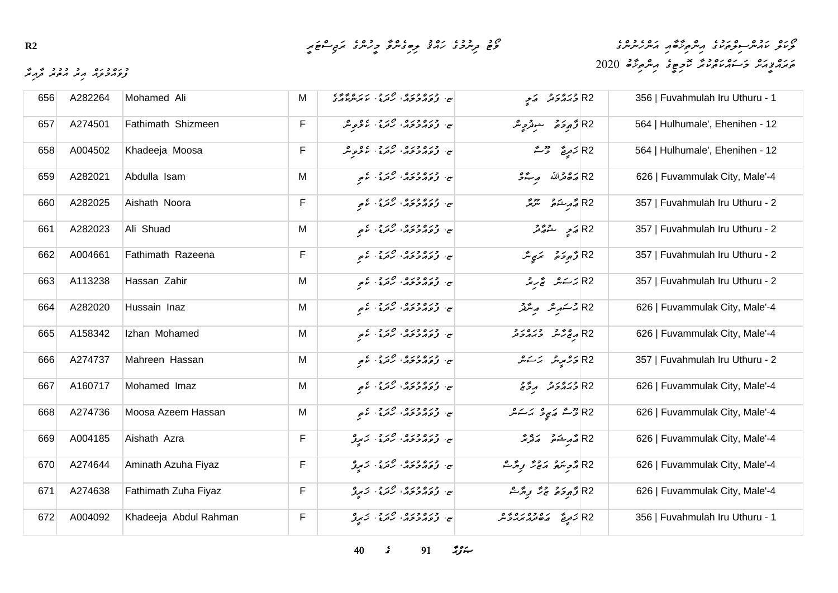*sCw7q7s5w7m< o<n9nOoAw7o< sCq;mAwBoEw7q<m; wBm;vB 2020<sup>, م</sup>وسر در مدد مدرج به مدرم مقرم قرار 2020*<br>موسر المستقرم المستقرم المستقرم المستقرم المستقرم المستقرم المستقرم المستقرم المستقرم المستقرم المستقرم المستقر

| 656 | A282264 | Mohamed Ali           | M | - כנסכנס ימנכ - ננספים<br>ישי נפחביבתי לבגר - מיבייטוב                                                                                         | R2  <i>وټرونو ټ</i> و                               | 356   Fuvahmulah Iru Uthuru - 1 |
|-----|---------|-----------------------|---|------------------------------------------------------------------------------------------------------------------------------------------------|-----------------------------------------------------|---------------------------------|
| 657 | A274501 | Fathimath Shizmeen    | F | س وره وره صرو وه<br>سي وحمد حرم كرم لا لا لوح ش                                                                                                | R2  <i>وَّمُوحَمَّى حَبِّوْرُوٍ</i> سُر             | 564   Hulhumale', Ehenihen - 12 |
| 658 | A004502 | Khadeeja Moosa        | F | ے ورودرو مرد عوض                                                                                                                               | R2 أَرَمَّرِجٌ مُتَحَبِّدُ الْمُتَحَبَّدُ           | 564   Hulhumale', Ehenihen - 12 |
| 659 | A282021 | Abdulla Isam          | M | כנסכנס הנכים<br>ישי נפגביבגי לנגלי עם                                                                                                          | R2 مَرْحَمْرَاللَّهُ مِجْرَحْرِ                     | 626   Fuvammulak City, Male'-4  |
| 660 | A282025 | Aishath Noora         | F | وره وره به رو ع<br>سي توحدو وحد کردني کوه ح                                                                                                    | R2 مەم شىم ھەم ئىتىمگر                              | 357   Fuvahmulah Iru Uthuru - 2 |
| 661 | A282023 | Ali Shuad             | M | כנסכנס הנכים<br>ישי נפגביבגי לנגל יום                                                                                                          | R2 كەمچە سەمگەنتر                                   | 357   Fuvahmulah Iru Uthuru - 2 |
| 662 | A004661 | Fathimath Razeena     | F | ה כנסכנס הנכ.<br>ה נפחביבה <sup>,</sup> נעש עם                                                                                                 | R2 زَّج <i>وحَ</i> هُمَ سَمَى مَدَّ                 | 357   Fuvahmulah Iru Uthuru - 2 |
| 663 | A113238 | Hassan Zahir          | M | ים יציפ מכנס יישוב בין היים.<br>יישוב אי איני מיישוב היים ליישוב בין ליישוב ליישוב בין ליישוב בין ליישוב בין ליישוב ליישוב בין ליישוב ליישוב ל | R2  پرسترس گمج ریز                                  | 357   Fuvahmulah Iru Uthuru - 2 |
| 664 | A282020 | Hussain Inaz          | M | ح د و د د و د ه د د .<br>س زوارو نواد، رس . ماه                                                                                                | R2 برسمبر شهر میکنگر                                | 626   Fuvammulak City, Male'-4  |
| 665 | A158342 | Izhan Mohamed         | M | وره وره به رو ع<br>سي توحدو وحد کردني کوه ح                                                                                                    | R2 مەڭ ئەرەبەد                                      | 626   Fuvammulak City, Male'-4  |
| 666 | A274737 | Mahreen Hassan        | M | ح د و د د و د ه د د .<br>س زوارو نواد، رس . ماه                                                                                                | R2   ئۇرىمىر كەسكەنلە                               | 357   Fuvahmulah Iru Uthuru - 2 |
| 667 | A160717 | Mohamed Imaz          | M | כנסכנס הנכים<br>ישי נפגביבגי לנגלי עם                                                                                                          | $\vec{z}$ $\vec{z}$ $\sim$ $\vec{z}$ $\approx$ $R2$ | 626   Fuvammulak City, Male'-4  |
| 668 | A274736 | Moosa Azeem Hassan    | M | כנסכנס הנכים<br>ישי נפגביבגי לנגלי עם                                                                                                          | R2 رُحْتُ <sub>مَبْو</sub> ِوْ بَرْسَسْ             | 626   Fuvammulak City, Male'-4  |
| 669 | A004185 | Aishath Azra          | F | ەرەدىرە مەدە.<br>س ۋەمەدىمە، رىرە شىرى                                                                                                         | R2 مەم ئىشقى مەنى <i>رىتى</i>                       | 626   Fuvammulak City, Male'-4  |
| 670 | A274644 | Aminath Azuha Fiyaz   | F | ے ۔ وہ ووہ صدور کریں ۔                                                                                                                         | R2 مَّ <i>جِ سَمَّةَ مَنْ جَ وِ مَّ</i> تْ و        | 626   Fuvammulak City, Male'-4  |
| 671 | A274638 | Fathimath Zuha Fiyaz  | F | ے وہ دورہ مرد کے برو                                                                                                                           | R2 <i>وَّجِودَة بِيَّرَّ وِجَ</i> ّتَ               | 626   Fuvammulak City, Male'-4  |
| 672 | A004092 | Khadeeja Abdul Rahman | F | ے ۔ وہ دورہ ۔ ورو ۔ زیرو                                                                                                                       | R2 دَمرِيحَ بِهُ 2010 مِرْدَ مَرَّ                  | 356   Fuvahmulah Iru Uthuru - 1 |

*n8o<n@ q8qAq< q8o< w<mBq>w<m=q?*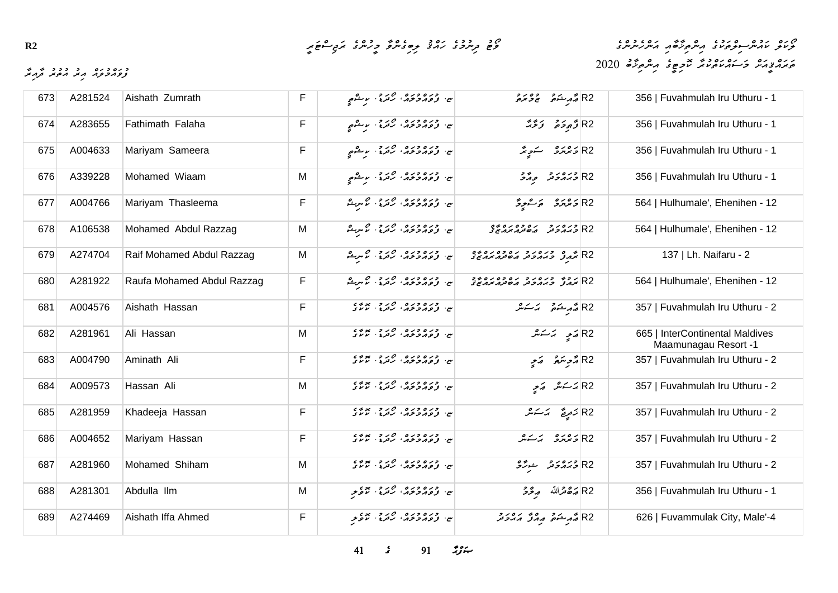*sCw7q7s5w7m< o<n9nOoAw7o< sCq;mAwBoEw7q<m; wBm;vB 2020<sup>, م</sup>وسر در مدد مدرج به مدرم مقرم قرار 2020*<br>موسر المستقرم المستقرم المستقرم المستقرم المستقرم المستقرم المستقرم المستقرم المستقرم المستقرم المستقرم المستقر

| 673 | A281524 | Aishath Zumrath            | F           | سي- وره ووره، صدح- ب <sub>و</sub> شو <sub>مج</sub>                                                                                                                                                                               | R2 مەم شەم سى <i>جى تىرى</i>          | 356   Fuvahmulah Iru Uthuru - 1                         |
|-----|---------|----------------------------|-------------|----------------------------------------------------------------------------------------------------------------------------------------------------------------------------------------------------------------------------------|---------------------------------------|---------------------------------------------------------|
| 674 | A283655 | Fathimath Falaha           | F           | س- وره وره مصرح<br>س- توجه وخهر، رس - رس - ره -                                                                                                                                                                                  | R2 تَ <i>مُّوِحَمْ    تَرَخَّدُ</i> ّ | 356   Fuvahmulah Iru Uthuru - 1                         |
| 675 | A004633 | Mariyam Sameera            | F           | ح ده وره صدو<br>س- ژوپروتوپر، رس سيد باشو                                                                                                                                                                                        | R2  ترجمہور محمد سکو پر               | 356   Fuvahmulah Iru Uthuru - 1                         |
| 676 | A339228 | Mohamed Wiaam              | M           | ح ده وره صدو<br>س- زود <i>و وه</i> رتره - م <sub>ا</sub> شه <sub>ج</sub>                                                                                                                                                         | $3.2923$ R2                           | 356   Fuvahmulah Iru Uthuru - 1                         |
| 677 | A004766 | Mariyam Thasleema          | F           | س- وره وره مصرح مسرره<br>س- وحمد وحمد مستردي مسرره                                                                                                                                                                               | R2 كەتىر <i>ى</i> رى كەسىرىدىگر       | 564   Hulhumale', Ehenihen - 12                         |
| 678 | A106538 | Mohamed Abdul Razzag       | M           | س- وره وره مصرح مسرره<br>س- وحمد وحمد مستردي مسرره                                                                                                                                                                               |                                       | 564   Hulhumale', Ehenihen - 12                         |
| 679 | A274704 | Raif Mohamed Abdul Razzag  | M           | س وره وره صدوحي سر المس                                                                                                                                                                                                          | R2 شهر و ده ده د م ه ده ده و و        | 137   Lh. Naifaru - 2                                   |
| 680 | A281922 | Raufa Mohamed Abdul Razzag | F           | ح ده وره ه در و هم دره<br>س وورونور، رنوع، ناس                                                                                                                                                                                   | R2 بزور وره در ده ده ده بره بود       | 564   Hulhumale', Ehenihen - 12                         |
| 681 | A004576 | Aishath Hassan             | $\mathsf F$ | ים - 2005 ביטוח מידי ביטוח ביטוח ביטוח ביטוח ביטוח ביטוח ביטוח ביטוח ביטוח ביטוח ביטוח ביטוח ביטוח ביטוח ביטוח<br>ביטוח ביטוח ביטוח ביטוח ביטוח ביטוח ביטוח ביטוח ביטוח ביטוח ביטוח ביטוח ביטוח ביטוח ביטוח ביטוח ביטוח ביטוח בי | R2 مەم بىر ئەسكەنلەر R2               | 357   Fuvahmulah Iru Uthuru - 2                         |
| 682 | A281961 | Ali Hassan                 | M           | ים - כנס כנס - מניכן - מיטים<br>ישי <sub>ב</sub> פתכיכתי - מעש                                                                                                                                                                   | R2 كەيچە كەشكەنلەر                    | 665   InterContinental Maldives<br>Maamunagau Resort -1 |
| 683 | A004790 | Aminath Ali                | $\mathsf F$ | כנסכנס הנכי איני<br>ישי נפגביבג'י לנגר ישיב                                                                                                                                                                                      | R2 مُجرِسَعُو صَعِ                    | 357   Fuvahmulah Iru Uthuru - 2                         |
| 684 | A009573 | Hassan Ali                 | М           | ים - כנס כנס - מני מני מער.<br>ישי <sub>לפ</sub> תכ <i>יכ</i> ת' לנג - מער.                                                                                                                                                      | R2  ترسكر كم كمبر                     | 357   Fuvahmulah Iru Uthuru - 2                         |
| 685 | A281959 | Khadeeja Hassan            | F           | ים - כים כים - מים - מים - מים בי<br>ישי - ציפו <i>ת כיבת</i> י - מים - מים בי                                                                                                                                                   | R2 كَتَمِيعٌ = يَرْسَمْسُ             | 357   Fuvahmulah Iru Uthuru - 2                         |
| 686 | A004652 | Mariyam Hassan             | F           | כנסכנס הנכי איני<br>ישי נפגביבג'י לנגר ישיב                                                                                                                                                                                      | R2 كەنگەر <i>ە</i> بەكەنگە            | 357   Fuvahmulah Iru Uthuru - 2                         |
| 687 | A281960 | Mohamed Shiham             | M           |                                                                                                                                                                                                                                  | R2  <i>وټرونو جون</i> څو              | 357   Fuvahmulah Iru Uthuru - 2                         |
| 688 | A281301 | Abdulla Ilm                | M           | י ניסינים יוני מים<br>יי נפחביבה לעצי עפי                                                                                                                                                                                        | R2 رَصْحْرَاللَّهُ مِكْرَدَّ          | 356   Fuvahmulah Iru Uthuru - 1                         |
| 689 | A274469 | Aishath Iffa Ahmed         | F           | ے وروورو 200 مربع<br>سی توحدو ترکی رفرہ محو                                                                                                                                                                                      | R2 مُەستۇم مەدۇ مەددىر                | 626   Fuvammulak City, Male'-4                          |

*n8o<n@ q8qAq< q8o< w<mBq>w<m=q?*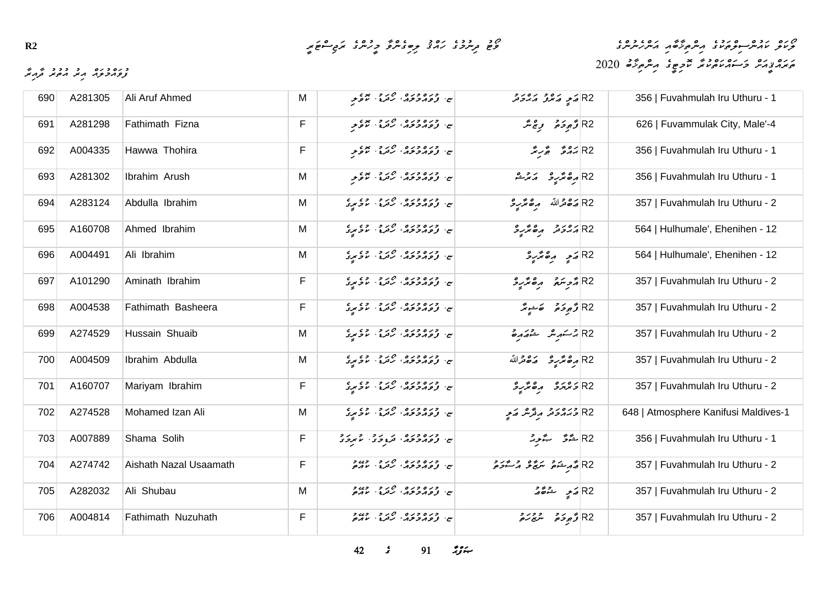*sCw7q7s5w7m< o<n9nOoAw7o< sCq;mAwBoEw7q<m; wBm;vB* م من المسجد المسجد المسجد المسجد المسجد العام 2020<br>مسجد المسجد المسجد المسجد المسجد المسجد المسجد المسجد المسجد ال

| 690 | A281305 | Ali Aruf Ahmed         | M           | כנסכנס הנכני<br>ישי נפגביבג' לנגז' איפיב                                  | R2 <i>ړې ډېرو ډېرونر</i>                        | 356   Fuvahmulah Iru Uthuru - 1      |
|-----|---------|------------------------|-------------|---------------------------------------------------------------------------|-------------------------------------------------|--------------------------------------|
| 691 | A281298 | Fathimath Fizna        | F           | כנסכנס הנכני<br>ישי נפגביבג' לנגז' איפיב                                  | R2 رَّج <i>وحَمَّة وِچ</i> مَّد                 | 626   Fuvammulak City, Male'-4       |
| 692 | A004335 | Hawwa Thohira          | F           | כנסכנס הנכני<br>ישי נפחביבה <sup>,</sup> נמשי עפיב                        | R2 بَرْدْءٌ پُوَرِيْدَ                          | 356   Fuvahmulah Iru Uthuru - 1      |
| 693 | A281302 | Ibrahim Arush          | M           | ים ני פריכה ליני יופי.<br>יי נפריכה ליני יופי                             | R2 مەھمگىر 12 مىرىشە                            | 356   Fuvahmulah Iru Uthuru - 1      |
| 694 | A283124 | Abdulla Ibrahim        | M           | دره دره ده.<br>س- ژومرونوم، رس: ۱۰ دندن                                   | R2 مَەقراللە مەھمَّر <i>ى</i> دۇ                | 357   Fuvahmulah Iru Uthuru - 2      |
| 695 | A160708 | Ahmed Ibrahim          | M           | כנס כנס יותר בכבר כל<br>ישי <sub>ה</sub> פחב <i>ב</i> חי לעצי עב יעש      | R2 <i>ג׳.כ د م ه مُرْرِ</i> دُ                  | 564   Hulhumale', Ehenihen - 12      |
| 696 | A004491 | Ali Ibrahim            | M           | כנסכנס הנבר כנס<br>ישי <sub>ל</sub> פחבי <i>בה</i> י לעשי עבי <i>י</i> נב | R2  رَمِ رِصْتَرِ وَ                            | 564   Hulhumale', Ehenihen - 12      |
| 697 | A101290 | Aminath Ibrahim        | F           | כנסכנס רינק ביט<br>ישי נפחבבהי לנגז ישביע                                 |                                                 | 357   Fuvahmulah Iru Uthuru - 2      |
| 698 | A004538 | Fathimath Basheera     | F           | دره دره ده.<br>س- ژومرونوم، رس: ۱۰ دندن                                   | R2 وَجِوحَة صَحْبِةً                            | 357   Fuvahmulah Iru Uthuru - 2      |
| 699 | A274529 | Hussain Shuaib         | M           | כנס כנס יותר בכבר כל<br>ישי <sub>ה</sub> פחב <i>ב</i> חי לעצי עב יעש      | R2 يُرْسَمَّهِ مَّثَّرَ مُشْهَرَهُ صَحْبَةِ مِ  | 357   Fuvahmulah Iru Uthuru - 2      |
| 700 | A004509 | Ibrahim Abdulla        | M           | כנסכנס מנכיכים<br>ישי צפונבבו, נעשי מבינב                                 | R2 م <i>وڭگرچ مەھ</i> تراللە                    | 357   Fuvahmulah Iru Uthuru - 2      |
| 701 | A160707 | Mariyam Ibrahim        | F           | כנסכנס הנכנים בניים<br>ישי נפחבבה' לנגז יובינים                           | R2 <i>جُهْرُو مُعْقَّدِوْ</i>                   | 357   Fuvahmulah Iru Uthuru - 2      |
| 702 | A274528 | Mohamed Izan Ali       | M           | כנס כנס יותר בכבר כל<br>ישי <sub>ה</sub> פחב <i>ב</i> חי לעצי עב יעש      | R2 وُيَرَە رَبَّحْ رَبَّعْ مَرَمٍّ              | 648   Atmosphere Kanifusi Maldives-1 |
| 703 | A007889 | Shama Solih            | $\mathsf F$ | ים "ריפוריכול" בגיב ברי עיתכיב                                            | R2 گُمُورُ جُمُورُ                              | 356   Fuvahmulah Iru Uthuru - 1      |
| 704 | A274742 | Aishath Nazal Usaamath | $\mathsf F$ | כנסכנס ימנכ" כגוב<br>ישי צפו <i>נכיב</i> ו, יטנג יאומים                   | R2 <sub>م</sub> ُم شَوْءِ مَرِيحَ مُرْ سُوءِ مُ | 357   Fuvahmulah Iru Uthuru - 2      |
| 705 | A282032 | Ali Shubau             | M           | ימי ניס כנס ימנד - 200<br>ישי נפח כיכה' מנגד - 2014                       | $222$ $\approx$ $\approx$ R2                    | 357   Fuvahmulah Iru Uthuru - 2      |
| 706 | A004814 | Fathimath Nuzuhath     | F           | כנסכנס הנכי כגוב<br>ישי צפו <i>בב</i> רוי נעשי מונים                      | R2 تُرجوحَ مُحَمَّدٍ مُحَمَّدٍ                  | 357   Fuvahmulah Iru Uthuru - 2      |

*n8o<n@ q8qAq< q8o< w<mBq>w<m=q?*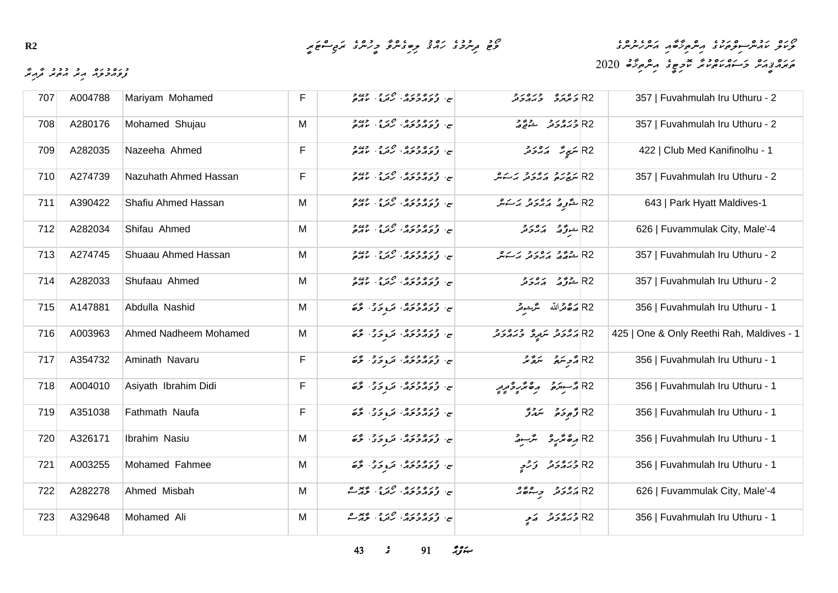*sCw7q7s5w7m< o<n9nOoAw7o< sCq;mAwBoEw7q<m; wBm;vB* م من المسجد المسجد المسجد المسجد المسجد العام 2020<br>مسجد المسجد المسجد المسجد المسجد المسجد المسجد المسجد المسجد ال

| 707 | A004788 | Mariyam Mohamed       | F |                                                                            | R2 كەبەرە يەرەبەر                                                                                              | 357   Fuvahmulah Iru Uthuru - 2           |
|-----|---------|-----------------------|---|----------------------------------------------------------------------------|----------------------------------------------------------------------------------------------------------------|-------------------------------------------|
| 708 | A280176 | Mohamed Shujau        | м | ים יציבת בינים מינים יותר.<br>ים ציבת ביבתי יינים יותרים                   | R2 32,322 شۇنج                                                                                                 | 357   Fuvahmulah Iru Uthuru - 2           |
| 709 | A282035 | Nazeeha Ahmed         | F | כנס כנס ימנים - כגוב<br>ישי צפו <i>ניביר</i> וי מבנ <del>י</del> יווקים    | R2 سَمِيرٌ      مَدْحَمْد                                                                                      | 422   Club Med Kanifinolhu - 1            |
| 710 | A274739 | Nazuhath Ahmed Hassan | F | כנסכנס ימנכ"<br>ישי צפו <i>נכיכ</i> ולי מנגר יוונים                        | R2 ىر <i>ج دى ئەرەبىر بەسكى</i> ر                                                                              | 357   Fuvahmulah Iru Uthuru - 2           |
| 711 | A390422 | Shafiu Ahmed Hassan   | M | כנסכנס ימנכ" בגזב<br>ישי צפו <i>בביב</i> ולי לבג <del>ז</del> יוודים       | R2 څوړ <i>ن ډرونو برخ</i> ش                                                                                    | 643   Park Hyatt Maldives-1               |
| 712 | A282034 | Shifau Ahmed          | M | כנס כנס הנכ"ר בגזב<br>ישי צפו <i>נכיכ</i> ו <i>רי הנג</i> בי מו <i>ח</i> פ | R2 جو <i>وگە مەندى تى</i> ر                                                                                    | 626   Fuvammulak City, Male'-4            |
| 713 | A274745 | Shuaau Ahmed Hassan   | M | כנסכנס הנכרים בגזב<br>ישי צפו <i>בברי ה</i> בג - מוזק                      | R2 خەرم كەندى ئەسكەر                                                                                           | 357   Fuvahmulah Iru Uthuru - 2           |
| 714 | A282033 | Shufaau Ahmed         | M | כנס כנס הנכ"כ בגוב<br>ישי צפו <i>נכב</i> ו יענג - מוזיק                    | R2 شۇق مەردىر                                                                                                  | 357   Fuvahmulah Iru Uthuru - 2           |
| 715 | A147881 | Abdulla Nashid        | M | ى دەددە ئەدەرە                                                             | R2 مَەھەراللە سَرَىدىر                                                                                         | 356   Fuvahmulah Iru Uthuru - 1           |
| 716 | A003963 | Ahmed Nadheem Mohamed | M | س- ورەورە- ئەرەرە- ئۇ <i>ھ</i>                                             | R2  גלכת תנקב כג'ופנ                                                                                           | 425   One & Only Reethi Rah, Maldives - 1 |
| 717 | A354732 | Aminath Navaru        | F | س- ورەورە- رەر دە.<br>س- <i>ۋە</i> גۈنۈپ، ترەۋى- ئۇھ                       | R2 مُ <i>جِينَهُ مَعَدَّمُ</i>                                                                                 | 356   Fuvahmulah Iru Uthuru - 1           |
| 718 | A004010 | Asiyath Ibrahim Didi  | F | ح ورە درە<br>س ۋەגىرىم، ئرونى ئى                                           | R2 مەسىر مۇرگە مەسىر بەر بولىدىن بولسان ئۆزلىرىنى ئۆزلىرىنى ئۆزلىرىنى ئۆزلىرىنى ئۆزلىرىنىڭ ئۆزلىرىنىڭ ئۆزلىرىن | 356   Fuvahmulah Iru Uthuru - 1           |
| 719 | A351038 | Fathmath Naufa        | F | س- ورەورە- ئەرىرو- ئۇ <i>ھ</i>                                             | R2 رَّجِ دَمَ مَنْ سَنَدَرَّ                                                                                   | 356   Fuvahmulah Iru Uthuru - 1           |
| 720 | A326171 | Ibrahim Nasiu         | M | ح دە دىرە ئىگە دى.<br>سى ئىمەم ئىگە ئىگە ئىگە                              | R2 مەھمگرىرى سى <i>زىسى</i> م                                                                                  | 356   Fuvahmulah Iru Uthuru - 1           |
| 721 | A003255 | Mohamed Fahmee        | M | ے ورہ ورہ کردگرد تھے<br>س وورونور، تردی ت                                  | R2  35% 3 كرقر تركو                                                                                            | 356   Fuvahmulah Iru Uthuru - 1           |
| 722 | A282278 | Ahmed Misbah          | M | س وره وره مرد و پر ه<br>س ژومرونوم، رتو و محمد                             | R2 يزودو وبد <i>ه:</i>                                                                                         | 626   Fuvammulak City, Male'-4            |
| 723 | A329648 | Mohamed Ali           | м | יז ניסינים יוני ידועים<br>יי נפונכינוי לעי יכול                            | R2  <i>وټرونو ټو</i>                                                                                           | 356   Fuvahmulah Iru Uthuru - 1           |

*n8o<n@ q8qAq< q8o< w<mBq>w<m=q?*

*43 s* 91 *i*<sub>S</sub> $\approx$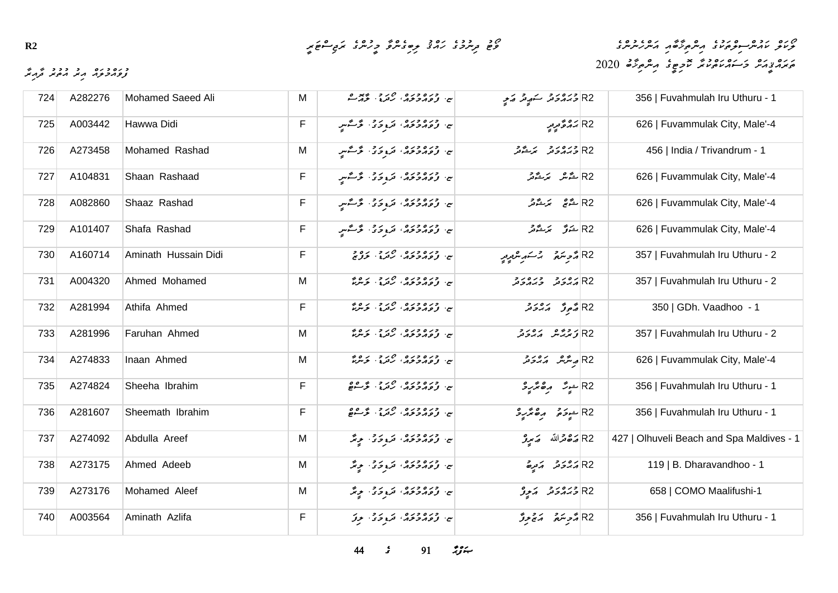*sCw7q7s5w7m< o<n9nOoAw7o< sCq;mAwBoEw7q<m; wBm;vB* م من المسجد المسجد المسجد المسجد المسجد العام 2020<br>مسجد المسجد المسجد المسجد المسجد المسجد المسجد المسجد المسجد ال

| 724 | A282276 | <b>Mohamed Saeed Ali</b> | M | س وره وره ص د پر د<br>س توحد <i>و و</i> ر کرد . نود ک                              | R2 <i>وُبُرُودُو سُهِيوْ م</i> ُبِي          | 356   Fuvahmulah Iru Uthuru - 1           |
|-----|---------|--------------------------|---|------------------------------------------------------------------------------------|----------------------------------------------|-------------------------------------------|
| 725 | A003442 | Hawwa Didi               | F | ى درەدرە ئردۇ. ۇشپې                                                                | R2 <i>بَرُمُ وُّمِ</i> يرِ                   | 626   Fuvammulak City, Male'-4            |
| 726 | A273458 | Mohamed Rashad           | M | ى دوەددە مەدد گەس                                                                  | R2 <i>32023 بَرْحُوْتُر</i>                  | 456   India / Trivandrum - 1              |
| 727 | A104831 | Shaan Rashaad            | F | ى دوەددە مەدد گەس                                                                  | R2 شَدَّسْ بَرَشَرْتَر                       | 626   Fuvammulak City, Male'-4            |
| 728 | A082860 | Shaaz Rashad             | F | ى دوەددە، مەدد. ئۇسۇر                                                              | R2 شَدَّجَ - مَرْشَمَّرَ                     | 626   Fuvammulak City, Male'-4            |
| 729 | A101407 | Shafa Rashad             | F | ى ئۇرەدىرە، ترەزى ئۇسۇر                                                            | R2 شَوَرٌ مَرَسَّمَتَر                       | 626   Fuvammulak City, Male'-4            |
| 730 | A160714 | Aminath Hussain Didi     | F | ور ه دره دره ه در دره د<br>سي نوم <i>د چ</i> ر کرد و خونی                          | R2 مَّ حِ سَمَّةٍ مِنْ سَمَّ سَمْعِيْدِ مِنْ | 357   Fuvahmulah Iru Uthuru - 2           |
| 731 | A004320 | Ahmed Mohamed            | M | יזי צפחכבמי לנדי בינול<br>יזי צפחכבמי לנדי בינול                                   | R2 ג׳כנק 1970 ב                              | 357   Fuvahmulah Iru Uthuru - 2           |
| 732 | A281994 | Athifa Ahmed             | F | יזי צפחכ <i>בבחי הבגי בית</i> ול<br>יזי צ <i>פחכב</i> הי הבגזי <del>ב</del> יתול   | R2 مَّ مِيعَ مَدَّدَ مَد                     | 350   GDh. Vaadhoo - 1                    |
| 733 | A281996 | Faruhan Ahmed            | M | יזי צפו <i>בכברי הבגרי בית</i> ול<br>יזי צפו <i>בכ</i> ברי הבגרי <del>ב</del> יתול | R2 ۇىرگىش كەردىتر                            | 357   Fuvahmulah Iru Uthuru - 2           |
| 734 | A274833 | Inaan Ahmed              | M | ים יצפת כבר הפרי הפרי<br>ים צפתכיכתי הבגר ביתול                                    | R2 مەنترىتر كەبر <i>ە</i> تر                 | 626   Fuvammulak City, Male'-4            |
| 735 | A274824 | Sheeha Ibrahim           | F | ى درە دىرە بىرد بۇرە ھ                                                             | R2 جو <i>ڻ م</i> ڻ <i>مڙي</i> و              | 356   Fuvahmulah Iru Uthuru - 1           |
| 736 | A281607 | Sheemath Ibrahim         | F | ەرە درە ەرە بورى بورە<br>س ۋەبەر دىن رىرى ئوسى                                     | R2 جوحَة مُتَّصَرِّيْتَ                      | 356   Fuvahmulah Iru Uthuru - 1           |
| 737 | A274092 | Abdulla Areef            | M | ے ووروورہ تروی ویکھیے                                                              | R2 مَەھتراللە مَ <i>مْبِوق</i>               | 427   Olhuveli Beach and Spa Maldives - 1 |
| 738 | A273175 | Ahmed Adeeb              | M | ى زەەدە ئەرەپ ئىستان ئە                                                            | R2, كەندى كە مەكىرە                          | 119   B. Dharavandhoo - 1                 |
| 739 | A273176 | Mohamed Aleef            | M | ے ووړونوړ، ترونوی پرتر                                                             | R2 دېرونو کمبور                              | 658   COMO Maalifushi-1                   |
| 740 | A003564 | Aminath Azlifa           | F | ے ووروورہ تروژی وی                                                                 | R2 مُتَّحِسَّعَ مَتَّحَوَّزُ                 | 356   Fuvahmulah Iru Uthuru - 1           |

*n8o<n@ q8qAq< q8o< w<mBq>w<m=q?*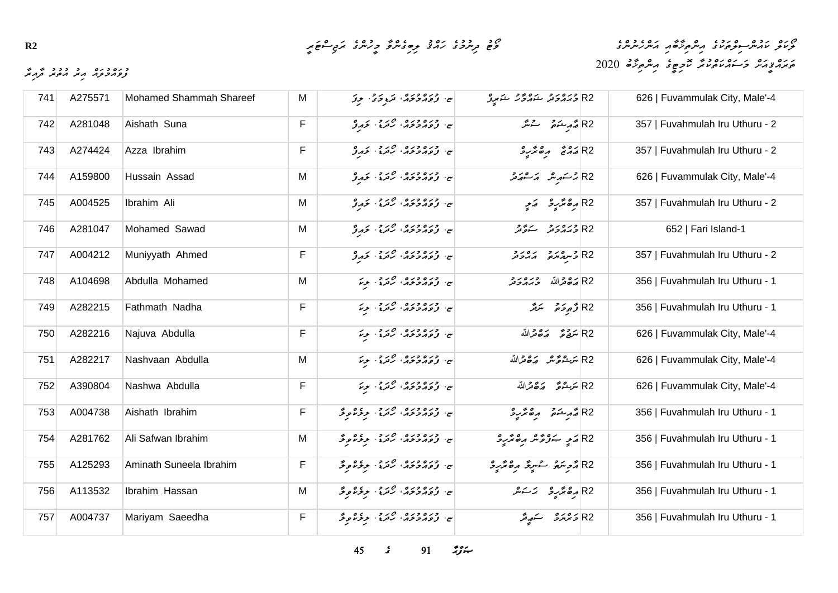*sCw7q7s5w7m< o<n9nOoAw7o< sCq;mAwBoEw7q<m; wBm;vB 2020<sup>, م</sup>وسوق المسجد التحقيق وسرمونية والم*جمع المسجد المسجد المسجد المسجد المسجد المسجد المسجد المسجد المسجد ال

| 741 | A275571 | <b>Mohamed Shammah Shareef</b> | M | ٢٠٠٤ د ١٥٤٥ مروكر وز                            | R2 وبروبرو شهرون شهرو                                                                                                                                                                                                                                      | 626   Fuvammulak City, Male'-4  |
|-----|---------|--------------------------------|---|-------------------------------------------------|------------------------------------------------------------------------------------------------------------------------------------------------------------------------------------------------------------------------------------------------------------|---------------------------------|
| 742 | A281048 | Aishath Suna                   | F | ے وہ دورہ مرد بحدی                              | R2 گەمەمشەقە كەشگە                                                                                                                                                                                                                                         | 357   Fuvahmulah Iru Uthuru - 2 |
| 743 | A274424 | Azza Ibrahim                   | F | ح دودوده مرد و تورو<br>س زودونود، رس تورو       | $\begin{array}{cc} \mathcal{G}_{\mathcal{A}} & \mathcal{G}_{\mathcal{A}} & \mathcal{G}_{\mathcal{A}} \\ \mathcal{G}_{\mathcal{A}} & \mathcal{G}_{\mathcal{A}} & \mathcal{G}_{\mathcal{A}} \end{array} \begin{array}{cc} \mathsf{R} \mathsf{2} \end{array}$ | 357   Fuvahmulah Iru Uthuru - 2 |
| 744 | A159800 | Hussain Assad                  | M | יני בנורני הנדי הנדי                            | R2 پر سمبر محمد محمد محمد محمد محمد اللہ ج                                                                                                                                                                                                                 | 626   Fuvammulak City, Male'-4  |
| 745 | A004525 | Ibrahim Ali                    | M | ים נפחבבתי לנגר בתל                             | R2 مەمگەر <i>5 مۇ</i> م                                                                                                                                                                                                                                    | 357   Fuvahmulah Iru Uthuru - 2 |
| 746 | A281047 | Mohamed Sawad                  | M | יז נכחבבתי לנדי בתל                             | R2 <i>2222 سكوفر</i>                                                                                                                                                                                                                                       | 652   Fari Island-1             |
| 747 | A004212 | Muniyyath Ahmed                | F | ح ده دره مرد د.<br>س زودونود، رس نود            | R2 <i>وُسِمْہُو مُدونر</i>                                                                                                                                                                                                                                 | 357   Fuvahmulah Iru Uthuru - 2 |
| 748 | A104698 | Abdulla Mohamed                | M | יזי נכתכ כאי כל כל                              | R2 مَەھمَّراللَّه حِرَمْ دَمَر                                                                                                                                                                                                                             | 356   Fuvahmulah Iru Uthuru - 1 |
| 749 | A282215 | Fathmath Nadha                 | F | ים נפתכתם לנדי בע                               | R2 تَ <i>مج حَمَّةَ</i> سَمَ <i>دَّ</i>                                                                                                                                                                                                                    | 356   Fuvahmulah Iru Uthuru - 1 |
| 750 | A282216 | Najuva Abdulla                 | F | יזי נכתכ כאי כל כל                              | R2 ترقيعٌ صَرَّة صَرَاللَّه                                                                                                                                                                                                                                | 626   Fuvammulak City, Male'-4  |
| 751 | A282217 | Nashvaan Abdulla               | M | ים נפגבבהי לנדי בו                              | R2 سَرَشْوَتْرْ مَرْصْقَرْاللَّه                                                                                                                                                                                                                           | 626   Fuvammulak City, Male'-4  |
| 752 | A390804 | Nashwa Abdulla                 | F | ים נפגבבהי לנגב בנ                              | R2 سَرَشْوَة مَرْكَ قَدْاللَّه                                                                                                                                                                                                                             | 626   Fuvammulak City, Male'-4  |
| 753 | A004738 | Aishath Ibrahim                | F | س ورەورە مەدىق بوۋى <sub>م</sub> وگر            | R2 مُەمِسْمَة مەھەردى                                                                                                                                                                                                                                      | 356   Fuvahmulah Iru Uthuru - 1 |
| 754 | A281762 | Ali Safwan Ibrahim             | M | ەرەدرە مەدەبە ئەرەبە بەرەر ئە                   | R2 كەبىر سەۋەتىر مەھەردە                                                                                                                                                                                                                                   | 356   Fuvahmulah Iru Uthuru - 1 |
| 755 | A125293 | Aminath Suneela Ibrahim        | F | سي ورەورە مەدى.<br>سى ۋەمەدىمە، رەي. بەنە بەن   | R2 مُرْحِسَةٌ تَسْرِبَّةٌ مِنْ مُرْدِدْ                                                                                                                                                                                                                    | 356   Fuvahmulah Iru Uthuru - 1 |
| 756 | A113532 | Ibrahim Hassan                 | M | ەرەدرە بەرە بەرە بەرە بۇ ئاھەتگە                | R2 مەھەر بەر ئەسكەش                                                                                                                                                                                                                                        | 356   Fuvahmulah Iru Uthuru - 1 |
| 757 | A004737 | Mariyam Saeedha                | F | س ورە دىرە مەدى.<br>س ۋەمەدىمە، ئىتمەي بولۇمۇلۇ | R2 وَتَعْرَفُرْ مَسَمَّوِيْتُرْ                                                                                                                                                                                                                            | 356   Fuvahmulah Iru Uthuru - 1 |

*n8o<n@ q8qAq< q8o< w<mBq>w<m=q?*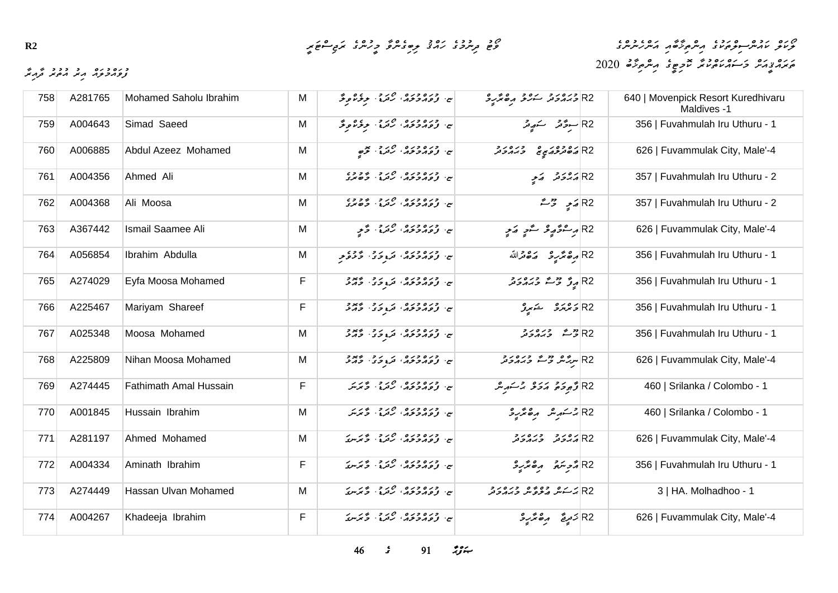*sCw7q7s5w7m< o<n9nOoAw7o< sCq;mAwBoEw7q<m; wBm;vB 2020<sup>, م</sup>وسر در مدد مدرج به مدرم مقرم قرار 2020*<br>موسر المستقرم المستقرم المستقرم المستقرم المستقرم المستقرم المستقرم المستقرم المستقرم المستقرم المستقرم المستقر

| 758 | A281765 | Mohamed Saholu Ibrahim        | M | سي ورەورە مەدو.<br>سي ۋەمەدىمە، رەقق بولۇمۇ                                                                                                                                                                                      | R2  2,200 مارو مقدرة                                | 640   Movenpick Resort Kuredhivaru<br>Maldives -1 |
|-----|---------|-------------------------------|---|----------------------------------------------------------------------------------------------------------------------------------------------------------------------------------------------------------------------------------|-----------------------------------------------------|---------------------------------------------------|
| 759 | A004643 | Simad Saeed                   | M | سي ورەورە مەدى.<br>سى ۋەمەدىمە، رەي. بەنە بەن                                                                                                                                                                                    | R2 سودٌ مَدَ سَمَدٍ مُدْ                            | 356   Fuvahmulah Iru Uthuru - 1                   |
| 760 | A006885 | Abdul Azeez Mohamed           | M | ים יצפח כלכם יסקי בים<br>ישי צפח כיכחי לטגז יבים                                                                                                                                                                                 | R2 בספר ס פרסק ב                                    | 626   Fuvammulak City, Male'-4                    |
| 761 | A004356 | Ahmed Ali                     | М | ימי כנס כנס ימני יונים<br>ישי נפח כבחי לנגדי כשינ                                                                                                                                                                                | R2 كەنزى كە كەر                                     | 357   Fuvahmulah Iru Uthuru - 2                   |
| 762 | A004368 | Ali Moosa                     | M | כנס כנס ייני בי כבי<br>ייני נפח כבה' לנגד כשינ                                                                                                                                                                                   | $23 \div 82$                                        | 357   Fuvahmulah Iru Uthuru - 2                   |
| 763 | A367442 | Ismail Saamee Ali             | M | ים נפגב בגם הניבי בי <del>ב</del>                                                                                                                                                                                                | R2 <sub>م</sub> رے <i>ڈ<sub>ھی</sub>و</i> گے جو مکم | 626   Fuvammulak City, Male'-4                    |
| 764 | A056854 | Ibrahim Abdulla               | M | سي وره وره.<br>سي وعاد <i>وح</i> د، ترء وي وتوفر                                                                                                                                                                                 | R2 م <i>وھ مگرچ ھ</i> ی محافظہ                      | 356   Fuvahmulah Iru Uthuru - 1                   |
| 765 | A274029 | Eyfa Moosa Mohamed            | F | ים: 3000000 ביביר 2000<br>ים: 3000000 בגוב 2000                                                                                                                                                                                  | R2 پروٌ وَسَدُ وَرَمَدُونَد                         | 356   Fuvahmulah Iru Uthuru - 1                   |
| 766 | A225467 | Mariyam Shareef               | F | יזי צפונפכני <sub>בעש</sub> בצי בוני                                                                                                                                                                                             | R2 وَتَحْدَّرُوْ ۖ شَمَيْرُوْ                       | 356   Fuvahmulah Iru Uthuru - 1                   |
| 767 | A025348 | Moosa Mohamed                 | M | ים "רים כנים" בג'ובר "כאב".<br>ים "רים ביברים" בג'ובר ברבי                                                                                                                                                                       | R2 جميع جي دور                                      | 356   Fuvahmulah Iru Uthuru - 1                   |
| 768 | A225809 | Nihan Moosa Mohamed           | M | יזי צפונפלנטי בגבלי בודי                                                                                                                                                                                                         | R2 سرمج معرضہ محمد حرمہ حرمہ                        | 626   Fuvammulak City, Male'-4                    |
| 769 | A274445 | <b>Fathimath Amal Hussain</b> | F | س وره وره صدو محدر<br>سي توحدو تحدث كترة كريموس                                                                                                                                                                                  | R2 ۇ <sub>ج</sub> وڭ مەڭ مەسىر ش                    | 460   Srilanka / Colombo - 1                      |
| 770 | A001845 | Hussain Ibrahim               | M | יזי ניפריכרי לנדי לינית.<br>יזי ניפריכלרי לינדי לינית                                                                                                                                                                            | R2 جُسَمبر شهر مِر <i>ه مُرْرِ</i> دْ               | 460   Srilanka / Colombo - 1                      |
| 771 | A281197 | Ahmed Mohamed                 | M | ים - כניס כניס - מניכו - מיקודות ביותר ביותר ביותר ביותר ביותר ביותר ביותר ביותר ביותר ביותר ביותר ביותר ביותר<br>המודע ביותר ביותר ביותר ביותר ביותר ביותר ביותר ביותר ביותר ביותר ביותר ביותר ביותר ביותר ביותר ביותר ביותר בי | R2 ג' 2,000 ورەدىر                                  | 626   Fuvammulak City, Male'-4                    |
| 772 | A004334 | Aminath Ibrahim               | F | ים - כים כים - סייב - פיזי היות.<br>ישי <sub>ה</sub> פו <i>ח כי</i> כול - היום - היות היות.                                                                                                                                      | R2 مُجْرِسَمُ مِنْ مُحَمَّدِةِ                      | 356   Fuvahmulah Iru Uthuru - 1                   |
| 773 | A274449 | Hassan Ulvan Mohamed          | M | م دره دره صدد شهرس                                                                                                                                                                                                               | R2 پر کند و وه و و پرو و د                          | 3   HA. Molhadhoo - 1                             |
| 774 | A004267 | Khadeeja Ibrahim              | F | س وره وره هرد و در.<br>س وه محرمه، رمود څرس                                                                                                                                                                                      | R2 زَمرِيَّ م <i>ِ هُ پُرُرٍ وُ</i>                 | 626   Fuvammulak City, Male'-4                    |
|     |         |                               |   |                                                                                                                                                                                                                                  |                                                     |                                                   |

*n8o<n@ q8qAq< q8o< w<mBq>w<m=q?*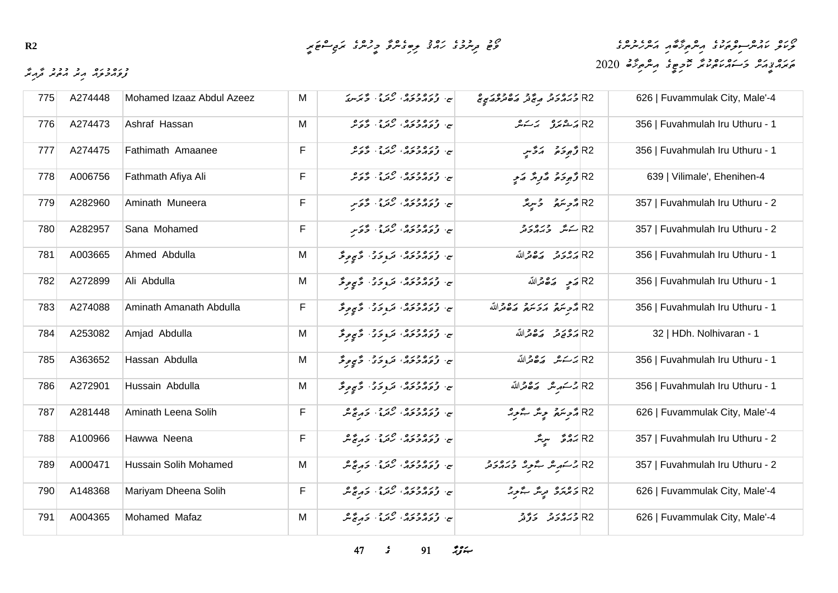*sCw7q7s5w7m< o<n9nOoAw7o< sCq;mAwBoEw7q<m; wBm;vB 2020<sup>, م</sup>وسر در مدد مدرج به مدرم مقرم قرار 2020*<br>موسر المستقرم المستقرم المستقرم المستقرم المستقرم المستقرم المستقرم المستقرم المستقرم المستقرم المستقرم المستقر

| 775 | A274448 | Mohamed Izaaz Abdul Azeez    | M           | ים בנסכנס לנכ"ל בינוע                                      | R2 <i>ב</i> גמכני השל הסיניכה <sub>ש</sub> ם | 626   Fuvammulak City, Male'-4  |
|-----|---------|------------------------------|-------------|------------------------------------------------------------|----------------------------------------------|---------------------------------|
| 776 | A274473 | Ashraf Hassan                | M           | כנס כנס - הני בנס<br>ישי צפו <i>ב כ</i> ול - מנגל - כפיר   | R2 كەش <i>ەترى بەسە</i> ش                    | 356   Fuvahmulah Iru Uthuru - 1 |
| 777 | A274475 | Fathimath Amaanee            | F           | כנס כנס - הני - יינס<br>ייז' נפחביבה' מנגוד' בפינ          | R2 زَّجِرْۃَ مَدَّسِ                         | 356   Fuvahmulah Iru Uthuru - 1 |
| 778 | A006756 | Fathmath Afiya Ali           | F           | יז בנס בנס הנדי בנס<br>יז בפחבבתי מנגד בפת                 | R2 وَّجِوَدَةَ الَّذِينَّ الْأَمِرِ          | 639   Vilimale', Ehenihen-4     |
| 779 | A282960 | Aminath Muneera              | F           | ים נפחביבה' הנגד ביפת                                      | R2 مُرْحِسَمُ فَسِرْمٌ                       | 357   Fuvahmulah Iru Uthuru - 2 |
| 780 | A282957 | Sana Mohamed                 | F           | כנס כנס הנכנית.<br>ישי גפורפיכולי לעשי פיפית               | R2 سَتَرَّ وَبَرْدُونَر                      | 357   Fuvahmulah Iru Uthuru - 2 |
| 781 | A003665 | Ahmed Abdulla                | M           | ى دوە دورە مەدد ئەرە                                       | R2 مَرْحَوْمٌ مَرْهُ مِّرَاللَّهُ            | 356   Fuvahmulah Iru Uthuru - 1 |
| 782 | A272899 | Ali Abdulla                  | M           | ى درە دىرە ئىدىد ئ                                         | R2 ضَعٍ ضَصْحَداللّه                         | 356   Fuvahmulah Iru Uthuru - 1 |
| 783 | A274088 | Aminath Amanath Abdulla      | F           | ى درەدرە ئەردى بولۇپ ب                                     | R2 مُّحِسَمَةً مَحَسَّمَةً مَصْعَرِ اللَّه   | 356   Fuvahmulah Iru Uthuru - 1 |
| 784 | A253082 | Amjad Abdulla                | M           | ح دره دره .<br>س زوردونور، تردونی و مجموع                  | R2 مَرْوَمَ مَنْ مَدَّالِلَّهُ               | 32   HDh. Nolhivaran - 1        |
| 785 | A363652 | Hassan Abdulla               | M           | ى دوە دىرە ئىدىد ئۇچ ئ                                     | R2 بَرَسَة مَّة قَرَاللَّه                   | 356   Fuvahmulah Iru Uthuru - 1 |
| 786 | A272901 | Hussain Abdulla              | M           | ى درەدرە، ئروزۇ، ئېرۇ                                      | R2 ترت <i>نه برقر مق</i> اتور الله           | 356   Fuvahmulah Iru Uthuru - 1 |
| 787 | A281448 | Aminath Leena Solih          | $\mathsf F$ | ەرە درە بەرە بەرە بەر بەر<br>سىن ۋەمەد ئەمى» كەندى دەپىج ش | R2 مُرْجِسَمُ مِحِسَّرٌ جُورُدُ              | 626   Fuvammulak City, Male'-4  |
| 788 | A100966 | Hawwa Neena                  | F           | ے ورودرو مرد دیگھ                                          | R2 بَرْدُوَّ سِرِیٹر                         | 357   Fuvahmulah Iru Uthuru - 2 |
| 789 | A000471 | <b>Hussain Solih Mohamed</b> | М           | سي وره وره مرد و در ده.<br>سي وحمد حرم مرد و در در در      | R2 يُرْسَمْ مِيْشَمْ مِيْتَ وَيَرْمُدُونَ    | 357   Fuvahmulah Iru Uthuru - 2 |
| 790 | A148368 | Mariyam Dheena Solih         | $\mathsf F$ | ەرە دىرە بەردىسى ئەرەپ ئە                                  | R2 كا <i>ترورڈ</i> وریڈ سڈویڈ                | 626   Fuvammulak City, Male'-4  |
| 791 | A004365 | Mohamed Mafaz                | M           | سي وره وره مرد و در ده.<br>سي وحمد حرم مرد و حمد ش         | R2 <i>2222 وقر</i> قر                        | 626   Fuvammulak City, Male'-4  |

*n8o<n@ q8qAq< q8o< w<mBq>w<m=q?*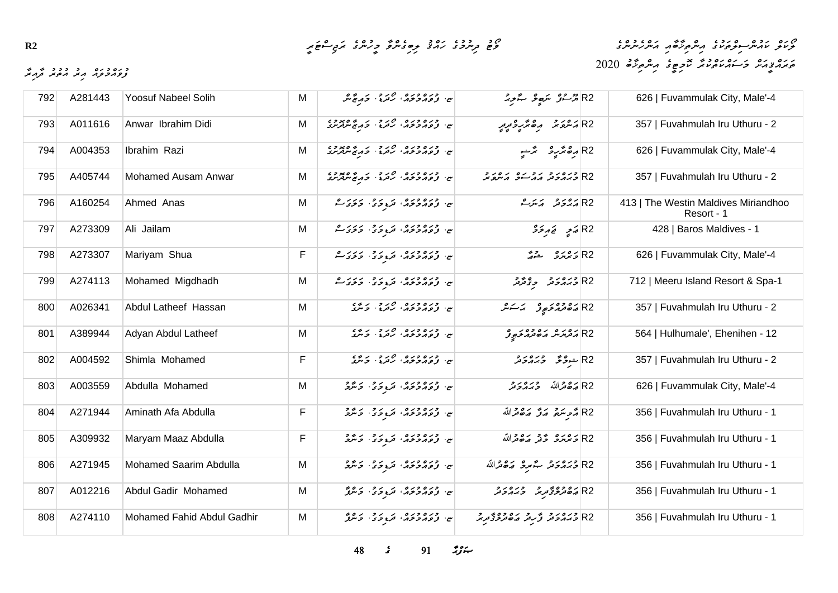*sCw7q7s5w7m< o<n9nOoAw7o< sCq;mAwBoEw7q<m; wBm;vB 2020<sup>, م</sup>وسر در مدد مدرج به مدرم مقرم قرار 2020*<br>موسر المستقرم المستقرم المستقرم المستقرم المستقرم المستقرم المستقرم المستقرم المستقرم المستقرم المستقرم المستقر

| 792 | A281443 | <b>Yoosuf Nabeel Solih</b>    | M           | س وره وره صدو در در در بار                                                        | R2 تركىۋا س <i>تەبى</i> ر جۇمبەر                | 626   Fuvammulak City, Male'-4                     |
|-----|---------|-------------------------------|-------------|-----------------------------------------------------------------------------------|-------------------------------------------------|----------------------------------------------------|
| 793 | A011616 | Anwar Ibrahim Didi            | M           | כנס כנס ים ניבי בניי סיביבי<br>ייז' נפח ביבחי ינט ז' בחים ייטע                    | R2 كەشھەت بەھ <i>مەڭ ي</i> وقىيەيە              | 357   Fuvahmulah Iru Uthuru - 2                    |
| 794 | A004353 | Ibrahim Razi                  | M           | כנס כנס ימנד בני מסיבה<br>ישי "ציפוריבורי" בנה" בוני שייניקיינד                   | R2 مەھم <i>گىرى م</i> ىگەنىيە                   | 626   Fuvammulak City, Male'-4                     |
| 795 | A405744 | <b>Mohamed Ausam Anwar</b>    | M           | ים " ניסיכים " לייכ" באישייטיבים.<br>ישי " ניסו <i>איכידור</i> לעש" באישייטיבייני | R2  2000 2010 2010 2010                         | 357   Fuvahmulah Iru Uthuru - 2                    |
| 796 | A160254 | Ahmed Anas                    | M           | سي توحده وره. تروپور د برترگ                                                      | R2 كەبروتى كەنترىشە                             | 413   The Westin Maldives Miriandhoo<br>Resort - 1 |
| 797 | A273309 | Ali Jailam                    | M           | س وره وره<br>س ژوبرونژي تروی ونژی ک                                               | R2 <i>جَرْمٍ فَهُ وَحَ</i> دَّ                  | 428   Baros Maldives - 1                           |
| 798 | A273307 | Mariyam Shua                  | F           | سي توحده وره. تروپور د برترگ                                                      | $22$ $272$ $R2$                                 | 626   Fuvammulak City, Male'-4                     |
| 799 | A274113 | Mohamed Migdhadh              | M           | سي و <i>و و و د</i> ه تر و در در و در د                                           | R2 <i>3222 وڏن</i> گر                           | 712   Meeru Island Resort & Spa-1                  |
| 800 | A026341 | Abdul Latheef Hassan          | M           | יזי צפחברמים לנדי בייטו<br>יזי צפחברמי לטנו בייטו                                 | R2 مەھەممىر مۇم بىر ئەسەمبىر                    | 357   Fuvahmulah Iru Uthuru - 2                    |
| 801 | A389944 | Adyan Abdul Latheef           | M           | כנסכנס יונד גם.<br>יין נפחביבה' הנגז' ביינג                                       | R2 גליקית הסינקיפיקי                            | 564   Hulhumale', Ehenihen - 12                    |
| 802 | A004592 | Shimla Mohamed                | $\mathsf F$ | יזי צפורכברי לנדי בייטו<br>יזי צפורכברי לנדי בייטו                                | R2 جونۇ ئ <i>ونەم</i> گە                        | 357   Fuvahmulah Iru Uthuru - 2                    |
| 803 | A003559 | Abdulla Mohamed               | M           | ים נפחבבתי נגבד ביתב                                                              | R2 مَەھمَّراللَّه حَ بَرْمُرْدَ مَرْ            | 626   Fuvammulak City, Male'-4                     |
| 804 | A271944 | Aminath Afa Abdulla           | F           | ים "ציפוריפית" בגובר "כיתב                                                        | R2 مَّحِسَمَةً مَتَّقَ مَصَّفَرَاللَّهُ         | 356   Fuvahmulah Iru Uthuru - 1                    |
| 805 | A309932 | Maryam Maaz Abdulla           | F           | ים נפחבבתי נגבד ביתב                                                              | R2 <i>وَبِرْمَرْدَ وَفَرِ مَ</i> هُ مِّرَاللّهِ | 356   Fuvahmulah Iru Uthuru - 1                    |
| 806 | A271945 | <b>Mohamed Saarim Abdulla</b> | M           | ים - 2005 באי 2007 ביותב.<br>ים - 39, 2007 בגיב 12 ביותב.                         | R2 دېرو د ته جمعرو مرگورالله                    | 356   Fuvahmulah Iru Uthuru - 1                    |
| 807 | A012216 | Abdul Gadir Mohamed           | M           | سي وره وره در دو ده و                                                             | R2 رەدەپرىر بەربەر دېر                          | 356   Fuvahmulah Iru Uthuru - 1                    |
| 808 | A274110 | Mohamed Fahid Abdul Gadhir    | M           | س ورەدرە ئىدى كەن ئىل                                                             | R2 دېرو د تر تر تر مقدم د ترو تو بر             | 356   Fuvahmulah Iru Uthuru - 1                    |

## *n8o<n@ q8qAq< q8o< w<mBq>w<m=q?*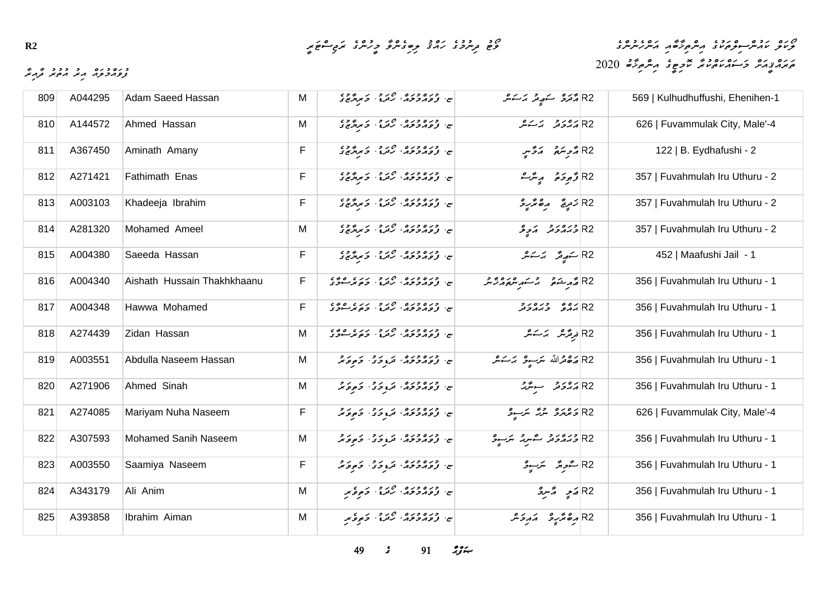*sCw7q7s5w7m< o<n9nOoAw7o< sCq;mAwBoEw7q<m; wBm;vB* م من المسجد المسجد المسجد المسجد المسجد العام 2020<br>مسجد المسجد المسجد المسجد المسجد المسجد المسجد المسجد المسجد ال

| 809 | A044295 | Adam Saeed Hassan           | M           | ים - 20,000 סגב - 20,000<br>ים - 3,000 <i>ביצור - 20,000 ב</i>                                                                                                                                                                   | R2 <i>مُقرَى سَموِيْنْ بَرْسَ</i> سْ        | 569   Kulhudhuffushi, Ehenihen-1 |
|-----|---------|-----------------------------|-------------|----------------------------------------------------------------------------------------------------------------------------------------------------------------------------------------------------------------------------------|---------------------------------------------|----------------------------------|
| 810 | A144572 | Ahmed Hassan                | M           | ים " ציפור ברום " מיני - " בינור בי                                                                                                                                                                                              | R2 كەبروتى كەسكەنلى                         | 626   Fuvammulak City, Male'-4   |
| 811 | A367450 | Aminath Amany               | F           | ים " 3 ב הם כנים " ביבור ביבור ביבור ביבור ביבור ביבור ביבור ביבור ביבור ביבור ביבור ביבור ביבור ביבור ביבור ב<br>ביום הם הם הם הביבור ביבור ביבור ביבור ביבור ביבור ביבור ביבור ביבור ביבור ביבור ביבור ביבור ביבור ביבור ביבור | R2 مَّ حِسَمَۃ مَدَّسِ                      | 122   B. Eydhafushi - 2          |
| 812 | A271421 | Fathimath Enas              | F           | ים "רים רים" ליני "ראות היבטי                                                                                                                                                                                                    | R2 ۇ <sub>ج</sub> وڭ مەش <sup>ى</sup>       | 357   Fuvahmulah Iru Uthuru - 2  |
| 813 | A003103 | Khadeeja Ibrahim            | F           | ים " צפח ביבחי " מיני " בימינים ב                                                                                                                                                                                                | R2 زَمِرِيَّ مِنْ صُرَّرِ و                 | 357   Fuvahmulah Iru Uthuru - 2  |
| 814 | A281320 | Mohamed Ameel               | M           | כנס כנס התרי<br>ישי נפח כיכה' לינג' בינות ובי                                                                                                                                                                                    | R2  <i>وټرونو ډو</i> و                      | 357   Fuvahmulah Iru Uthuru - 2  |
| 815 | A004380 | Saeeda Hassan               | F           | ים " צפח ביבחי " מיני - מיני ביבור בי                                                                                                                                                                                            | R2 سے پہنڈ کے سکھ                           | 452   Maafushi Jail - 1          |
| 816 | A004340 | Aishath Hussain Thakhkhaanu | $\mathsf F$ | כנסכנס רינכ גנגס סיים<br>ישי צפונפיבוני ניטבי בפיני-יבב                                                                                                                                                                          | R2 مەم شەھ بىر سىم مەم ئەس                  | 356   Fuvahmulah Iru Uthuru - 1  |
| 817 | A004348 | Hawwa Mohamed               | F           | כנסכנס יסנכ נגד סיים.<br>ישי צפו <i>נכלברי ה</i> בנשי <i>בפיני<del>-י</del>ב</i> צ                                                                                                                                               | R2 يُروح ويُرورو                            | 356   Fuvahmulah Iru Uthuru - 1  |
| 818 | A274439 | Zidan Hassan                | M           | כנסכנס יפנכ גנגס פיז<br>ישי צפונבבותי לנגשי בפינגרפ                                                                                                                                                                              | R2 <sub>فر</sub> مَ <i>زْ بْرْ سَ</i> مَسْر | 356   Fuvahmulah Iru Uthuru - 1  |
| 819 | A003551 | Abdulla Naseem Hassan       | M           | سي وره وره<br>سي وره درور، ترون د کورن                                                                                                                                                                                           | R2 رَحْوَتْرَاللّه مَرَسِوڤ بَرَسَوْرٌ      | 356   Fuvahmulah Iru Uthuru - 1  |
| 820 | A271906 | Ahmed Sinah                 | M           | سي وره وره. ترور ده ده در                                                                                                                                                                                                        | R2 كەبرى كىرىگە ئىستىر                      | 356   Fuvahmulah Iru Uthuru - 1  |
| 821 | A274085 | Mariyam Nuha Naseem         | F           | יזי גבורכלבומי בתוכבי כפפית                                                                                                                                                                                                      | R2 كەبرىرى تەرىخ تىرسوق                     | 626   Fuvammulak City, Male'-4   |
| 822 | A307593 | Mohamed Sanih Naseem        | M           | שי ציפח כים הגביבי ביפיבי                                                                                                                                                                                                        | R2 دېم د د مشرکه ترسوی                      | 356   Fuvahmulah Iru Uthuru - 1  |
| 823 | A003550 | Saamiya Naseem              | F           | ح د و د ده د د .<br>س زورونور، تر د د د . و و و بر                                                                                                                                                                               | R2 ستموبڈ مکرسوٹر                           | 356   Fuvahmulah Iru Uthuru - 1  |
| 824 | A343179 | Ali Anim                    | M           | دره دره ۵٫۰۵ م.<br>۳- زود د ترکرد کرد و توفیر                                                                                                                                                                                    | R2 کی په مگسری ک                            | 356   Fuvahmulah Iru Uthuru - 1  |
| 825 | A393858 | Ibrahim Aiman               | M           | $\sim$ 310010 012010 000                                                                                                                                                                                                         | R2 مەھە <i>ترى</i> ر قىم مەمەتىر            | 356   Fuvahmulah Iru Uthuru - 1  |

*n8o<n@ q8qAq< q8o< w<mBq>w<m=q?*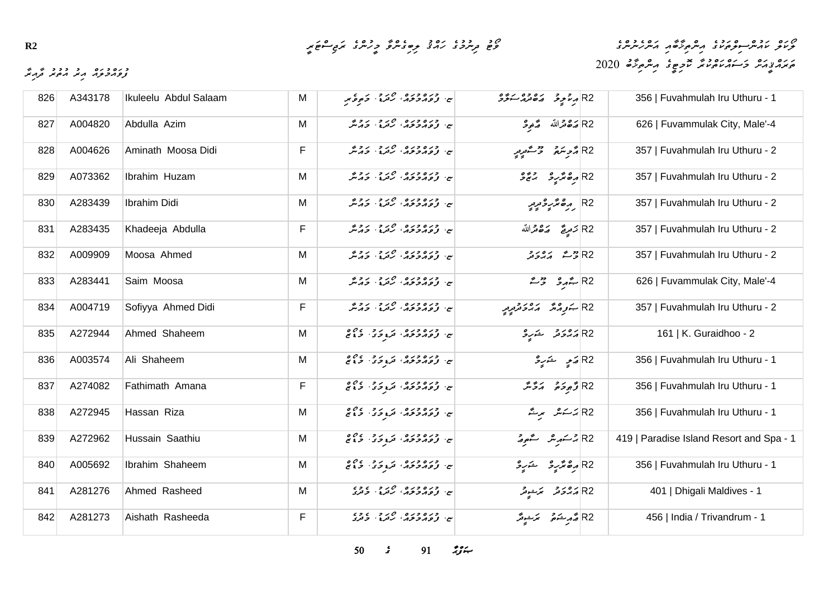*sCw7q7s5w7m< o<n9nOoAw7o< sCq;mAwBoEw7q<m; wBm;vB 2020<sup>, م</sup>وسر در مدد مدرج به مدرم مقرم قرار 2020*<br>موسر المستقرم المستقرم المستقرم المستقرم المستقرم المستقرم المستقرم المستقرم المستقرم المستقرم المستقرم المستقر

| 826 | A343178 | Ikuleelu Abdul Salaam | M | ەرەددە 200 كەردىدى.<br>س- ۋەمەدىمە، كەن قەمۇم                              | R2 مركز محمد مصر مستوفر                      | 356   Fuvahmulah Iru Uthuru - 1          |
|-----|---------|-----------------------|---|----------------------------------------------------------------------------|----------------------------------------------|------------------------------------------|
| 827 | A004820 | Abdulla Azim          | M | ים - 20,000 סגב - 20%<br>ישי <sub>2</sub> 0,000 <i>של ה-20 של</i>          | R2 كَەشراللە گەرگى                           | 626   Fuvammulak City, Male'-4           |
| 828 | A004626 | Aminath Moosa Didi    | F | س وره دره هرد درد.<br>س ژومرونوما کنره ومش                                 | R2 أَمُّ <i>حِ سَوْمٍ حَ</i> حَسَّمِيهِ بِهِ | 357   Fuvahmulah Iru Uthuru - 2          |
| 829 | A073362 | Ibrahim Huzam         | M | יזי צפחכבמי לגדי בחייל.<br>יזי צפחכבמי געשי בחייל                          | R2 مەھمىر 2 مەم 25                           | 357   Fuvahmulah Iru Uthuru - 2          |
| 830 | A283439 | <b>Ibrahim Didi</b>   | M | יזי צפח <i>בר</i> ם ישני בחייל<br>יזי צפח <i>ב</i> כחי געשי בחייל          | R2 ۾ <i>ڇي ٿي</i> و پيو په                   | 357   Fuvahmulah Iru Uthuru - 2          |
| 831 | A283435 | Khadeeja Abdulla      | F | יזי צפח בברי יריבי בהיה.<br>יזי צפח ביבחי הנגזי בהיה                       | R2 كَتَعْرِيقٌ صَ <b>صْحَ</b> رْاللَّه       | 357   Fuvahmulah Iru Uthuru - 2          |
| 832 | A009909 | Moosa Ahmed           | M | س- وره وره صرح درجه<br>س- وحدد دخه، کنره - وړس                             | R2 پر پرونر                                  | 357   Fuvahmulah Iru Uthuru - 2          |
| 833 | A283441 | Saim Moosa            | M | ر وره وره هر و دروند<br>س وه د و و در کندنی و دش                           | R2 جَمْدِ حَمَّتْ حَمَّ                      | 626   Fuvammulak City, Male'-4           |
| 834 | A004719 | Sofiyya Ahmed Didi    | F | כנס כנס - מיכ"ג - הריית<br>ישי <sub>ב</sub> פח <i>ביב</i> ה' הנגיד - בהיית | R2 ج <i>ۇرۇنگە مەمەكەترىپ</i> رىيە           | 357   Fuvahmulah Iru Uthuru - 2          |
| 835 | A272944 | Ahmed Shaheem         | M | ים יצפח כנסיג ביצי כשים<br>ישי צפח כבחי בשיכצי כשים                        | R2 كەندى ھەرى                                | 161   K. Guraidhoo - 2                   |
| 836 | A003574 | Ali Shaheem           | M | כנסכנס<br>ישי צפונכבולי בנשכבי כשים                                        | R2 كەمچە ھەرپى                               | 356   Fuvahmulah Iru Uthuru - 1          |
| 837 | A274082 | Fathimath Amana       | F | ים - 2005 בריט - 2007<br>ים - 303 בריט - 2007 - 2007                       | R2 زَّجِ دَمَّةَ مَدَّسَّرَ                  | 356   Fuvahmulah Iru Uthuru - 1          |
| 838 | A272945 | Hassan Riza           | M | כנס כנס גן נדי גם.<br>ישי צפונביבוני נקביבי בבים                           | R2  پرستو برقہ                               | 356   Fuvahmulah Iru Uthuru - 1          |
| 839 | A272962 | Hussain Saathiu       | M | ים נפחדתם בגבר בשם<br>ים נפחדתם באיבצי בשם                                 | R2  ترسنهریشر مستم <i>ون</i> هٔ              | 419   Paradise Island Resort and Spa - 1 |
| 840 | A005692 | Ibrahim Shaheem       | M | כנסכנס<br>ישי צפונכיכולי בנדכבי כדש                                        | R2 م <i>ەھترى</i> ھەر ئىتىمىدە               | 356   Fuvahmulah Iru Uthuru - 1          |
| 841 | A281276 | Ahmed Rasheed         | M | وره وره ه رو د د و د<br>س ژوندونژن رتره وترد                               | R2 كەبرى كىم كىم ئىسىمىتى كىشىمىتى كىل       | 401   Dhigali Maldives - 1               |
| 842 | A281273 | Aishath Rasheeda      | F | در ه د د ده ه د د .<br>س و و د د د د .                                     | R2 م <i>ۇم ھۇم مۇس</i> وم <i>ۇ</i>           | 456   India / Trivandrum - 1             |

*n8o<n@ q8qAq< q8o< w<mBq>w<m=q?*

 $50$  *s* 91 *n***<sub>s</sub>** $\frac{2}{3}$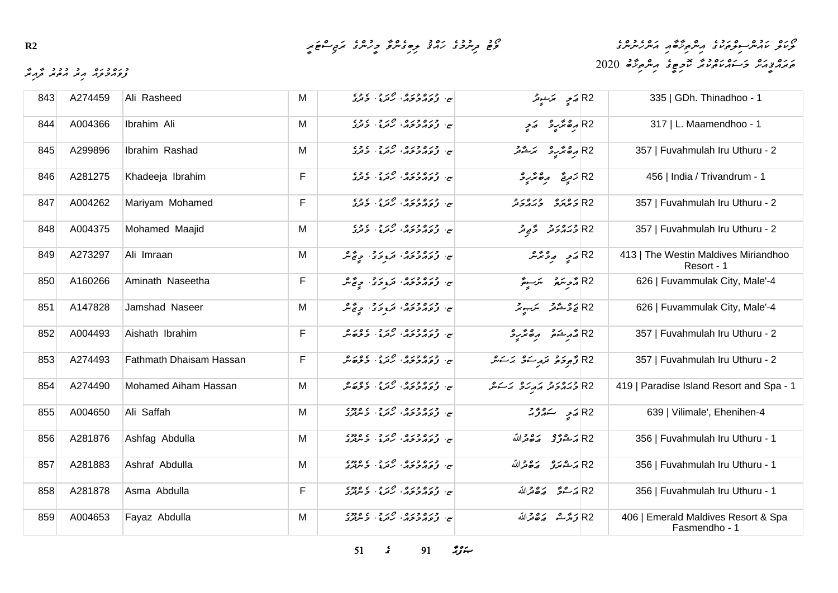*sCw7q7s5w7m< o<n9nOoAw7o< sCq;mAwBoEw7q<m; wBm;vB 2020<sup>, م</sup>وسر در مدد مدرج به مدرم مقرم قرار 2020*<br>موسر المستقرم المستقرم المستقرم المستقرم المستقرم المستقرم المستقرم المستقرم المستقرم المستقرم المستقرم المستقر

| 843 | A274459 | Ali Rasheed             | M            | ور ه دره دره دره دره<br>س وره درخ در، کردن و تری                              | R2  رَمِج - مَرْشِيشْ                           | 335   GDh. Thinadhoo - 1                             |
|-----|---------|-------------------------|--------------|-------------------------------------------------------------------------------|-------------------------------------------------|------------------------------------------------------|
| 844 | A004366 | Ibrahim Ali             | M            | ور ه دره وره مصر د مرد و دره<br>سي محره دره دره مرکز د از مرکز                | R2  بر <i>ھنگرچ</i> کمبر                        | 317   L. Maamendhoo - 1                              |
| 845 | A299896 | Ibrahim Rashad          | М            | ور ه دره دره دره دره<br>س وره درخ در، کردن و تری                              | R2 م <i>ەھمگىر ئىسىمىتى</i> قىر                 | 357   Fuvahmulah Iru Uthuru - 2                      |
| 846 | A281275 | Khadeeja Ibrahim        | $\mathsf{F}$ | ر در دوره بارد و در در<br>س و در در در کنده و ترد                             | R2 كَتَرِيعٌ - رِصْغَرْرِدْ-                    | 456   India / Trivandrum - 1                         |
| 847 | A004262 | Mariyam Mohamed         | $\mathsf{F}$ | ور ه د د ده ه د د .<br>س و و د د د د .                                        | R2 <i>ב</i> מתכ כממכת                           | 357   Fuvahmulah Iru Uthuru - 2                      |
| 848 | A004375 | Mohamed Maajid          | M            | כנסכנס מנכים בב<br>ישי צפו <i>בכבו</i> לעג                                    | R2   <i>جەنەدى ۋەي</i> تر                       | 357   Fuvahmulah Iru Uthuru - 2                      |
| 849 | A273297 | Ali Imraan              | M            | ى زەمەدە، ئىرى ئەستىم                                                         | R2  رَمِ مِرتَقَدَّر                            | 413   The Westin Maldives Miriandhoo<br>Resort - 1   |
| 850 | A160266 | Aminath Naseetha        | $\mathsf{F}$ | س وره وره ترور و ځم                                                           | R2 أَمَّ حِبَّرَةٌ مَسَرِّيةٌ                   | 626   Fuvammulak City, Male'-4                       |
| 851 | A147828 | Jamshad Naseer          | M            | ى دوەددە، ئروزى دېگىر                                                         | R2 كۆڭگى - س <i>رسوم</i> گ                      | 626   Fuvammulak City, Male'-4                       |
| 852 | A004493 | Aishath Ibrahim         | $\mathsf{F}$ | ر وره وره همدو دوره<br>س وومر <i>وحها ر</i> نرو وخو <i>ه</i> نر               | R2 مُرمِسْمَ مِهْمَرِدْ                         | 357   Fuvahmulah Iru Uthuru - 2                      |
| 853 | A274493 | Fathmath Dhaisam Hassan | F            | ים - 2000 בים המינים - 2000<br>ישי <sub>2</sub> 000 בים י"ר ביבים יית         | R2 <i>وَّجِ دَمَعَ مَهِ سَنَّ</i> رَ بَرَسَمْتُ | 357   Fuvahmulah Iru Uthuru - 2                      |
| 854 | A274490 | Mohamed Aiham Hassan    | М            | ر وره وره هر و ده ده.<br>س ژوه در ده. کنره در وره ش                           | R2 <i>בגמכת התכ</i> פ גבית                      | 419   Paradise Island Resort and Spa - 1             |
| 855 | A004650 | Ali Saffah              | M            | ه دره دره هرد و وده.<br>س وره دره، رس و سربرد                                 | R2  رَمِي سَهُرُوْبَرُ                          | 639   Vilimale', Ehenihen-4                          |
| 856 | A281876 | Ashfag Abdulla          | М            | כנס כנס הנכנס היו היום היום ביותר.<br>ייה - 3 פו <i>נ כבר יי ביותר ביותר.</i> | R2 مَشْوَرٌ مَنْ مَثْراللّه                     | 356   Fuvahmulah Iru Uthuru - 1                      |
| 857 | A281883 | Ashraf Abdulla          | M            | ور ه و ر ه .<br>س کی هر <del>و خ</del> رم ، کر تعر ۽ ، او سرتري               | R2 مَشْعَمَّرُ مَصْحَرَاللَّهُ                  | 356   Fuvahmulah Iru Uthuru - 1                      |
| 858 | A281878 | Asma Abdulla            | $\mathsf F$  | ישי צפח כלכם ישני שים בכם.<br>ישי צפח כיכולי לבטשי כייטבט                     | R2 كەشق كەھ قىراللە                             | 356   Fuvahmulah Iru Uthuru - 1                      |
| 859 | A004653 | Fayaz Abdulla           | M            | ر وره وره همرو المحاوري<br>سي وحاد حرور گردي حسن در                           | R2 وَتَرَّث بَرَصْفَرَاللَّه                    | 406   Emerald Maldives Resort & Spa<br>Fasmendho - 1 |

*n8o<n@ q8qAq< q8o< w<mBq>w<m=q?*

 $51$  *s* 91  $23$   $\div$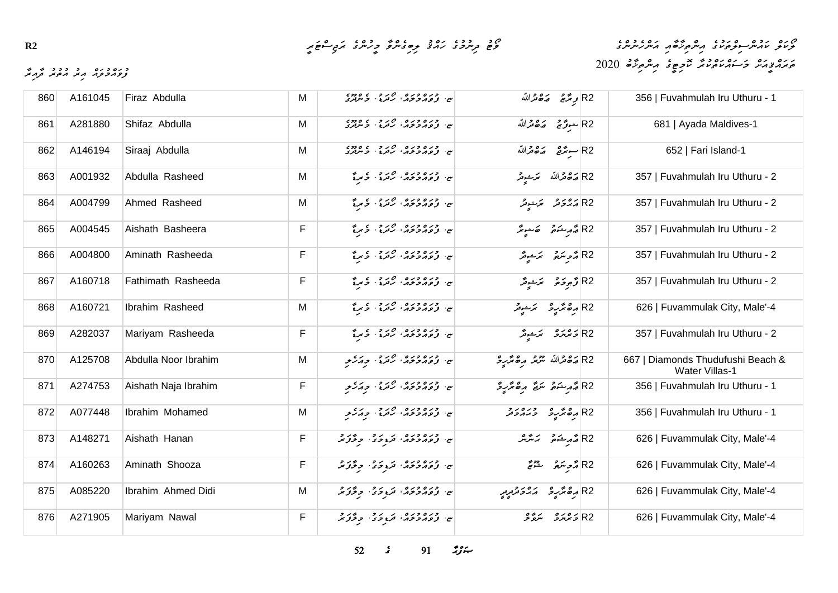*sCw7q7s5w7m< o<n9nOoAw7o< sCq;mAwBoEw7q<m; wBm;vB 2020<sup>, م</sup>وسر در مدد مدرج به مدرم مقرم قرار 2020*<br>موسر المستقرم المستقرم المستقرم المستقرم المستقرم المستقرم المستقرم المستقرم المستقرم المستقرم المستقرم المستقر

| 860 | A161045 | Firaz Abdulla        | M           | دره دره ۵ دره ۲۰۰۵ ورو.<br>س وه مرحوم کرد و سربرد                    | R2 ويُحدَّج صَ6هرالله                     | 356   Fuvahmulah Iru Uthuru - 1                            |
|-----|---------|----------------------|-------------|----------------------------------------------------------------------|-------------------------------------------|------------------------------------------------------------|
| 861 | A281880 | Shifaz Abdulla       | M           | ים - כנס כנס - מנגר - גם הכנס<br>ישי - נפח כיכולי - ניטג - ייכי יטגע | R2 ش <i>وقى قى ھەقر</i> اللە              | 681   Ayada Maldives-1                                     |
| 862 | A146194 | Siraaj Abdulla       | M           | ים - כנס כנס - מנגר - גם הכנס<br>ישי - נפח כיכולי - ניטג - ייכי יטגע | R2 سِمِتَرْجَع صَرَّةَ مِنْ اللّه         | 652   Fari Island-1                                        |
| 863 | A001932 | Abdulla Rasheed      | M           | ים נפח כלים יישוב בית.<br>יי נפח כיבחי ליטר כית.                     | R2 كَەھمَرَاللَّهُ كَمَرْسُومَّر          | 357   Fuvahmulah Iru Uthuru - 2                            |
| 864 | A004799 | Ahmed Rasheed        | M           | יז ניסינים ימני כיל<br>יז נפגביבג' לעי כילי                          | R2 كەبروتى كەنبەتى                        | 357   Fuvahmulah Iru Uthuru - 2                            |
| 865 | A004545 | Aishath Basheera     | F           | ים בנסכנס הנכבי ביני                                                 | R2 مُ مِسْمَعْ صَحْبِعُمُ                 | 357   Fuvahmulah Iru Uthuru - 2                            |
| 866 | A004800 | Aminath Rasheeda     | F           | יז ניסינים ימני כיל<br>יז נפגביבג' לעי כילי                          | R2 مُرْحِ مَرَمْ مَرَ مَسِرْمُ            | 357   Fuvahmulah Iru Uthuru - 2                            |
| 867 | A160718 | Fathimath Rasheeda   | $\mathsf F$ | ים נפח כלים יישוב בית.<br>יי נפח כיבחי ליטר כית.                     | R2 وَّجِ حَرَمَ – مَرَسُومَّرَ            | 357   Fuvahmulah Iru Uthuru - 2                            |
| 868 | A160721 | Ibrahim Rasheed      | M           | יזי גבוה בגם ישנה בינה                                               | R2 م <i>ەھترى</i> رى كەندىگە              | 626   Fuvammulak City, Male'-4                             |
| 869 | A282037 | Mariyam Rasheeda     | $\mathsf F$ | ים נפח כנים יוקר יום יותר.<br>ישי נפח כיכחי תמשי כיתל                | R2 كو <i>بروگر مرسونگر</i>                | 357   Fuvahmulah Iru Uthuru - 2                            |
| 870 | A125708 | Abdulla Noor Ibrahim | M           | יזי גבהבבבהי לתבי בהלב                                               | R2 مَـُرْمَة للهُ مَرْبَرُ مِـ2 مَّرْبِـ5 | 667   Diamonds Thudufushi Beach &<br><b>Water Villas-1</b> |
| 871 | A274753 | Aishath Naja Ibrahim | F           | ەرەدرە مەدەبە ئەدەبەر ئەرەبىر                                        | R2 مُەمشۇ مۇ مۇمگرىدۇ                     | 356   Fuvahmulah Iru Uthuru - 1                            |
| 872 | A077448 | Ibrahim Mohamed      | M           | ەرەدەرە مەدىبە بەرد.<br>س ۋەمەدىمە كىرى بەركىي                       | R2 مەھمگىر <i>25 دەر د</i>                | 356   Fuvahmulah Iru Uthuru - 1                            |
| 873 | A148271 | Aishath Hanan        | $\mathsf F$ | سي وره وره. تروكر وتحرير                                             | R2 مەم ئەھرىمىتى بەر ئىگەنلىر             | 626   Fuvammulak City, Male'-4                             |
| 874 | A160263 | Aminath Shooza       | F           | سي وره وره. تروكر وتحرير                                             | R2 مُحِسَمَ مِسْتَمَعَ                    | 626   Fuvammulak City, Male'-4                             |
| 875 | A085220 | Ibrahim Ahmed Didi   | M           | خ دوه دره .<br>خ- دوم دیمر کرد دی- دیگری                             | R2 مەھەر بەر مەرە ئەرەپەر                 | 626   Fuvammulak City, Male'-4                             |
| 876 | A271905 | Mariyam Nawal        | F           | خ دوه دوه، تروژه وترک                                                |                                           | 626   Fuvammulak City, Male'-4                             |

*n8o<n@ q8qAq< q8o< w<mBq>w<m=q?*

 $52$  *s* 91  $23$   $\div$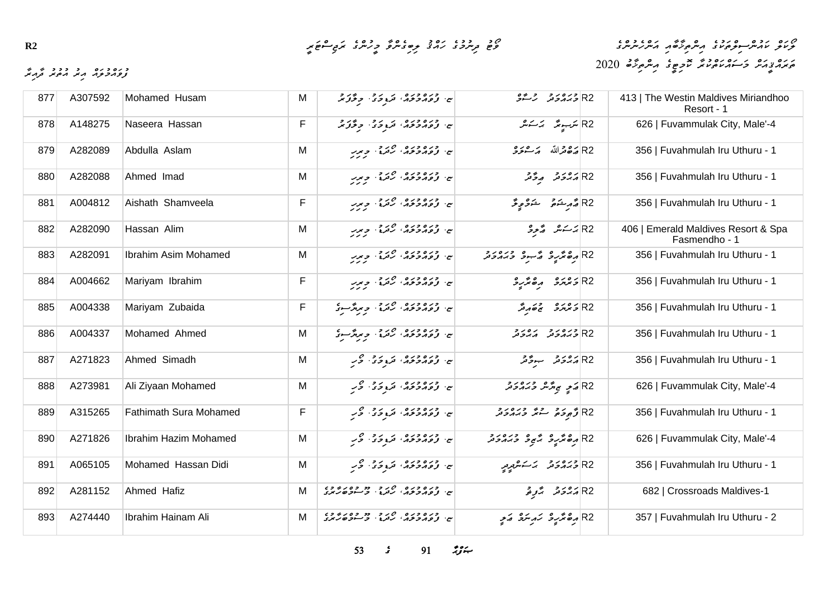*sCw7q7s5w7m< o<n9nOoAw7o< sCq;mAwBoEw7q<m; wBm;vB 2020<sup>, م</sup>وسر در مدد مدرج به مدرم مقرم قرار 2020*<br>موسر المستقرم المستقرم المستقرم المستقرم المستقرم المستقرم المستقرم المستقرم المستقرم المستقرم المستقرم المستقر

| 877 | A307592 | Mohamed Husam                 | м           | ים: 1905 בים המודר ביי הדירה בידיק<br>יים: 1905 בית: 1977                                     | $322$ $222$ $R2$                    | 413   The Westin Maldives Miriandhoo<br>Resort - 1   |
|-----|---------|-------------------------------|-------------|-----------------------------------------------------------------------------------------------|-------------------------------------|------------------------------------------------------|
| 878 | A148275 | Naseera Hassan                | F           | سي وره دره.<br>سي وصم دخمه، تروند و تروگر                                                     | R2  سَرَسِيس   سَرَسْر              | 626   Fuvammulak City, Male'-4                       |
| 879 | A282089 | Abdulla Aslam                 | M           | ים בנסכנס יותר בעל<br>ים צפובבברי לעש בעל                                                     | R2 مَرْجَ قِرْاللّه مَرْ مِرْدِ     | 356   Fuvahmulah Iru Uthuru - 1                      |
| 880 | A282088 | Ahmed Imad                    | M           | ים ונס בנס יסק ב.<br>ים ונפחביבה' לנגל בינק                                                   | R2 كەنزى ھەر بەر                    | 356   Fuvahmulah Iru Uthuru - 1                      |
| 881 | A004812 | Aishath Shamveela             | F           | ים נפחבבתי לנגבי בינג                                                                         | R2 مۇم شۇھ ھەر ئىش ئور              | 356   Fuvahmulah Iru Uthuru - 1                      |
| 882 | A282090 | Hassan Alim                   | M           |                                                                                               | R2 پرسکس گھرو                       | 406   Emerald Maldives Resort & Spa<br>Fasmendho - 1 |
| 883 | A282091 | Ibrahim Asim Mohamed          | M           | ים ו ניס בנס ים ניב.<br>ים נפח בינחי לבנט ביות                                                | R2 رەڭرىرى گەسوم <i>دىم</i> دىر     | 356   Fuvahmulah Iru Uthuru - 1                      |
| 884 | A004662 | Mariyam Ibrahim               | $\mathsf F$ | י נגס בנס הגב" בינג<br>ישי צפונביבורי מנגבי בינג                                              | R2 <i>وَبُرْمَرْدَ مِـ هُبْرِدْ</i> | 356   Fuvahmulah Iru Uthuru - 1                      |
| 885 | A004338 | Mariyam Zubaida               | F           | כנסכנס 2000 ביתור.<br>ישי נפונפיכולי לעשי בינולי-יב                                           | R2 كوجرو مح <i>كام</i> وتر          | 356   Fuvahmulah Iru Uthuru - 1                      |
| 886 | A004337 | Mohamed Ahmed                 | M           | ים נכחבר בחי בישה בישת בי                                                                     | R2 <i>בגמכת הפ</i> יק               | 356   Fuvahmulah Iru Uthuru - 1                      |
| 887 | A271823 | Ahmed Simadh                  | M           | ے ووروورہ تروی کر                                                                             | R2 كەبروتر سوۋىر                    | 356   Fuvahmulah Iru Uthuru - 1                      |
| 888 | A273981 | Ali Ziyaan Mohamed            | м           | ے ووروورہ تروی کر                                                                             | R2 كەبىر بى ئەگەر 25. دەر 2         | 626   Fuvammulak City, Male'-4                       |
| 889 | A315265 | <b>Fathimath Sura Mohamed</b> | $\mathsf F$ | ى دوەددە ئروتى ئ                                                                              | R2 زُجودَ ۾ سُمَدُ دي. در           | 356   Fuvahmulah Iru Uthuru - 1                      |
| 890 | A271826 | Ibrahim Hazim Mohamed         | M           | ے ووروورہ تروی کر                                                                             | R2 مەھگرىدى گەنى ئەمەدىر            | 626   Fuvammulak City, Male'-4                       |
| 891 | A065105 | Mohamed Hassan Didi           | M           | ے ووروورہ ترویز وب                                                                            | R2 <i>32025 بىك مىتوبى</i> ر        | 356   Fuvahmulah Iru Uthuru - 1                      |
| 892 | A281152 | Ahmed Hafiz                   | M           | כנס כנס "סנכ" כד כסנפ"כ"<br>ישי "פרונדיבורי" מבנשי כ"ייביסמיבצ                                | R2 كەندى قىم ئىگە بىر ئىچ           | 682   Crossroads Maldives-1                          |
| 893 | A274440 | Ibrahim Hainam Ali            | M           | - כנספנס ימיד - חבר פסנדים<br>ישי <sub>ה</sub> פח <i>ביב</i> ה' ימיד - כי <del>י</del> כסמדים | R2 مەھ ئۇرى ئەم ئىكى مۇم ي          | 357   Fuvahmulah Iru Uthuru - 2                      |

*n8o<n@ q8qAq< q8o< w<mBq>w<m=q?*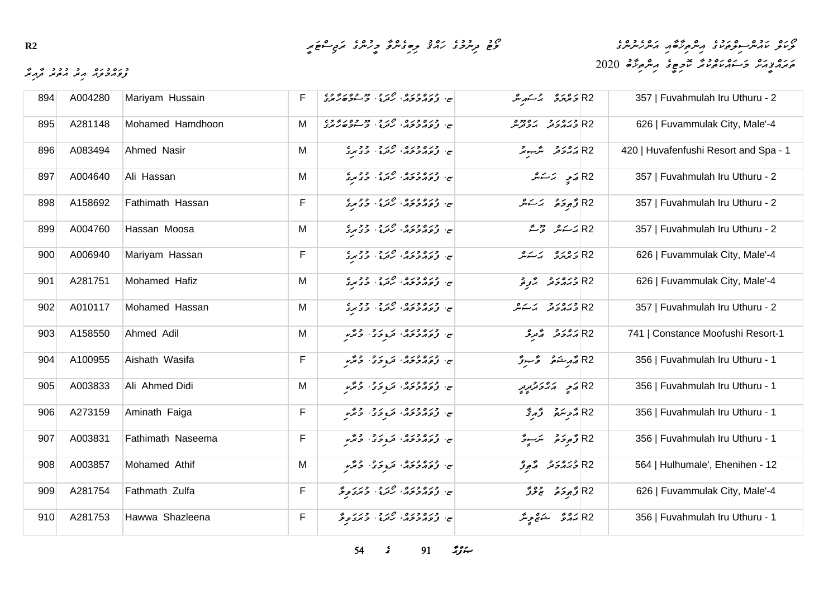*sCw7q7s5w7m< o<n9nOoAw7o< sCq;mAwBoEw7q<m; wBm;vB 2020<sup>, م</sup>وسر در مدد مدرج به مدرم مقرم قرار 2020*<br>موسر المستقرم المستقرم المستقرم المستقرم المستقرم المستقرم المستقرم المستقرم المستقرم المستقرم المستقرم المستقر

| 894 | A004280 | Mariyam Hussain   | $\mathsf{F}$ | - כנס כנס - הני כם בסנטיבים<br>ישי <sub>ב</sub> פו <i>ניבית ייניבי - כ</i> י בפיסומים | R2 <i>وَيُرْدُوْ</i> بِرْسَهِ مِرْ  | 357   Fuvahmulah Iru Uthuru - 2       |
|-----|---------|-------------------|--------------|---------------------------------------------------------------------------------------|-------------------------------------|---------------------------------------|
| 895 | A281148 | Mohamed Hamdhoon  | M            | כנסכנס ריכן מיכ מיטיבר<br>ש' צפונביבור' ניטיב יב אייבסמיב                             | R2 <i>32020 برودوه</i>              | 626   Fuvammulak City, Male'-4        |
| 896 | A083494 | Ahmed Nasir       | M            | ور ه دره دره ه در در دره<br>سی توجه درخهه کردنی وی بری                                | R2 كەبرى قرىبە ئىگە بىر             | 420   Huvafenfushi Resort and Spa - 1 |
| 897 | A004640 | Ali Hassan        | M            | יז נינונים לנדי כבית.<br>יז נינוכבה לנגו כבית.                                        | R2   كەبىي    ئەسكەنلى              | 357   Fuvahmulah Iru Uthuru - 2       |
| 898 | A158692 | Fathimath Hassan  | F            | כנסכנס הנבר ככל<br>יין צפונפיצורי לנגז' כבינוב                                        | R2 ۇ <sub>جو</sub> رَى ئەسەمىر      | 357   Fuvahmulah Iru Uthuru - 2       |
| 899 | A004760 | Hassan Moosa      | M            | יז נינונים לנדי כבית.<br>יז נינוכבה לנגו כבית.                                        | R2 پر شریق ویستر                    | 357   Fuvahmulah Iru Uthuru - 2       |
| 900 | A006940 | Mariyam Hassan    | F            | יז ניסינים יוני יינים<br>יז ניסו <i>ביבה</i> לעש                                      | R2 كەبىر بەر بەر يەر                | 626   Fuvammulak City, Male'-4        |
| 901 | A281751 | Mohamed Hafiz     | M            | יז ניס בנס ימנד בבינד.<br>יז ניסוב בה' לינד בבינד                                     | R2  <i>وبروبرو بڑونی</i>            | 626   Fuvammulak City, Male'-4        |
| 902 | A010117 | Mohamed Hassan    | M            | יז ניסינים יוני יינים<br>יז ניסו <i>ביבה</i> לעש                                      | R2 <i>ويرووتر برسكس</i>             | 357   Fuvahmulah Iru Uthuru - 2       |
| 903 | A158550 | Ahmed Adil        | M            | שי נכחכבתי בגבי כבע                                                                   | R2, دَيَرَ قَدْ مَدَّمَرَ مَحْ      | 741   Constance Moofushi Resort-1     |
| 904 | A100955 | Aishath Wasifa    | F            | ים נפחבבתי בגבי בילי                                                                  | R2 مُ مِسْتَمْ وَ مُّ سِوَّرٌ       | 356   Fuvahmulah Iru Uthuru - 1       |
| 905 | A003833 | Ali Ahmed Didi    | M            | שי נכחכבתי בגביבי בילי                                                                | R2 كەير كەرگە ئەترىپر               | 356   Fuvahmulah Iru Uthuru - 1       |
| 906 | A273159 | Aminath Faiga     | F            | ى دوەددە ئروكى دىگر                                                                   | R2 مُجِسَعَةٍ وَمَدِةً              | 356   Fuvahmulah Iru Uthuru - 1       |
| 907 | A003831 | Fathimath Naseema | F            | ى دوەددە ئروكى دىگر                                                                   | R2 وَجوحَة مَرَسِوحٌ                | 356   Fuvahmulah Iru Uthuru - 1       |
| 908 | A003857 | Mohamed Athif     | M            | س ورەدىدە ترورى دىگرىم                                                                | R2  <i>جەدە دە</i> ش <sub>ە</sub> ۋ | 564   Hulhumale', Ehenihen - 12       |
| 909 | A281754 | Fathmath Zulfa    | F            | س وره وره صدو ورر و.<br>س توجه و حهر محدود حمدی و تحر                                 | R2 وَّجِعَة حَمَّى مَحَمَّدٌ        | 626   Fuvammulak City, Male'-4        |
| 910 | A281753 | Hawwa Shazleena   | F            | س وره وره صدر ورز و د                                                                 | R2 <i>بَہُمُوَّ شَہْوُم</i> ُوسُر   | 356   Fuvahmulah Iru Uthuru - 1       |

## *n8o<n@ q8qAq< q8o< w<mBq>w<m=q?*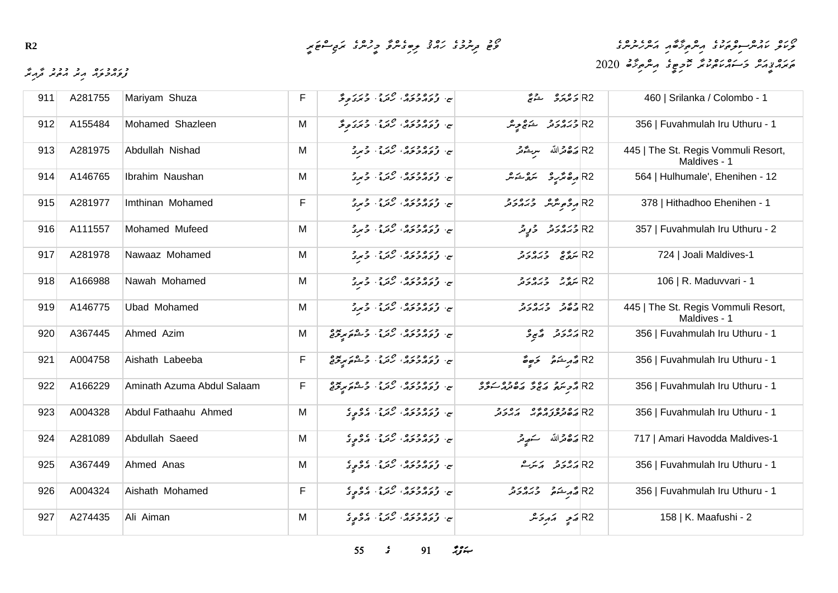*sCw7q7s5w7m< o<n9nOoAw7o< sCq;mAwBoEw7q<m; wBm;vB* م من المسجد المسجد المسجد المسجد المسجد العام 2020<br>مسجد المسجد المسجد المسجد المسجد المسجد المسجد المسجد المسجد ال

| A281755 | Mariyam Shuza              | F           | ים: 2005 בנים יום בנים ביותר ביותר ביותר ביותר ביותר ביותר ביותר ביותר ביותר ביותר ביותר ביותר ביותר ביותר ביו<br>המודע ביותר ביותר ביותר ביותר ביותר ביותר ביותר ביותר ביותר ביותר ביותר ביותר ביותר ביותר ביותר ביותר ביותר בי | R2 وَتَعْرَفَرَ شَيْءٌ             | 460   Srilanka / Colombo - 1                        |
|---------|----------------------------|-------------|----------------------------------------------------------------------------------------------------------------------------------------------------------------------------------------------------------------------------------|------------------------------------|-----------------------------------------------------|
| A155484 | Mohamed Shazleen           | M           | س وره وره هر و ورر و.<br>س وه محمد شود کارو و برو و بحر                                                                                                                                                                          | R2 <i>528 ق مەنى بولى</i> ر        | 356   Fuvahmulah Iru Uthuru - 1                     |
| A281975 | Abdullah Nishad            | M           | ים נפח כבחי מנשי כיני<br>ים נפח כבחי מנשי כיני                                                                                                                                                                                   | R2 كَەھْتَرَاللَّهُ سِرْشَةَتْر    | 445   The St. Regis Vommuli Resort,<br>Maldives - 1 |
| A146765 | Ibrahim Naushan            | M           | יז נפחבבה <sup>,</sup> מנדי בינד                                                                                                                                                                                                 | R2 مەھم <i>گىرى سەھىش</i> كىر      | 564   Hulhumale', Ehenihen - 12                     |
| A281977 | Imthinan Mohamed           | F           | ים נפח כבחי מנשי כיני<br>ים נפח כבחי מנשי כיני                                                                                                                                                                                   | R2 دوم شهر ورورو                   | 378   Hithadhoo Ehenihen - 1                        |
| A111557 | Mohamed Mufeed             | M           | יז נפחבבה <sup>,</sup> מנדי בינד                                                                                                                                                                                                 | R2  2 <i>5222, 3وق</i> ر           | 357   Fuvahmulah Iru Uthuru - 2                     |
| A281978 | Nawaaz Mohamed             | M           | ים ו פרוס פרוס היו ביותר ביותר ביותר ביותר ביותר ביותר ביותר ביותר ביותר ביותר ביותר ביותר ביותר ביותר ביותר ב<br>ביותר ביותר ביותר ביותר ביותר ביותר ביותר ביותר ביותר ביותר ביותר ביותר ביותר ביותר ביותר ביותר ביותר ביותר בי | R2 يَرَوُّجْ وَيَرْدُونَرْ         | 724   Joali Maldives-1                              |
| A166988 | Nawah Mohamed              | M           | ים נפח כנס ימנד - כ<br>ישי נפח כיכה' לנגד - כזנב                                                                                                                                                                                 | R2 يتمر <sup>و</sup> جمهور د       | 106   R. Maduvvari - 1                              |
| A146775 | <b>Ubad Mohamed</b>        | M           | ים נפח כבחי מנשי כיני<br>ים נפח כבחי מנשי כיני                                                                                                                                                                                   | R2 رُھُتر وَبَرُورور               | 445   The St. Regis Vommuli Resort,<br>Maldives - 1 |
| A367445 | Ahmed Azim                 | M           | ور ہ در در ہے۔<br>سی تو ہ ہے جرہ ' راتب ۔ جی شہر تو تیر تھے                                                                                                                                                                      | R2 كەبرى قىر ھەم ئى                | 356   Fuvahmulah Iru Uthuru - 1                     |
| A004758 | Aishath Labeeba            | $\mathsf F$ | ور ہ درے ہے کے دورے دے دی۔<br>سی تی <i>و مرح خ</i> رم کے مرح کے مش <i>ور م</i> رحمد                                                                                                                                              | R2 مُدشَمَّ وَصِمَّ                | 356   Fuvahmulah Iru Uthuru - 1                     |
| A166229 | Aminath Azuma Abdul Salaam | $\mathsf F$ | س وره وره ه ره د و ه در بده<br> س ژوبر <i>و څ</i> ر کرد و شوه برخ                                                                                                                                                                | R2 جُرِسُه ديه ده ده در ده         | 356   Fuvahmulah Iru Uthuru - 1                     |
| A004328 | Abdul Fathaahu Ahmed       | M           | יז צפח בים ישני מים שי<br>ישי צפח ביבה' ניטובי חבפי                                                                                                                                                                              | R2 ره وه ده ده بره در و            | 356   Fuvahmulah Iru Uthuru - 1                     |
| A281089 | Abdullah Saeed             | M           | יז ניסינים לקבים בי<br>יז ניסו <i>ביבה</i> לעש' ובקיב                                                                                                                                                                            | R2 مَەھمَراللە سَىھِيىتْر          | 717   Amari Havodda Maldives-1                      |
| A367449 | Ahmed Anas                 | M           | יז ניסינים לקבים בי<br>יז ניסו <i>ביבה</i> לעש' ובקיב                                                                                                                                                                            | R2 كەبرى قىر كەنگە كىلەر يىلىن ئىس | 356   Fuvahmulah Iru Uthuru - 1                     |
| A004324 | Aishath Mohamed            | $\mathsf F$ | יז ניסינים יוני יום יו<br>יז ניסוכים לעצי ויפע                                                                                                                                                                                   | R2 مەم ئىقتى ھەدە بىر دىر          | 356   Fuvahmulah Iru Uthuru - 1                     |
| A274435 | Ali Aiman                  | M           | יז ניסינים יוני יום ה<br>יז ניסו <i>ביב</i> ה לעצי ובקי                                                                                                                                                                          | R2 <i>مَج مَه</i> جَسُ             | 158   K. Maafushi - 2                               |
|         |                            |             |                                                                                                                                                                                                                                  |                                    |                                                     |

*n8o<n@ q8qAq< q8o< w<mBq>w<m=q?*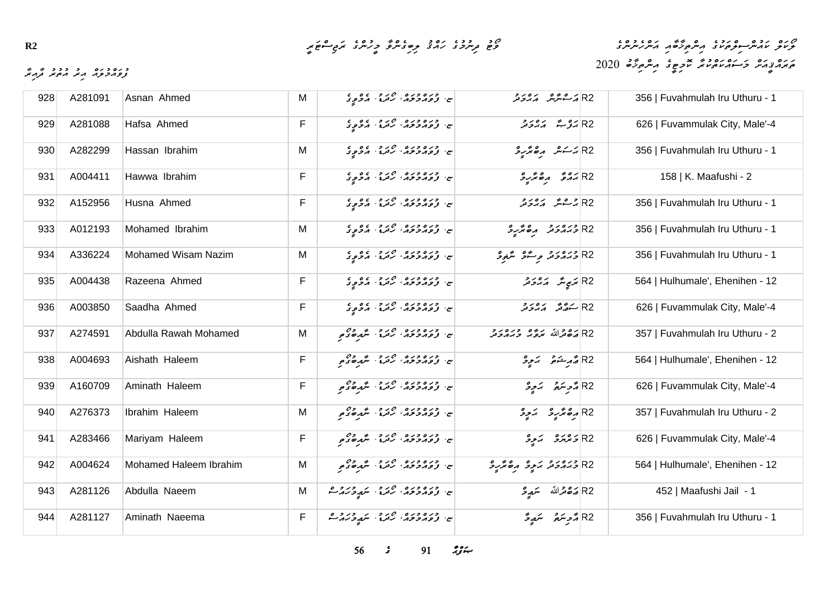*sCw7q7s5w7m< o<n9nOoAw7o< sCq;mAwBoEw7q<m; wBm;vB 2020<sup>, م</sup>وسر در مدد مدرج به مدرم مقرم قرار 2020*<br>موسر المستقرم المستقرم المستقرم المستقرم المستقرم المستقرم المستقرم المستقرم المستقرم المستقرم المستقرم المستقر

| 928 | A281091 | Asnan Ahmed            | M           | כנסכנס ימנד מכן<br>יין צפונכיבו, נעד וכפב                                     | R2 كەششىر مەردىر                        | 356   Fuvahmulah Iru Uthuru - 1 |
|-----|---------|------------------------|-------------|-------------------------------------------------------------------------------|-----------------------------------------|---------------------------------|
| 929 | A281088 | Hafsa Ahmed            | F           | יזי צפחבבה' הנגר והכפב<br>יזי צפחבבה' הנגר חבפב                               | R2 پَرُوْبَۃُ پَرَپْرَوْبَر             | 626   Fuvammulak City, Male'-4  |
| 930 | A282299 | Hassan Ibrahim         | м           | יז ניסינים יוני יום ה<br>יז ניסוכים ליטו                                      | R2  يرسكش م <i>وڭ پر</i> و              | 356   Fuvahmulah Iru Uthuru - 1 |
| 931 | A004411 | Hawwa Ibrahim          | F           | יז נינודנים יונד ובקיט<br>יז ניבודנים לנדי ובקיט                              | R2 بَرْمَرٌ مِنْ مُحْرِرِدٌ             | 158   K. Maafushi - 2           |
| 932 | A152956 | Husna Ahmed            | F           | יז ניסינים יוני יום ה<br>יז ניסוכים ליטו                                      | R2 پر شهر پروتر                         | 356   Fuvahmulah Iru Uthuru - 1 |
| 933 | A012193 | Mohamed Ibrahim        | M           | יז ניסינים יוני יום יו<br>יז ניסוכים לעצי ויפע                                | R2 دُبروتر مِرْهَ بَرْبِرْ              | 356   Fuvahmulah Iru Uthuru - 1 |
| 934 | A336224 | Mohamed Wisam Nazim    | м           | م وره وره صرح عاه ع<br>سي توجه حره کردني هرچ                                  | R2 <i>وبرودو وسرو م</i> ترو             | 356   Fuvahmulah Iru Uthuru - 1 |
| 935 | A004438 | Razeena Ahmed          | F           | יז נינודנים יונד ובקיט<br>יז ניבודנים לנדי ובקיט                              | R2 بَرَبِي مَدَّ 125 قر                 | 564   Hulhumale', Ehenihen - 12 |
| 936 | A003850 | Saadha Ahmed           | F           | יז צפחבבה' הנדי מבפב                                                          | R2 سَمَ <i>دُوْ</i> مَ <sup>رو</sup> دو | 626   Fuvammulak City, Male'-4  |
| 937 | A274591 | Abdulla Rawah Mohamed  | M           | ים: 2005 בנים יישוב בין הקים בים.<br>יים: 2015 בין יישוב בין הקים בים.        | R2 رَحْمَدْاللّه مَرَمَّة وَبَرْدَوَمَر | 357   Fuvahmulah Iru Uthuru - 2 |
| 938 | A004693 | Aishath Haleem         | F           | س وره وره صدر شهروه<br>س ژوم <i>و څ</i> م" رفرو شهر <i>ه د</i> ه <sub>و</sub> |                                         | 564   Hulhumale', Ehenihen - 12 |
| 939 | A160709 | Aminath Haleem         | F           | כנסכנס מנכיש כם<br>ישי נפונכיבו, יכנשי ייתונים בים                            | R2 مُجِسَعَةٍ مَعِرْدً                  | 626   Fuvammulak City, Male'-4  |
| 940 | A276373 | Ibrahim Haleem         | M           | יז ניסינים יונד בים.<br>ישי נפחביבה' לנגד יתחיסבים.                           | R2 م <i>ەھتىب</i> ۇ تەممى               | 357   Fuvahmulah Iru Uthuru - 2 |
| 941 | A283466 | Mariyam Haleem         | F           |                                                                               | R2 كانترنى كمبرانى                      | 626   Fuvammulak City, Male'-4  |
| 942 | A004624 | Mohamed Haleem Ibrahim | M           | س وره وره به دو.<br>س ژوم د دم. رفر: شم                                       | R2 دېروند ټرو ره ټرو                    | 564   Hulhumale', Ehenihen - 12 |
| 943 | A281126 | Abdulla Naeem          | M           | س وره وره ص ح د و .<br>س توحد حرم الرحمد الشمير حرم مس                        | R2 مَرْحْمَدَاللَّهُ سَمِهِ تَرْ        | 452   Maafushi Jail - 1         |
| 944 | A281127 | Aminath Naeema         | $\mathsf F$ | س وره وره ه رو .<br>س وحدو وه کرد . سمد در در س                               | R2 أَمَّ حِ سَمَّةٍ حَسَّمَةٍ حَسَّ     | 356   Fuvahmulah Iru Uthuru - 1 |

*n8o<n@ q8qAq< q8o< w<mBq>w<m=q?*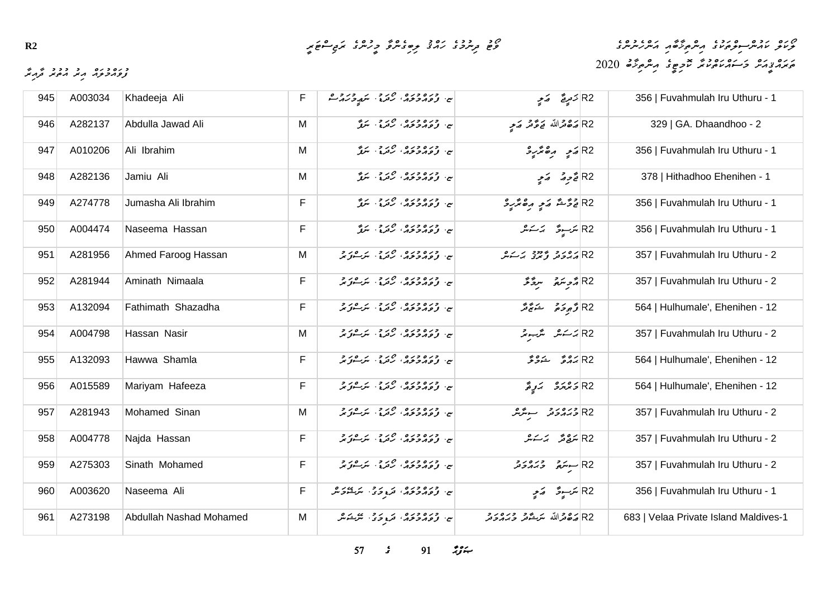*sCw7q7s5w7m< o<n9nOoAw7o< sCq;mAwBoEw7q<m; wBm;vB 2020*<br>*په پوهر وسوډيرونو لومو د موجو د مرمونه* 2020

| 945 | A003034 | Khadeeja Ali            | $\mathsf F$  | שי צפח כיכם יישה ביותר ביותר ב                                    | R2 كَتَمِيعٌ – مَدَمٍّ –                            | 356   Fuvahmulah Iru Uthuru - 1       |
|-----|---------|-------------------------|--------------|-------------------------------------------------------------------|-----------------------------------------------------|---------------------------------------|
| 946 | A282137 | Abdulla Jawad Ali       | M            | س وره وره به رو .<br>س زوارونوار کردنی شرقی                       | R2 صَ®مَرْاللّه مَع قَمَّد صَعِي                    | 329   GA. Dhaandhoo - 2               |
| 947 | A010206 | Ali Ibrahim             | M            | دره دره ه در د.<br>س زود درو، ردر  سَرَّ                          | R2 <i>مَج م</i> ِ صَمَّرِ وَ                        | 356   Fuvahmulah Iru Uthuru - 1       |
| 948 | A282136 | Jamiu Ali               | M            | ے وره وره بھرو .<br>سي ووړونون ريزو . سرگي                        | R2 تج <i>ج</i> ه ترم پر                             | 378   Hithadhoo Ehenihen - 1          |
| 949 | A274778 | Jumasha Ali Ibrahim     | F            | ەرە دىرە بەرد.<br>س· ۋەپەرىرى، رىرە · سَرَّ                       | R2 ج حٌ شَہٌ کہ پر م <i>م مُرْبِ</i> حْ             | 356   Fuvahmulah Iru Uthuru - 1       |
| 950 | A004474 | Naseema Hassan          | $\mathsf F$  | ے ورہ ورہ صرح ہے۔<br>سی ووا <i>ز ح</i> رم رفرہ سرگی               | R2   يَرْسِودُ = يَرْسَمْسُ                         | 356   Fuvahmulah Iru Uthuru - 1       |
| 951 | A281956 | Ahmed Faroog Hassan     | M            | ر دره دره ۵۰۶۵ کرد .<br>س و <i>و مرح پر کرد :</i> س سومبر         | R2 كەبروتىر ئوتىر <i>ى كەسكەنل</i>                  | 357   Fuvahmulah Iru Uthuru - 2       |
| 952 | A281944 | Aminath Nimaala         | $\mathsf{F}$ | س وره وره صدح .<br>س وعلاحات رکوچ . سرسومه                        | R2 مُّجِسَمُ مِنْ مِنْ                              | 357   Fuvahmulah Iru Uthuru - 2       |
| 953 | A132094 | Fathimath Shazadha      | F            | س وره وره ه دره .<br>س وه در ده. کندنی . سر-نویم                  | R2 تُرجوحَ حَمَدَ مُحَمَّدٌ                         | 564   Hulhumale', Ehenihen - 12       |
| 954 | A004798 | Hassan Nasir            | M            | س وره وره ه دره .<br>س وه در ده. کندنی . سر-نویم                  | R2 پرستمبر مگرسونز                                  | 357   Fuvahmulah Iru Uthuru - 2       |
| 955 | A132093 | Hawwa Shamla            | $\mathsf{F}$ | ر دره دره ه رو .<br>س و <i>و و د د و . ک</i> نر <u>.</u> س سومر   | R2 بَرْدُوَّ شَوَوْ تَرَ                            | 564   Hulhumale', Ehenihen - 12       |
| 956 | A015589 | Mariyam Hafeeza         | $\mathsf{F}$ | ر دره دره مرد درد.<br>س و <i>و مرح در، ر</i> نگ: س سویر           | R2 كانتر <i>ونتى تەپ</i> قى                         | 564   Hulhumale', Ehenihen - 12       |
| 957 | A281943 | Mohamed Sinan           | M            | ى درە دىرە، ئەرىب سەرى                                            | R2 <i>ڈیزوڈو سینگر</i> و                            | 357   Fuvahmulah Iru Uthuru - 2       |
| 958 | A004778 | Najda Hassan            | F            | س وره وره صدر شرح د و.<br>س توحلا <del>و فر</del> اد شوره شرکت تر | R2 ىترق <sub>ە</sub> تەر بەر يەر يەر يەر            | 357   Fuvahmulah Iru Uthuru - 2       |
| 959 | A275303 | Sinath Mohamed          | $\mathsf{F}$ | س وره وره . چرچ . مرت د ور و                                      | R2 سوسرة 25,000 كر                                  | 357   Fuvahmulah Iru Uthuru - 2       |
| 960 | A003620 | Naseema Ali             | F            | ے وره دره  تربحتی سرعت ده                                         | R2  سَرَسِوتٌ - رَسٍ                                | 356   Fuvahmulah Iru Uthuru - 1       |
| 961 | A273198 | Abdullah Nashad Mohamed | M            | سي وره وره له دو د عرش مل                                         | R2 رَحْمَتْرَاللَّهُ سَرَبِشَوْتَرِ وَبَرْمِرْوَتَر | 683   Velaa Private Island Maldives-1 |

*n8o<n@ q8qAq< q8o< w<mBq>w<m=q?*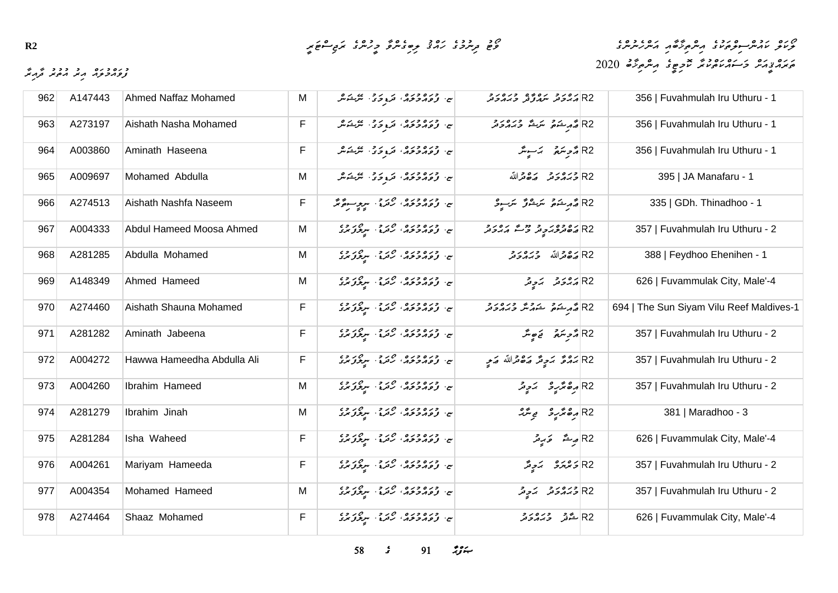*sCw7q7s5w7m< o<n9nOoAw7o< sCq;mAwBoEw7q<m; wBm;vB 2020<sup>, م</sup>وسر در مدد مدرج به مدرم مقرم قرار 2020*<br>موسر المستقرم المستقرم المستقرم المستقرم المستقرم المستقرم المستقرم المستقرم المستقرم المستقرم المستقرم المستقر

| 962 | A147443 | Ahmed Naffaz Mohamed       | M | سي وره وره کرد و ده مشخص                                          | R2 גזכת מפלט כממכת                                    | 356   Fuvahmulah Iru Uthuru - 1          |
|-----|---------|----------------------------|---|-------------------------------------------------------------------|-------------------------------------------------------|------------------------------------------|
| 963 | A273197 | Aishath Nasha Mohamed      | F | سي وره وره کرد و ده مشخص                                          | R2 مُفْسِنَة مَرْيَثَة وَيَامُ وَيْنَ                 | 356   Fuvahmulah Iru Uthuru - 1          |
| 964 | A003860 | Aminath Haseena            | F | سي وره وره کرد و ده مشخص                                          | R2 مُ <i>جِسَعَۃ پر سوینگ</i>                         | 356   Fuvahmulah Iru Uthuru - 1          |
| 965 | A009697 | Mohamed Abdulla            | M | ەرە دىرە ئەرەپچە ئەرە<br>س ۋەمەدىمە ئىروكى ئىرىشەش                | R2 322 مَرَدْ مَرْهُ قَدَاللّه                        | 395   JA Manafaru - 1                    |
| 966 | A274513 | Aishath Nashfa Naseem      | F | כנס כנס מנכי<br>ישי נפח ככחי לנגלי ותקבי-ים ב                     | R2 <i>مُّ مِ</i> شَمَّ مَرْسْوَرٌ ۚ مَرَسِو <i>دٌ</i> | 335   GDh. Thinadhoo - 1                 |
| 967 | A004333 | Abdul Hameed Moosa Ahmed   | M | כנסכנס מנכנס.<br>ישי נפחביבה' לנגז ייניבניני                      | R2 رەدەر دەستە رەرد                                   | 357   Fuvahmulah Iru Uthuru - 2          |
| 968 | A281285 | Abdulla Mohamed            | M | سی وره دره همرد.<br>سی وحدد دهه، رفرد. سردو برد                   | R2 مَەھمَّراللَّه حِمَدَ مَرَّدَ مَر                  | 388   Feydhoo Ehenihen - 1               |
| 969 | A148349 | Ahmed Hameed               | M | כנסכנס מנכ.<br>ישי נפונכיכולי לנגלי ייניבנינג                     | R2   <i>دَ بْدُوَنْتْهِ</i> بِرَوِنْتْهِ              | 626   Fuvammulak City, Male'-4           |
| 970 | A274460 | Aishath Shauna Mohamed     | F | כנס כנס רובים ואורדים.<br>ישי צפונדיבולי לבגלי ייתו <i>ב</i> ציבצ | R2 مەم شەھ شەرقىر <i>جەم</i> دىر                      | 694   The Sun Siyam Vilu Reef Maldives-1 |
| 971 | A281282 | Aminath Jabeena            | F | س وره وره همده.<br>س وحلاحرار، رفره. سرچونورد                     | R2 أَمُّ حِسَمَةٌ مَجْ صِمَّر                         | 357   Fuvahmulah Iru Uthuru - 2          |
| 972 | A004272 | Hawwa Hameedha Abdulla Ali | F | כנסכנס מנכנס.<br>ישי נפחביבה' לנגז ייניבניני                      | R2 بَرْمَةً بَرَجٍةً مَرْحَقَرْاللَّهُ مَرْجِ         | 357   Fuvahmulah Iru Uthuru - 2          |
| 973 | A004260 | Ibrahim Hameed             | M | ے : 20,000 000 0000 مرکز ہے<br>سے : 30,000 مرکز کرتی مرکز ہوتی    | R2 م <i>وھنگرد</i> و کے پی                            | 357   Fuvahmulah Iru Uthuru - 2          |
| 974 | A281279 | Ibrahim Jinah              | M | כנסכנס רובר.<br>ישי צפו <i>נפלבוי ל</i> בנצי ייתו <i>בציו</i> ב   | R2 م <i>وھنڑر بح</i> مح <i>مگ</i> ر                   | 381   Maradhoo - 3                       |
| 975 | A281284 | Isha Waheed                | F | وره وره .<br>س- ژوماو وکړ ، رکړه - سرچ ژمری                       | R2 مِٿْ قَريقُ                                        | 626   Fuvammulak City, Male'-4           |
| 976 | A004261 | Mariyam Hameeda            | F | سی وره وره مهمدو.<br>سی وحه <i>و خ</i> ها مهمدو. سرچونوس          | R2  5 يُرْ <i>مَرْدُ بَ</i> حِرِيْدً                  | 357   Fuvahmulah Iru Uthuru - 2          |
| 977 | A004354 | Mohamed Hameed             | M | ے : 20,000 000 0000 مرکز ہے<br>سے : 30,000 مرکز کرتی مرکز ہوتی    | R2   <i>522,325   كرون</i> د                          | 357   Fuvahmulah Iru Uthuru - 2          |
| 978 | A274464 | Shaaz Mohamed              | F | وره وره<br>س- ژوپروتوپر، رکزه- سربرژمری                           | R2 شَوْرْ وَبَرْدُوتْر                                | 626   Fuvammulak City, Male'-4           |

*n8o<n@ q8qAq< q8o< w<mBq>w<m=q?*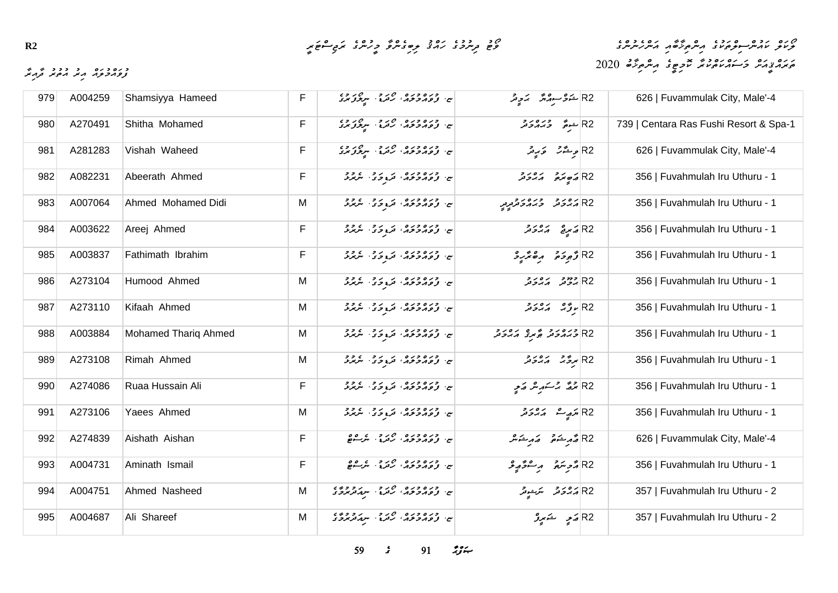*sCw7q7s5w7m< o<n9nOoAw7o< sCq;mAwBoEw7q<m; wBm;vB 2020<sup>, م</sup>وسر در مدد مدرج به مدرم مقرم قرار 2020*<br>موسر المستقرم المستقرم المستقرم المستقرم المستقرم المستقرم المستقرم المستقرم المستقرم المستقرم المستقرم المستقر

| 979 | A004259 | Shamsiyya Hameed            | F           | سی وره وره مهمدو.<br>سی وحه <i>و خ</i> ها مهمدو. سرچونوس                                                                                       | R2 خۇسەمە ئەدەر                     | 626   Fuvammulak City, Male'-4         |
|-----|---------|-----------------------------|-------------|------------------------------------------------------------------------------------------------------------------------------------------------|-------------------------------------|----------------------------------------|
| 980 | A270491 | Shitha Mohamed              | F           | سي وره وره مهمده.<br>سي وحلاح حمد مهمده. سرچونوس                                                                                               | R2 جومج وبرودتر                     | 739   Centara Ras Fushi Resort & Spa-1 |
| 981 | A281283 | Vishah Waheed               | F           | سی وره وره مهمدو.<br>سی وحه <i>و خ</i> ها مهمدو. سرچونوس                                                                                       | R2 حِشَرٌ - حَ پِيْرٌ               | 626   Fuvammulak City, Male'-4         |
| 982 | A082231 | Abeerath Ahmed              | F           | سي وره وره در دو درود<br>سي وورونور، ترونوني سربرت                                                                                             | R2 مَصِعَرَ مَدَوْمَر               | 356   Fuvahmulah Iru Uthuru - 1        |
| 983 | A007064 | Ahmed Mohamed Didi          | M           | ים נפחבבתי נגבי המב                                                                                                                            |                                     | 356   Fuvahmulah Iru Uthuru - 1        |
| 984 | A003622 | Areej Ahmed                 | $\mathsf F$ | ים "רוס בנים" בגובר "הוביב".<br>ישי "רוס בובים ביולים ביב" יותר ביולים ביולים ביולים ביולים ביולים ביולים ביולים ביולים ביולים ביולים ביולים ב | R2 كەيرىق كەبر <i>ە</i> تر          | 356   Fuvahmulah Iru Uthuru - 1        |
| 985 | A003837 | Fathimath Ibrahim           | F           | ים נפחבבותי הגבי המבב                                                                                                                          | R2 <i>وُجودَة وڤترَب</i> وْ         | 356   Fuvahmulah Iru Uthuru - 1        |
| 986 | A273104 | Humood Ahmed                | M           | ים: 3000000 בגבר 2000<br>ים: 300000 בגבר בי                                                                                                    | R2 رود دره در پر                    | 356   Fuvahmulah Iru Uthuru - 1        |
| 987 | A273110 | Kifaah Ahmed                | M           | ים נפחבבתי נגבי המב                                                                                                                            | R2 برمج مجمد 1925 بر                | 356   Fuvahmulah Iru Uthuru - 1        |
| 988 | A003884 | <b>Mohamed Thariq Ahmed</b> | M           | ے ورہ درہ گردی کے دو                                                                                                                           | R2 <i>ديرورو ۽ پي</i> و پروتر       | 356   Fuvahmulah Iru Uthuru - 1        |
| 989 | A273108 | Rimah Ahmed                 | M           | ים "רוס בנים" בגובר "הוביב".<br>ישי "רוס בובים ביולים ביב" יותר ביולים ביולים ביולים ביולים ביולים ביולים ביולים ביולים ביולים ביולים ביולים ב | R2 بردًّ پر پر پر تهر               | 356   Fuvahmulah Iru Uthuru - 1        |
| 990 | A274086 | Ruaa Hussain Ali            | F           | ے ورہ درہ گردی کے دو                                                                                                                           | R2 بُرْيُّ بُرْسَهُ بِلَّا مَرْمٍ ۖ | 356   Fuvahmulah Iru Uthuru - 1        |
| 991 | A273106 | Yaees Ahmed                 | M           | س- ورەورە كروكۇ- ئارو                                                                                                                          | R2  تزریف   ترجیحتر                 | 356   Fuvahmulah Iru Uthuru - 1        |
| 992 | A274839 | Aishath Aishan              | F           | ح د ۱۶۵۶ م د د ع ۵۵ م د و.<br>س· ز <i>و ۸ د ح</i> ۶۸ م کرد و .                                                                                 | R2 مُرمِشَمُ مَدبِسَو               | 626   Fuvammulak City, Male'-4         |
| 993 | A004731 | Aminath Ismail              | F           | ے ۔ ورہ ورہ مصرور عرضے<br>سے وحد <i>حرم</i> کر ترور سرک                                                                                        | R2 مُوسَمَعُ مِسْتَوَّمِيعُ         | 356   Fuvahmulah Iru Uthuru - 1        |
| 994 | A004751 | Ahmed Nasheed               | M           | سي وره وره مي د و.<br>سي توجه و وهر مي مي سيم توجر و د                                                                                         | R2   پرچري - سرشيونر                | 357   Fuvahmulah Iru Uthuru - 2        |
| 995 | A004687 | Ali Shareef                 | M           | س وره وره صرح به در و وره .<br>س ژوبرو ژبه رفر: سرپرتروی                                                                                       | R2 <i>۾َ جِ</i> حَمَيِّوْ           | 357   Fuvahmulah Iru Uthuru - 2        |
|     |         |                             |             |                                                                                                                                                |                                     |                                        |

*n8o<n@ q8qAq< q8o< w<mBq>w<m=q?*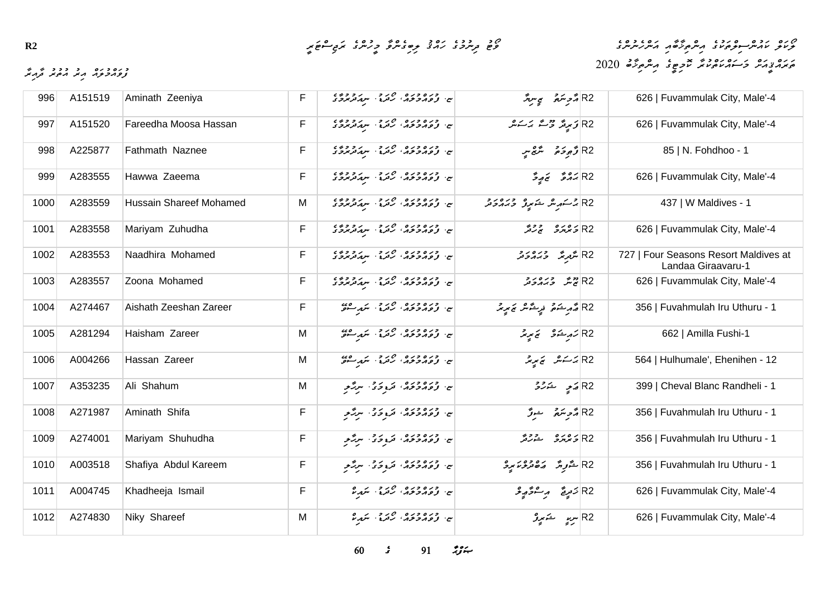*sCw7q7s5w7m< o<n9nOoAw7o< sCq;mAwBoEw7q<m; wBm;vB* م من المسجد المسجد المسجد المسجد المسجد العام 2020<br>مسجد المسجد المسجد المسجد المسجد المسجد المسجد المسجد المسجد ال

| 996  | A151519 | Aminath Zeeniya                | F |                                                                                                                                                                                                                                 | R2 مُجِسَعَةٍ سِيرَةٌ                                                                                                  | 626   Fuvammulak City, Male'-4                              |
|------|---------|--------------------------------|---|---------------------------------------------------------------------------------------------------------------------------------------------------------------------------------------------------------------------------------|------------------------------------------------------------------------------------------------------------------------|-------------------------------------------------------------|
| 997  | A151520 | Fareedha Moosa Hassan          | F | ים " כנס כנס" לנגב" ייטג בניביט בי                                                                                                                                                                                              | R2 كۆمچەنگر تۇسىگە ئەسكەنلەر                                                                                           | 626   Fuvammulak City, Male'-4                              |
| 998  | A225877 | Fathmath Naznee                | F | יז - 20,000 יזה 20,000 מדינים בין 20,000 מיטורים בין 20,000 מיטורים בין 20,000 מיטורים בין 20,000 מיטורים בין<br>מיטורים בין 20,000 מיטורים בין 20,000 מיטורים בין 20,000 מיטורים בין 20,000 מיטורים בין 20,000 מיטורים בין 20, | R2 رَّج <i>وحَةْ</i> مَدَّمْ سِ                                                                                        | 85   N. Fohdhoo - 1                                         |
| 999  | A283555 | Hawwa Zaeema                   | F | س وره دره ه در سرد دود .<br>س ژوبرو ژبر کرد: سرگریزوی                                                                                                                                                                           | $\mathcal{Z}_{\mathcal{A}} \mathcal{Z}_{\mathcal{A}} \mathcal{Z}_{\mathcal{A}} \mathcal{Z}_{\mathcal{A}} \mathsf{R} 2$ | 626   Fuvammulak City, Male'-4                              |
| 1000 | A283559 | <b>Hussain Shareef Mohamed</b> | M | ים " כנס כנס" לנגב" ייטג בניביט בי                                                                                                                                                                                              | R2 بُرْسَهرِ بْدَ عَمَدٍ وَبِرَ دَوْرَ وَ                                                                              | 437   W Maldives - 1                                        |
| 1001 | A283558 | Mariyam Zuhudha                | F | مع : وره وره مهم در ورده و<br>مع : وه پر و مهر اس رقب اس کرمرو د                                                                                                                                                                | R2 كا <i>برورو</i> برگر                                                                                                | 626   Fuvammulak City, Male'-4                              |
| 1002 | A283553 | Naadhira Mohamed               | F | س وره وره هم در و.<br>س وه د د د د . سرد . سرد تر برد د                                                                                                                                                                         | R2 بَرْمَدِيَّر وَبَرْدُونَدِ                                                                                          | 727   Four Seasons Resort Maldives at<br>Landaa Giraavaru-1 |
| 1003 | A283557 | Zoona Mohamed                  | F | س وره وره هم در د.<br>س وه د حرم کردن سرد ترد برد                                                                                                                                                                               | R2 تۆشەر جەيزە ئەر                                                                                                     | 626   Fuvammulak City, Male'-4                              |
| 1004 | A274467 | Aishath Zeeshan Zareer         | F | ים נפחבבתי לנדי יתג כם                                                                                                                                                                                                          | R2 مَّ مِـ شَوَّةٍ ۖ وَرِحْتَمْتُر تَمَ مِرِيْرٌ                                                                       | 356   Fuvahmulah Iru Uthuru - 1                             |
| 1005 | A281294 | Haisham Zareer                 | M |                                                                                                                                                                                                                                 | R2 كەرىشەنى ئىم <i>بوي</i> تى                                                                                          | 662   Amilla Fushi-1                                        |
| 1006 | A004266 | Hassan Zareer                  | M | כנס כנס היה בני היה היה<br>ישי נפו <i>נ כ</i> בו הנגל ייתו היה                                                                                                                                                                  | R2  پرسترش تج ہویٹر                                                                                                    | 564   Hulhumale', Ehenihen - 12                             |
| 1007 | A353235 | Ali Shahum                     | M | سي وره وره در دو.<br>سي وره دوجها تره وي سرگرمي                                                                                                                                                                                 | R2  رَمِ شَرْرُدُ                                                                                                      | 399   Cheval Blanc Randheli - 1                             |
| 1008 | A271987 | Aminath Shifa                  | F | سي: ووه ووده، ترود ود. سرگرم                                                                                                                                                                                                    | R2 مُرْحِ مَتَمَّةٌ مُسْبَرٌ                                                                                           | 356   Fuvahmulah Iru Uthuru - 1                             |
| 1009 | A274001 | Mariyam Shuhudha               | F | ى دوەددە ئروكى سرگو                                                                                                                                                                                                             | R2 كو <i>بودگر</i> شورتگر                                                                                              | 356   Fuvahmulah Iru Uthuru - 1                             |
| 1010 | A003518 | Shafiya Abdul Kareem           | F | س ورەددە، ترورى سرگو                                                                                                                                                                                                            | R2 څو پر صور ده برو                                                                                                    | 356   Fuvahmulah Iru Uthuru - 1                             |
| 1011 | A004745 | Khadheeja Ismail               | F | ים נפגבנהם בנברה יתגל                                                                                                                                                                                                           | R2 زَمِرِيَّ مِ سُوَّمِرُوْ                                                                                            | 626   Fuvammulak City, Male'-4                              |
| 1012 | A274830 | Niky Shareef                   | M | ים נכתכ כנס ייני בי הרי<br>ים נכתכ כת' ניני הרי                                                                                                                                                                                 | R2 سریں مشہور محمد ہوتھ<br>                                                                                            | 626   Fuvammulak City, Male'-4                              |

*n8o<n@ q8qAq< q8o< w<mBq>w<m=q?*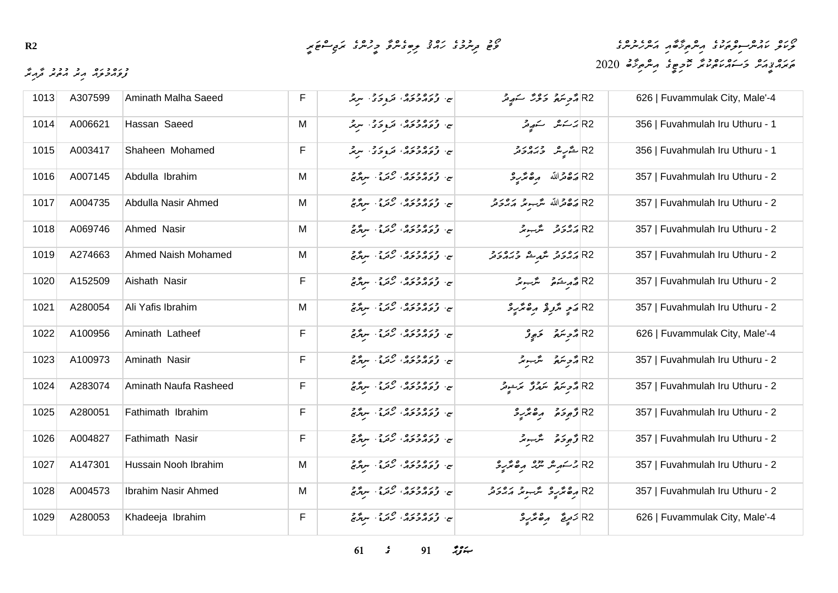*sCw7q7s5w7m< o<n9nOoAw7o< sCq;mAwBoEw7q<m; wBm;vB 2020<sup>, م</sup>وسر در مدد مدرج به مدرم مقرم قرار 2020*<br>موسر المستقرم المستقرم المستقرم المستقرم المستقرم المستقرم المستقرم المستقرم المستقرم المستقرم المستقرم المستقر

| A307599 | Aminath Malha Saeed        | F           | سي- 2005 و 7 مر برو.<br>سي- توجه 1995 مروكي- سرچ                                                                                                                                                                                | R2 أُمُّ وِسَمَّةً وَتَحَرُّ سَمَّ وَمَّ      | 626   Fuvammulak City, Male'-4  |
|---------|----------------------------|-------------|---------------------------------------------------------------------------------------------------------------------------------------------------------------------------------------------------------------------------------|-----------------------------------------------|---------------------------------|
| A006621 | Hassan Saeed               | M           | ى دوم دوم ترود. سر                                                                                                                                                                                                              | R2 پرسک سکھ سکھ                               | 356   Fuvahmulah Iru Uthuru - 1 |
| A003417 | Shaheen Mohamed            | $\mathsf F$ | ى دوەددە، ئرودى سر                                                                                                                                                                                                              | R2 څرپر <i>ډېرون</i> ر                        | 356   Fuvahmulah Iru Uthuru - 1 |
| A007145 | Abdulla Ibrahim            | M           | ים נפח כלם היה מתאים.<br>ישי נפח כלחי לנגל ייטלים                                                                                                                                                                               | R2 مَـُرْ مِدْاللّه مِـ صَحَّرِ وَ            | 357   Fuvahmulah Iru Uthuru - 2 |
| A004735 | Abdulla Nasir Ahmed        | M           | ים - 2005 בים היה בין היה בין היה בין היה בין היה בין היה בין היה בין היה בין היה בין היה בין היה בין היה בין<br>היה בין היה בין היה היה בין היה בין היה בין היה בין היה בין היה בין היה בין היה בין היה בין היה בין היה בין הי | R2 كەھەتداللە مىزىبويمە كەبرىرىد              | 357   Fuvahmulah Iru Uthuru - 2 |
| A069746 | Ahmed Nasir                | M           | ים ני פריכתי ליני ייטלים                                                                                                                                                                                                        | R2 كەبروتىر ش <i>ەببەتى</i>                   | 357   Fuvahmulah Iru Uthuru - 2 |
| A274663 | <b>Ahmed Naish Mohamed</b> | M           | ים: 20,0000 לנדי ייטרים<br>ים: 20,000 לנדי ייטרים                                                                                                                                                                               | R2 ג' ג' ג' ה' ב' ג' ג' בי ה' ב               | 357   Fuvahmulah Iru Uthuru - 2 |
| A152509 | Aishath Nasir              | $\mathsf F$ | ים נפח כלם היה מתאים.<br>ישי נפח כלחי לנגל ייטלים                                                                                                                                                                               | R2 مۇم شۇمۇ سىر ئىب ئىر                       | 357   Fuvahmulah Iru Uthuru - 2 |
| A280054 | Ali Yafis Ibrahim          | M           | ים - 2005 בים היה בין היה בין היה בין היה בין היה בין היה בין היה בין היה בין היה בין היה בין היה בין היה בין<br>היה בין היה בין היה היה בין היה בין היה בין היה בין היה בין היה בין היה בין היה בין היה בין היה בין היה בין הי | R2  رَمِ مَرْرِةْ مِرْهَ مَرِدْ               | 357   Fuvahmulah Iru Uthuru - 2 |
| A100956 | Aminath Latheef            | $\mathsf F$ | כנס כנס הניב.<br>ישי <sub>ל</sub> פחביבה <sup>,</sup> נעשי ייט <i>ב</i> יב                                                                                                                                                      | R2 مُتَّحِبِّرَةٌ تَحَبِّونُو                 | 626   Fuvammulak City, Male'-4  |
| A100973 | Aminath Nasir              | $\mathsf F$ | ים - 2005 בים היה בין היה בין היה בין היה בין היה בין היה בין היה בין היה בין היה בין היה בין היה בין היה בין<br>היה בין היה בין היה היה בין היה בין היה בין היה בין היה בין היה בין היה בין היה בין היה בין היה בין היה בין הי | R2 مُحرِسَمُ مُحَسِنِيْتِ                     | 357   Fuvahmulah Iru Uthuru - 2 |
| A283074 | Aminath Naufa Rasheed      | F           | ים: 20,0000 לינד ו ייטרה<br>ים: 20,000 לינד ו ייטרה                                                                                                                                                                             | R2 مَّ صِنَّعْهُ سَمْرُتَّ سَمْسُومْر         | 357   Fuvahmulah Iru Uthuru - 2 |
| A280051 | Fathimath Ibrahim          | F           | ים - 2005 בים היה בין היה בין היה בין היה בין היה בין היה בין היה בין היה בין היה בין היה בין היה בין היה בין<br>היה בין היה בין היה היה בין היה בין היה בין היה בין היה בין היה בין היה בין היה בין היה בין היה בין היה בין הי | R2 ژ <sub>ن</sub> وِدَنْ مەھترىپ <sup>ى</sup> | 357   Fuvahmulah Iru Uthuru - 2 |
| A004827 | Fathimath Nasir            | F           | ים - 2005 בים היה בין היה בין היה בין היה בין היה בין היה בין היה בין היה בין היה בין היה בין היה בין היה בין<br>היה בין היה בין היה היה בין היה בין היה בין היה בין היה בין היה בין היה בין היה בין היה בין היה בין היה בין הי | R2 وَّجِوحَةُ مَتَّرْسِيَّةَ                  | 357   Fuvahmulah Iru Uthuru - 2 |
| A147301 | Hussain Nooh Ibrahim       | M           | ים: 20,0000 לינד ו ייטרה<br>ים: 20,000 לינד ו ייטרה                                                                                                                                                                             | R2 پر شهر شرحه مرگز پرو                       | 357   Fuvahmulah Iru Uthuru - 2 |
| A004573 | Ibrahim Nasir Ahmed        | M           | ים: 20,0000 לנדון ייטולים<br>יין: 20,000 לאנדון ייטולים                                                                                                                                                                         | R2 رەڭرىرى ئىسىر ئەبرىق                       | 357   Fuvahmulah Iru Uthuru - 2 |
| A280053 | Khadeeja Ibrahim           | F           | ים צפחבברי לבנג ייטרים                                                                                                                                                                                                          | R2 زَمرِيحٌ مِنْ صَحَّرِيْتِ                  | 626   Fuvammulak City, Male'-4  |
|         |                            |             |                                                                                                                                                                                                                                 |                                               |                                 |

*n8o<n@ q8qAq< q8o< w<mBq>w<m=q?*

 $61$  *s* 91 *i*<sub>3</sub> *i*<sub>4</sub>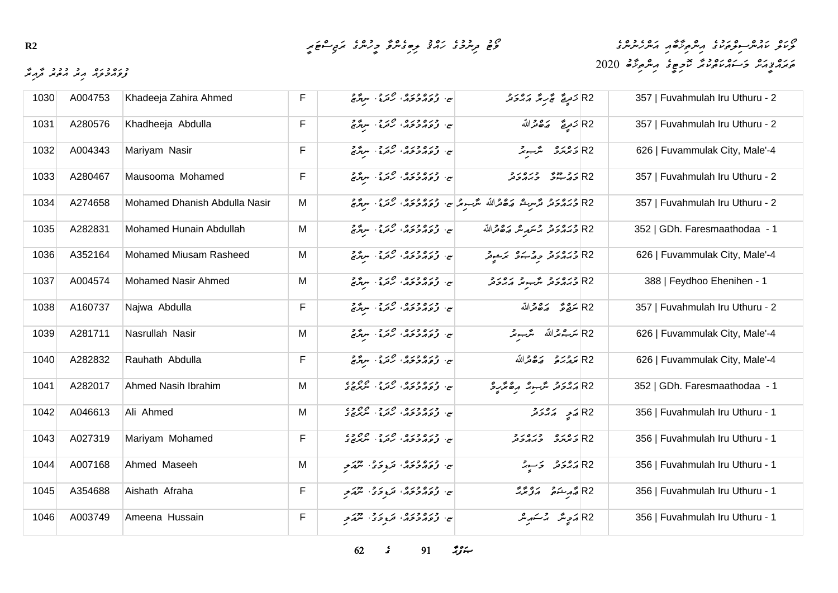*sCw7q7s5w7m< o<n9nOoAw7o< sCq;mAwBoEw7q<m; wBm;vB 2020<sup>, م</sup>وسر در مدد مدرج به مدرم مقرم قرار 2020*<br>موسر المستقرم المستقرم المستقرم المستقرم المستقرم المستقرم المستقرم المستقرم المستقرم المستقرم المستقرم المستقر

| A004753 | Khadeeja Zahira Ahmed         | F |                                                                                                                                                                                                                                 | R2 كَسِيعٌ يُحْرِيمٌ مَكْرَدَةٌ                                                                                                                                                                                                                                                                 | 357   Fuvahmulah Iru Uthuru - 2                                                                     |
|---------|-------------------------------|---|---------------------------------------------------------------------------------------------------------------------------------------------------------------------------------------------------------------------------------|-------------------------------------------------------------------------------------------------------------------------------------------------------------------------------------------------------------------------------------------------------------------------------------------------|-----------------------------------------------------------------------------------------------------|
| A280576 | Khadheeja Abdulla             | F | ים: 20,0000 סקיר - ייתולים<br>ים: 20,000 לא העגב - ייתולים                                                                                                                                                                      | R2 تزمریح 5%قرالله                                                                                                                                                                                                                                                                              | 357   Fuvahmulah Iru Uthuru - 2                                                                     |
| A004343 | Mariyam Nasir                 | F | ים נפחבבתי לנגר ייטלים                                                                                                                                                                                                          | R2 كەنگەر مەسىر يىلىمىتى كىل                                                                                                                                                                                                                                                                    | 626   Fuvammulak City, Male'-4                                                                      |
| A280467 | Mausooma Mohamed              | F | ים נפחבבתי לנגר ייטלים                                                                                                                                                                                                          | R2 ذره دوم دره در                                                                                                                                                                                                                                                                               | 357   Fuvahmulah Iru Uthuru - 2                                                                     |
| A274658 | Mohamed Dhanish Abdulla Nasir | M |                                                                                                                                                                                                                                 |                                                                                                                                                                                                                                                                                                 | 357   Fuvahmulah Iru Uthuru - 2                                                                     |
| A282831 | Mohamed Hunain Abdullah       | M | ים: 20,0000 לינוש ביותר.<br>ים: 20,000 לינוש ביותר.                                                                                                                                                                             | R2 دبرودتر بر سمدین رکھ قرالله                                                                                                                                                                                                                                                                  | 352   GDh. Faresmaathodaa - 1                                                                       |
| A352164 | Mohamed Miusam Rasheed        | M | ים - 2005 בים היה בין היה בין היה בין היה בין היה בין היה בין היה בין היה בין היה בין היה בין היה בין היה בין<br>היה היה בין היה בין היה היה בין היה בין היה בין היה בין היה בין היה בין היה בין היה בין היה בין היה בין היה בי | R2 <i>وبروبر وهيكو بمشوثر</i>                                                                                                                                                                                                                                                                   | 626   Fuvammulak City, Male'-4                                                                      |
| A004574 | <b>Mohamed Nasir Ahmed</b>    | M |                                                                                                                                                                                                                                 | R2 درورو گرجنگ مدون                                                                                                                                                                                                                                                                             | 388   Feydhoo Ehenihen - 1                                                                          |
| A160737 | Najwa Abdulla                 | F |                                                                                                                                                                                                                                 | R2 يَرْدِعُ مَنْ مَرْهِ قَرْاللّه                                                                                                                                                                                                                                                               | 357   Fuvahmulah Iru Uthuru - 2                                                                     |
| A281711 | Nasrullah Nasir               | M | ים נפחבבה' הנגר ייטלים<br>ים נפחבבה' הנגר ייטלים                                                                                                                                                                                | R2 ىتربىقى ئاللە گەسىتى بىر                                                                                                                                                                                                                                                                     | 626   Fuvammulak City, Male'-4                                                                      |
| A282832 | Rauhath Abdulla               | F |                                                                                                                                                                                                                                 | R2 <i>بَرْدْبَهْء</i> مَ <i>هُ</i> قْرَاللَّه                                                                                                                                                                                                                                                   | 626   Fuvammulak City, Male'-4                                                                      |
| A282017 | Ahmed Nasih Ibrahim           | M |                                                                                                                                                                                                                                 | R2 <i>גُ.دُوَ</i> تْر مُرْسِ <i>رْدُ م</i> ِ8 <i>بُرْرِ</i> وْ                                                                                                                                                                                                                                  | 352   GDh. Faresmaathodaa - 1                                                                       |
| A046613 | Ali Ahmed                     | M |                                                                                                                                                                                                                                 | R2  رَمِ دَبَرْدَتْر                                                                                                                                                                                                                                                                            | 356   Fuvahmulah Iru Uthuru - 1                                                                     |
| A027319 | Mariyam Mohamed               | F | ہے۔ ورہ ورہ محمد و محمد و ع<br>سی تحریر محمد کا محمد محمد المحمد المحمد المحمد المحمد المحمد المحمد المحمد المحمد                                                                                                               | R2 كەبەرە بەرەبەر                                                                                                                                                                                                                                                                               | 356   Fuvahmulah Iru Uthuru - 1                                                                     |
| A007168 | Ahmed Maseeh                  | M | שי נכחכבתי בגבי יינהב                                                                                                                                                                                                           | R2, دَيْرُوَتْر - دَسِيرٌ                                                                                                                                                                                                                                                                       | 356   Fuvahmulah Iru Uthuru - 1                                                                     |
| A354688 | Aishath Afraha                | F | $\mathcal{L}^{(2)}_{\mathcal{A}}$                                                                                                                                                                                               | R2 مەمۇسىتى مەركىتىد                                                                                                                                                                                                                                                                            | 356   Fuvahmulah Iru Uthuru - 1                                                                     |
| A003749 | Ameena Hussain                | F | שי צמח כבתי בגיב בצי יינה ב                                                                                                                                                                                                     | R2  كەچ ئىگە برىسى جامبەتلىر                                                                                                                                                                                                                                                                    | 356   Fuvahmulah Iru Uthuru - 1                                                                     |
|         |                               |   |                                                                                                                                                                                                                                 | ים - 2005 סיקר - 2005<br>ים - 30,200 - 200 - 2007<br>ים: 20,0000 לינוש ביותר.<br>ים: 20,000 לינוש ביותר.<br>ים נפח כבחי הנגב ייטלים<br>ים נפח כנס יותר בי ייטרים<br>ים נפח כבחי הנגז ייטרים<br>م وره وره مرد من ده.<br>مع: توحد مرحد من مرحد من مرحو<br>כנסכנס ימנכים הקרים<br>ישי נפחביבה' לעש | R2 ويرودو مرس وسعد الله مرجود في الله المحمد والمحمد المحمد والمحمد المحمد المحمد المحمد المحمد الم |

*n8o<n@ q8qAq< q8o< w<mBq>w<m=q?*

 $62$  *s* 91  $23$   $\div$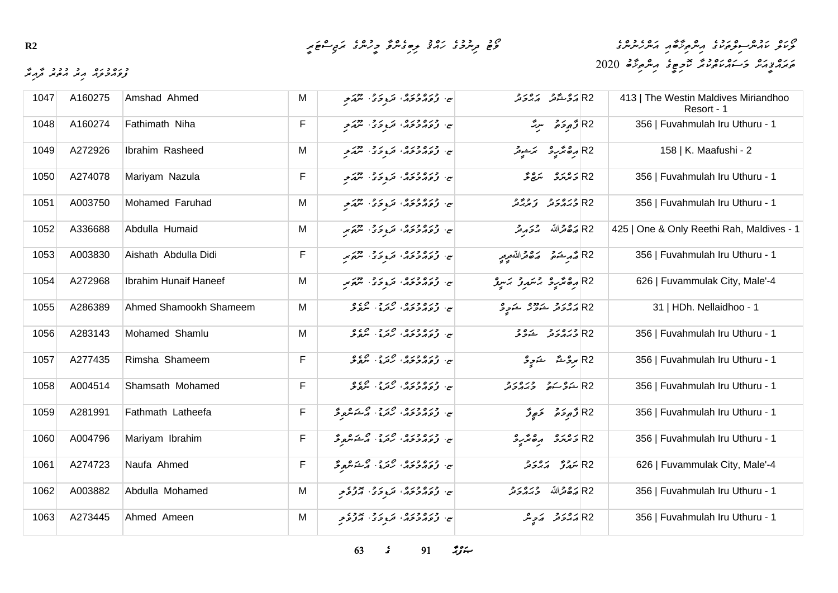*sCw7q7s5w7m< o<n9nOoAw7o< sCq;mAwBoEw7q<m; wBm;vB* م من المسجد المسجد المسجد المسجد المسجد العام 2020<br>مسجد المسجد المسجد المسجد المسجد المسجد المسجد المسجد المسجد ال

| 1047 | A160275 | Amshad Ahmed                 | M | שי צפחככמי בגבד יינהב                                                                                                                                                                                                            | R2 كەبۇشى كەردىتە                                                                                    | 413   The Westin Maldives Miriandhoo<br>Resort - 1 |
|------|---------|------------------------------|---|----------------------------------------------------------------------------------------------------------------------------------------------------------------------------------------------------------------------------------|------------------------------------------------------------------------------------------------------|----------------------------------------------------|
| 1048 | A160274 | Fathimath Niha               | F | שי לכמכיכתי בגיבי יידוב                                                                                                                                                                                                          | R2 وَجوحَة مِنْ سِرَّتْهِ                                                                            | 356   Fuvahmulah Iru Uthuru - 1                    |
| 1049 | A272926 | Ibrahim Rasheed              | M | ים יצפח כבחי בנובצי ייטוב                                                                                                                                                                                                        | R2 م <i>وھ مگرچ</i> و سمڪومر                                                                         | 158   K. Maafushi - 2                              |
| 1050 | A274078 | Mariyam Nazula               | F | سي وره وره کرد ورځ شمکر د استان به استان د استان د استان د استان د استان د استان د استان د استان د استان د است<br>د استان د استان د استان د استان د استان د استان د استان د استان د استان د استان د استان د استان د استان د استا | R2 كەممەر ئەرەبچە ئۇ                                                                                 | 356   Fuvahmulah Iru Uthuru - 1                    |
| 1051 | A003750 | Mohamed Faruhad              | М | שי צפחככמי בגבבי יחדק                                                                                                                                                                                                            | R2 <i>وبره دو و دوه</i> و                                                                            | 356   Fuvahmulah Iru Uthuru - 1                    |
| 1052 | A336688 | Abdulla Humaid               | M | ים נכחככתם בגבב מפת                                                                                                                                                                                                              | R2 مَەھمَراللە جۇمەتر                                                                                | 425   One & Only Reethi Rah, Maldives - 1          |
| 1053 | A003830 | Aishath Abdulla Didi         | F | שי ציפח כברי הגבצי יחסמ                                                                                                                                                                                                          | R2 صَّمَر شَمَّعَ صَدَّةَ اللَّهُ مِرْمَدٍ                                                           | 356   Fuvahmulah Iru Uthuru - 1                    |
| 1054 | A272968 | <b>Ibrahim Hunaif Haneef</b> | M | م وره وره .<br>م وومرونوم تروكو مهجوم                                                                                                                                                                                            | R2 رەڭرىرى جىمرۇ ئىبرى                                                                               | 626   Fuvammulak City, Male'-4                     |
| 1055 | A286389 | Ahmed Shamookh Shameem       | M | יזי צפתכיבתי הנגר הגם.<br>ישי צפתכיבתי הנגר ייטפיב                                                                                                                                                                               | R2 كەبۇر كەندە ئەر ئىكەن ئىشكەت ئىكەن ئىكەن ئىكەن ئىكەن ئىكەن ئىكەن ئىكەن ئىكەن ئىكەن ئىكەن ئىكەن ئە | 31   HDh. Nellaidhoo - 1                           |
| 1056 | A283143 | Mohamed Shamlu               | M | ים נפחכתם ימנים מגם.<br>ים נפחכתה מנגב יעשי                                                                                                                                                                                      | R2 دېرونه خونو                                                                                       | 356   Fuvahmulah Iru Uthuru - 1                    |
| 1057 | A277435 | Rimsha Shameem               | F | ים נפחכתם ימנים מגם.<br>ים נפחכתה מנגב יעשי                                                                                                                                                                                      | R2 بروْتْہ خَرِوْ                                                                                    | 356   Fuvahmulah Iru Uthuru - 1                    |
| 1058 | A004514 | Shamsath Mohamed             | F | יזי צפהכלבהי לגבר לגם.<br>ישי צפהכלהי לבגבר ייטפיב                                                                                                                                                                               | R2 خۇشخۇ <i>دېرەدى</i> ر                                                                             | 356   Fuvahmulah Iru Uthuru - 1                    |
| 1059 | A281991 | Fathmath Latheefa            | F |                                                                                                                                                                                                                                  | R2 <i>وَّجِ دَمَّةَ حَجِ</i> وَّ                                                                     | 356   Fuvahmulah Iru Uthuru - 1                    |
| 1060 | A004796 | Mariyam Ibrahim              | F | ى درە درە مرد مىشكىرى                                                                                                                                                                                                            | R2 كانترىزى مەھەر كە                                                                                 | 356   Fuvahmulah Iru Uthuru - 1                    |
| 1061 | A274723 | Naufa Ahmed                  | F | ى درە درە مرد مىشكىرى                                                                                                                                                                                                            | R2 يتمدس كريمبر جو بر                                                                                | 626   Fuvammulak City, Male'-4                     |
| 1062 | A003882 | Abdulla Mohamed              | M | س وره وره<br>س ژوم د ده، ترو د د ژوئر                                                                                                                                                                                            | R2 مَەھمَّراللَّه حِمَدَ مَرَّدَ مَر                                                                 | 356   Fuvahmulah Iru Uthuru - 1                    |
| 1063 | A273445 | Ahmed Ameen                  | M | سي و ده د ده. تروت د برده د                                                                                                                                                                                                      | R2   <i>גُ.2ُ</i> وتُر    <sub>م</sub> ُارِيْتُر                                                     | 356   Fuvahmulah Iru Uthuru - 1                    |

*n8o<n@ q8qAq< q8o< w<mBq>w<m=q?*

 $63$  *s* 91  $29$   $\div$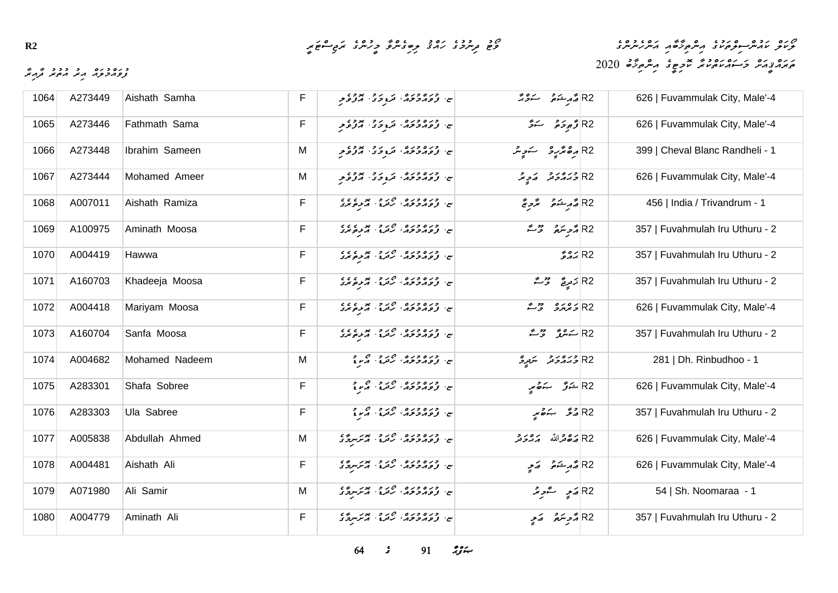*sCw7q7s5w7m< o<n9nOoAw7o< sCq;mAwBoEw7q<m; wBm;vB* م من المسجد المسجد المسجد المسجد المسجد العام 2020<br>مسجد المسجد المسجد المسجد المسجد المسجد المسجد المسجد المسجد ال

| 1064 | A273449 | Aishath Samha  | F | سي و ده دره ترویز دره دره د                                                                                                                                                                                                      | R2 مەمۇمۇسى سىۋ <i>ە</i> بە              | 626   Fuvammulak City, Male'-4  |
|------|---------|----------------|---|----------------------------------------------------------------------------------------------------------------------------------------------------------------------------------------------------------------------------------|------------------------------------------|---------------------------------|
| 1065 | A273446 | Fathmath Sama  | F | ים נפחבבתי נגבבי הבניב                                                                                                                                                                                                           | R2 وَج <i>وح</i> و حَمَدَّ               | 626   Fuvammulak City, Male'-4  |
| 1066 | A273448 | Ibrahim Sameen | M | ح دوه دره در دوسروره دره در در دوسر<br>سي وورد دور، ترون دورو د                                                                                                                                                                  | R2 پ <i>ەھتۇر</i> ۇ سەم <sub>چ</sub> ىتر | 399   Cheval Blanc Randheli - 1 |
| 1067 | A273444 | Mohamed Ameer  | M | ים "כמהכיכת" בגיב בי הכם.<br>ים "כההכיכה" בגיבי הצפי                                                                                                                                                                             | R2 دېم دېمر کمکړې ته                     | 626   Fuvammulak City, Male'-4  |
| 1068 | A007011 | Aishath Ramiza | F | כנס כנס קנק קישור ביון<br>יין נפח כיכה' לנגון מינים מג                                                                                                                                                                           | R2 مەم ئىشقى ئىگرىزىتى                   | 456   India / Trivandrum - 1    |
| 1069 | A100975 | Aminath Moosa  | F | دره دره دره مرد بر دره<br>س ژوم د ژمر                                                                                                                                                                                            | R2 أُمُّ حِسَمَةٌ مَحْتُ                 | 357   Fuvahmulah Iru Uthuru - 2 |
| 1070 | A004419 | Hawwa          | F |                                                                                                                                                                                                                                  | $5.5 \times R2$                          | 357   Fuvahmulah Iru Uthuru - 2 |
| 1071 | A160703 | Khadeeja Moosa | F | כנס כנס קנק קישור ביון<br>יין נפח כיכה' לנגון מינים מג                                                                                                                                                                           | R2  زَمِرِجٌ مُحْ شُرٌ مُ                | 357   Fuvahmulah Iru Uthuru - 2 |
| 1072 | A004418 | Mariyam Moosa  | F | دره دره ۵٫۶۵ م.<br>س- زوم در دم. کنره - مرنوم بر                                                                                                                                                                                 | $23$ $27$ $27$ $R2$                      | 626   Fuvammulak City, Male'-4  |
| 1073 | A160704 | Sanfa Moosa    | F | כנס כנס קנק קישור ביון<br>יין נפח כיכה' לנגון מינים מג                                                                                                                                                                           | R2 جمبر 2 سمبر                           | 357   Fuvahmulah Iru Uthuru - 2 |
| 1074 | A004682 | Mohamed Nadeem | M | יי ניסינים יותר ייתור<br>יי ניסיכלי לעי יהיו                                                                                                                                                                                     | R2 352,3 سَرَمِرِ \$                     | 281   Dh. Rinbudhoo - 1         |
| 1075 | A283301 | Shafa Sobree   | F |                                                                                                                                                                                                                                  | R2 ينترق ست <i>قام</i> ر                 | 626   Fuvammulak City, Male'-4  |
| 1076 | A283303 | Ula Sabree     | F | ים יציבת ביצת יציב בין בין היו בין היו בין היו בין היו בין היו בין היו בין היו בין היו בין היו בין היו בין היו<br>היו בין בין היו בין היו בין היו היו בין היו בין בין בין היו בין היו בין היו בין היו בין היו בין היו בין היו בי | R2 جَمَّصْرِ                             | 357   Fuvahmulah Iru Uthuru - 2 |
| 1077 | A005838 | Abdullah Ahmed | M | כנסכנס הנכני היו מיניים.<br>ישי נפחביבה' לנגד היניינבצ                                                                                                                                                                           | R2 مَەمْراللە مَەرْمَىر                  | 626   Fuvammulak City, Male'-4  |
| 1078 | A004481 | Aishath Ali    | F | ים " צפח ביבחי " ביבור ביבור היו ביבור ב                                                                                                                                                                                         | R2 مُمْ مِسْمَعْ مَ مِي                  | 626   Fuvammulak City, Male'-4  |
| 1079 | A071980 | Ali Samir      | M | ים " צפחבברה " בנגד " היניינביב                                                                                                                                                                                                  | R2 کی محمد مشور تھی۔<br>ا                | 54   Sh. Noomaraa - 1           |
| 1080 | A004779 | Aminath Ali    | F | ים " צפח ביבחי " ביבור ביבור היו ביבור ב                                                                                                                                                                                         | R2 مُتَرِسَعُهُ - مَيْتِ                 | 357   Fuvahmulah Iru Uthuru - 2 |

 $64$  *s* 91  $23$   $\div$ 

*n8o<n@ q8qAq< q8o< w<mBq>w<m=q?*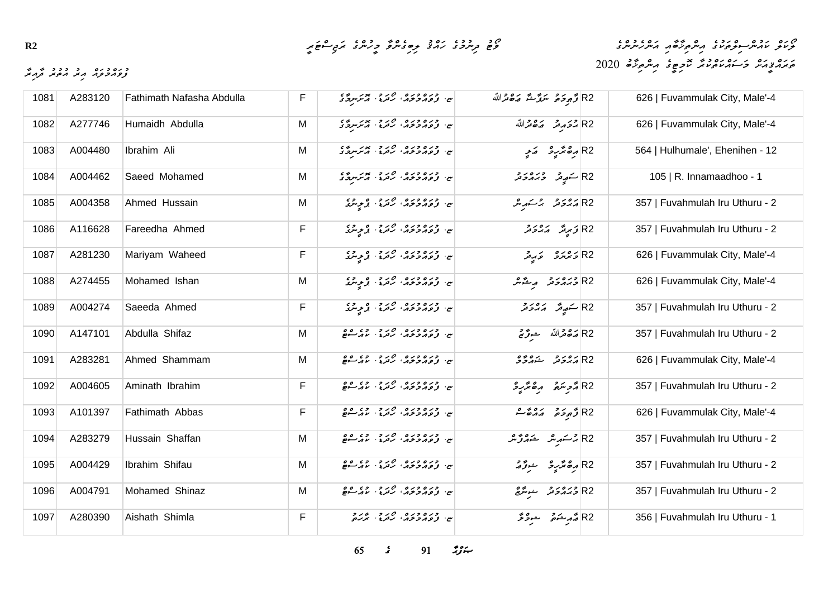*sCw7q7s5w7m< o<n9nOoAw7o< sCq;mAwBoEw7q<m; wBm;vB 2020<sup>, م</sup>وسر در مدد مدرج به مدرم مقرم قرار 2020*<br>موسر المستقرم المستقرم المستقرم المستقرم المستقرم المستقرم المستقرم المستقرم المستقرم المستقرم المستقرم المستقر

| A283120 | Fathimath Nafasha Abdulla | F | ים " צפח ביבחי " ביבור ביבור היו ביבור ב                  | R2 وَجِرَةَ مَرَوَّثَةَ رَصْدَاللّه               | 626   Fuvammulak City, Male'-4  |
|---------|---------------------------|---|-----------------------------------------------------------|---------------------------------------------------|---------------------------------|
| A277746 | Humaidh Abdulla           | M | ים נפחביבה' כנד מייחבי                                    | R2 جُحَم <i>ِ بِعْرٍ مُ</i> حَقِّدِاللَّه         | 626   Fuvammulak City, Male'-4  |
| A004480 | Ibrahim Ali               | M | ים " צפחביבה " ביבור " ביבור ביבור ב                      | R2 مەھم <i>گى</i> ر قىمىچە                        | 564   Hulhumale', Ehenihen - 12 |
| A004462 | Saeed Mohamed             | M | כנסכנס הנכני הניינבי.<br>ישי נפחביבה' לעשי היניינביב      | R2 س <i>َمومْ وَيَ</i> مُحَمَّرَ                  | 105   R. Innamaadhoo - 1        |
| A004358 | Ahmed Hussain             | M | مع وره وره مرد ه و د و<br>مع وحمد وحمد کرد و برخ          | R2 كەبروتىر كەسكەرلىر                             | 357   Fuvahmulah Iru Uthuru - 2 |
| A116628 | Fareedha Ahmed            | F | دره دره ۵۶۶۵ کرد و دره<br>۳- زود د ترکه کرد و بر ترم      | R2 وَمَرِمَّز     مَ بُرْحَ مَرْ                  | 357   Fuvahmulah Iru Uthuru - 2 |
| A281230 | Mariyam Waheed            | F | مع و د ه و د ه ه د و .<br>مع و د د د د د . د د د بر د سرد | R2 كا <i>تروگرد گام</i> وتر                       | 626   Fuvammulak City, Male'-4  |
| A274455 | Mohamed Ishan             | M | כנסכנס הנבר סקר ה<br>ישי נפחבבהי לעשי נפטע                | R2 <i>وُبَهُ دو مَ</i> شَهْرُ                     | 626   Fuvammulak City, Male'-4  |
| A004274 | Saeeda Ahmed              | F | دره دره ۵۶۶ م.<br>۳- زودونوژ، کردنی- ژنوس                 | R2  سَمهِ مَدْ 12.5 مَدْ                          | 357   Fuvahmulah Iru Uthuru - 2 |
| A147101 | Abdulla Shifaz            | M | ים יצפח כלכם ישראי כל סם                                  | R2 مَرْهُ مَّرْاللَّهُ شَوَرٌّ مَحْ               | 357   Fuvahmulah Iru Uthuru - 2 |
| A283281 | Ahmed Shammam             | M | ים - 2005 בים ישרא - 2005 שוב שיש                         | R2 كەبروتر شەھ 25                                 | 626   Fuvammulak City, Male'-4  |
| A004605 | Aminath Ibrahim           | F | ישי צפחכבמי יינג יינגים בי                                |                                                   | 357   Fuvahmulah Iru Uthuru - 2 |
| A101397 | Fathimath Abbas           | F | ישי צפו <i>ברבורי יכ</i> יבי נדים סם                      | $25.3$ $3.5$ $5.2$ $R2$                           | 626   Fuvammulak City, Male'-4  |
| A283279 | Hussain Shaffan           | M | ישי צפו <i>בכברי יכיבי י</i> מגישים                       | R2 پر سمبر شهرو شر                                | 357   Fuvahmulah Iru Uthuru - 2 |
| A004429 | Ibrahim Shifau            | M | ישי צפו <i>ברבורי יכ</i> יבי נדים סם                      | R2 <sub>م</sub> ەنگرى <sub>د</sub> ۇ ھو <i>ڏۇ</i> | 357   Fuvahmulah Iru Uthuru - 2 |
| A004791 | Mohamed Shinaz            | M | ישי צפו בכבר לייבר בש פס<br>ישי צפו בכבר יציגו יינג       | R2 <i>522.5 تر شومگ</i> چ                         | 357   Fuvahmulah Iru Uthuru - 2 |
| A280390 | Aishath Shimla            | F | כנס כנס - הני בני בין<br>ישי צפונכיבותי הבנשי - הנהם      | R2 م <i>ەممىشى ھوۋ</i> ۇ                          | 356   Fuvahmulah Iru Uthuru - 1 |
|         |                           |   |                                                           |                                                   |                                 |

*n8o<n@ q8qAq< q8o< w<mBq>w<m=q?*

 $65$  *s* 91  $23$   $\div$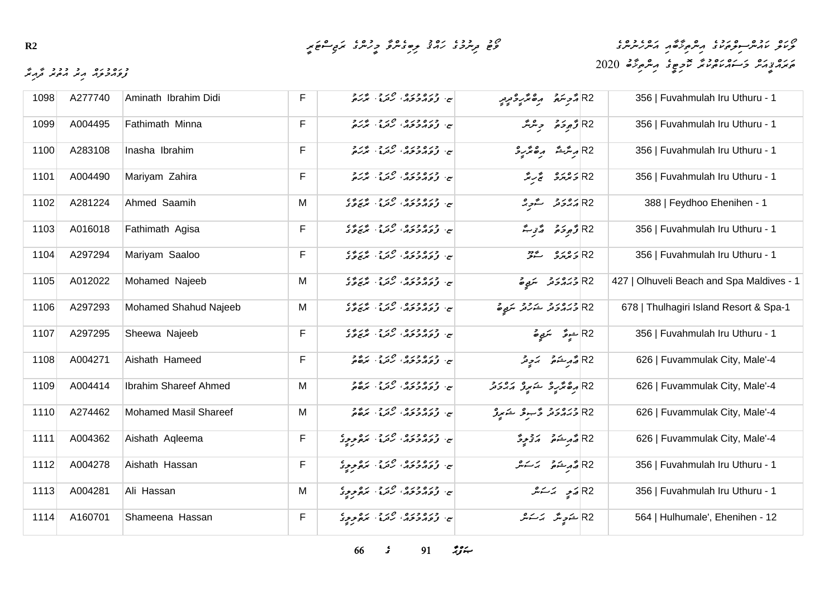*sCw7q7s5w7m< o<n9nOoAw7o< sCq;mAwBoEw7q<m; wBm;vB 2020<sup>, م</sup>وسود المستحقيق ومترم تقويم من العالم المستحق العالم المستحق العالمية*<br>موسم المستحق المستخفي المستخفي المستخفي المستخفي المستخفية المستخفية المستخفية المستخفية المستخفية المستخفية ال

| 1098 | A277740 | Aminath Ibrahim Didi         | F | ر و د ه و د ه .<br>س و د د د د د . د تر و . سر د و                               | R2 أُمُّ حِسَمُهُ مِنْ مُحَمَّدٍ وَمَدِيرٍ | 356   Fuvahmulah Iru Uthuru - 1           |
|------|---------|------------------------------|---|----------------------------------------------------------------------------------|--------------------------------------------|-------------------------------------------|
| 1099 | A004495 | Fathimath Minna              | F | ימי צפח בכנס ימיד בינד.<br>ישי צפח ביבחי יינד ואינדים.                           | R2 تَ <i>وجودَ وبثرتَر</i>                 | 356   Fuvahmulah Iru Uthuru - 1           |
| 1100 | A283108 | Inasha Ibrahim               | F |                                                                                  | R2 مِتَرْتَ مِتَ <i>مَّرْدِ</i> \$         | 356   Fuvahmulah Iru Uthuru - 1           |
| 1101 | A004490 | Mariyam Zahira               | F | ים - כנס כנס - 2 ניבר - 2 ניבר<br>ים - 3 <i>בחיב כאמ</i> י - 2 ניבר - 2 ניבר 2   | R2 كا <i>ترورد تح ب</i> ر تر               | 356   Fuvahmulah Iru Uthuru - 1           |
| 1102 | A281224 | Ahmed Saamih                 | M | יז בנהר בנה הנדי ואנגוריה<br>ישי צפח ביצחי לבנדי ואישים ב                        | R2, گەنزىق سەمبى                           | 388   Feydhoo Ehenihen - 1                |
| 1103 | A016018 | Fathimath Agisa              | F | ים - 2005 בין 2007.<br>ים - 30, 2007 היה 2007.                                   | R2 وَج <i>وحَة مُّتْوِجَّ</i>              | 356   Fuvahmulah Iru Uthuru - 1           |
| 1104 | A297294 | Mariyam Saaloo               | F | ים - כנסכנס - מנכ"ל - מיטים<br>ישי <sub>ה</sub> פו <i>נכלברי - נינ</i> שי - משפש | R2 دېمبرد گړي.                             | 356   Fuvahmulah Iru Uthuru - 1           |
| 1105 | A012022 | Mohamed Najeeb               | M | ים - 2005 בין 2007.<br>ים - 30, 2007 היה 2007.                                   | R2 دېزو د ترب <i>ي</i> ه                   | 427   Olhuveli Beach and Spa Maldives - 1 |
| 1106 | A297293 | Mohamed Shahud Najeeb        | M |                                                                                  | R2 وَبَرُوكُو مُسْرَفِّرٌ سَرْبِي صَحْ     | 678   Thulhagiri Island Resort & Spa-1    |
| 1107 | A297295 | Sheewa Najeeb                | F |                                                                                  | R2 ش <sub>و</sub> مً سَم <i>َّوٍ هُ</i>    | 356   Fuvahmulah Iru Uthuru - 1           |
| 1108 | A004271 | Aishath Hameed               | F | ים - כנס כנס - כנס - נובר<br>ים - נפח כלולי - נטב - מספ                          | R2 مُ مِسْمَعْ مَوِمْرَ                    | 626   Fuvammulak City, Male'-4            |
| 1109 | A004414 | Ibrahim Shareef Ahmed        | M | כנס כנס ימנד נטרב<br>ישי צפונ <i>דיבי</i> ו, מעשי מסים                           | R2 مەھەر ئەكەبىر مەدەمە                    | 626   Fuvammulak City, Male'-4            |
| 1110 | A274462 | <b>Mohamed Masil Shareef</b> | M | כנסכנס ימנכ נטב<br>ישי צפו <i>בב</i> רו מעש                                      | R2 <i>وَيَهُوَدُوَ</i> وَجِسِوڤِ حَيَىرِوْ | 626   Fuvammulak City, Male'-4            |
| 1111 | A004362 | Aishath Aqleema              | F |                                                                                  | R2 مُەمِسْتَمْ كَمَتْتَوِجَّ               | 626   Fuvammulak City, Male'-4            |
| 1112 | A004278 | Aishath Hassan               | F | כנסכנס מנכנס בין הקייר.<br>ישי נפונכיבולי לנגון מפיקיקים                         | R2 مۇم ھۇم ئەسكەنلىر                       | 356   Fuvahmulah Iru Uthuru - 1           |
| 1113 | A004281 | Ali Hassan                   | M | כנסכנס מנכינים<br>ישי נפחבבתי לנגר מקובבל                                        | R2   پر پر پر پر پر پر                     | 356   Fuvahmulah Iru Uthuru - 1           |
| 1114 | A160701 | Shameena Hassan              | F | כנסכנס מנכנס בין הקייר.<br>ישי נפונכיבולי לנגון מפיקיקים                         | R2 ڪوچ گر کرڪي <i>و</i>                    | 564   Hulhumale', Ehenihen - 12           |

*n8o<n@ q8qAq< q8o< w<mBq>w<m=q?*

 $66$  *s* 91  $29$   $\div$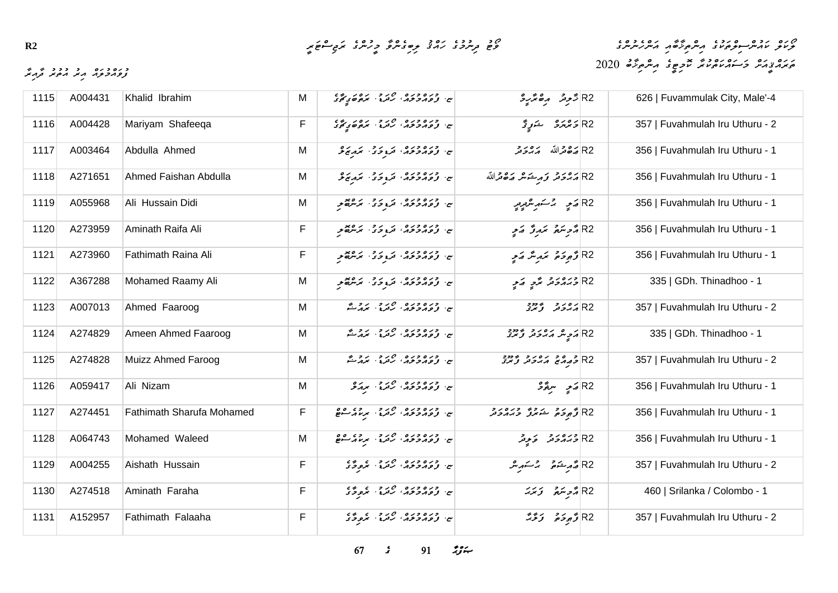*sCw7q7s5w7m< o<n9nOoAw7o< sCq;mAwBoEw7q<m; wBm;vB* م من المسجد المسجد المسجد المسجد المسجد العام 2020<br>مجم*د المسجد المسجد المستجد المسجد المسجد المسجد المسجد المسجد المسجد المسجد المسجد المسجد المسجد المسجد المسجد* 

| 1115 | A004431 | Khalid Ibrahim                   | M | ים " כנס כנס" לנד " מתסים ביתב                                                                                                                                                                                                   | R2  تَرْمِتْر بِرەْ تَرْرِدْ                                                                        | 626   Fuvammulak City, Male'-4  |
|------|---------|----------------------------------|---|----------------------------------------------------------------------------------------------------------------------------------------------------------------------------------------------------------------------------------|-----------------------------------------------------------------------------------------------------|---------------------------------|
| 1116 | A004428 | Mariyam Shafeeqa                 | F | ים "ריט ריט הריט הריט ביוליט ביוליט ביוליט ביוליט ביוליט ביוליט ביוליט ביוליט ביוליט ביוליט ביוליט ביוליט ביול<br>ביוליט ביוליט ביוליט ביוליט ביוליט ביוליט ביוליט ביוליט ביוליט ביוליט ביוליט ביוליט ביוליט ביוליט ביוליט ביולי | R2 كەنجەيزى ھەرىچ                                                                                   | 357   Fuvahmulah Iru Uthuru - 2 |
| 1117 | A003464 | Abdulla Ahmed                    | M | سي وره وره. مروكز مرد بخ                                                                                                                                                                                                         | R2 مَەڤراللە مَەرقىر                                                                                | 356   Fuvahmulah Iru Uthuru - 1 |
| 1118 | A271651 | Ahmed Faishan Abdulla            | M | سي وره وره مرد و د برم د د                                                                                                                                                                                                       | R2 <i>مكروفر وميشتر مك</i> وفرالله                                                                  | 356   Fuvahmulah Iru Uthuru - 1 |
| 1119 | A055968 | Ali Hussain Didi                 | M | سي وره وره. تروڅ پر مصر                                                                                                                                                                                                          | R2 کی پر برگ میں شرور ہو۔<br>R2                                                                     | 356   Fuvahmulah Iru Uthuru - 1 |
| 1120 | A273959 | Aminath Raifa Ali                | F | سي وره وره. تروخ د برهيو                                                                                                                                                                                                         | R2 مُّحِسَمُ مَدِرٌ مَعٍ                                                                            | 356   Fuvahmulah Iru Uthuru - 1 |
| 1121 | A273960 | Fathimath Raina Ali              | F | سي وره وره. تروخ د برهيو                                                                                                                                                                                                         | R2 <i>وَّجوحَةْ بَمَدِيدٌ مَ</i> عِ                                                                 | 356   Fuvahmulah Iru Uthuru - 1 |
| 1122 | A367288 | Mohamed Raamy Ali                | M | سي وره وره. تروڅ پر مصر                                                                                                                                                                                                          | R2  <i>وُبُرُوُدُو مُرَّجٍ مَ</i> عٍ                                                                | 335   GDh. Thinadhoo - 1        |
| 1123 | A007013 | Ahmed Faaroog                    | M | س وره وره ص د د د د.<br>س وره د د در کن                                                                                                                                                                                          | R2 كەبروتىر ئۇنىز تۇ                                                                                | 357   Fuvahmulah Iru Uthuru - 2 |
| 1124 | A274829 | Ameen Ahmed Faaroog              | M | س وره وره صرو برود.<br>س وحمد <i>وح</i> مد کرد: محمد شک                                                                                                                                                                          | R2 أرَجٍ مَدْ بِرَ بِرَوْ مَدْ تَوْ مَدْتَهِ                                                        | 335   GDh. Thinadhoo - 1        |
| 1125 | A274828 | <b>Muizz Ahmed Faroog</b>        | M | $\stackrel{2}{\sim} \stackrel{2}{\sim} \stackrel{2}{\sim} \stackrel{2}{\sim} \stackrel{0}{\sim} \stackrel{0}{\sim} \stackrel{2}{\sim} \stackrel{2}{\sim} \stackrel{2}{\sim} \stackrel{2}{\sim}$                                  | R2 څه مړه بره د پر ورو                                                                              | 357   Fuvahmulah Iru Uthuru - 2 |
| 1126 | A059417 | Ali Nizam                        | M | ים נפגבלהי לנגל ינגל                                                                                                                                                                                                             | R2 كەمچە سرىگە3                                                                                     | 356   Fuvahmulah Iru Uthuru - 1 |
| 1127 | A274451 | <b>Fathimath Sharufa Mohamed</b> | F | ים יצפח כתם יסת כ"ז בש סם<br>ישי צפח כיכה' תעשי ית מח                                                                                                                                                                            | R2 وُجِ وَمَ حَسَنَ وَبَرَ دَوَرَ وَ اللَّهُ وَ اللَّهُ وَ اللَّهُ وَ اللَّهُ وَ اللَّهُ وَ اللَّهُ | 356   Fuvahmulah Iru Uthuru - 1 |
| 1128 | A064743 | Mohamed Waleed                   | M | כנסכנס יונק כנסים<br>ישי נפוניכני לנגז יינונג                                                                                                                                                                                    | R2  2 <i>2,252 كوفي</i> تر                                                                          | 356   Fuvahmulah Iru Uthuru - 1 |
| 1129 | A004255 | Aishath Hussain                  | F | ים - 20,000 סגב - 20<br>ים - 20,000 סינג - 20,000                                                                                                                                                                                | R2 مۇمەشقىق بۇ شەمەيىتىر                                                                            | 357   Fuvahmulah Iru Uthuru - 2 |
| 1130 | A274518 | Aminath Faraha                   | F | יזי צפח כברי יציע בי יודע בי                                                                                                                                                                                                     | R2 مُوسَعِد وَمَدَ                                                                                  | 460   Srilanka / Colombo - 1    |
| 1131 | A152957 | Fathimath Falaaha                | F | ים: 20,000 לגב ה 20.000<br>ים: 20,000 לאורי לאורי באקריב                                                                                                                                                                         | R2 وَّجِ حَمَّةَ وَقَدَّدَّ                                                                         | 357   Fuvahmulah Iru Uthuru - 2 |

 $67$  *s* 91  $29$   $\div$ 

*n8o<n@ q8qAq< q8o< w<mBq>w<m=q?*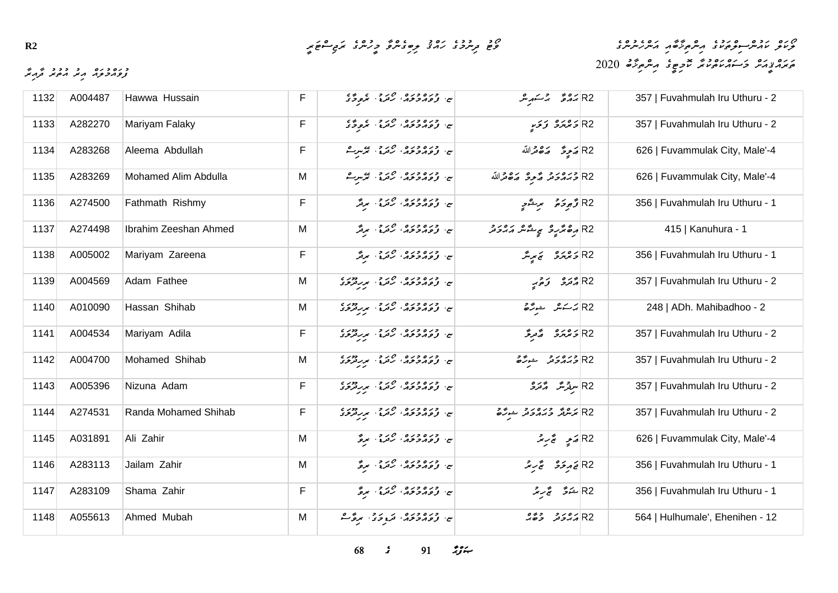*sCw7q7s5w7m< o<n9nOoAw7o< sCq;mAwBoEw7q<m; wBm;vB 2020<sup>, م</sup>وسر در مدد مدرج به مدرم مقرم قرار 2020*<br>موسر المستقرم المستقرم المستقرم المستقرم المستقرم المستقرم المستقرم المستقرم المستقرم المستقرم المستقرم المستقر

| 1132 | A004487 | Hawwa Hussain         | F | כנס כנס הנביג ביטורים<br>ישי צפח כבחי לנגון מפכז        | R2 يُدْيَرُ بِرْسَهِ بِرْسَ             | 357   Fuvahmulah Iru Uthuru - 2 |
|------|---------|-----------------------|---|---------------------------------------------------------|-----------------------------------------|---------------------------------|
| 1133 | A282270 | Mariyam Falaky        | F | יזי צפחכלבה' הנגד יי יוקבל<br>יזי צפחכלה' הנגד יי יוקבל | R2 كەنگەنگە ئەكتەب <sub>ى</sub>         | 357   Fuvahmulah Iru Uthuru - 2 |
| 1134 | A283268 | Aleema Abdullah       | F | دره دره ۵٫۰۵ ورو .<br>س- زود <i>د د</i> ور، رس . برس    | R2 <i>مَرْجِرةً مَنْ هُدَ</i> اللَّه    | 626   Fuvammulak City, Male'-4  |
| 1135 | A283269 | Mohamed Alim Abdulla  | M | دره دره دره می درد .<br>س زورد در کرد . مگرس            | R2 دبره دبر و ده ده الله                | 626   Fuvammulak City, Male'-4  |
| 1136 | A274500 | Fathmath Rishmy       | F | ح ده وړه مرد .<br>س زوه ونوه، رس . برنگ                 | R2 رُّجِوَدَةُ مِنْ مِنْ مِنْ الله      | 356   Fuvahmulah Iru Uthuru - 1 |
| 1137 | A274498 | Ibrahim Zeeshan Ahmed | M | ح ده وړه صده په برتگ                                    | R2 رەڭرىر ئ <sub>ۇ</sub> شەر مەددىر     | 415   Kanuhura - 1              |
| 1138 | A005002 | Mariyam Zareena       | F | ے توحدہ ورہ صدر دیگر<br>سی توحدہ وحد کرونی مرفر         | R2  5 <i>بحادة بي تم بوينگ</i>          | 356   Fuvahmulah Iru Uthuru - 1 |
| 1139 | A004569 | Adam Fathee           | M | כנס כנס הקרים וקרים<br>ישי גם מכיכתי לעשי ותמיכב        | R2 مُرْمَرْد وَمَحْ بِهِ                | 357   Fuvahmulah Iru Uthuru - 2 |
| 1140 | A010090 | Hassan Shihab         | M | وره وره<br>س- ژوماو څه" کاتره - مربرترنوی               | R2   پرسکس حقید شرق                     | 248   ADh. Mahibadhoo - 2       |
| 1141 | A004534 | Mariyam Adila         | F | س وره وره همره .<br>س وه مرحوم شمره مجموع مور ترخر      | R2 كا <i>بروژه گ</i> ورگر               | 357   Fuvahmulah Iru Uthuru - 2 |
| 1142 | A004700 | Mohamed Shihab        | M | س وره وره همره .<br>س وه مرحوم شمره مجموع مور ترخر      | R2 دېرو تر شو <i>رځ ق</i>               | 357   Fuvahmulah Iru Uthuru - 2 |
| 1143 | A005396 | Nizuna Adam           | F | س وره وره همره .<br>س وه مرحوم شمره مجموع مور ترخر      | R2 سِنْدُسَّر مُرْمَرْدُ                | 357   Fuvahmulah Iru Uthuru - 2 |
| 1144 | A274531 | Randa Mohamed Shihab  | F | כנס כנס הקרים וקרים<br>ישי גם מכיכתי לעשי ותמיכב        | R2 بَرْسْرَتْرَ وَبَرْدُونَرْ حَدِيَّةً | 357   Fuvahmulah Iru Uthuru - 2 |
| 1145 | A031891 | Ali Zahir             | M | כנס כנס ימנד - יש<br>ישי <sub>ב</sub> פתכיכתי לנגד - יש | R2 کی پی کاریڈ                          | 626   Fuvammulak City, Male'-4  |
| 1146 | A283113 | Jailam Zahir          | M | دره دره ۵٫۰۵<br>۳۰ زود درور، رس برگ                     | R2 تج مرتزق تج سِ تَمْر                 | 356   Fuvahmulah Iru Uthuru - 1 |
| 1147 | A283109 | Shama Zahir           | F | כנסכנס הנכנית<br>ישי נפחבבתי נעשי ינפ                   | R2 يَتْرَقَّ تَجْرِيْرُ                 | 356   Fuvahmulah Iru Uthuru - 1 |
| 1148 | A055613 | Ahmed Mubah           | M | سي ووه دوره، تروتو مروث                                 | $222$ $222$ $R2$                        | 564   Hulhumale', Ehenihen - 12 |

*n8o<n@ q8qAq< q8o< w<mBq>w<m=q?*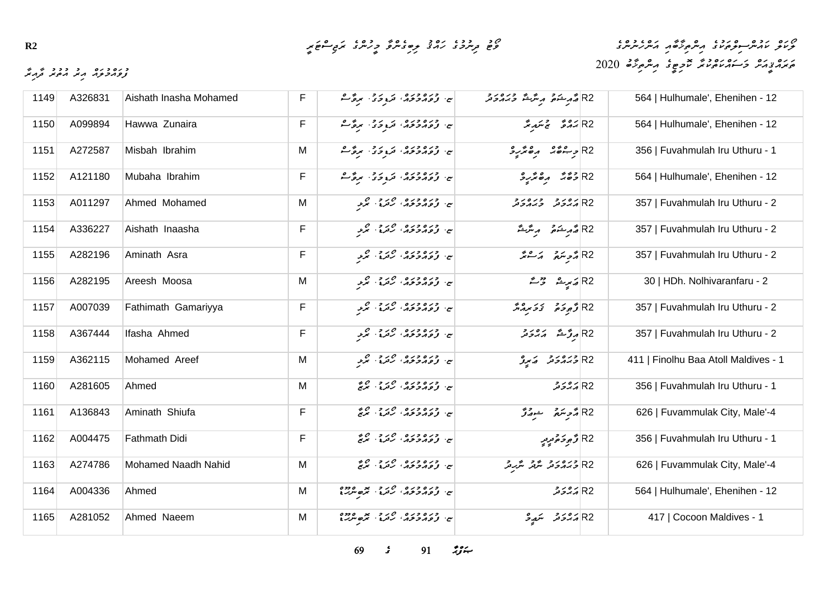*sCw7q7s5w7m< o<n9nOoAw7o< sCq;mAwBoEw7q<m; wBm;vB 2020<sup>, م</sup>وسر در مدد مدرج به مدرم مقرم قرار 2020*<br>موسر المستقرم المستقرم المستقرم المستقرم المستقرم المستقرم المستقرم المستقرم المستقرم المستقرم المستقرم المستقر

| 1149 | A326831 | Aishath Inasha Mohamed | F | سي وره وره تروكي بروگ                                                                                                                                                                                                            | R2 مەم شەق مەشق 2 مەم دىر                    | 564   Hulhumale', Ehenihen - 12      |
|------|---------|------------------------|---|----------------------------------------------------------------------------------------------------------------------------------------------------------------------------------------------------------------------------------|----------------------------------------------|--------------------------------------|
| 1150 | A099894 | Hawwa Zunaira          | F | سي وره وره تروكي بروگ                                                                                                                                                                                                            | R2 بَرْدُوْ تَحْسَمْ بِرَّ                   | 564   Hulhumale', Ehenihen - 12      |
| 1151 | A272587 | Misbah Ibrahim         | M | سي وره وره تروري مره گ                                                                                                                                                                                                           | R2 <sub>ح</sub> ر بەھ ئەھەر يەھ بەر ئا       | 356   Fuvahmulah Iru Uthuru - 1      |
| 1152 | A121180 | Mubaha Ibrahim         | F | م دره دره .<br>مستوجد در در در در مردم مستوف                                                                                                                                                                                     | 3, 2, 3, 2, 2                                | 564   Hulhumale', Ehenihen - 12      |
| 1153 | A011297 | Ahmed Mohamed          | M | ے وہ دورہ مرد میں<br>س وہ دورہ رس رہ                                                                                                                                                                                             | R2 كەبەبەر جەمدىرىيە                         | 357   Fuvahmulah Iru Uthuru - 2      |
| 1154 | A336227 | Aishath Inaasha        | F | دره دره ۵۶۶ کرد.<br>س وحدوفه، رتود: نمو                                                                                                                                                                                          | R2 مُرمِّسَمَّ مِسَّرْشَّہ                   | 357   Fuvahmulah Iru Uthuru - 2      |
| 1155 | A282196 | Aminath Asra           | F | ے وروورو مرد میں<br>سی ووروفرد کی توج                                                                                                                                                                                            | R2 مُ <i>جِي سَعْدَ</i> مُ سُن <i>َعَ</i> دُ | 357   Fuvahmulah Iru Uthuru - 2      |
| 1156 | A282195 | Areesh Moosa           | M | دره دره ۵٫۰۵<br>۳۰ زود درود، رتره . بربر                                                                                                                                                                                         | R2 كەيرىش قرمىگە                             | 30   HDh. Nolhivaranfaru - 2         |
| 1157 | A007039 | Fathimath Gamariyya    | F | ے ورودرو مرد میں<br>سی توحد وحد کھیل مگر                                                                                                                                                                                         | R2 تُهِ وَحَمْ تَوَمَعِ مَهُ مَّ             | 357   Fuvahmulah Iru Uthuru - 2      |
| 1158 | A367444 | Ifasha Ahmed           | F | ح ده وره ص د و.<br>سي توجه و وهر کلي کلي کلي                                                                                                                                                                                     | R2 مروَّشة كم يروتر                          | 357   Fuvahmulah Iru Uthuru - 2      |
| 1159 | A362115 | Mohamed Areef          | M | س وره وره صرح مي                                                                                                                                                                                                                 | R2  22,25 كەمبى                              | 411   Finolhu Baa Atoll Maldives - 1 |
| 1160 | A281605 | Ahmed                  | M | دره دره دره به دره به دره<br>س وورونور، رس بر                                                                                                                                                                                    | R2 كەنزىقر                                   | 356   Fuvahmulah Iru Uthuru - 1      |
| 1161 | A136843 | Aminath Shiufa         | F | כנס כנס ימנד - מים<br>ישי צפונפיבורי יעדה - יביב                                                                                                                                                                                 | R2 مُجِسَمَة مُسِيمَةٌ                       | 626   Fuvammulak City, Male'-4       |
| 1162 | A004475 | <b>Fathmath Didi</b>   | F | כנס כנס ימנד - מים<br>ישי צפונפיבורי יעדה - יביב                                                                                                                                                                                 | R2 گر <i>ُمِ وَ مُ</i> ورِمِرِ               | 356   Fuvahmulah Iru Uthuru - 1      |
| 1163 | A274786 | Mohamed Naadh Nahid    | M | כנסכנס בנכרה<br>יין נפחביבתי נעשי יציג                                                                                                                                                                                           | R2 دېرمانه شور شرېدنز                        | 626   Fuvammulak City, Male'-4       |
| 1164 | A004336 | Ahmed                  | M | ים "3 נים דינים" לינים "דינים יינים יינים ולינים ולינים ולינים ולינים ולינים ולינים ולינים ולינים ולינים וליני<br>מינים ולינים ולינים מודעים ולינים ולינים יינים ויינים ולינים ולינים ולינים ולינים ולינים ולינים ולינים ולינים  | R2, R2                                       | 564   Hulhumale', Ehenihen - 12      |
| 1165 | A281052 | Ahmed Naeem            | M | ים "3 נים דינים" ביטרים מדינים ייתונים ייתונים ייתונים וייתונים וייתונים וייתונים וייתונים וייתונים וייתונים ו<br>מיים וייתונים מדינים וייתר מדינים ייתונים ייתונים ייתונים וייתונים וייתונים וייתונים וייתונים וייתונים וייתוני | R2. يَدْدَ يَرْ مَهْدِ \$                    | 417   Cocoon Maldives - 1            |

*n8o<n@ q8qAq< q8o< w<mBq>w<m=q?*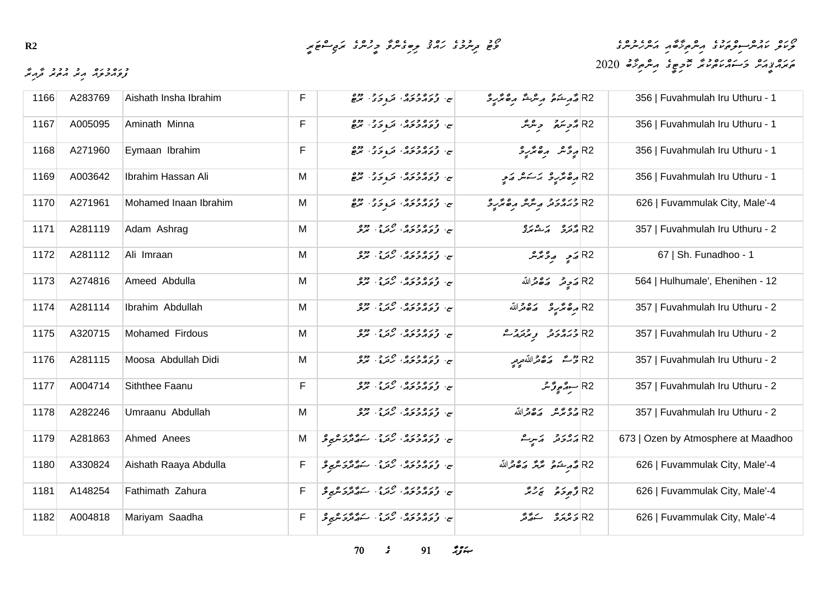*sCw7q7s5w7m< o<n9nOoAw7o< sCq;mAwBoEw7q<m; wBm;vB 2020<sup>, م</sup>وسر در مدد مدرج به مدرم مقرم قرار 2020*<br>موسر المستقرم المستقرم المستقرم المستقرم المستقرم المستقرم المستقرم المستقرم المستقرم المستقرم المستقرم المستقر

| 1166 | A283769 | Aishath Insha Ibrahim | F | ים יצים בגם וגביב בבי<br>ים ציפוריבורט בגביב יודעים                                                   | R2 مُرمِشَمُ رِسْمَتُ رِصْتُرِ و           | 356   Fuvahmulah Iru Uthuru - 1     |
|------|---------|-----------------------|---|-------------------------------------------------------------------------------------------------------|--------------------------------------------|-------------------------------------|
| 1167 | A005095 | Aminath Minna         | F | ים נפח כבים נגבר בי יישוב<br>ים נפח כבים נגבר יישוב                                                   |                                            | 356   Fuvahmulah Iru Uthuru - 1     |
| 1168 | A271960 | Eymaan Ibrahim        | F | ים נפחבבה מינים מס<br>ים נפחבבה נגבד יש                                                               | R2 م <sub>و</sub> ق شهر مر <i>ه مگرد</i> و | 356   Fuvahmulah Iru Uthuru - 1     |
| 1169 | A003642 | Ibrahim Hassan Ali    | M | ים - 2005 בין הרי בים.<br>ים - 2005 בית יודע בין היו דע                                               | R2 مەھەر بۇ بەسەھە مەر                     | 356   Fuvahmulah Iru Uthuru - 1     |
| 1170 | A271961 | Mohamed Inaan Ibrahim | M | ים: 1975 בנים יודע ביבי יודעים<br>יים: 1975 בנים יודעים ביבי יודעים                                   | R2 دبره برد په شهر مرگز کړه.               | 626   Fuvammulak City, Male'-4      |
| 1171 | A281119 | Adam Ashrag           | M | כנס כנס ייני כי הס<br>יין צפונכיבוני הנגד ייניב                                                       | R2 مُرْمَرْدَ مَ مُشْعَرَةِ                | 357   Fuvahmulah Iru Uthuru - 2     |
| 1172 | A281112 | Ali Imraan            | M | ים - כיום כיום - מין - מים<br>ישי <sub>ל</sub> פח <i>ב כ</i> ה' יכוב - ייכוב                          | R2  رَمِي مِرتَرْسَر                       | 67   Sh. Funadhoo - 1               |
| 1173 | A274816 | Ameed Abdulla         | M | כנסכנס ימנכ מים<br>ה' צפוביבורי נעשי יציב                                                             | R2  مَرْحٍ مِنْ مَدْهُ مِّدْاللّهِ         | 564   Hulhumale', Ehenihen - 12     |
| 1174 | A281114 | Ibrahim Abdullah      | M |                                                                                                       | R2 م <i>وھ مگرچ</i> و محکم تھ تکراللّٰہ    | 357   Fuvahmulah Iru Uthuru - 2     |
| 1175 | A320715 | Mohamed Firdous       | M | ים יציפ מכים יום מים יותרים ברום<br>ישי ציפ מיכיב מי מיטבי יותרים                                     | R2 دېرمانه ويرورو ه                        | 357   Fuvahmulah Iru Uthuru - 2     |
| 1176 | A281115 | Moosa Abdullah Didi   | M | ים - כנס כנס - הניכן - מים<br>ישי צפו <i>נ כיכ</i> ולי - מיכ                                          | R2 تُرْسَمُ 25فَرَاللَّهُ مِرِمِرِ         | 357   Fuvahmulah Iru Uthuru - 2     |
| 1177 | A004714 | Siththee Faanu        | F | ים - כיום כיכם - כיכם - ככם<br>ישי <sub>ל</sub> פח <i>ב כ</i> ה' יכול - ייכול                         | R2 سوچوپو محمد                             | 357   Fuvahmulah Iru Uthuru - 2     |
| 1178 | A282246 | Umraanu Abdullah      | M | כנס כנס ייני כי הס<br>יין צפונכיבוני הנגד ייניב                                                       | R2 رُوْبُرْسْ رَصْوَرْاللّه                | 357   Fuvahmulah Iru Uthuru - 2     |
| 1179 | A281863 | Ahmed Anees           | M | ه دره دره صدد منتشر ده و<br>سي وحدد در منتزع منتشر شرح شريح                                           | R2 كەبروتى كەسىر مىسك                      | 673   Ozen by Atmosphere at Maadhoo |
| 1180 | A330824 | Aishath Raaya Abdulla | F | دره دره ه مرد مردون ده در در در است.<br>سی نوحه و دهه مردر مستورگروش                                  | R2 مُرمِشَعْ مُرمَّد مَصْغَرِ اللَّهُ      | 626   Fuvammulak City, Male'-4      |
| 1181 | A148254 | Fathimath Zahura      | F | وره وره مرد و مرد در ده و<br>س قرح برحمد کرد و مسهر ترکیب در است                                      | R2 وَجِوحَمَ بِحَرْبَرٌ.                   | 626   Fuvammulak City, Male'-4      |
| 1182 | A004818 | Mariyam Saadha        | F | دره دره همرد مردون در در در در در در در در استان کرد.<br>سی: توجه در در در در در در سوهه تر در سرچ گر | R2 دېمبرد شوړنگر                           | 626   Fuvammulak City, Male'-4      |

*n8o<n@ q8qAq< q8o< w<mBq>w<m=q?*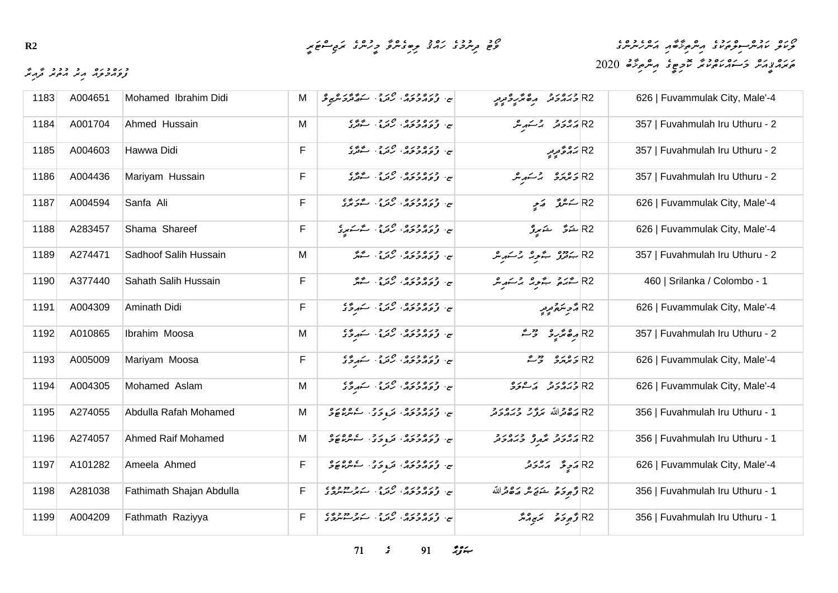*sCw7q7s5w7m< o<n9nOoAw7o< sCq;mAwBoEw7q<m; wBm;vB 2020<sup>, م</sup>وسر در مدد مدرج به مدرم مقرم قرار 2020*<br>موسر المستقرم المستقرم المستقرم المستقرم المستقرم المستقرم المستقرم المستقرم المستقرم المستقرم المستقرم المستقر

| 1183 | A004651 | Mohamed Ibrahim Didi      | M | ح دره دره صدد منظمتر در در در در استفاده شده در استان در استان در استان در استفاده باشد.<br>سی از و مرد در مرد استفاده شرکت شرکت شرکت شده در استفاده شده باشد و استفاده برای شده باشد که باشد که باشد که س                      | R2 <i>دېنم</i> ونر پر <i>ه ټرپ</i> ونږي <sub>ږ</sub> | 626   Fuvammulak City, Male'-4  |
|------|---------|---------------------------|---|---------------------------------------------------------------------------------------------------------------------------------------------------------------------------------------------------------------------------------|------------------------------------------------------|---------------------------------|
| 1184 | A001704 | Ahmed Hussain             | M | وره وره صدو میده.<br>سی توجه وحره کنونی ستنوی                                                                                                                                                                                   | R2 كەنزى كىرىگە بىر بىر                              | 357   Fuvahmulah Iru Uthuru - 2 |
| 1185 | A004603 | Hawwa Didi                | F | دره دره دره هرد به دره<br>س وه در دره کنده کشور                                                                                                                                                                                 | R2 كەمگە توپىر                                       | 357   Fuvahmulah Iru Uthuru - 2 |
| 1186 | A004436 | Mariyam Hussain           | F | دره دره ه مرد در دره<br>س وره درها رتر و سنتری                                                                                                                                                                                  | R2 كا <i>كارورو باسك</i> ريش                         | 357   Fuvahmulah Iru Uthuru - 2 |
| 1187 | A004594 | Sanfa Ali                 | F | دره دره دره مرد در دره<br>سی توحد دخرد، رفره                                                                                                                                                                                    | R2 شمئر م <i>م</i> ج                                 | 626   Fuvammulak City, Male'-4  |
| 1188 | A283457 | Shama Shareef             | F | ى. درە درە مەرد. گەكتىرى                                                                                                                                                                                                        | R2 شَتَرَ شَمَعِيقُ                                  | 626   Fuvammulak City, Male'-4  |
| 1189 | A274471 | Sadhoof Salih Hussain     | M | س وره وره ص ورو شود.<br>س وحدو و در رود .                                                                                                                                                                                       | R2 جەمرى سەمبەر جامبەس                               | 357   Fuvahmulah Iru Uthuru - 2 |
| 1190 | A377440 | Sahath Salih Hussain      | F | ه دره دره برد .<br>س زودونرد، رتره . سهر                                                                                                                                                                                        | R2 س <i>تىنتى بىگويى بى</i> سكەبلىر                  | 460   Srilanka / Colombo - 1    |
| 1191 | A004309 | Aminath Didi              | F | ים נפחבבה לנדי החבב                                                                                                                                                                                                             | R2 أَمَّ <i>وِ سَهُوْ مِ</i> رِمِرِ                  | 626   Fuvammulak City, Male'-4  |
| 1192 | A010865 | Ibrahim Moosa             | M | יז ניפחיק בארי מיק בין הודיק.<br>ישי ניפחיק בארי העשי האקדעי                                                                                                                                                                    | R2 وەئزىرو تەسىر                                     | 357   Fuvahmulah Iru Uthuru - 2 |
| 1193 | A005009 | Mariyam Moosa             | F |                                                                                                                                                                                                                                 | R2 وَيُرْدَّرُ وَيْتَمَ                              | 626   Fuvammulak City, Male'-4  |
| 1194 | A004305 | Mohamed Aslam             | M | יזי גבור בנבי המגבי האובב                                                                                                                                                                                                       | R2 32023 كەسىر <i>ە</i>                              | 626   Fuvammulak City, Male'-4  |
| 1195 | A274055 | Abdulla Rafah Mohamed     | M | ישי צפח כמי מגבי בי המים הים בי                                                                                                                                                                                                 | R2 رَصْوَاللّه بَرَوْرٌ وَبَرْمُرْمَّرٌ              | 356   Fuvahmulah Iru Uthuru - 1 |
| 1196 | A274057 | <b>Ahmed Raif Mohamed</b> | M | ים יצפח כנסים וליצור בי המספרס<br>ים צפח כיכחי נגיו כני היית או שיכ                                                                                                                                                             | R2 בהכביר יצה בההכנר                                 | 356   Fuvahmulah Iru Uthuru - 1 |
| 1197 | A101282 | Ameela Ahmed              | F | ים יציפ חבר בין המשיר בין המידעים בין המידעים בין המידעים בין המידעים בין המידעים בין המידעים בין המידעים בין<br>מידעים בין המידעים בין המידעים בין המידעים בין המידעים בין המידעים בין המידעים בין המידעים בין המידעים בין המי | R2 أ <i>مَّجٍ قُسْ أَمَدُونَدْ</i>                   | 626   Fuvammulak City, Male'-4  |
| 1198 | A281038 | Fathimath Shajan Abdulla  | F |                                                                                                                                                                                                                                 | R2 تَرْجِرْةَ مُ شَوَيْتَ مَدْهُ قَدْاللَّهُ         | 356   Fuvahmulah Iru Uthuru - 1 |
| 1199 | A004209 | Fathmath Raziyya          | F | י כנס כנס יישוב ווני ככבים.<br>ישי נפוג כיבוג'י לעשי ולי בלי מיטב ב                                                                                                                                                             | R2 <i>وَّجوحَمْ بَرَ<sub>ّع</sub> م</i> ُ <i>مَّ</i> | 356   Fuvahmulah Iru Uthuru - 1 |

*n8o<n@ q8qAq< q8o< w<mBq>w<m=q?*

 $71$  *s* 91  $23$   $\div$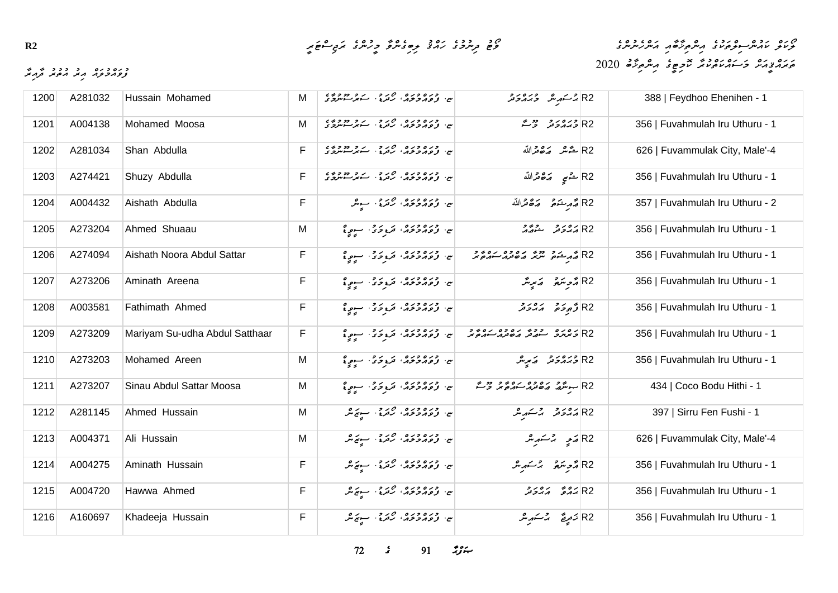*sCw7q7s5w7m< o<n9nOoAw7o< sCq;mAwBoEw7q<m; wBm;vB 2020<sup>, م</sup>وسر در مدد مدرج به مدرم مقرم قرار 2020*<br>موسر المستقرم المستقرم المستقرم المستقرم المستقرم المستقرم المستقرم المستقرم المستقرم المستقرم المستقرم المستقر

| A281032 | Hussain Mohamed                | M | ישי צפח ביברי יינור ברובי ברובי ברובי ברובי ברובי ברובי ברובי ברובי ברובי ברובי ברובי ברובי ברובי בר<br>ישי צפח ברובה יינור ברובי יינור ברובי ברובי ברובי ברובי ברובי ברובי ברובי                                                                                                                                             | R2 يُرَ مَهر مُرَ وَبَرْ وَحَدَّ قَرْ | 388   Feydhoo Ehenihen - 1      |
|---------|--------------------------------|---|-------------------------------------------------------------------------------------------------------------------------------------------------------------------------------------------------------------------------------------------------------------------------------------------------------------------------------|---------------------------------------|---------------------------------|
| A004138 | Mohamed Moosa                  | M | ים וכנס כנס יסניק - נייניק בכלים<br>ישי <sub>ה</sub> כמכי <i>כ</i> מי לט <sub>ו</sub> ר - נייניק ביינדיק                                                                                                                                                                                                                      | $23.323$ R2                           | 356   Fuvahmulah Iru Uthuru - 1 |
| A281034 | Shan Abdulla                   | F | כנסכנס ימנכי הביביבים<br>ישי נפונפיבוני הנגזי ההבנה היינביב                                                                                                                                                                                                                                                                   | R2 يُحَمَّرُ بِرَصْحَراللَّه          | 626   Fuvammulak City, Male'-4  |
| A274421 | Shuzy Abdulla                  | F |                                                                                                                                                                                                                                                                                                                               | R2 ڪُمي <i>ھَ ھُڏ</i> اللّٰه          | 356   Fuvahmulah Iru Uthuru - 1 |
| A004432 | Aishath Abdulla                | F | ے ورودرو مرد ب                                                                                                                                                                                                                                                                                                                | R2 مُجْمِسْتَمْعْ مَهْ صَوْرَاللّه    | 357   Fuvahmulah Iru Uthuru - 2 |
| A273204 | Ahmed Shuaau                   | M | ح ده وره .<br>سيس توحد حرم المتعدد حرم المسوري                                                                                                                                                                                                                                                                                | $222$ $222$ $R2$                      | 356   Fuvahmulah Iru Uthuru - 1 |
| A274094 | Aishath Noora Abdul Sattar     | F | دره دره دره تروژي سوه و                                                                                                                                                                                                                                                                                                       | R2 گەر شەھ سرى مەھ مەھ بەرە بەر       | 356   Fuvahmulah Iru Uthuru - 1 |
| A273206 | Aminath Areena                 | F | $\begin{array}{cc} 0 & 0 & 0 & 0 & 0 & 0 \\ 0 & 0 & 0 & 0 & 0 \\ 0 & 0 & 0 & 0 & 0 \\ 0 & 0 & 0 & 0 & 0 \\ 0 & 0 & 0 & 0 & 0 \\ 0 & 0 & 0 & 0 & 0 \\ 0 & 0 & 0 & 0 & 0 \\ 0 & 0 & 0 & 0 & 0 \\ 0 & 0 & 0 & 0 & 0 \\ 0 & 0 & 0 & 0 & 0 \\ 0 & 0 & 0 & 0 & 0 \\ 0 & 0 & 0 & 0 & 0 \\ 0 & 0 & 0 & 0 & 0 \\ 0 & 0 & 0 & 0 & 0 \\$ | R2 مُجَرِسَمَةً مَسَرِسَّرَ           | 356   Fuvahmulah Iru Uthuru - 1 |
| A003581 | Fathimath Ahmed                | F | س وره دوه، ترود ور                                                                                                                                                                                                                                                                                                            | R2 تُرجوح مُ مُدَوَمَرُ               | 356   Fuvahmulah Iru Uthuru - 1 |
| A273209 | Mariyam Su-udha Abdul Satthaar | F | من المحدود و المعدود المسوح في المجمع المحدود و المحدود و المحدود و المحدود المحدود و المحدود المحدود المحدود                                                                                                                                                                                                                 |                                       | 356   Fuvahmulah Iru Uthuru - 1 |
| A273203 | Mohamed Areen                  | M | ى ورەدرە، تروژكى سورة                                                                                                                                                                                                                                                                                                         | R2  <i>32,352 كەيرى</i> گر            | 356   Fuvahmulah Iru Uthuru - 1 |
| A273207 | Sinau Abdul Sattar Moosa       | M | دره دره دره کرد در سوه و                                                                                                                                                                                                                                                                                                      | R2 بەشھەرە 250 رەپرى دەپر             | 434   Coco Bodu Hithi - 1       |
| A281145 | Ahmed Hussain                  | M | ے ووروورو مرد بے ش                                                                                                                                                                                                                                                                                                            | R2 كەبروتىر كەسكەرلىر                 | 397   Sirru Fen Fushi - 1       |
| A004371 | Ali Hussain                    | M | ى درەدرە مرد سونمىر                                                                                                                                                                                                                                                                                                           | R2   <i>مَعٍ بِرْسَم</i> ِيش          | 626   Fuvammulak City, Male'-4  |
| A004275 | Aminath Hussain                | F | ے ووروورو مرد بے ش                                                                                                                                                                                                                                                                                                            | R2 مُحَرِّسَمُ مُحَسَّمِينَ مَنْ      | 356   Fuvahmulah Iru Uthuru - 1 |
| A004720 | Hawwa Ahmed                    | F | ے ورودو مرد بارد ہے۔                                                                                                                                                                                                                                                                                                          | R2 يُروثر مُ يُرونر                   | 356   Fuvahmulah Iru Uthuru - 1 |
| A160697 | Khadeeja Hussain               | F | سي وره وره مرد .<br>سي وورونور، رس . سي                                                                                                                                                                                                                                                                                       | R2 زَمِرِجٌ گِرْسَهِرِسٌ              | 356   Fuvahmulah Iru Uthuru - 1 |
|         |                                |   |                                                                                                                                                                                                                                                                                                                               |                                       | R2 ז פ גם פ כ ז גם כם גם ז ג ב  |

*n8o<n@ q8qAq< q8o< w<mBq>w<m=q?*

 $72$  *s* 91  $23$   $\div$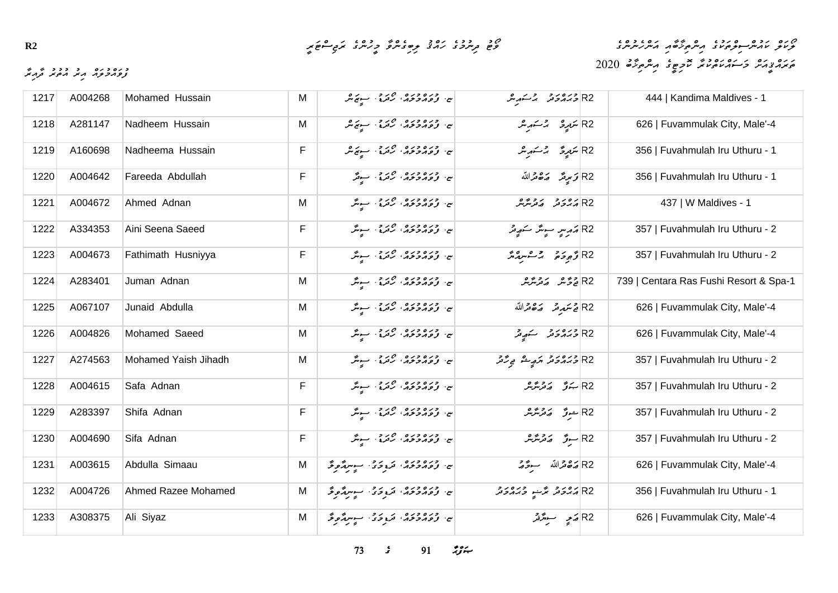*sCw7q7s5w7m< o<n9nOoAw7o< sCq;mAwBoEw7q<m; wBm;vB 2020*<br>*په پوهر وسوډيرونو لومو د موجو د مرمونه* 2020

| 1217 | A004268 | Mohamed Hussain      | M | س وره وره مرد .<br>س وورونور، رس سوی             | R2 32,023 كريمه مر                           | 444   Kandima Maldives - 1             |
|------|---------|----------------------|---|--------------------------------------------------|----------------------------------------------|----------------------------------------|
| 1218 | A281147 | Nadheem Hussain      | М | سي- وده وده مي ده.<br>سي- وحمد حرم كرد و - سيخ ش | R2  سَرَمَرِ حُسْرَ جَمْسَہِ سُر             | 626   Fuvammulak City, Male'-4         |
| 1219 | A160698 | Nadheema Hussain     | F | س وره وره مرد .<br>س وورونور، رس بر په           | R2 بتربرد باز میگرایش                        | 356   Fuvahmulah Iru Uthuru - 1        |
| 1220 | A004642 | Fareeda Abdullah     | F | ه دره دره ۵٫۰۵<br>۳ زودوند، ردد: سینگ            |                                              | 356   Fuvahmulah Iru Uthuru - 1        |
| 1221 | A004672 | Ahmed Adnan          | M | ح ده دره ص د د .<br>س زود و د د .                | R2 كەبروتى كەترىترىتر                        | 437   W Maldives - 1                   |
| 1222 | A334353 | Aini Seena Saeed     | F | ح ده دره ص د .<br>س زودونود، رتزه . سوس          | R2  مَدِسٍ سِيتَر سَنَ مِنْ                  | 357   Fuvahmulah Iru Uthuru - 2        |
| 1223 | A004673 | Fathimath Husniyya   | F | ح ده دره ص د .<br>س زودونود، رتود . سوس          | R2 رُّجِودَةُ بِرَّ-سِهِدَّةُ                | 357   Fuvahmulah Iru Uthuru - 2        |
| 1224 | A283401 | Juman Adnan          | M | ے وہ دورہ مرد پہنچا ہے۔                          | R2 قۇش مەترىترىتر                            | 739   Centara Ras Fushi Resort & Spa-1 |
| 1225 | A067107 | Junaid Abdulla       | M | ح ده دره ص د د .<br>س زود و د د .                | R2 فج <i>سَمدٍ قرَّ مَرَّةً مَرَّ</i> اللَّه | 626   Fuvammulak City, Male'-4         |
| 1226 | A004826 | Mohamed Saeed        | M | ح ده دره ص د د .<br>س زودونود، رتزه . سوش        | R2 <i>322.3 سكوپى</i> ر                      | 626   Fuvammulak City, Male'-4         |
| 1227 | A274563 | Mohamed Yaish Jihadh | M | ح ده وړه ص د .<br>س زوه د ده. رترو سرگ           | R2 <i>5&gt;2005 ترم م</i> یگ ہے جگ           | 357   Fuvahmulah Iru Uthuru - 2        |
| 1228 | A004615 | Safa Adnan           | F | ح ده دره ص د .<br>س زودونود، رتزه . سوس          | R2 بَرُوَّ کَمَ مَرْشَرْسَ                   | 357   Fuvahmulah Iru Uthuru - 2        |
| 1229 | A283397 | Shifa Adnan          | F | ەرەدرە مەدەبە بىر بىر                            | R2 حو <i>ق مکمر ش</i> ر                      | 357   Fuvahmulah Iru Uthuru - 2        |
| 1230 | A004690 | Sifa Adnan           | F | ەرەدرە مەدە بىر<br>س ۋەגەبەر كەن                 | R2 سوبرٌ – <sub>مح</sub> ترمگرمگر            | 357   Fuvahmulah Iru Uthuru - 2        |
| 1231 | A003615 | Abdulla Simaau       | M | ج. وره دور، مروت سوسرموت                         | R2 مَرْهُ مَرْاللّه سُدَّرَ مَنْ             | 626   Fuvammulak City, Male'-4         |
| 1232 | A004726 | Ahmed Razee Mohamed  | M | ج. ورودوه، مرور سيسمور                           | R2 كەندى تەرەپە تەرەپەتە                     | 356   Fuvahmulah Iru Uthuru - 1        |
| 1233 | A308375 | Ali Siyaz            | M | ى درەدرە، مەددى سىرمۇمۇ                          | R2  رَمِ سِبَرْنَدُ                          | 626   Fuvammulak City, Male'-4         |

*73 sC 91 nNw?mS*

*n8o<n@ q8qAq< q8o< w<mBq>w<m=q?*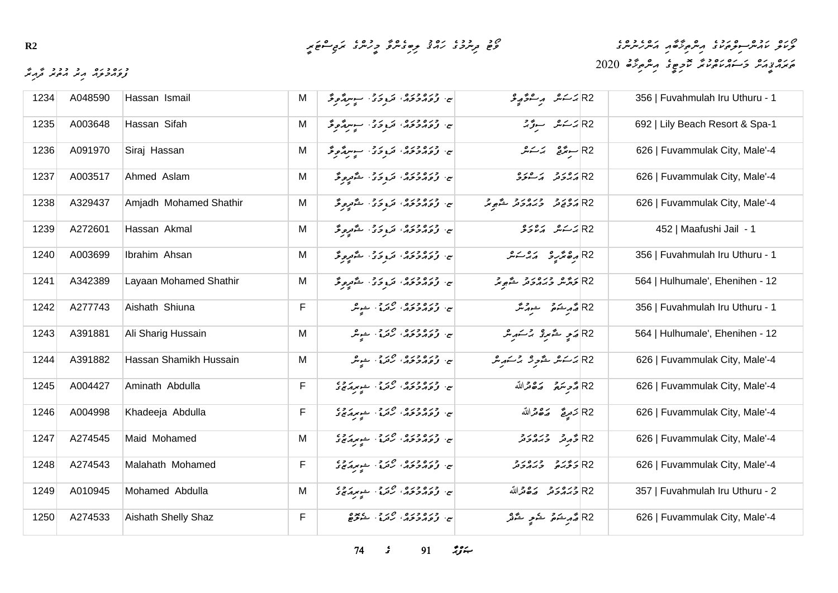*sCw7q7s5w7m< o<n9nOoAw7o< sCq;mAwBoEw7q<m; wBm;vB 2020<sup>, م</sup>وسر در مدد مدرج به مدرم مقرم قرار 2020*<br>موسر المستقرم المستقرم المستقرم المستقرم المستقرم المستقرم المستقرم المستقرم المستقرم المستقرم المستقرم المستقر

| 1234 | A048590 | Hassan Ismail          | M | ى دۇەددە ئىدى ئ                                                                                                                                                                                                                                                                                                                                                                                     | R2  تەسىر مەر مەدى بولى                                | 356   Fuvahmulah Iru Uthuru - 1 |
|------|---------|------------------------|---|-----------------------------------------------------------------------------------------------------------------------------------------------------------------------------------------------------------------------------------------------------------------------------------------------------------------------------------------------------------------------------------------------------|--------------------------------------------------------|---------------------------------|
| 1235 | A003648 | Hassan Sifah           | M | ح. ووە دىرە، ئروترى. سەرەگرىگ                                                                                                                                                                                                                                                                                                                                                                       | R2   پرستربر سوژیژ                                     | 692   Lily Beach Resort & Spa-1 |
| 1236 | A091970 | Siraj Hassan           | M | ى دورە دىرە، تروتى سەسلەرگ                                                                                                                                                                                                                                                                                                                                                                          | R2 سيمَّدُ حَمَدَ سَمَكَّر                             | 626   Fuvammulak City, Male'-4  |
| 1237 | A003517 | Ahmed Aslam            | M | ح وره وره مرد د د .<br>ح وحدوفه، مروى عگورون                                                                                                                                                                                                                                                                                                                                                        | R2 كەبروتىر كەسىر <i>ە</i> رە                          | 626   Fuvammulak City, Male'-4  |
| 1238 | A329437 | Amjadh Mohamed Shathir | M | س وره وره .<br>س وه د د ده ند وي شگيره گ                                                                                                                                                                                                                                                                                                                                                            | R2 رەر دىرەرد شەھ بار<br>R2 مەدەملەر دىكەردىلە شەھ بار | 626   Fuvammulak City, Male'-4  |
| 1239 | A272601 | Hassan Akmal           | M | س وره وره .<br>س وه د د ده . تره د د شکيږه گ                                                                                                                                                                                                                                                                                                                                                        | R2 ئەسەبىر مەنزى                                       | 452   Maafushi Jail - 1         |
| 1240 | A003699 | Ibrahim Ahsan          | M | س وره وره .<br>س وه د د ده . تره د د شکيږه گ                                                                                                                                                                                                                                                                                                                                                        | R2 مەھەر كەن ئەرگە يەر كەنگەنلەر بول                   | 356   Fuvahmulah Iru Uthuru - 1 |
| 1241 | A342389 | Layaan Mohamed Shathir | M | س وره وره .<br>س وره دره شورد . شگهره گ                                                                                                                                                                                                                                                                                                                                                             | R2 <i>وَمَرْسْ وَبَرْدُونْدْ</i> حُثَّمِ بِرُ          | 564   Hulhumale', Ehenihen - 12 |
| 1242 | A277743 | Aishath Shiuna         | F | ح ده وړه صده .<br>سي نوملاتون رتو . خوش                                                                                                                                                                                                                                                                                                                                                             | R2 مُدمِسْمَعُ مُسِدْمَّرٌ                             | 356   Fuvahmulah Iru Uthuru - 1 |
| 1243 | A391881 | Ali Sharig Hussain     | M | ح ده وړه ص د .<br>س زودونون رتره . خپس                                                                                                                                                                                                                                                                                                                                                              | R2 كەنچ ئىقمىردە برىتىمبرىش                            | 564   Hulhumale', Ehenihen - 12 |
| 1244 | A391882 | Hassan Shamikh Hussain | M | ح ده وړه ص د .<br>س زودونون رتره . خپس                                                                                                                                                                                                                                                                                                                                                              | R2 بَرَسَسٌ حَدَّوِرْ - يُرْسَهِ سُ                    | 626   Fuvammulak City, Male'-4  |
| 1245 | A004427 | Aminath Abdulla        | F | ים נפח כנס יישוב ביותר ביותר.<br>יים נפח כיכה לעש                                                                                                                                                                                                                                                                                                                                                   | R2 مُرْحِسَمَة مَسْرَحْمَدَاللّه                       | 626   Fuvammulak City, Male'-4  |
| 1246 | A004998 | Khadeeja Abdulla       | F | دره دره دره ۲۰۰۵.<br>س زوارونوار، رکزو شیعراری                                                                                                                                                                                                                                                                                                                                                      | R2 تزمریح ک <i>ے م</i> حاکمہ                           | 626   Fuvammulak City, Male'-4  |
| 1247 | A274545 | Maid Mohamed           | M | $\begin{array}{ccc} \text{1.5}\ \text{1.5}\ \text{2.6}\ \text{2.7}\ \text{2.7}\ \text{2.8}\ \text{2.7}\ \text{2.8}\ \text{2.8}\ \text{2.8}\ \text{2.8}\ \text{2.8}\ \text{2.8}\ \text{2.8}\ \text{2.8}\ \text{2.8}\ \text{2.8}\ \text{2.8}\ \text{2.8}\ \text{2.8}\ \text{2.8}\ \text{2.8}\ \text{2.8}\ \text{2.8}\ \text{2.8}\ \text{2.8}\ \text{2.8}\ \text{2.8}\ \text{2.8}\ \text{2.8}\ \text{$ | R2 دُم په دره در                                       | 626   Fuvammulak City, Male'-4  |
| 1248 | A274543 | Malahath Mohamed       | F | $\begin{array}{ccc} \text{1.5}\ \text{1.5}\ \text{2.6}\ \text{2.7}\ \text{2.7}\ \text{2.8}\ \text{2.7}\ \text{2.8}\ \text{2.8}\ \text{2.8}\ \text{2.8}\ \text{2.8}\ \text{2.8}\ \text{2.8}\ \text{2.8}\ \text{2.8}\ \text{2.8}\ \text{2.8}\ \text{2.8}\ \text{2.8}\ \text{2.8}\ \text{2.8}\ \text{2.8}\ \text{2.8}\ \text{2.8}\ \text{2.8}\ \text{2.8}\ \text{2.8}\ \text{2.8}\ \text{2.8}\ \text{$ | R2 ۇ <i>ۋىرە دېرە دىر</i>                              | 626   Fuvammulak City, Male'-4  |
| 1249 | A010945 | Mohamed Abdulla        | M | $\begin{array}{ccc} \text{1.5}\ \text{1.5}\ \text{2.6}\ \text{2.7}\ \text{2.7}\ \text{2.8}\ \text{2.7}\ \text{2.8}\ \text{2.8}\ \text{2.8}\ \text{2.8}\ \text{2.8}\ \text{2.8}\ \text{2.8}\ \text{2.8}\ \text{2.8}\ \text{2.8}\ \text{2.8}\ \text{2.8}\ \text{2.8}\ \text{2.8}\ \text{2.8}\ \text{2.8}\ \text{2.8}\ \text{2.8}\ \text{2.8}\ \text{2.8}\ \text{2.8}\ \text{2.8}\ \text{2.8}\ \text{$ | R2 ويرودو بره قرالله                                   | 357   Fuvahmulah Iru Uthuru - 2 |
| 1250 | A274533 | Aishath Shelly Shaz    | F | ر وره وره صرح .<br>س وره در در، رس . شروع                                                                                                                                                                                                                                                                                                                                                           | R2 مُرْسُوَمُ شَوْرٍ شَوْرٌ                            | 626   Fuvammulak City, Male'-4  |

*n8o<n@ q8qAq< q8o< w<mBq>w<m=q?*

 $74$  *s* 91  $23$   $\div$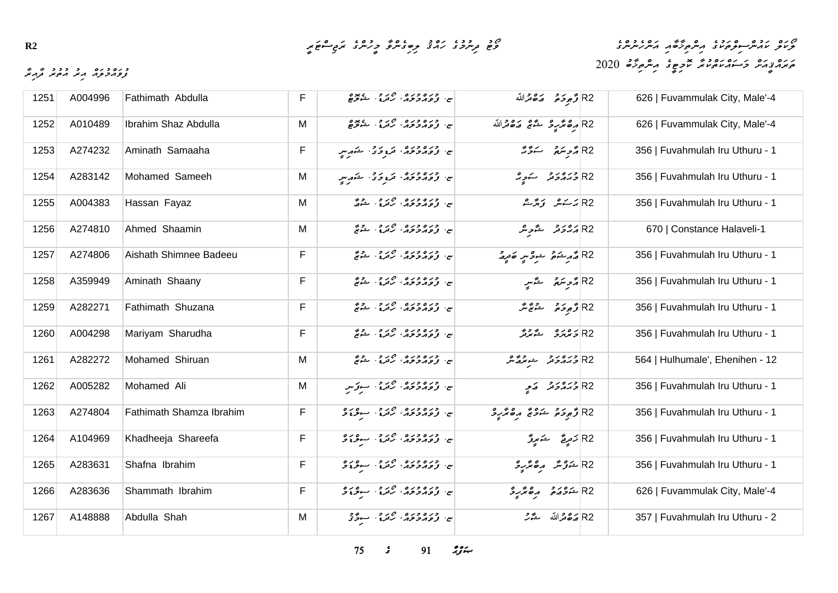*sCw7q7s5w7m< o<n9nOoAw7o< sCq;mAwBoEw7q<m; wBm;vB 2020<sup>, م</sup>وسر در مدد مدرج به مدرم مقرم قرار 2020*<br>موسر المستقرم المستقرم المستقرم المستقرم المستقرم المستقرم المستقرم المستقرم المستقرم المستقرم المستقرم المستقر

| A004996 | Fathimath Abdulla        | F | ر وره وره صرح عده<br>س وره د د در کنره شوده                                                                                  | R2 وُجِرْدَة صَرْهُ قَدْاللّه                                                                                                                                                       | 626   Fuvammulak City, Male'-4  |
|---------|--------------------------|---|------------------------------------------------------------------------------------------------------------------------------|-------------------------------------------------------------------------------------------------------------------------------------------------------------------------------------|---------------------------------|
| A010489 | Ibrahim Shaz Abdulla     | M | وره وره صدو من در د.<br>سي توجه <i>حرمي ر</i> تر ۽ شوخ ه                                                                     | R2 مِرْحَمَّرِ وَ حَدَّى مَرْحَمْدَاللَّه                                                                                                                                           | 626   Fuvammulak City, Male'-4  |
| A274232 | Aminath Samaaha          | F | ى درەدرە مەدد تكەر                                                                                                           | R2 مُجِسَعَةٍ سَنَرْتُهُ                                                                                                                                                            | 356   Fuvahmulah Iru Uthuru - 1 |
| A283142 | Mohamed Sameeh           | M | ى دوەددە مەدد. ھەر                                                                                                           | R2 <i>353.3 سكوي</i> ژ                                                                                                                                                              | 356   Fuvahmulah Iru Uthuru - 1 |
| A004383 | Hassan Fayaz             | M |                                                                                                                              | R2 پرسترش توټرنگ                                                                                                                                                                    | 356   Fuvahmulah Iru Uthuru - 1 |
| A274810 | Ahmed Shaamin            | M |                                                                                                                              | R2 كەبر <i>وتى</i> شۇمەشر                                                                                                                                                           | 670   Constance Halaveli-1      |
| A274806 | Aishath Shimnee Badeeu   | F | ح دره وره صدر و دره<br>سي وره درخ درگاري شوځ                                                                                 | R2 مُيرِ شَوَءٌ سُودُ سِ صَمِرِ مُ                                                                                                                                                  | 356   Fuvahmulah Iru Uthuru - 1 |
| A359949 | Aminath Shaany           | F |                                                                                                                              | R2 مُرْحِسَةٌ مُحَسِّرِ                                                                                                                                                             | 356   Fuvahmulah Iru Uthuru - 1 |
| A282271 | Fathimath Shuzana        | F |                                                                                                                              |                                                                                                                                                                                     | 356   Fuvahmulah Iru Uthuru - 1 |
| A004298 | Mariyam Sharudha         | F | وره وره به دو.<br>س- زوارونوار، رتوع شوی                                                                                     | R2 ئ <i>ۈچەدە</i> شەرقە                                                                                                                                                             | 356   Fuvahmulah Iru Uthuru - 1 |
| A282272 | Mohamed Shiruan          | M |                                                                                                                              | R2 32,023 شەرقمىس                                                                                                                                                                   | 564   Hulhumale', Ehenihen - 12 |
| A005282 | Mohamed Ali              | M | ے ورہ دوہ محدد سوکس                                                                                                          | R2  <i>وټرونو چې</i>                                                                                                                                                                | 356   Fuvahmulah Iru Uthuru - 1 |
| A274804 | Fathimath Shamza Ibrahim | F | ەرە دىرە بەرد.<br>س ۆەمدىرى كىرە سىرە ئ                                                                                      | R2 زُب <i>وِدَمْ</i> سُدَدْجٌ مِـ صُدَّرِدْ                                                                                                                                         | 356   Fuvahmulah Iru Uthuru - 1 |
| A104969 | Khadheeja Shareefa       | F | ים נפח כנסי לנדי הייבוב.<br>ים נפח כבהי לנדי הייבוב                                                                          | R2 كَتْمِيعٌ مُسْتَمَمِيوٌ                                                                                                                                                          | 356   Fuvahmulah Iru Uthuru - 1 |
| A283631 | Shafna Ibrahim           | F | יז ניפח כנסי לנדי הייבוב<br>יז ניפח כבחי לעו                                                                                 | R2 شۇرى <i>گە مەھترى</i> رى                                                                                                                                                         | 356   Fuvahmulah Iru Uthuru - 1 |
| A283636 | Shammath Ibrahim         | F | $3.3 - 3.0$<br>3.3 - 3.5 - 3.5 - 3.5 - 3.5 - 3.5 - 5.5 - 5.5 - 5.5 - 5.5 - 5.5 - 5.5 - 5.5 - 5.5 - 5.5 - 5.5 - 5.5 - 5.5 - 5 | R2 شو <i>هو وهغرد</i> و                                                                                                                                                             | 626   Fuvammulak City, Male'-4  |
| A148888 | Abdulla Shah             | M | ים נפחבבהי מנדי הביב.<br>ים נפחבבהי מנדי הביב                                                                                | R2 مَرْحَدُواللّه شَرْرُ                                                                                                                                                            | 357   Fuvahmulah Iru Uthuru - 2 |
|         |                          |   |                                                                                                                              | ه دره دره ص د د و د .<br>س ژورونور، رتره . شوی<br>ح ده وړه مړه.<br>س ژورونون رتره څخه<br>وره وره به دو.<br>س- زوارونوار، رتوع شوی<br>ه دره دره ص د د و د .<br>س ژورونور، رتره . شوی | R2 ۇ <sub>جو</sub> رۇ ھەتم ئىر  |

*n8o<n@ q8qAq< q8o< w<mBq>w<m=q?*

 $75$   $5$   $91$   $75$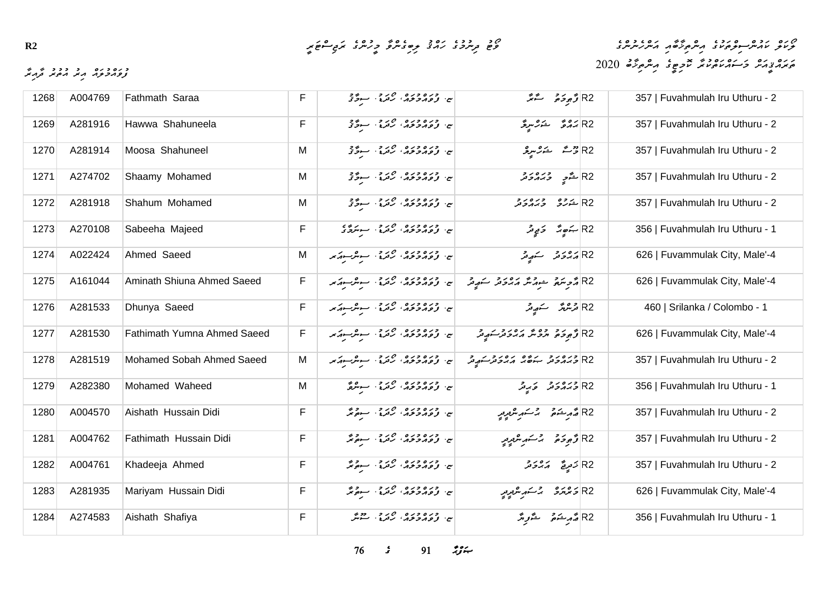*sCw7q7s5w7m< o<n9nOoAw7o< sCq;mAwBoEw7q<m; wBm;vB 2020<sup>, م</sup>وسر در مدد مدرج به مدرم مقرم قرار 2020*<br>موسر المستقرم المستقرم المستقرم المستقرم المستقرم المستقرم المستقرم المستقرم المستقرم المستقرم المستقرم المستقر

| 1268 | A004769 | Fathmath Saraa              | F | ے ورہ ورہ صدو ۔<br>سی نوحاد حرم کورو سوگر                 | R2 وَّجِوحَةُ شَعَبَّهُ                           | 357   Fuvahmulah Iru Uthuru - 2 |
|------|---------|-----------------------------|---|-----------------------------------------------------------|---------------------------------------------------|---------------------------------|
| 1269 | A281916 | Hawwa Shahuneela            | F | כנס כנס ייניק בייקוד.<br>יין נפח כבחי נט גי               | R2 كەشى ھەر سىرىتى                                | 357   Fuvahmulah Iru Uthuru - 2 |
| 1270 | A281914 | Moosa Shahuneel             | M | כנס כנס ייניק בייקוד.<br>יין נפח כבחי נט גי               | R2 وَيْسَمُ شَدْرُسِرْتَوْ.                       | 357   Fuvahmulah Iru Uthuru - 2 |
| 1271 | A274702 | Shaamy Mohamed              | M | ים נפחבבהי מנדי הביב.<br>ים נפחבבהי מנדי הביב             |                                                   | 357   Fuvahmulah Iru Uthuru - 2 |
| 1272 | A281918 | Shahum Mohamed              | M | ەرە دىرە بەرد.<br>سى: ئى <i>ھەد جەھە: كە</i> لدى: سىرى تى | R2 خەرج جەمجەتر                                   | 357   Fuvahmulah Iru Uthuru - 2 |
| 1273 | A270108 | Sabeeha Majeed              | F | כנס כנס המריק.<br>ישי נפח כבחי לטובי – ייישב ב            | R2 جَم <i>َّةٍ جَيْءِ مَّ</i> رَ                  | 356   Fuvahmulah Iru Uthuru - 1 |
| 1274 | A022424 | Ahmed Saeed                 | M | سي وره وره مرد . سور سور بر                               | R2 كەبرى كەر سىكە ئىر                             | 626   Fuvammulak City, Male'-4  |
| 1275 | A161044 | Aminath Shiuna Ahmed Saeed  | F | سي وره وره صرو سيش برگير                                  | R2 مُجمِّسَمَةٌ مُشْمَدٌ مُرْجَمَّدٌ سَمْهِ مُدَّ | 626   Fuvammulak City, Male'-4  |
| 1276 | A281533 | Dhunya Saeed                | F | سي وره وره صرح سير سير سير مر                             | R2 قري <i>مبر شهر شهر تر</i>                      | 460   Srilanka / Colombo - 1    |
| 1277 | A281530 | Fathimath Yumna Ahmed Saeed | F | سي وره وره صرو سيش سر                                     | R2 و حرم مروش مصر و مرد شهر م                     | 626   Fuvammulak City, Male'-4  |
| 1278 | A281519 | Mohamed Sobah Ahmed Saeed   | M | سي وره وره صرو سيش سر                                     | R2 3707 بره د مرگ مره د د در در د                 | 357   Fuvahmulah Iru Uthuru - 2 |
| 1279 | A282380 | Mohamed Waheed              | M | ح ده وره صدو .<br>سي توجه وحمد المرتوف المستقرة           | R2 <i>\$22.25 كەب</i> ىر                          | 356   Fuvahmulah Iru Uthuru - 1 |
| 1280 | A004570 | Aishath Hussain Didi        | F | دره دره ۵٫۰۵ م.<br>۳. ژوودون، رنزو، سیونژ                 |                                                   | 357   Fuvahmulah Iru Uthuru - 2 |
| 1281 | A004762 | Fathimath Hussain Didi      | F | س- وره وره<br>س- ژوپروتوپر، رفزه - سيوپر                  | R2 <i>وُجوحَمْ بِرُحْمَ مُرْمَّدِيدٍ</i>          | 357   Fuvahmulah Iru Uthuru - 2 |
| 1282 | A004761 | Khadeeja Ahmed              | F | دره دره ۵٫۰۵ ورو.<br>س- ژومرونژم، رنزو، سیونژ             | R2 كَتَرِيعٌ - مُكْرَكَة مَ                       | 357   Fuvahmulah Iru Uthuru - 2 |
| 1283 | A281935 | Mariyam Hussain Didi        | F | ים ניסיכנים יונים בית.<br>ישי ניפחיקיבה לנגון היום ב      | R2 <i>وَجُهْرُوْ بِرُسَوْرِ عُرْمِرِيْرِ</i>      | 626   Fuvammulak City, Male'-4  |
| 1284 | A274583 | Aishath Shafiya             | F | دره دره ه د د.<br>س زود د د د. ردد . ـــــ ش              | R2 مُرمِشَمُ شَرْرِ مُرَّ                         | 356   Fuvahmulah Iru Uthuru - 1 |

 $76$  *s* 91 *n***<sub>3</sub> <b>***n*<sub>3</sub> *n* 

*n8o<n@ q8qAq< q8o< w<mBq>w<m=q?*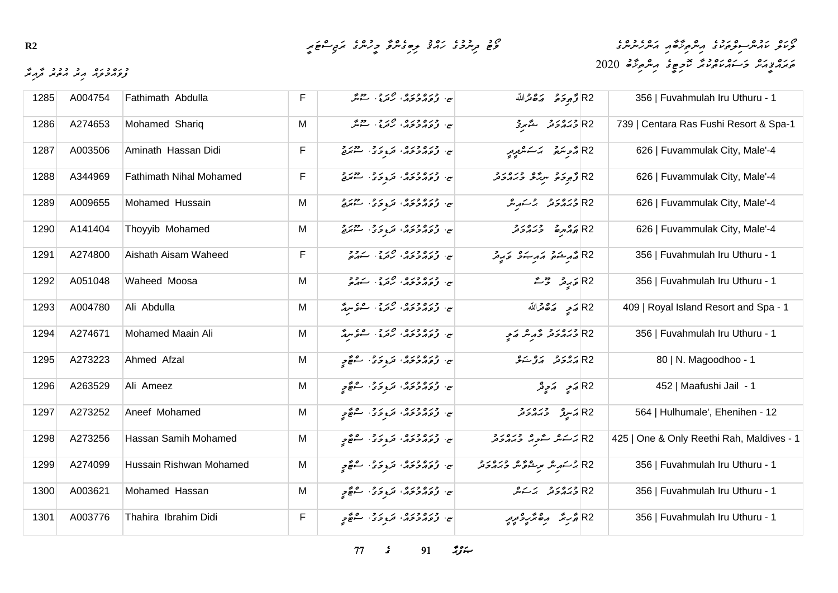*sCw7q7s5w7m< o<n9nOoAw7o< sCq;mAwBoEw7q<m; wBm;vB 2020<sup>, م</sup>وسر در مدد مدرج به مدرم مقرم قرار 2020*<br>موسر المستقرم المستقرم المستقرم المستقرم المستقرم المستقرم المستقرم المستقرم المستقرم المستقرم المستقرم المستقر

| 1285 | A004754 | Fathimath Abdulla              | F | ہے، ورہ ورہ مصرور معمد<br>سی توحدہ حرم کرتر ہے، ستمبر                                                                                                                                                                                                                                                                                                                                                 | R2 وَجِوَة صَرَّة صَرَاللَّه                                                                                   | 356   Fuvahmulah Iru Uthuru - 1           |
|------|---------|--------------------------------|---|-------------------------------------------------------------------------------------------------------------------------------------------------------------------------------------------------------------------------------------------------------------------------------------------------------------------------------------------------------------------------------------------------------|----------------------------------------------------------------------------------------------------------------|-------------------------------------------|
| 1286 | A274653 | Mohamed Shariq                 | M | ہے۔ ورہ ورہ صرح میں<br>سے وحد <i>ح</i> رم رحمہ سے م                                                                                                                                                                                                                                                                                                                                                   | R2 <i>وُبَرُوْدَوْ</i> شَمِيرَ                                                                                 | 739   Centara Ras Fushi Resort & Spa-1    |
| 1287 | A003506 | Aminath Hassan Didi            | F | ים ניפח כמים מגבי ביותר                                                                                                                                                                                                                                                                                                                                                                               | R2 مُّحِسَمُ مُسَسَّمِيِهِ ِ                                                                                   | 626   Fuvammulak City, Male'-4            |
| 1288 | A344969 | <b>Fathimath Nihal Mohamed</b> | F | ים ניפח כיכי נגדל ביני כ                                                                                                                                                                                                                                                                                                                                                                              | R2 زُّجِرَةً مِرتَّةً وَبَرَوْرَةٍ                                                                             | 626   Fuvammulak City, Male'-4            |
| 1289 | A009655 | Mohamed Hussain                | M | ים ניפח כמים מגבי ביותר                                                                                                                                                                                                                                                                                                                                                                               | R2 <i>جەنگە جو جىسكى</i> رىش                                                                                   | 626   Fuvammulak City, Male'-4            |
| 1290 | A141404 | Thoyyib Mohamed                | M | ים ניפח כים ומגיב בי מינים                                                                                                                                                                                                                                                                                                                                                                            | R2 يۇرىر <i>ە</i> قەممەدىر                                                                                     | 626   Fuvammulak City, Male'-4            |
| 1291 | A274800 | Aishath Aisam Waheed           | F | س وره وره ص د و .<br>س توحدو و د .                                                                                                                                                                                                                                                                                                                                                                    | R2 مُەشەق مەسكى قەيىت                                                                                          | 356   Fuvahmulah Iru Uthuru - 1           |
| 1292 | A051048 | Waheed Moosa                   | M | ים: 1975 בים 270.<br>יש: 1975 ביצור: "ריבה בינוקים                                                                                                                                                                                                                                                                                                                                                    | R2 كارىرقى تۇسىگە                                                                                              | 356   Fuvahmulah Iru Uthuru - 1           |
| 1293 | A004780 | Ali Abdulla                    | M | ים: 2005 בין 2006 בין 2006.<br>יש: 2015 בחי המשיר בין היום ייחד                                                                                                                                                                                                                                                                                                                                       | R2 ضَعِي <i>ٰ ضَ</i> صَّعْدَاللّه                                                                              | 409   Royal Island Resort and Spa - 1     |
| 1294 | A274671 | Mohamed Maain Ali              | м | $\mathcal{A}_{\mathcal{A}}$ , $\mathcal{A}_{\mathcal{A}}$ , $\mathcal{A}_{\mathcal{A}}$ , $\mathcal{A}_{\mathcal{A}}$ , $\mathcal{A}_{\mathcal{A}}$ , $\mathcal{A}_{\mathcal{A}}$ , $\mathcal{A}_{\mathcal{A}}$ , $\mathcal{A}_{\mathcal{A}}$ , $\mathcal{A}_{\mathcal{A}}$ , $\mathcal{A}_{\mathcal{A}}$ , $\mathcal{A}_{\mathcal{A}}$ , $\mathcal{A}_{\mathcal{A}}$ , $\mathcal{A}_{\mathcal{A}}$ , | R2 وُيَرَمُّ وَرَ وَ مِرْسٌ مَرَمٍّ                                                                            | 356   Fuvahmulah Iru Uthuru - 1           |
| 1295 | A273223 | Ahmed Afzal                    | M | ح. ووه ووده، مردود. مش <i>ه</i> و                                                                                                                                                                                                                                                                                                                                                                     | R2 كەبروتىر كەبى ئىكى 3                                                                                        | 80   N. Magoodhoo - 1                     |
| 1296 | A263529 | Ali Ameez                      | M | ح. ووه ووده، مردود. مش <i>ه</i> و                                                                                                                                                                                                                                                                                                                                                                     | R2 کی په کالو ټنگر                                                                                             | 452   Maafushi Jail - 1                   |
| 1297 | A273252 | Aneef Mohamed                  | M | س وره وره کرد و ده شوېد .<br>س ژورو ژور ترو د .                                                                                                                                                                                                                                                                                                                                                       | R2 كەسپۇ <i>مەكەم</i> ەتر                                                                                      | 564   Hulhumale', Ehenihen - 12           |
| 1298 | A273256 | Hassan Samih Mohamed           | M | ەرەدرە بەردە بەردە.<br>س <sup>.</sup> زەم <i>دى</i> مە، تروۋى سۇھ <sub>ې</sub>                                                                                                                                                                                                                                                                                                                        | R2 بَرَسَسٌ سُمُورُ وَبَرَمُ وَلَا لِهِ عَ                                                                     | 425   One & Only Reethi Rah, Maldives - 1 |
| 1299 | A274099 | Hussain Rishwan Mohamed        | M | ى درەدرە مەدد ھۇي                                                                                                                                                                                                                                                                                                                                                                                     | R2 پُرڪور پڻ مرڪو پڻ ويروبرو پر                                                                                | 356   Fuvahmulah Iru Uthuru - 1           |
| 1300 | A003621 | Mohamed Hassan                 | M | سي وره وره تروري گردي.                                                                                                                                                                                                                                                                                                                                                                                | R2 <i>2222 بركست</i> ر                                                                                         | 356   Fuvahmulah Iru Uthuru - 1           |
| 1301 | A003776 | Thahira Ibrahim Didi           | F | ح. ووه ووده، مردود. مش <i>ه</i> و                                                                                                                                                                                                                                                                                                                                                                     | R2 ۾ پر شهر مرڪ شريعي لاءِ جو پيدا لاءِ جو پيدا جو جو پيدا جو جو جو پيدا جو جو جو جو جو جو جو جو جو جو جو جو ج | 356   Fuvahmulah Iru Uthuru - 1           |

*n8o<n@ q8qAq< q8o< w<mBq>w<m=q?*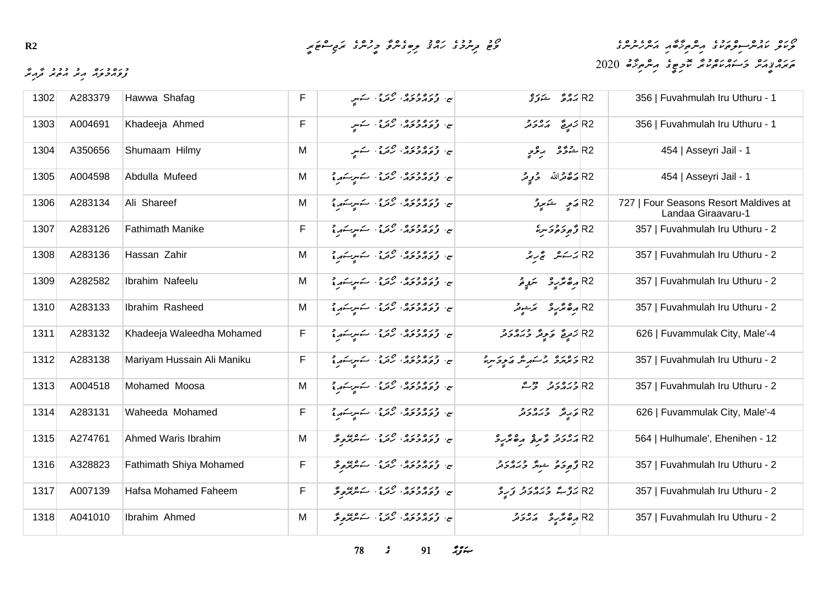*sCw7q7s5w7m< o<n9nOoAw7o< sCq;mAwBoEw7q<m; wBm;vB 2020<sup>, م</sup>وسر در مدد مدرج به مدرم مقرم قرار 2020*<br>موسر المستقرم المستقرم المستقرم المستقرم المستقرم المستقرم المستقرم المستقرم المستقرم المستقرم المستقرم المستقر

| 1302 | A283379 | Hawwa Shafag               | F | ے ووروورہ بھرو کے س                                                         | R2 بَرْدُوَّ شَوَرَّوْ                        | 356   Fuvahmulah Iru Uthuru - 1                             |
|------|---------|----------------------------|---|-----------------------------------------------------------------------------|-----------------------------------------------|-------------------------------------------------------------|
| 1303 | A004691 | Khadeeja Ahmed             | F | ے ووروورو مرد کے لو                                                         | R2 كَتَرِيعٌ - مُتَكَرَّمَتْر                 | 356   Fuvahmulah Iru Uthuru - 1                             |
| 1304 | A350656 | Shumaam Hilmy              | M |                                                                             | R2 شۇق بەق <sub>چ</sub>                       | 454   Asseyri Jail - 1                                      |
| 1305 | A004598 | Abdulla Mufeed             | M | سي وره وره ص وري. کمپوکري                                                   |                                               | 454   Asseyri Jail - 1                                      |
| 1306 | A283134 | Ali Shareef                | M | س وره وره ه در د.<br>س وحدومه، رمز سکس                                      | R2 كەير شەيرتى                                | 727   Four Seasons Resort Maldives at<br>Landaa Giraavaru-1 |
| 1307 | A283126 | <b>Fathimath Manike</b>    | F | س وره وره هم درد.<br>س وحلاومون رفرد. کشیرکترد د                            | R2 ۇ <sub>جو</sub> ر ئ <sub>و</sub> رىئە      | 357   Fuvahmulah Iru Uthuru - 2                             |
| 1308 | A283136 | Hassan Zahir               | M | دره دره هرد محدث کشور کرد                                                   | R2  يَرْسَدُ جِي يُرْ                         | 357   Fuvahmulah Iru Uthuru - 2                             |
| 1309 | A282582 | Ibrahim Nafeelu            | M | سي- وره وره - ص ح دي.<br>سي- وح م ح حمد من مرضى - سكس مسكورية               | R2 م <i>وھ مُرْرِدُ</i> سَمَوٍ مَ             | 357   Fuvahmulah Iru Uthuru - 2                             |
| 1310 | A283133 | Ibrahim Rasheed            | M | سي- وره وره - ص و - سكس سكس مركز و محمد و الم                               | R2 مەھەمگەر تەسىم ئىشىمىتى R2                 | 357   Fuvahmulah Iru Uthuru - 2                             |
| 1311 | A283132 | Khadeeja Waleedha Mohamed  | F | سي وره وره صدر شهر شهر شهر و<br>سي وحدو وره صدر شهر شهر شهر و               | R2 دَمِيعٌ   وَمِيمٌ   وَبَرَ وَمَنْ وَ وَ عَ | 626   Fuvammulak City, Male'-4                              |
| 1312 | A283138 | Mariyam Hussain Ali Maniku | F | سي وره وره ص وري. کمپوکري                                                   | R2 <i>בינתב הביתיית הבביתי</i>                | 357   Fuvahmulah Iru Uthuru - 2                             |
| 1313 | A004518 | Mohamed Moosa              | M | سى تورە دىرە بەردى. سەس سەر                                                 | R2 35252 وَسَدَّ                              | 357   Fuvahmulah Iru Uthuru - 2                             |
| 1314 | A283131 | Waheeda Mohamed            | F | سي وره وره صدر شهر شهر شهر و                                                | R2  <i>وَبِيعٌ وَبَهُ وَمَ</i>                | 626   Fuvammulak City, Male'-4                              |
| 1315 | A274761 | Ahmed Waris Ibrahim        | M | من وره وره صدر در ده به د                                                   | R2 <i>גُיכُوتُر وَّسِرةُ وَهُ بَرْبِ</i> وْ   | 564   Hulhumale', Ehenihen - 12                             |
| 1316 | A328823 | Fathimath Shiya Mohamed    | F |                                                                             | R2 وُچوڤو شورٌ ورودونر                        | 357   Fuvahmulah Iru Uthuru - 2                             |
| 1317 | A007139 | Hafsa Mohamed Faheem       | F | من وره وره صدر در ده به د                                                   | R2   پَرُوْ کُمْ پِرُودِ کَرِ پِرْوْ          | 357   Fuvahmulah Iru Uthuru - 2                             |
| 1318 | A041010 | Ibrahim Ahmed              | M | س وره وره ص د د د ده ده د کار د کار د کار کرد کرد.<br>س توحد د د در د کرد . | R2  مۇھمگىيى مەردىتى                          | 357   Fuvahmulah Iru Uthuru - 2                             |

*n8o<n@ q8qAq< q8o< w<mBq>w<m=q?*

 $78$  *s* 91  $29$   $\div$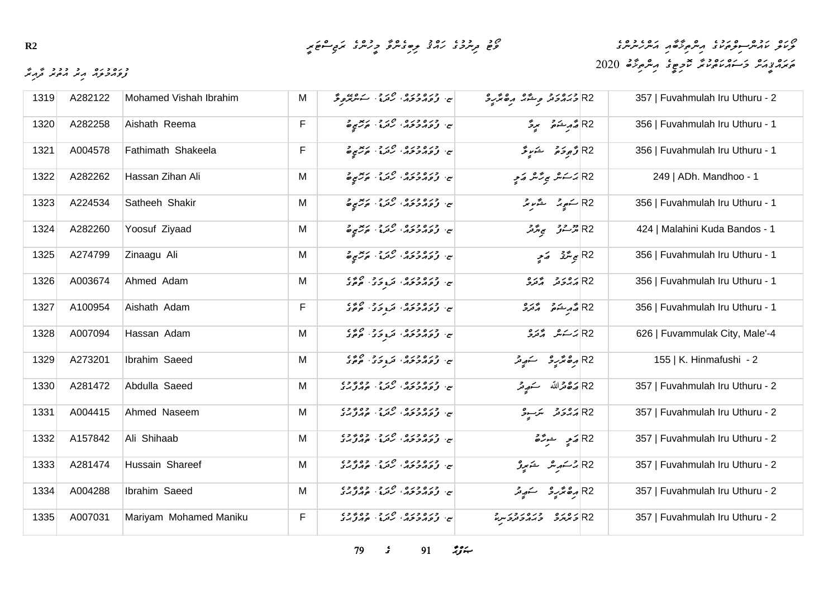*sCw7q7s5w7m< o<n9nOoAw7o< sCq;mAwBoEw7q<m; wBm;vB 2020<sup>, م</sup>وسر در مدد مدرج به مدرم مقرم قرار 2020*<br>موسر المستقرم المستقرم المستقرم المستقرم المستقرم المستقرم المستقرم المستقرم المستقرم المستقرم المستقرم المستقر

| 1319 | A282122 | Mohamed Vishah Ibrahim | M |                                                                         | R2 دبروروتر وحدً به مصر دو         | 357   Fuvahmulah Iru Uthuru - 2 |
|------|---------|------------------------|---|-------------------------------------------------------------------------|------------------------------------|---------------------------------|
| 1320 | A282258 | Aishath Reema          | F | כנסכנס רובר נאד כ<br>ייז צפונכלולי לנגז יפלקים                          | R2 مەم شەم ئىم ئىچ                 | 356   Fuvahmulah Iru Uthuru - 1 |
| 1321 | A004578 | Fathimath Shakeela     | F | כנסכנס הנבי בנדי<br>יין צפחבבה' לנגז' קישים                             | R2 وَّجِوَدَةٌ شَمَعٍ قَرَ         | 356   Fuvahmulah Iru Uthuru - 1 |
| 1322 | A282262 | Hassan Zihan Ali       | M | כנס כנס ימני - נגדי<br>ישי צפונביבוי ינינג - קינגוקים                   | R2 ټر <i>شکنگر پېر تگ</i> و پر     | 249   ADh. Mandhoo - 1          |
| 1323 | A224534 | Satheeh Shakir         | M | יז נפח כנס ייני יידי פ<br>יז נפח כבחי הנגז יידי פ                       | R2 سَمَعٍ پُر مُشْرِيْرٌ           | 356   Fuvahmulah Iru Uthuru - 1 |
| 1324 | A282260 | Yoosuf Ziyaad          | M | יז צפח בלם ישני מיד ב<br>יז צפח בבאי לנגז יפלים                         | R2 تېرىشتۇ ئىم تېرتىر              | 424   Malahini Kuda Bandos - 1  |
| 1325 | A274799 | Zinaagu Ali            | M | ים "כממכים" מיד י"ד ב"ד.<br>ים "פמכיבות" י"דיגוד "פיידים"               | R2 نوشم <sup>ت</sup> ه قه پر       | 356   Fuvahmulah Iru Uthuru - 1 |
| 1326 | A003674 | Ahmed Adam             | M | ים "כממכנס" בגודר ביים"<br>ים "פמכיבות" בגודר ביים                      | R2 كەبروتى كەتىر <i>ى</i>          | 356   Fuvahmulah Iru Uthuru - 1 |
| 1327 | A100954 | Aishath Adam           | F | כנס כנס ג' גר 2000<br>יין צפונביבון משביבי יפיפצ                        | R2 مەم شىم مەمرى                   | 356   Fuvahmulah Iru Uthuru - 1 |
| 1328 | A007094 | Hassan Adam            | M | כנס כנס גן גר 2000<br>יין צפונביבוני משביבי יפיפצ                       | R2 پرسشر مجم <i>زہ</i>             | 626   Fuvammulak City, Male'-4  |
| 1329 | A273201 | Ibrahim Saeed          | M | כנס כנס ג' גר 2000<br>יין צפונקידורי נגוד בצ' תית                       | R2 مەھە <i>تگىي</i> ئەسكەم ئىر     | 155   K. Hinmafushi - 2         |
| 1330 | A281472 | Abdulla Saeed          | M | ر وره وره همرد و وه دو و<br>س ژوبرونژبر، رنگره و هرژبرد                 | R2، صُوَّتْرَاللَّهُ كَمَ صِوْتِرٌ | 357   Fuvahmulah Iru Uthuru - 2 |
| 1331 | A004415 | Ahmed Naseem           | M | ים - 100000 ישיב - 10000<br>ישי <sub>2</sub> 000 <i>00 ישיב - 10000</i> | R2, كەبىرى تەرىپ                   | 357   Fuvahmulah Iru Uthuru - 2 |
| 1332 | A157842 | Ali Shihaab            | M |                                                                         | R2  رَمِ شِرْحَةُ                  | 357   Fuvahmulah Iru Uthuru - 2 |
| 1333 | A281474 | Hussain Shareef        | M | ים - 19 סיכום - 20 סיכום - 20<br>ישי - 3 סו <i>ג ביתו</i> - 20 סוק ה-2  | R2  2ستمبرنش ڪمپرنژ                | 357   Fuvahmulah Iru Uthuru - 2 |
| 1334 | A004288 | Ibrahim Saeed          | M | ישי צפח כתם יש כם בסמכים<br>ישי צפח כיכה' ייכה 1 ייפח צייט              | R2 مەھمگرىرى سىمبەتر               | 357   Fuvahmulah Iru Uthuru - 2 |
| 1335 | A007031 | Mariyam Mohamed Maniku | F | ر وره وره همرد و وه دو و<br>س ژوبرونژبر، رنگره و هرژبرد                 | R2 במחבר כממכתבית ב                | 357   Fuvahmulah Iru Uthuru - 2 |

## *n8o<n@ q8qAq< q8o< w<mBq>w<m=q?*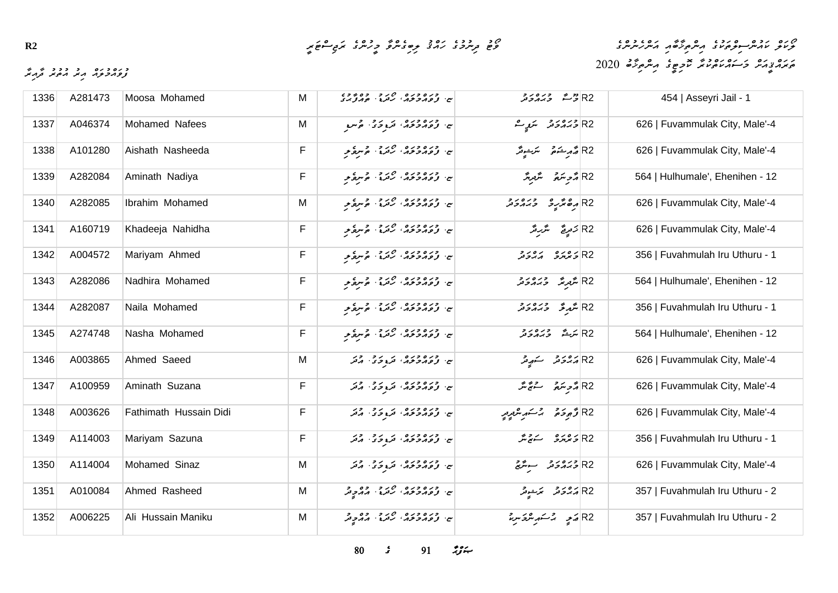*sCw7q7s5w7m< o<n9nOoAw7o< sCq;mAwBoEw7q<m; wBm;vB 2020<sup>, م</sup>وسر در مدد مدرج به مدرم مقرم قرار 2020*<br>موسر المستقرم المستقرم المستقرم المستقرم المستقرم المستقرم المستقرم المستقرم المستقرم المستقرم المستقرم المستقر

| 1336 | A281473 | Moosa Mohamed          | M | ر وره وره صرح وه دون<br>سي وحمد حرمي سنره حمدوندي                                                                                                                                                                                                                                                                               | R2 چەندى ئەرەبىر                    | 454   Asseyri Jail - 1          |
|------|---------|------------------------|---|---------------------------------------------------------------------------------------------------------------------------------------------------------------------------------------------------------------------------------------------------------------------------------------------------------------------------------|-------------------------------------|---------------------------------|
| 1337 | A046374 | Mohamed Nafees         | M | سي وره وره مر وره محسو                                                                                                                                                                                                                                                                                                          | R2  <i>وټرونو ترو</i> ے             | 626   Fuvammulak City, Male'-4  |
| 1338 | A101280 | Aishath Nasheeda       | F | $\mathcal{L}$ , $\mathcal{L}$ , $\mathcal{L}$ , $\mathcal{L}$ , $\mathcal{L}$ , $\mathcal{L}$ , $\mathcal{L}$ , $\mathcal{L}$ , $\mathcal{L}$ , $\mathcal{L}$ , $\mathcal{L}$ , $\mathcal{L}$ , $\mathcal{L}$ , $\mathcal{L}$ , $\mathcal{L}$ , $\mathcal{L}$ , $\mathcal{L}$ , $\mathcal{L}$ , $\mathcal{L}$ , $\mathcal{L}$ , | R2 مُ مِسْدَمْ مَ سَرَسِيقَر        | 626   Fuvammulak City, Male'-4  |
| 1339 | A282084 | Aminath Nadiya         | F | دره دره دره مرد در دره<br>۳- زوارو دار، رس و مردو                                                                                                                                                                                                                                                                               | R2 مُّجِسَمُ مُّتَّبِرِمُّ          | 564   Hulhumale', Ehenihen - 12 |
| 1340 | A282085 | Ibrahim Mohamed        | M | ے ورہ درہ گرد ۔ ۔ ۔                                                                                                                                                                                                                                                                                                             | R2 رەئزىرو مەدمەدىر                 | 626   Fuvammulak City, Male'-4  |
| 1341 | A160719 | Khadeeja Nahidha       | F | ى درەدرە مرد قريد                                                                                                                                                                                                                                                                                                               | R2 زَمِرِجٌ سُرَرِمُرٌ              | 626   Fuvammulak City, Male'-4  |
| 1342 | A004572 | Mariyam Ahmed          | F | م دره دره هرد و دره<br>م زود د در رس: وسوم                                                                                                                                                                                                                                                                                      | R2 3 <i>707 مترون</i> ر             | 356   Fuvahmulah Iru Uthuru - 1 |
| 1343 | A282086 | Nadhira Mohamed        | F | $\mathcal{L}$ , $\mathcal{L}$ , $\mathcal{L}$ , $\mathcal{L}$ , $\mathcal{L}$ , $\mathcal{L}$ , $\mathcal{L}$ , $\mathcal{L}$ , $\mathcal{L}$ , $\mathcal{L}$ , $\mathcal{L}$ , $\mathcal{L}$ , $\mathcal{L}$ , $\mathcal{L}$ , $\mathcal{L}$ , $\mathcal{L}$ , $\mathcal{L}$ , $\mathcal{L}$ , $\mathcal{L}$ , $\mathcal{L}$ , | R2 تُرْمَر تُرَ 2 دَمَرُونَر        | 564   Hulhumale', Ehenihen - 12 |
| 1344 | A282087 | Naila Mohamed          | F | م دره دره هرد و دره<br>م زود د در رس: وسرو                                                                                                                                                                                                                                                                                      | R2 سُمبِ قَدَ 1945 مَد              | 356   Fuvahmulah Iru Uthuru - 1 |
| 1345 | A274748 | Nasha Mohamed          | F | ے ورہ درہ گرد ۔ ۔ ۔                                                                                                                                                                                                                                                                                                             | R2 سَرْئَتْہ بِحَرْبَہُ جَرْبَر     | 564   Hulhumale', Ehenihen - 12 |
| 1346 | A003865 | Ahmed Saeed            | M | سي وره وره<br>سي وعمدونوم، مرد وي مقر                                                                                                                                                                                                                                                                                           | R2, كەبەقدا سەمەتىر                 | 626   Fuvammulak City, Male'-4  |
| 1347 | A100959 | Aminath Suzana         | F | ے ووروورہ تروی کے متر                                                                                                                                                                                                                                                                                                           | R2 مُ <i>جِسَعُو</i> سُنَّةَ مَّرَ  | 626   Fuvammulak City, Male'-4  |
| 1348 | A003626 | Fathimath Hussain Didi | F | س- وره وره<br>س- زورونور، ترونوز- رتر                                                                                                                                                                                                                                                                                           | R2 <i>وُجوحَمْ بِرْسَوِي</i> ڤرِيرِ | 626   Fuvammulak City, Male'-4  |
| 1349 | A114003 | Mariyam Sazuna         | F | س- ورەورە كەردە دىر<br>س- <i>ۋە</i> ג <i>و</i> نۇر، ترەپرى مەتر                                                                                                                                                                                                                                                                 | R2 كەنگەر ئىچە ئىس ئىس ئىس ئىس      | 356   Fuvahmulah Iru Uthuru - 1 |
| 1350 | A114004 | Mohamed Sinaz          | M | س وره دره دره ترو در در                                                                                                                                                                                                                                                                                                         | R2  <i>وټرونو بې</i> شتي            | 626   Fuvammulak City, Male'-4  |
| 1351 | A010084 | Ahmed Rasheed          | M | יזי צפחכלבה <sup>)</sup> לנגד בם ב<br>יזי צפחכלה <sup>)</sup> לנגד חמכנת                                                                                                                                                                                                                                                        | R2 كەبرى كىل كەرسىيە تەر            | 357   Fuvahmulah Iru Uthuru - 2 |
| 1352 | A006225 | Ali Hussain Maniku     | M | ים: 2005 באים יותר בים בין ברייק.<br>יש: 2015 באים לאים ואים בין הא                                                                                                                                                                                                                                                             | R2 كەنچە كەسىر شرىكتىرىدىگىر        | 357   Fuvahmulah Iru Uthuru - 2 |

## *n8o<n@ q8qAq< q8o< w<mBq>w<m=q?*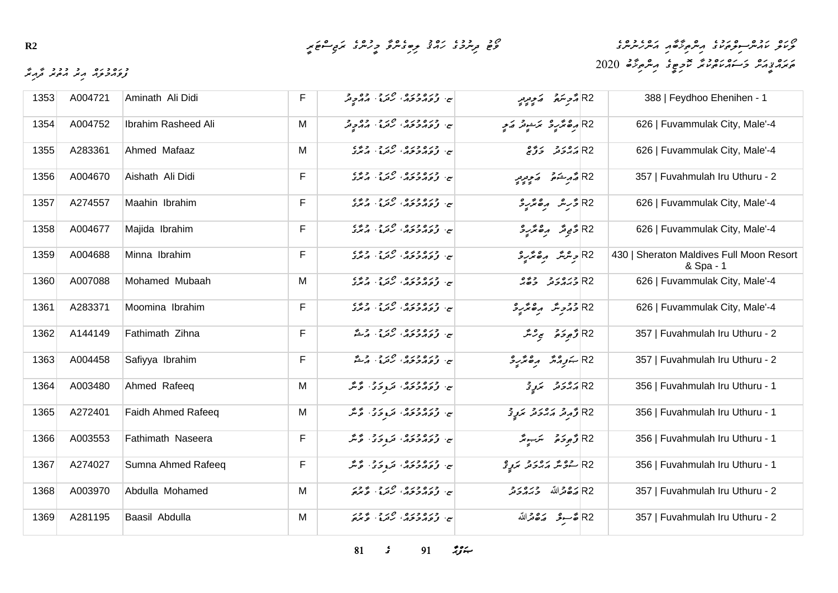*sCw7q7s5w7m< o<n9nOoAw7o< sCq;mAwBoEw7q<m; wBm;vB 2020<sup>, م</sup>وسر در مدد مدرج به مدرم مقرم قرار 2020*<br>موسر المستقرم المستقرم المستقرم المستقرم المستقرم المستقرم المستقرم المستقرم المستقرم المستقرم المستقرم المستقر

| 1353 | A004721 | Aminath Ali Didi    | F | ים נפחכנים ייני כם כ<br>ים נפחכנים ייני החכני                                      | R2 مُتَّحِسَمُ * مَعِيدِيدِ               | 388   Feydhoo Ehenihen - 1                            |
|------|---------|---------------------|---|------------------------------------------------------------------------------------|-------------------------------------------|-------------------------------------------------------|
| 1354 | A004752 | Ibrahim Rasheed Ali | M | ים נפחכנים ייני כם כ<br>ים נפחכנים ייני החכני                                      | R2  مەھ ئۇرى ئىم ئىچە ئىگە ئىچ            | 626   Fuvammulak City, Male'-4                        |
| 1355 | A283361 | Ahmed Mafaaz        | M | ے ورہ ورہ صدر ورہ ہ<br>سی ورہ ورہ کرن                                              | R2 كەبرىق ئۇتى F2                         | 626   Fuvammulak City, Male'-4                        |
| 1356 | A004670 | Aishath Ali Didi    | F | ישי צפחברים מיניפי בשים<br>ישי צפחברים ייטובי היינד                                | R2 ج <sub>م</sub> رڪتمو - <i>ج</i> نوبور  | 357   Fuvahmulah Iru Uthuru - 2                       |
| 1357 | A274557 | Maahin Ibrahim      | F | ישי צפחפיקים ישנים בישים<br>ישי צפחבי <i>ב</i> ה' ניטגב היינד                      | R2 دُرِ مَر مِرْهُ مَدْرِ دُ              | 626   Fuvammulak City, Male'-4                        |
| 1358 | A004677 | Majida Ibrahim      | F | ישי צפחביבאי יכתר - כשי<br>ישי צפחביבאי יכתר - היינד                               | R2 دَّمِينَ مِنْ مِرْجِرْ                 | 626   Fuvammulak City, Male'-4                        |
| 1359 | A004688 | Minna Ibrahim       | F | ے ورہ ورہ صدر ورہ ہ<br>سی ورہ ورہ کرن                                              | R2 <sub>ح</sub> بربر م <i>ی پرد</i> و     | 430   Sheraton Maldives Full Moon Resort<br>& Spa - 1 |
| 1360 | A007088 | Mohamed Mubaah      | M | ים י כנס כנס המניק - כנים<br>ישי "כנוביבות" מבניה ומיבור                           | $222$ $222$ $22$                          | 626   Fuvammulak City, Male'-4                        |
| 1361 | A283371 | Moomina Ibrahim     | F | ישי צפחפיקים ישנים בישים<br>ישי צפחבי <i>ב</i> ה' ניטגב היינד                      | R2 دُوْرِ شَر مِرْهُ مَّرِ دِ             | 626   Fuvammulak City, Male'-4                        |
| 1362 | A144149 | Fathimath Zihna     | F | ح و ده وړه ص د د .<br>سي ورو د د ، رتو ، مرت                                       | R2 تَ <i>مِودَة</i> بِي <sup>0</sup> مَّر | 357   Fuvahmulah Iru Uthuru - 2                       |
| 1363 | A004458 | Safiyya Ibrahim     | F | ح و ده وړه ص د د .<br>سي ورو د د ، رتو ، مرت                                       | R2 ب <i>ەَوەھ مەھەرد</i> ۇ                | 357   Fuvahmulah Iru Uthuru - 2                       |
| 1364 | A003480 | Ahmed Rafeeq        | M | س- ورەورە كەردە ئەرگە                                                              | R2  كەندى كىمى كىرىپىتى F2                | 356   Fuvahmulah Iru Uthuru - 1                       |
| 1365 | A272401 | Faidh Ahmed Rafeeq  | M | س وره وره کرد و د څش                                                               | R2 وٌَمِ مَدْ رَحْمَدَ مَرَوِ وَ          | 356   Fuvahmulah Iru Uthuru - 1                       |
| 1366 | A003553 | Fathimath Naseera   | F | ى دەددە، ئردد، ئەگ                                                                 | R2 وَجوحَة مَ سَرَسِيةَ لَهِ              | 356   Fuvahmulah Iru Uthuru - 1                       |
| 1367 | A274027 | Sumna Ahmed Rafeeq  | F | س وره وره کرد و د څش                                                               | R2 جۇنگە ئەبرىقىز ئىرى <sub>رى</sub> 3    | 356   Fuvahmulah Iru Uthuru - 1                       |
| 1368 | A003970 | Abdulla Mohamed     | M | ים י כנס כנס המניק ואיכון<br>ים נפח כיכה' מנגד פינים                               | R2 مَەھمَراللە جەمەدىر                    | 357   Fuvahmulah Iru Uthuru - 2                       |
| 1369 | A281195 | Baasil Abdulla      | M | ים - כים כים - כים - כים - כים<br>ישי - <sub>ל</sub> פח <i>ב כ</i> אל - כים - פימם | R2 <b>تَحْرَ بِّهُ تَدَ</b> اللَّهُ       | 357   Fuvahmulah Iru Uthuru - 2                       |

*n8o<n@ q8qAq< q8o< w<mBq>w<m=q?*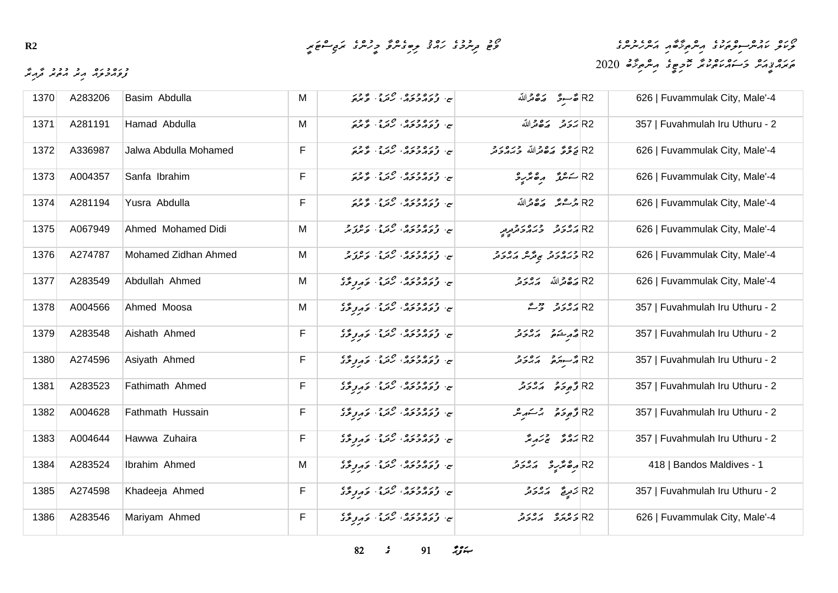*sCw7q7s5w7m< o<n9nOoAw7o< sCq;mAwBoEw7q<m; wBm;vB 2020<sup>, م</sup>وسر در مدد مدرج به مدرم مقرم قرار 2020*<br>موسر المستقرم المستقرم المستقرم المستقرم المستقرم المستقرم المستقرم المستقرم المستقرم المستقرم المستقرم المستقر

| 1370 | A283206 | Basim Abdulla         | м | ہے ۔ وہ وہ وہ صدوح ہے وہ<br>سے وہ وہ وہ کہا کہ تعدی                                      | R2 صُ-وَ صَـهُوَ اللّه                            | 626   Fuvammulak City, Male'-4  |
|------|---------|-----------------------|---|------------------------------------------------------------------------------------------|---------------------------------------------------|---------------------------------|
| 1371 | A281191 | Hamad Abdulla         | M | ים - כי ס כי ס יי כי יי פיים.<br>ישי - <sub>צ</sub> פ <i>ח כי ב</i> תי - יי ביי יי פיים. | R2 يَرَوْتُر بَرَصْوَرَاللّه                      | 357   Fuvahmulah Iru Uthuru - 2 |
| 1372 | A336987 | Jalwa Abdulla Mohamed | F | ים - כנס כנכים - כנים - פינים<br>ישי <sub>ב</sub> פהכי <i>בה</i> י להגי                  | R2 يَوْعَ بَرَهْ مِّرَاللَّه تَرْبَرْهُ مِنْ لِهِ | 626   Fuvammulak City, Male'-4  |
| 1373 | A004357 | Sanfa Ibrahim         | F | ים נפחכנים ימניק ומיכון<br>ים נפחכבותי מנגבי פימים                                       | R2 سَتَمَدَّرُ مِنْ مَحْرِجْ                      | 626   Fuvammulak City, Male'-4  |
| 1374 | A281194 | Yusra Abdulla         | F | כנסכנס הנכני שבני<br>ישי צפובבותי מבגו פיבות                                             |                                                   | 626   Fuvammulak City, Male'-4  |
| 1375 | A067949 | Ahmed Mohamed Didi    | M | כנס כנס ימנד נסנד.<br>ישי נפח כבחי לטנד פיננד                                            |                                                   | 626   Fuvammulak City, Male'-4  |
| 1376 | A274787 | Mohamed Zidhan Ahmed  | M | مع : وره وره مصر و مره رو<br>مع: توحاد حرود الرفر و المحر مرتوجر                         | R2 <i>وبروبر و پروبر م</i> دونر                   | 626   Fuvammulak City, Male'-4  |
| 1377 | A283549 | Abdullah Ahmed        | M | سي وره وره مرد و در دي<br>سي وره در دي. رس ورو در                                        | R2 مَەڤْرَاللە مَەرقىر                            | 626   Fuvammulak City, Male'-4  |
| 1378 | A004566 | Ahmed Moosa           | M | دره دره ۵٫۶۵ ورو .<br>س- زوم د ژم" کرد و او د پر وگ                                      | R2 كەنزوقر تۆسىگە                                 | 357   Fuvahmulah Iru Uthuru - 2 |
| 1379 | A283548 | Aishath Ahmed         | F | سي وره وره مرد و در دي<br>سي وره در دي. رس ورو در                                        | R2 مەم شەھ مەردىر                                 | 357   Fuvahmulah Iru Uthuru - 2 |
| 1380 | A274596 | Asiyath Ahmed         | F | כנס כנס - מניכן ניירי באיניקי<br>ישי נפונקיקולי ליטור יפוניקיקיק                         | R2 كەسى <i>رتى مەمەدى</i> ر                       | 357   Fuvahmulah Iru Uthuru - 2 |
| 1381 | A283523 | Fathimath Ahmed       | F | سي وره وره مرد و د و د و د                                                               | R2 وَّجِوَدَ حَمَدَ مَدَوَمَرَ                    | 357   Fuvahmulah Iru Uthuru - 2 |
| 1382 | A004628 | Fathmath Hussain      | F | כנס כנס - מניכן ניירי באיניקי<br>ישי נפונקיקולי ליטור יפוניקיקיק                         | R2 ۇ <sub>ج</sub> وڭ ئەسكىرىش                     | 357   Fuvahmulah Iru Uthuru - 2 |
| 1383 | A004644 | Hawwa Zuhaira         | F | כנס כנס - 200 פני הקובי.<br>ישי ג'פו <i>וביב</i> ולי "כני הפוני פני                      | R2 يَهُمُّ بِحَرَمَ بِمُ                          | 357   Fuvahmulah Iru Uthuru - 2 |
| 1384 | A283524 | Ibrahim Ahmed         | M | سي وره وره مرد و در دي<br>سي وره در دي. رس ورو در                                        | R2 <sub>م</sub> ەنزىر مەدەر                       | 418   Bandos Maldives - 1       |
| 1385 | A274598 | Khadeeja Ahmed        | F | כנס כנס המריק.<br>ישי ג'פומכיכולי "שנגז" פונקייפצ                                        | R2 كَتَمِيعٌ - مُكْرَكَمْر                        | 357   Fuvahmulah Iru Uthuru - 2 |
| 1386 | A283546 | Mariyam Ahmed         | F | سي وره وره مرد و مروت                                                                    |                                                   | 626   Fuvammulak City, Male'-4  |

*n8o<n@ q8qAq< q8o< w<mBq>w<m=q?*

**82** *s* 91 *i*<sub>S</sub> $\approx$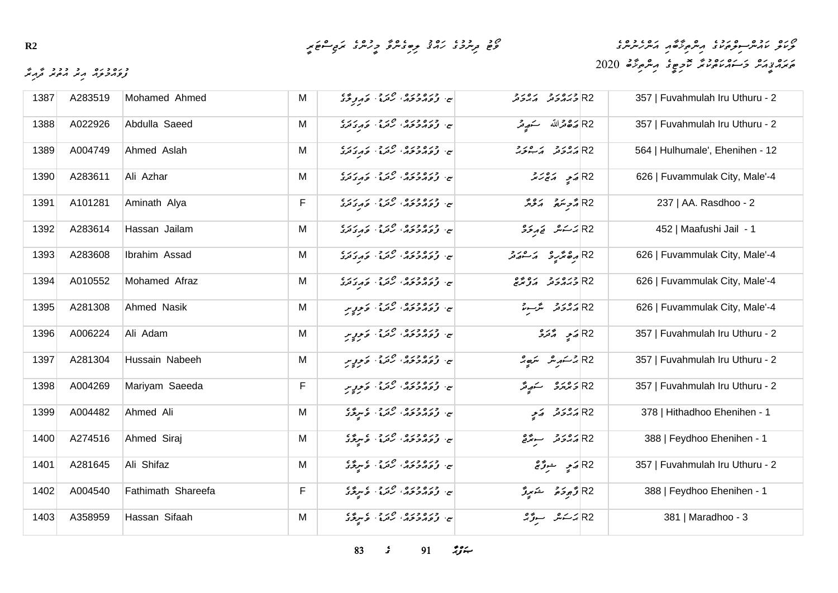*sCw7q7s5w7m< o<n9nOoAw7o< sCq;mAwBoEw7q<m; wBm;vB 2020<sup>, م</sup>وسر در مدد مدرج به مدرم مقرم قرار 2020*<br>موسر المستقرم المستقرم المستقرم المستقرم المستقرم المستقرم المستقرم المستقرم المستقرم المستقرم المستقرم المستقر

| 1387 | A283519 | Mohamed Ahmed      | M | سي وره وره مرد و مرون                                          | R2 32023 كرەپروتر                             | 357   Fuvahmulah Iru Uthuru - 2 |
|------|---------|--------------------|---|----------------------------------------------------------------|-----------------------------------------------|---------------------------------|
| 1388 | A022926 | Abdulla Saeed      | M | سي وره وره صدو د درد.<br>سي وحمد حرما مسترد کار کار            | R2 كەھەراللە س <i>ەمبەتر</i>                  | 357   Fuvahmulah Iru Uthuru - 2 |
| 1389 | A004749 | Ahmed Aslah        | M | כנס כנס - 200 פני הריני באורי<br>ישי גרפומיכולי הנגשי פונדינדי | R2 كەبروتىر كەسپولىر                          | 564   Hulhumale', Ehenihen - 12 |
| 1390 | A283611 | Ali Azhar          | M | سي وره وره صدو د ردر و<br>سي وحمد حرم شدد هرد تر               | R2   كەبىي كەنجەت تىر                         | 626   Fuvammulak City, Male'-4  |
| 1391 | A101281 | Aminath Alya       | F | سي وره وره مرد و درد و<br>سي وحمد وحمد مسرد و حمد و ترد        | R2 مُجرِسَمَ مَعْهُمُ                         | 237   AA. Rasdhoo - 2           |
| 1392 | A283614 | Hassan Jailam      | M | כנס כנס המרכז וננט<br>ייז - צפח ביבחי וליטור ופח ביטב          | R2  يَرْسَسْ مَ <sub>حْ</sub> مِرْ حَرْ       | 452   Maafushi Jail - 1         |
| 1393 | A283608 | Ibrahim Assad      | M | سي وره وره صدو د درد.<br>سي وحمد حرما مسترد کار کار            | R2 مەھەر بەر مەسىمەتىر                        | 626   Fuvammulak City, Male'-4  |
| 1394 | A010552 | Mohamed Afraz      | M | כנס כנס המרכבי ולינטי<br>יין נפח כבחי לינטי פח בינט            | R2 3222 رومو                                  | 626   Fuvammulak City, Male'-4  |
| 1395 | A281308 | Ahmed Nasik        | M | ے ۔ وہ محمدہ کردی کے دور ر                                     | R2 كەبرى قىر مەرسىتى كەنبەتتى كىلەتتى بىر كىل | 626   Fuvammulak City, Male'-4  |
| 1396 | A006224 | Ali Adam           | M | ے ۔ ورہ دورہ ۔ ورد ۔ وَمِومِر                                  | R2 ک <sup>ے</sup> موتر گروی                   | 357   Fuvahmulah Iru Uthuru - 2 |
| 1397 | A281304 | Hussain Nabeeh     | M | ے ۔ ورہ دورہ ۔ ورد ۔ وَمِومِر                                  | R2 بُرْسَهرِ مُرَ سَرَجٍ بُرُ                 | 357   Fuvahmulah Iru Uthuru - 2 |
| 1398 | A004269 | Mariyam Saeeda     | F | ه دره دره مرد و کروبر<br>۳- زوا <i>رونوار، رفره</i> کووی       | R2 وَتَحْدَّرُوْ كَمَ مِرْتَمْر               | 357   Fuvahmulah Iru Uthuru - 2 |
| 1399 | A004482 | Ahmed Ali          | M | כנסכנס מנכנסים<br>ישי צפונבבו, ינטר פייטבצ                     | R2, دَيَرْ دَ دَمِ                            | 378   Hithadhoo Ehenihen - 1    |
| 1400 | A274516 | Ahmed Siraj        | M | دره دره ۵٫۰۵ ورو در دره<br>۳- زوارونوا، کرده و سرگری           | R2 كەنزى قىرىقىسى ئىق                         | 388   Feydhoo Ehenihen - 1      |
| 1401 | A281645 | Ali Shifaz         | M | دره دره ۵۶۶۵ کرد .<br>۳- زود <i>د څ</i> ر، کرده . وسرگر        | R2 كەمچە سىر <i>ۇ</i> نج                      | 357   Fuvahmulah Iru Uthuru - 2 |
| 1402 | A004540 | Fathimath Shareefa | F | دره دره ۵ درو درون<br>۳ زود درود، رس وسرگرد                    | R2 رَّجِ حَمَّ صَمَّرٍ رَّ                    | 388   Feydhoo Ehenihen - 1      |
| 1403 | A358959 | Hassan Sifaah      | M | دره دره ۵٫۰۵ ورو در دره<br>۳- ژومرونوم، رس و ربود              | R2   پرسکس سو <i>ڈی</i>                       | 381   Maradhoo - 3              |

*n8o<n@ q8qAq< q8o< w<mBq>w<m=q?*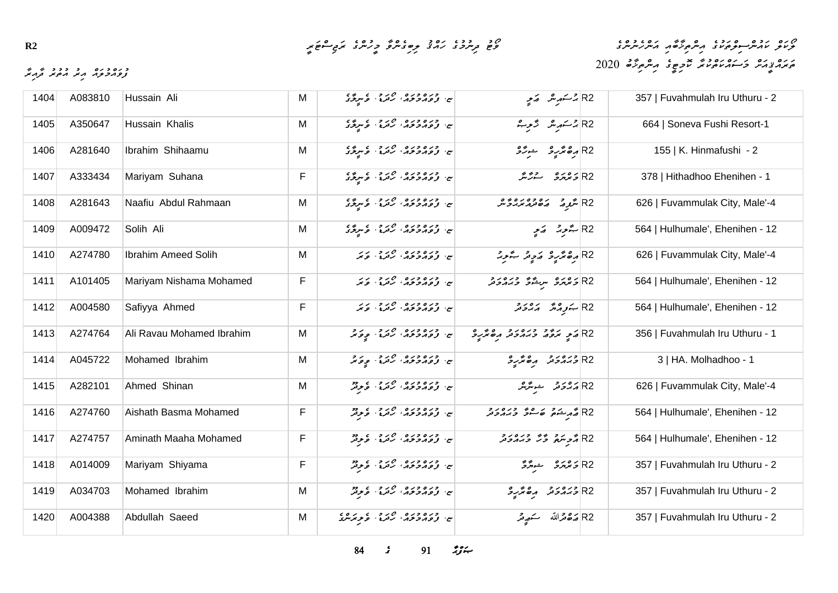*sCw7q7s5w7m< o<n9nOoAw7o< sCq;mAwBoEw7q<m; wBm;vB 2020<sup>, م</sup>وسر در مدد مدرج به مدرم مقرم قرار 2020*<br>موسر المستقرم المستقرم المستقرم المستقرم المستقرم المستقرم المستقرم المستقرم المستقرم المستقرم المستقرم المستقر

| 1404 | A083810 | Hussain Ali                | M | دره دره ۵۶۶ م.<br>۳- زود د دکه، کنره و سرگری                                                                                                                                                                                                                                                                                                                                                                                                                     | R2  پرستمبر مگرمی                                                                                                                | 357   Fuvahmulah Iru Uthuru - 2 |
|------|---------|----------------------------|---|------------------------------------------------------------------------------------------------------------------------------------------------------------------------------------------------------------------------------------------------------------------------------------------------------------------------------------------------------------------------------------------------------------------------------------------------------------------|----------------------------------------------------------------------------------------------------------------------------------|---------------------------------|
| 1405 | A350647 | Hussain Khalis             | M | م دره دره صدد عسری<br>مع ومحمد محمد عس                                                                                                                                                                                                                                                                                                                                                                                                                           | R2  2ستهریش گرمیشی                                                                                                               | 664   Soneva Fushi Resort-1     |
| 1406 | A281640 | Ibrahim Shihaamu           | M | دره دره ۵۶۶ کرد .<br>۳- زودونود، رس: وسرگر                                                                                                                                                                                                                                                                                                                                                                                                                       | R2 ب <i>وھنگرد</i> و جو <i>رڈ</i> و                                                                                              | 155   K. Hinmafushi - 2         |
| 1407 | A333434 | Mariyam Suhana             | F | دره دره ۵٫۰۵ ورو و دره<br>۳- زود <i>د د</i> ره کردنی و سرگر                                                                                                                                                                                                                                                                                                                                                                                                      | R2 دېمبرو شرش                                                                                                                    | 378   Hithadhoo Ehenihen - 1    |
| 1408 | A281643 | Naafiu Abdul Rahmaan       | M | م دره دره صدد عسری<br>مع ومحمد محمد عس                                                                                                                                                                                                                                                                                                                                                                                                                           | R2 سُمْدِهُ مُصْرَمْ مُرْمَرْ مُرَّمَّرٌ                                                                                         | 626   Fuvammulak City, Male'-4  |
| 1409 | A009472 | Solih Ali                  | M | دره دره ۵٫۰۵ و.<br>۳- زودونود، رس و رو به رس                                                                                                                                                                                                                                                                                                                                                                                                                     | R2 يثموبر - مَرمٍ                                                                                                                | 564   Hulhumale', Ehenihen - 12 |
| 1410 | A274780 | <b>Ibrahim Ameed Solih</b> | M | ه دره دره هرد در<br>س وورونور، رتوبي ونمر                                                                                                                                                                                                                                                                                                                                                                                                                        | R2 مەھەر ئە ھەم ئەھەر ئىسىمبەر ئىس                                                                                               | 626   Fuvammulak City, Male'-4  |
| 1411 | A101405 | Mariyam Nishama Mohamed    | F | س وره وره هرو در.<br>س زوارونوار، رفزه ونم                                                                                                                                                                                                                                                                                                                                                                                                                       | R2 كەندىرى سرىشى 27,075                                                                                                          | 564   Hulhumale', Ehenihen - 12 |
| 1412 | A004580 | Safiyya Ahmed              | F | $\begin{array}{cc} \mathcal{L} & \mathcal{L} & \mathcal{L} & \mathcal{L} & \mathcal{L} & \mathcal{L} & \mathcal{L} & \mathcal{L} & \mathcal{L} & \mathcal{L} & \mathcal{L} & \mathcal{L} & \mathcal{L} & \mathcal{L} & \mathcal{L} & \mathcal{L} & \mathcal{L} & \mathcal{L} & \mathcal{L} & \mathcal{L} & \mathcal{L} & \mathcal{L} & \mathcal{L} & \mathcal{L} & \mathcal{L} & \mathcal{L} & \mathcal{L} & \mathcal{L} & \mathcal{L} & \mathcal{L} & \mathcal$ | R2 ب <i>ەَوِهْ مَدُوَمْد</i>                                                                                                     | 564   Hulhumale', Ehenihen - 12 |
| 1413 | A274764 | Ali Ravau Mohamed Ibrahim  | M | יזי צפח כברי יכולי פפינ                                                                                                                                                                                                                                                                                                                                                                                                                                          | R2 كم يو برگان وره دو برگانگريز و C                                                                                              | 356   Fuvahmulah Iru Uthuru - 1 |
| 1414 | A045722 | Mohamed Ibrahim            | M | יזי צפו בכבר יציגלי פפינ                                                                                                                                                                                                                                                                                                                                                                                                                                         | R2  <i>جنہوفر م</i> ھٹر <i>ی</i> و                                                                                               | 3   HA. Molhadhoo - 1           |
| 1415 | A282101 | Ahmed Shinan               | M | יזי צפורכבוז' מנגז' פיבנג<br>יז' צפורכיבוז' מנגז' פיבנג                                                                                                                                                                                                                                                                                                                                                                                                          | R2 <i>225 تو متر شو متر تگر</i>                                                                                                  | 626   Fuvammulak City, Male'-4  |
| 1416 | A274760 | Aishath Basma Mohamed      | F | ים נפח כנס יינים בינים.<br>יי נפח כבחי לעשי פיני                                                                                                                                                                                                                                                                                                                                                                                                                 | R2 مەم شەھ ھەسىرى دىرە دىر                                                                                                       | 564   Hulhumale', Ehenihen - 12 |
| 1417 | A274757 | Aminath Maaha Mohamed      | F | ים יונים בגם היה בין היה בין בין היה בין היה בין בין היה בין היה בין היה בין היה בין היה בין היה בין היה בין ה<br>היה ניסבור בברי היה היה בין היה בין היה בין היה בין היה בין היה בין היה בין היה בין היה בין היה בין היה בין הי                                                                                                                                                                                                                                 | R2 جُرِسَمَ حَرَّ حَدَمَدَونَ                                                                                                    | 564   Hulhumale', Ehenihen - 12 |
| 1418 | A014009 | Mariyam Shiyama            | F | ים נפח כנס ים נכנים יותר.<br>ים נפח כיכחי לנגז יו פיבינ                                                                                                                                                                                                                                                                                                                                                                                                          | $\mathcal{Z}_{\mathcal{P}}^{\mathcal{Z}}$ $\mathcal{Z}_{\mathcal{P}}^{\mathcal{Z}}$ $\mathcal{Z}_{\mathcal{P}}^{\mathcal{Z}}$ R2 | 357   Fuvahmulah Iru Uthuru - 2 |
| 1419 | A034703 | Mohamed Ibrahim            | M | ים נפחבבה ימנד בבת.<br>ים נפחבבה מתר פבת                                                                                                                                                                                                                                                                                                                                                                                                                         | R2  <i>جنہوفر م</i> ھٹر <i>ی</i> و                                                                                               | 357   Fuvahmulah Iru Uthuru - 2 |
| 1420 | A004388 | Abdullah Saeed             | M | כנס כנס יוני כני ניסי<br>יין נפח כבחי לעשי פיביניינג                                                                                                                                                                                                                                                                                                                                                                                                             | R2 صَرَّةُ مُعَلِّدًا مُتَعَمَّدٍ مِنْ                                                                                           | 357   Fuvahmulah Iru Uthuru - 2 |

*n8o<n@ q8qAq< q8o< w<mBq>w<m=q?*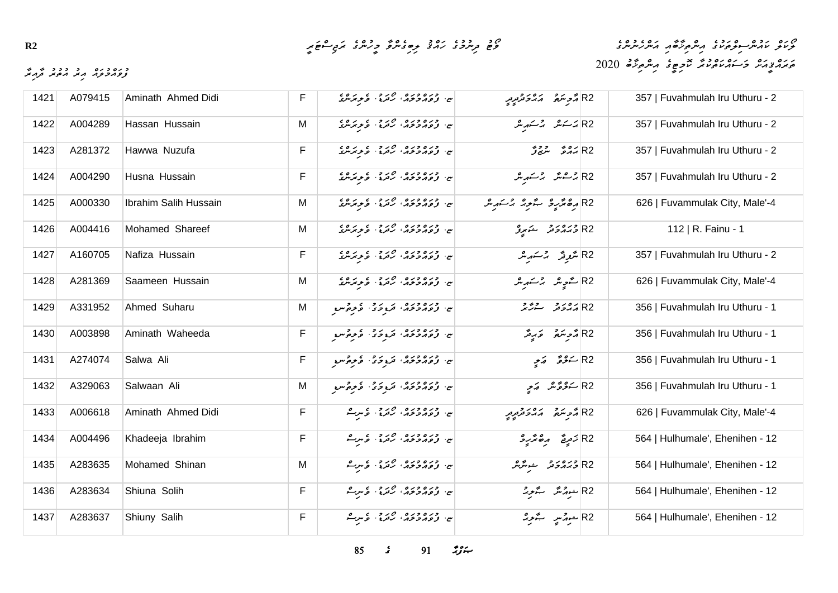*sCw7q7s5w7m< o<n9nOoAw7o< sCq;mAwBoEw7q<m; wBm;vB 2020<sup>, م</sup>وسوق المسجد التحقيق وسرمونية والم*جمع المسجد المسجد المسجد المسجد المسجد المسجد المسجد المسجد المسجد ال

| 1421 | A079415 | Aminath Ahmed Didi    | F | $\begin{array}{cc} \mathcal{L} & \mathcal{L} & \mathcal{L} & \mathcal{L} & \mathcal{L} & \mathcal{L} & \mathcal{L} & \mathcal{L} & \mathcal{L} & \mathcal{L} & \mathcal{L} & \mathcal{L} & \mathcal{L} & \mathcal{L} & \mathcal{L} & \mathcal{L} & \mathcal{L} & \mathcal{L} & \mathcal{L} & \mathcal{L} & \mathcal{L} & \mathcal{L} & \mathcal{L} & \mathcal{L} & \mathcal{L} & \mathcal{L} & \mathcal{L} & \mathcal{L} & \mathcal{L} & \mathcal{L} & \mathcal$ | R2 مَّ <i>جِ سَمَّة مَ مُدْحَ فَرْمِرِ م</i> ِ | 357   Fuvahmulah Iru Uthuru - 2 |
|------|---------|-----------------------|---|------------------------------------------------------------------------------------------------------------------------------------------------------------------------------------------------------------------------------------------------------------------------------------------------------------------------------------------------------------------------------------------------------------------------------------------------------------------|------------------------------------------------|---------------------------------|
| 1422 | A004289 | Hassan Hussain        | M | $\begin{array}{cc} \mathcal{L} & \mathcal{L} & \mathcal{L} & \mathcal{L} & \mathcal{L} & \mathcal{L} & \mathcal{L} & \mathcal{L} & \mathcal{L} & \mathcal{L} & \mathcal{L} & \mathcal{L} & \mathcal{L} & \mathcal{L} & \mathcal{L} & \mathcal{L} & \mathcal{L} & \mathcal{L} & \mathcal{L} & \mathcal{L} & \mathcal{L} & \mathcal{L} & \mathcal{L} & \mathcal{L} & \mathcal{L} & \mathcal{L} & \mathcal{L} & \mathcal{L} & \mathcal{L} & \mathcal{L} & \mathcal$ | R2  كەسكەر كەسكەرلىك                           | 357   Fuvahmulah Iru Uthuru - 2 |
| 1423 | A281372 | Hawwa Nuzufa          | F | س وره وره همرد عدد ده.<br>س وه در دهر کرد و در س                                                                                                                                                                                                                                                                                                                                                                                                                 | R2 جوچ مير<br>12 برمرمو مير                    | 357   Fuvahmulah Iru Uthuru - 2 |
| 1424 | A004290 | Husna Hussain         | F | دره دره دره ۲۰۰۵ و دره ع<br>س وومرونوما رفره ونوبرس                                                                                                                                                                                                                                                                                                                                                                                                              | R2 پُرسمبر پُرسکہ پر                           | 357   Fuvahmulah Iru Uthuru - 2 |
| 1425 | A000330 | Ibrahim Salih Hussain | M | $\begin{array}{cc} \mathcal{L} & \mathcal{L} & \mathcal{L} & \mathcal{L} & \mathcal{L} & \mathcal{L} & \mathcal{L} & \mathcal{L} & \mathcal{L} & \mathcal{L} & \mathcal{L} & \mathcal{L} & \mathcal{L} & \mathcal{L} & \mathcal{L} & \mathcal{L} & \mathcal{L} & \mathcal{L} & \mathcal{L} & \mathcal{L} & \mathcal{L} & \mathcal{L} & \mathcal{L} & \mathcal{L} & \mathcal{L} & \mathcal{L} & \mathcal{L} & \mathcal{L} & \mathcal{L} & \mathcal{L} & \mathcal$ | R2 رەڭرىۋا سۇرچە جاسكىرىش                      | 626   Fuvammulak City, Male'-4  |
| 1426 | A004416 | Mohamed Shareef       | M | כנסכנס מנכנס בנסט<br>ישי נפונכיבולי לנגון פיבינועל                                                                                                                                                                                                                                                                                                                                                                                                               | R2 <i>322 كى مىتونى</i>                        | 112   R. Fainu - 1              |
| 1427 | A160705 | Nafiza Hussain        | F | $\begin{array}{cc} \mathcal{L} & \mathcal{L} & \mathcal{L} & \mathcal{L} & \mathcal{L} & \mathcal{L} & \mathcal{L} & \mathcal{L} & \mathcal{L} & \mathcal{L} & \mathcal{L} & \mathcal{L} & \mathcal{L} & \mathcal{L} & \mathcal{L} & \mathcal{L} & \mathcal{L} & \mathcal{L} & \mathcal{L} & \mathcal{L} & \mathcal{L} & \mathcal{L} & \mathcal{L} & \mathcal{L} & \mathcal{L} & \mathcal{L} & \mathcal{L} & \mathcal{L} & \mathcal{L} & \mathcal{L} & \mathcal$ | R2  شَعِرِنْدٌ    پرستمبر شر                   | 357   Fuvahmulah Iru Uthuru - 2 |
| 1428 | A281369 | Saameen Hussain       | M | כנסכנס מנכנס בנסט<br>ישי נפונכיבולי לנגון פיבינועל                                                                                                                                                                                                                                                                                                                                                                                                               | R2  گوچش ک <sup>ی ک</sup> ے مریش               | 626   Fuvammulak City, Male'-4  |
| 1429 | A331952 | Ahmed Suharu          | M | سي وره وره. تروجرد و و و وسع                                                                                                                                                                                                                                                                                                                                                                                                                                     | R2 كەبروتىر كەشقەتقى                           | 356   Fuvahmulah Iru Uthuru - 1 |
| 1430 | A003898 | Aminath Waheeda       | F | دره دره دره کرد و در در در این مورد کنید و است.<br>سی و و مان و در است و در است و مورد کنید و                                                                                                                                                                                                                                                                                                                                                                    | R2 مُّحِ سَمَعُ – وَرِيمٌ                      | 356   Fuvahmulah Iru Uthuru - 1 |
| 1431 | A274074 | Salwa Ali             | F | سي وره وره. تروجري و محرم سو                                                                                                                                                                                                                                                                                                                                                                                                                                     | R2 ڪوثر <sub>م</sub> رَم <i>ي</i>              | 356   Fuvahmulah Iru Uthuru - 1 |
| 1432 | A329063 | Salwaan Ali           | M | سي وكوروودي تروكو كالمحرم العملية                                                                                                                                                                                                                                                                                                                                                                                                                                | R2 س <i>توڤر م</i> تو                          | 356   Fuvahmulah Iru Uthuru - 1 |
| 1433 | A006618 | Aminath Ahmed Didi    | F | ح ده وره وره مرد عسر ه<br>س وورونور، رس: وس                                                                                                                                                                                                                                                                                                                                                                                                                      | R2 مَّ حِ سَمَّة مَ مَدْحَ مَّدْمِدِمِرِ       | 626   Fuvammulak City, Male'-4  |
| 1434 | A004496 | Khadeeja Ibrahim      | F | ەرەدرە مەدەبەيدە<br>س ۋەمەدىمە، رىرى ئەس                                                                                                                                                                                                                                                                                                                                                                                                                         | R2 ذَمِيعٌ مِنْ صُرَّرٍ وُ                     | 564   Hulhumale', Ehenihen - 12 |
| 1435 | A283635 | Mohamed Shinan        | м | س وره دره مرد عسره<br>س ورماد دره کارد وس                                                                                                                                                                                                                                                                                                                                                                                                                        | R2 <i>32025 شومگرنگر</i>                       | 564   Hulhumale', Ehenihen - 12 |
| 1436 | A283634 | Shiuna Solih          | F | ەرەدرە مەدەبەيدە<br>س ۋەمەدىمە، رىرى ئەس                                                                                                                                                                                                                                                                                                                                                                                                                         | R2 شوړنگر گوچرگ                                | 564   Hulhumale', Ehenihen - 12 |
| 1437 | A283637 | Shiuny Salih          | F | س وره دره مرد عسره<br>س ورماد دره کارد وس                                                                                                                                                                                                                                                                                                                                                                                                                        | R2 جوړس گويژ                                   | 564   Hulhumale', Ehenihen - 12 |

*n8o<n@ q8qAq< q8o< w<mBq>w<m=q?*

**85** *s* 91 *i*<sub>S</sub>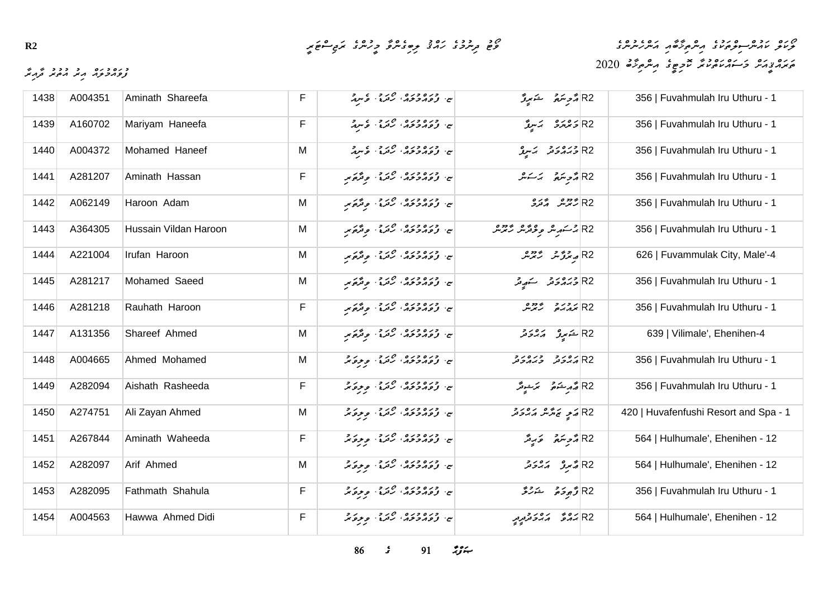*sCw7q7s5w7m< o<n9nOoAw7o< sCq;mAwBoEw7q<m; wBm;vB* م من المسجد المسجد المسجد المسجد المسجد العام 2020<br>مسجد المسجد المسجد المسجد المسجد المسجد المسجد المسجد المسجد ال

| 1438 | A004351 | Aminath Shareefa      | F | ים נפחבבה יונים יפייטי.<br>ים נפחבבה יענט פייטי       | R2 مُ حِسَمَةٌ شَمَيرَتَّ                                                                            | 356   Fuvahmulah Iru Uthuru - 1       |
|------|---------|-----------------------|---|-------------------------------------------------------|------------------------------------------------------------------------------------------------------|---------------------------------------|
| 1439 | A160702 | Mariyam Haneefa       | F | ים נפחבבתי הנגב יפיעה<br>ישי נפחבבתי הנגב פיעה        |                                                                                                      | 356   Fuvahmulah Iru Uthuru - 1       |
| 1440 | A004372 | Mohamed Haneef        | M | ים נפח כנס הנכני ליית                                 | R2 \$ 35.25 كمبرو                                                                                    | 356   Fuvahmulah Iru Uthuru - 1       |
| 1441 | A281207 | Aminath Hassan        | F | ح ده وړه مرد و.<br>سي ووه ونوه، رس ورو بر             | R2 مَّ حِسَمَةَ مَحَسَسَةَ مَسَ                                                                      | 356   Fuvahmulah Iru Uthuru - 1       |
| 1442 | A062149 | Haroon Adam           | M | دره دره ۵۶۶۵ ورو<br>۳۰ زود در در کرد: وترویر          | R2 رُمِيرْ مُرَمَّرَةِ                                                                               | 356   Fuvahmulah Iru Uthuru - 1       |
| 1443 | A364305 | Hussain Vildan Haroon | M | ح ده وړه مرد و.<br>سي ووه ونوه، رس ورو بر             | R2 بُرْسَهُ مِهْ مِهْ وَمُرْسَرِ رَبْرَ سِرْ                                                         | 356   Fuvahmulah Iru Uthuru - 1       |
| 1444 | A221004 | Irufan Haroon         | M | ے وورودو مرد و وگھر                                   | R2 م <i>ينگونگر گنگ</i> رمگر                                                                         | 626   Fuvammulak City, Male'-4        |
| 1445 | A281217 | Mohamed Saeed         | M | ح ده دوده مرد و در در در در در در بر                  | R2 <i>352.3 سَنَ مِي</i> تَر                                                                         | 356   Fuvahmulah Iru Uthuru - 1       |
| 1446 | A281218 | Rauhath Haroon        | F | ح ده دوده مرد و در در در در در در بر                  | R2 بروبر و محمد محمد المحمد المحمد المحمد المحمد المحمد المحمد المحمد المحمد المحمد المحمد المحمد ال | 356   Fuvahmulah Iru Uthuru - 1       |
| 1447 | A131356 | Shareef Ahmed         | M | ے ورہ درہ گرد و وگھر                                  | R2 شەمرۇ كەبر <i>ۇنى</i> ر                                                                           | 639   Vilimale', Ehenihen-4           |
| 1448 | A004665 | Ahmed Mohamed         | M | دره دره مرد مرد و درد.<br>۳- زورد دکر، کلا، و دوکر    | R2 كەبرو بورە دىر                                                                                    | 356   Fuvahmulah Iru Uthuru - 1       |
| 1449 | A282094 | Aishath Rasheeda      | F | س ورەودە، رىرو.<br>س ۋەمەدىمە، رىرو. ھەدەبە           | R2 مُدْمِرِ حَدَمٌ مَ مَرْسُومَّرٌ                                                                   | 356   Fuvahmulah Iru Uthuru - 1       |
| 1450 | A274751 | Ali Zayan Ahmed       | M | ەرەدىدە مەدەبە بەدەتكە                                | R2 أَيَرِ بِهِ بِهُمْ شَرَوْ مَرْ                                                                    | 420   Huvafenfushi Resort and Spa - 1 |
| 1451 | A267844 | Aminath Waheeda       | F | יזי נפחבבהי לנגר פבפת                                 | R2 مُتَّحِسَّعَةُ – وَبِيقَر                                                                         | 564   Hulhumale', Ehenihen - 12       |
| 1452 | A282097 | Arif Ahmed            | M | سي وره وره مرد و عرض م                                | R2 مەمبرى مەمەدىر                                                                                    | 564   Hulhumale', Ehenihen - 12       |
| 1453 | A282095 | Fathmath Shahula      | F | ەرەدەرە مەدەبە بەدەتە.<br>سىن ۋەمەدىمە، كەنتى، بولۇمە | R2 وَّجِوحَةٌ شَرَكَةٌ                                                                               | 356   Fuvahmulah Iru Uthuru - 1       |
| 1454 | A004563 | Hawwa Ahmed Didi      | F | ەرەددە 200 كەرد.<br>س- ۋەمەدىمە، كەن قانوغان          | R2 بَرْ <i>مْرةَ بِرْدْدَ وَدْوِرِيْرِ</i>                                                           | 564   Hulhumale', Ehenihen - 12       |

**86** *s* 91 *if***<sub>x</sub>** 

*n8o<n@ q8qAq< q8o< w<mBq>w<m=q?*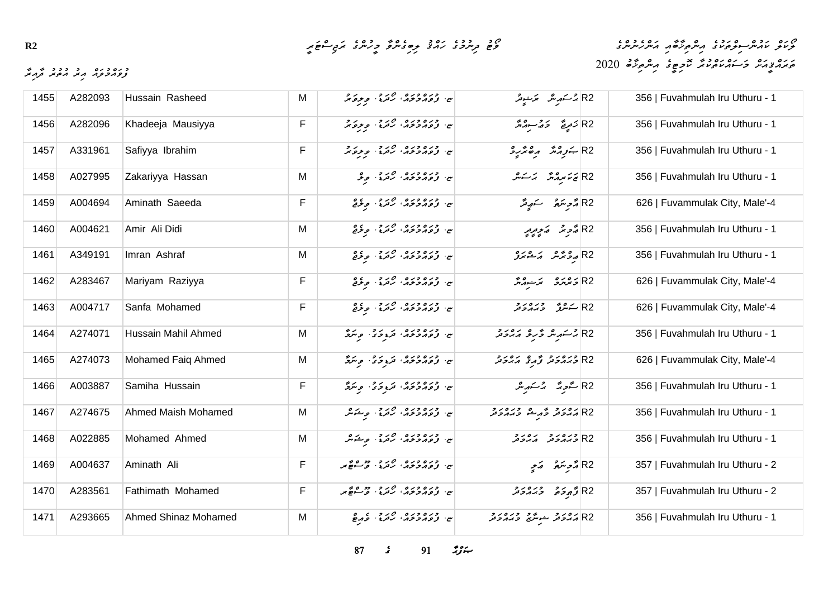*sCw7q7s5w7m< o<n9nOoAw7o< sCq;mAwBoEw7q<m; wBm;vB 2020<sup>, م</sup>وسر در مدد مدرج به مدرم مقرم قرار 2020*<br>موسر المستقرم المستقرم المستقرم المستقرم المستقرم المستقرم المستقرم المستقرم المستقرم المستقرم المستقرم المستقر

| 1455 | A282093 | Hussain Rasheed             | M | س وره وره می درد.<br>س وحمد وحد کرد و عرض                              | R2 پُرکرم کر مَرکومر                           | 356   Fuvahmulah Iru Uthuru - 1 |
|------|---------|-----------------------------|---|------------------------------------------------------------------------|------------------------------------------------|---------------------------------|
| 1456 | A282096 | Khadeeja Mausiyya           | F | ם נפחבבה לנדי פבפת                                                     | R2 <i>ذَوِيعٌ وَ مُ</i> شِرْ مُرَّمَّرٌ        | 356   Fuvahmulah Iru Uthuru - 1 |
| 1457 | A331961 | Safiyya Ibrahim             | F | س وره وره می درد.<br>س وحمد وحد کرد و عرض                              | R2 ب <i>ەزەمۇر مەھەترى</i> د                   | 356   Fuvahmulah Iru Uthuru - 1 |
| 1458 | A027995 | Zakariyya Hassan            | M | ים נפח כנס ימנד פל                                                     | R2 نم <i>بروگر بر ش</i> ک                      | 356   Fuvahmulah Iru Uthuru - 1 |
| 1459 | A004694 | Aminath Saeeda              | F | ים יונים בנים יונים יום בים.<br>ישי ניפו <i>נ כיברי י</i> כובי יופיבים | R2 مُرْحِبِّرَةٌ مُسَهِرَّتُهُ                 | 626   Fuvammulak City, Male'-4  |
| 1460 | A004621 | Amir Ali Didi               | M | ים ניס בנס ים נדיקים בים<br>ישי נפח ביבחי תנגזי פיבים                  | R2 مُجْرِيْرٌ - مَجِيِّدِيرِ                   | 356   Fuvahmulah Iru Uthuru - 1 |
| 1461 | A349191 | Imran Ashraf                | M | ورە درە مەد د<br>س ۋەגىرىمە رىرى جى                                    | R2 مەمەممىر مەش <i>ەمرى</i>                    | 356   Fuvahmulah Iru Uthuru - 1 |
| 1462 | A283467 | Mariyam Raziyya             | F | ים יונים בנים יונים יום בים.<br>ישי ניפו <i>נ כיברי י</i> כובי יופיבים | R2 <i>وَيُرْدُوْ يَرْبِيْرُهُ</i> ْ            | 626   Fuvammulak City, Male'-4  |
| 1463 | A004717 | Sanfa Mohamed               | F | ہ ۔ ورہ ورہ مرد ۔<br>س قوم گرگر کرکرتی ۔ جا گرگ                        | R2 شهرة مصروفر                                 | 626   Fuvammulak City, Male'-4  |
| 1464 | A274071 | Hussain Mahil Ahmed         | M | س وره دره در در در مشر                                                 | R2 يُرْسَمُ بِيرْ وَرِ وَ بِرَوْمَدْ           | 356   Fuvahmulah Iru Uthuru - 1 |
| 1465 | A274073 | Mohamed Faig Ahmed          | M | س وره وره.<br>س زورونور، ترونوز، وشر                                   | R2 <i>ديرورو وُهو مُدونر</i>                   | 626   Fuvammulak City, Male'-4  |
| 1466 | A003887 | Samiha Hussain              | F | س وره دره در در در مشر                                                 | R2  ستمویژ پژشتهریش                            | 356   Fuvahmulah Iru Uthuru - 1 |
| 1467 | A274675 | <b>Ahmed Maish Mohamed</b>  | M | ے ووروورہ کرو۔ وِشَہر                                                  | R2 גُرُوتُر وُ مِثْ وَرَمُ وَلَا               | 356   Fuvahmulah Iru Uthuru - 1 |
| 1468 | A022885 | Mohamed Ahmed               | M | ے ورہ درہ گرد و ے گھر                                                  | R2 <i>وبرە دە برە دە</i> ر                     | 356   Fuvahmulah Iru Uthuru - 1 |
| 1469 | A004637 | Aminath Ali                 | F | ر وره وره صدو دو هڅو                                                   | R2 مُحرِسَمُ مَعٍ                              | 357   Fuvahmulah Iru Uthuru - 2 |
| 1470 | A283561 | Fathimath Mohamed           | F | س وره وره صدر دو هغه د                                                 | R2 ژ <sub>گ</sub> وره در دروند                 | 357   Fuvahmulah Iru Uthuru - 2 |
| 1471 | A293665 | <b>Ahmed Shinaz Mohamed</b> | M | ים יוני פריט יוני יונים.<br>ים נפח כיכחי לעשי פרים                     | R2 ג׳ <i>.כ</i> څر ش <sub>و</sub> سرچ وبرمرونر | 356   Fuvahmulah Iru Uthuru - 1 |

*n8o<n@ q8qAq< q8o< w<mBq>w<m=q?*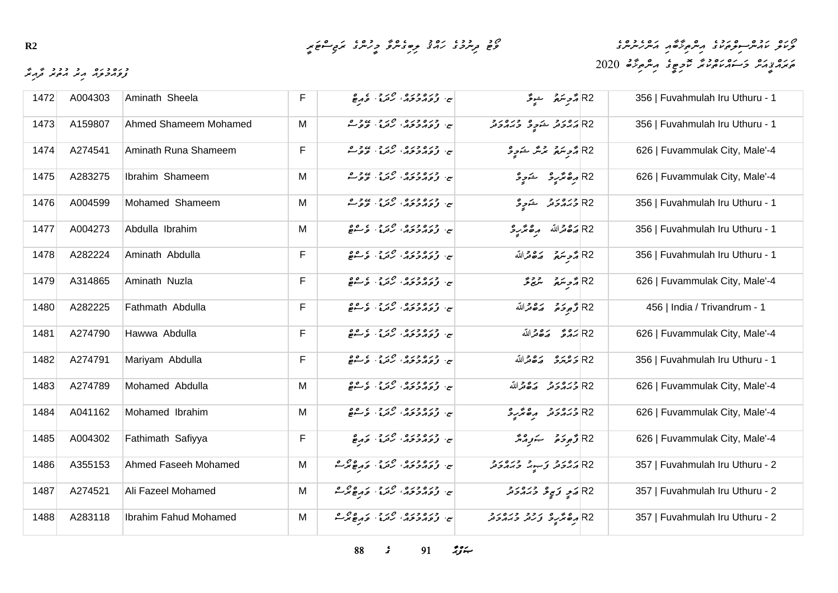*sCw7q7s5w7m< o<n9nOoAw7o< sCq;mAwBoEw7q<m; wBm;vB 2020<sup>, م</sup>وسر در مدد مدرج به مدرم مقرم قرار 2020*<br>موسر المستقرم المستقرم المستقرم المستقرم المستقرم المستقرم المستقرم المستقرم المستقرم المستقرم المستقرم المستقر

| 1472 | A004303 | Aminath Sheela        | F | כנסכנס ימנכים<br>ישי נפגביבגי לנגר פגם                                                                                                                                                                                           | R2 مُرْحِسَمُ حَمَدٍ مُحْتَ                                                                              | 356   Fuvahmulah Iru Uthuru - 1 |
|------|---------|-----------------------|---|----------------------------------------------------------------------------------------------------------------------------------------------------------------------------------------------------------------------------------|----------------------------------------------------------------------------------------------------------|---------------------------------|
| 1473 | A159807 | Ahmed Shameem Mohamed | M | م دره دره ه در د عدد ه<br>س وره دره کن                                                                                                                                                                                           | R2 كەندى ئىر ئىكەن ئەرەر ئىكەن كەن ئىكەن ئىكەن ئىكەن ئىكەن ئىكەن ئىكەن ئىكەن ئىكەن ئىكەن ئىكەن ئىكەن ئىك | 356   Fuvahmulah Iru Uthuru - 1 |
| 1474 | A274541 | Aminath Runa Shameem  | F | ح د ه د د و ه د د .<br>س و و د د د د . کند و . ه ه ه س                                                                                                                                                                           | R2 مَّ مِ سَمَّ سَمَّ سَوِدْ                                                                             | 626   Fuvammulak City, Male'-4  |
| 1475 | A283275 | Ibrahim Shameem       | M | ים - כמה כמה המינה - כל הם כי סייר - סייר - סייר - סייר - סייר - סייר - סייר - סייר - סייר - סייר - סייר - סיי<br>מידוד - סייר מיכול - מיכול - מיכול - סייר - סייר - סייר - סייר - סייר - סייר - סייר - סייר - סייר - סייר - סיי | R2 م <i>ەمگرى</i> ھەرو                                                                                   | 626   Fuvammulak City, Male'-4  |
| 1476 | A004599 | Mohamed Shameem       | M | ימי ניסיכנס ימני מיכים.<br>ישי נפחיכיבה יניט יפיט                                                                                                                                                                                | R2 <i>322.2 منتو</i> د                                                                                   | 356   Fuvahmulah Iru Uthuru - 1 |
| 1477 | A004273 | Abdulla Ibrahim       | M | دره دره ۵٫۰۵ م.<br>س وره دره، رس و ع                                                                                                                                                                                             | R2 مَـُرْمَةَ لَّهُ مَـُّ مِرْحَمَّةٍ وَ                                                                 | 356   Fuvahmulah Iru Uthuru - 1 |
| 1478 | A282224 | Aminath Abdulla       | F | س وره وره ص د و ع مده<br>س وح م <del>و وره</del> که مدد و م                                                                                                                                                                      | R2 مُرْحِسَمُ مَصْحَدِ اللّه                                                                             | 356   Fuvahmulah Iru Uthuru - 1 |
| 1479 | A314865 | Aminath Nuzla         | F | س وره وره صرح وه<br>س ژ <i>وم و څ</i> ه رګرو و و                                                                                                                                                                                 |                                                                                                          | 626   Fuvammulak City, Male'-4  |
| 1480 | A282225 | Fathmath Abdulla      | F | دره دره ۵٫۰۵ م.<br>س وره دره، رس و ع                                                                                                                                                                                             | R2 تُرْجِعَةُ صَدَّةَ تَدَاللَّهُ                                                                        | 456   India / Trivandrum - 1    |
| 1481 | A274790 | Hawwa Abdulla         | F | س وره وره صروح وه<br>سي توحد <i>حرم</i> شرقي و سو                                                                                                                                                                                | R2 بَرْمَوْ بَرَصْعَرِاللّهِ                                                                             | 626   Fuvammulak City, Male'-4  |
| 1482 | A274791 | Mariyam Abdulla       | F | س وره وره ص د و ع مده<br>س توحد <i>حرم</i> کرد و ع                                                                                                                                                                               | R2 <i>وَمُرَمَّرٌ وَ هُ</i> ڤَمَّرَاللَّه                                                                | 356   Fuvahmulah Iru Uthuru - 1 |
| 1483 | A274789 | Mohamed Abdulla       | м | ہ ۔ درہ درہ مصروح ہے ہے<br>سی تو <i>محرمہ کی برہی تو س</i> ور                                                                                                                                                                    | R2 32025 رَصْوَ اللَّه                                                                                   | 626   Fuvammulak City, Male'-4  |
| 1484 | A041162 | Mohamed Ibrahim       | M | س وره وره ص د و ع مده<br>س توحد <i>حرم</i> کرد و ع                                                                                                                                                                               | R2 <i>دُبرونو وهغرد</i> و                                                                                | 626   Fuvammulak City, Male'-4  |
| 1485 | A004302 | Fathimath Safiyya     | F | יזי נכתכ כתי היינה ייפתים                                                                                                                                                                                                        | R2 ژ <sub>ېپو</sub> دَ ئې سنورمنګر                                                                       | 626   Fuvammulak City, Male'-4  |
| 1486 | A355153 | Ahmed Faseeh Mohamed  | M | ים " ניכריכת " הייבר הייבר הייבר הייבר הייבר הייבר הייבר הייבר הייבר הייבר הייבר הייבר הייבר הייבר הייבר הייבר<br>הייבר הייבר הייבר הייבר הייבר הייבר הייבר הייבר הייבר הייבר הייבר הייבר הייבר הייבר הייבר הייבר הייבר הייבר הי | R2 גُגُوَتَر وَسِيدُ وَبَرَ دَوَتَر                                                                      | 357   Fuvahmulah Iru Uthuru - 2 |
| 1487 | A274521 | Ali Fazeel Mohamed    | M | ים " ניס בינים " מניב" ו מים מים בינים בינים בינים בינים בינים בינים בינים בינים בינים בינים בינים בינים בינים<br>המודע בינים בינים בינים בינים בינים בינים בינים בינים בינים בינים בינים בינים בינים בינים בינים בינים בינים בי | R2 كەي تەرە 37.0 دىر                                                                                     | 357   Fuvahmulah Iru Uthuru - 2 |
| 1488 | A283118 | Ibrahim Fahud Mohamed | Μ | ים יצפח כנס יסני כנפים ב                                                                                                                                                                                                         | R2 رەڭرىۋ ئ <sup>ەدە</sup> دىمەدد                                                                        | 357   Fuvahmulah Iru Uthuru - 2 |

*n8o<n@ q8qAq< q8o< w<mBq>w<m=q?*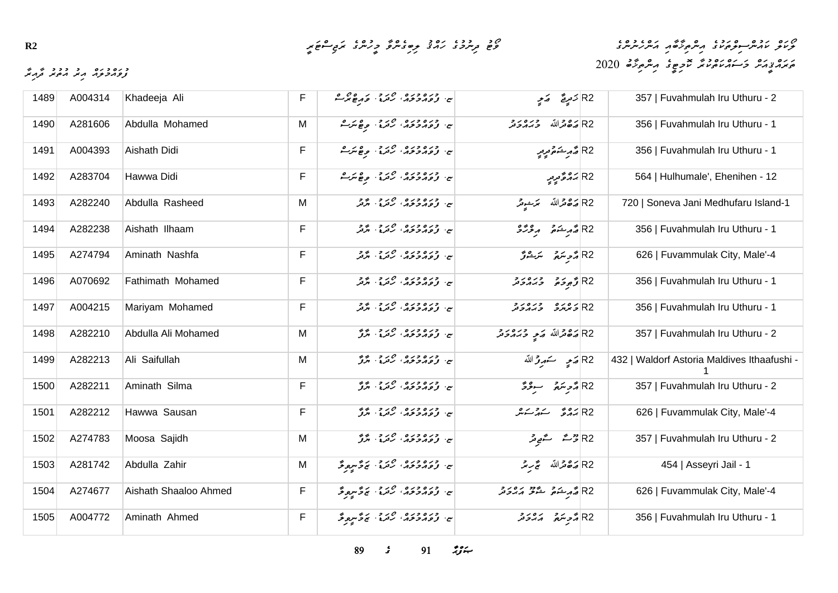*sCw7q7s5w7m< o<n9nOoAw7o< sCq;mAwBoEw7q<m; wBm;vB 2020<sup>, م</sup>وسوق المسجد التحقيق وسرمونية والم*جمع المسجد المسجد المسجد المسجد المسجد المسجد المسجد المسجد المسجد ال

| 1489 | A004314 | Khadeeja Ali          | $\mathsf F$ | ים " ניכריכת " הייבר הייבר הייבר הייבר הייבר הייבר הייבר הייבר הייבר הייבר הייבר הייבר הייבר הייבר הייבר הייבר<br>הייבר הייבר הייבר הייבר הייבר הייבר הייבר הייבר הייבר הייבר הייבר הייבר הייבר הייבר הייבר הייבר הייבר הייבר הי | R2  تزمرچ کا کارم پر                    | 357   Fuvahmulah Iru Uthuru - 2             |
|------|---------|-----------------------|-------------|----------------------------------------------------------------------------------------------------------------------------------------------------------------------------------------------------------------------------------|-----------------------------------------|---------------------------------------------|
| 1490 | A281606 | Abdulla Mohamed       | M           | שי צפחביבה' הנגד קפית ה                                                                                                                                                                                                          | R2 مَرْحْمَّدْاللَّهُ حَمَدَ مَرْحَمَّد | 356   Fuvahmulah Iru Uthuru - 1             |
| 1491 | A004393 | Aishath Didi          | F           | שי צפחביבה' הנגב פסיקם                                                                                                                                                                                                           | R2 مُهْرِ مِسْتَمْ تَوْمِدِيرِ          | 356   Fuvahmulah Iru Uthuru - 1             |
| 1492 | A283704 | Hawwa Didi            | F           | دره دره ه در در در من در میگیرد.<br>س زورد در کارد و ع                                                                                                                                                                           | R2 كەمگە <i>تو</i> تىر                  | 564   Hulhumale', Ehenihen - 12             |
| 1493 | A282240 | Abdulla Rasheed       | M           | כנסכנס ימנכי שכ<br>ישי צפו <i>בבית</i> י מנגל יו <i>ת</i> נג                                                                                                                                                                     | R2 مَرْحَمْدَاللَّهُ مَرْشِيْتَرْ       | 720   Soneva Jani Medhufaru Island-1        |
| 1494 | A282238 | Aishath Ilhaam        | $\mathsf F$ | ימי ניס בנים ימניה יותר.<br>ימי ניפח ביבחי לבניה יותרת                                                                                                                                                                           | R2 مۇم شەم بىر ئەرقى                    | 356   Fuvahmulah Iru Uthuru - 1             |
| 1495 | A274794 | Aminath Nashfa        | F           | ے ورہ ورہ 2رو ۔ گھر<br>س ق <i>وم وحوہ کی د</i> ین                                                                                                                                                                                | R2 مُحْرِسَمُ مَنْ سَرْسُوَنَّ          | 626   Fuvammulak City, Male'-4              |
| 1496 | A070692 | Fathimath Mohamed     | F           | ه دره دره هرو .<br>س ژوپروتوبر، رتوبه . برگر                                                                                                                                                                                     | R2 وُجِعَة ورەرو                        | 356   Fuvahmulah Iru Uthuru - 1             |
| 1497 | A004215 | Mariyam Mohamed       | F           | ים י ניפחיקים יום קיים ויות.<br>ישי ניפחיקים מיותר יותרת                                                                                                                                                                         | R2 <i>ב</i> מתכ כממכת                   | 356   Fuvahmulah Iru Uthuru - 1             |
| 1498 | A282210 | Abdulla Ali Mohamed   | M           | כנס כנס ימנים וייתור<br>ישי צפוניביבור ויטבו ויטב                                                                                                                                                                                | R2 كَەھەراللە كەمچە قەترەتمەتر          | 357   Fuvahmulah Iru Uthuru - 2             |
| 1499 | A282213 | Ali Saifullah         | M           | יזי גם בגם בגם הבי                                                                                                                                                                                                               | R2 ضَعٍ سَمَرِ ثَرْ اللّه               | 432   Waldorf Astoria Maldives Ithaafushi - |
| 1500 | A282211 | Aminath Silma         | F           | ه دره دره هرد پرو<br>س ژورونور، رتر برگ                                                                                                                                                                                          | R2 مُجرِسَمَۃُ بِ عِمْرَةُ              | 357   Fuvahmulah Iru Uthuru - 2             |
| 1501 | A282212 | Hawwa Sausan          | F           | ימי בנס בנס המנה הבי<br>ישי בפחבבתי מבנה תצ                                                                                                                                                                                      | R2 جَهْرَ مَسْرَ مَسْرَ مِسْر           | 626   Fuvammulak City, Male'-4              |
| 1502 | A274783 | Moosa Sajidh          | M           | כנס כנס ימניה יותר<br>ישי צפונכיבותי מבנג יותר                                                                                                                                                                                   | R2 چھ شوپوتر                            | 357   Fuvahmulah Iru Uthuru - 2             |
| 1503 | A281742 | Abdulla Zahir         | M           | ى درە دىرە مەدد كۆرىگە                                                                                                                                                                                                           | R2 مَەھىراللە گەرىمە                    | 454   Asseyri Jail - 1                      |
| 1504 | A274677 | Aishath Shaaloo Ahmed | F           | ەرەەدرە، 2007 كۈچۈرگە                                                                                                                                                                                                            | R2 مەم شەھ شەھر مەردىر                  | 626   Fuvammulak City, Male'-4              |
| 1505 | A004772 | Aminath Ahmed         | F           | ى درە دىرە بىرد بىر ئور                                                                                                                                                                                                          | R2 مُحرِسَمَ مَدَحَمَّر                 | 356   Fuvahmulah Iru Uthuru - 1             |

*n8o<n@ q8qAq< q8o< w<mBq>w<m=q?*

**89** *s* 91 *i*<sub>S</sub>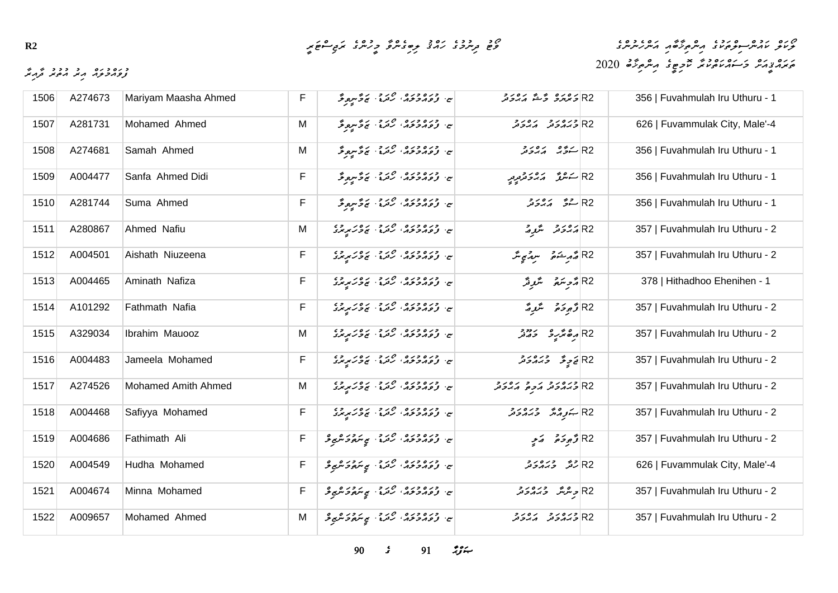*sCw7q7s5w7m< o<n9nOoAw7o< sCq;mAwBoEw7q<m; wBm;vB 2020<sup>, م</sup>وسر در مدد مدرج به مدرم مقرم قرار 2020*<br>موسر المستقرم المستقرم المستقرم المستقرم المستقرم المستقرم المستقرم المستقرم المستقرم المستقرم المستقرم المستقر

| A274673 | Mariyam Maasha Ahmed       | F | س وره وره صدو در در در در د                                                                                                                                                                                                                                                                                                                                                                         | R2 كا ترجيع 2.5 كان 2.5 كان 2.5 كان 2.5 كان 2.5 كان 2.5 كان 2.5 كان 2.5 كان 2.5 كان 2.5 كان 2.5 كان | 356   Fuvahmulah Iru Uthuru - 1 |
|---------|----------------------------|---|-----------------------------------------------------------------------------------------------------------------------------------------------------------------------------------------------------------------------------------------------------------------------------------------------------------------------------------------------------------------------------------------------------|-----------------------------------------------------------------------------------------------------|---------------------------------|
| A281731 | Mohamed Ahmed              | M | ى درەدرە مەدد كۆرمەت                                                                                                                                                                                                                                                                                                                                                                                | R2 32025 دور د                                                                                      | 626   Fuvammulak City, Male'-4  |
| A274681 | Samah Ahmed                | M | ى درەدرە مەدىبە ئەگرىدىگە                                                                                                                                                                                                                                                                                                                                                                           | R2 كەنزىر كەنزوتر                                                                                   | 356   Fuvahmulah Iru Uthuru - 1 |
| A004477 | Sanfa Ahmed Didi           | F | ى درەدرە مەدىب ئۆسمەت                                                                                                                                                                                                                                                                                                                                                                               | R2  سەئىر <sub>ە</sub> كەندە تەرىپەر                                                                | 356   Fuvahmulah Iru Uthuru - 1 |
| A281744 | Suma Ahmed                 | F | ى. درە درە مەدد يەۋسىدۇ                                                                                                                                                                                                                                                                                                                                                                             | R2 جَمْرٌ مَدْوَمْر                                                                                 | 356   Fuvahmulah Iru Uthuru - 1 |
| A280867 | Ahmed Nafiu                | M |                                                                                                                                                                                                                                                                                                                                                                                                     | R2 كەنزى تىم ئىقى قىلىقى ئىقتى ئىقتا ئىقتا ئىقتا ئىقتا ئىقتا ئىقتا ئىقتا ئىقتا ئىقتا ئىقتا ئىقتا ئى | 357   Fuvahmulah Iru Uthuru - 2 |
| A004501 | Aishath Niuzeena           | F | ים: 1973 בינים יותר בינים בינים בינים בינים בינים בינים בינים בינים בינים בינים בינים בינים בינים בינים בינים<br>תוך המודע בינים בינים בינים בינים בינים בינים בינים בינים בינים בינים בינים בינים בינים בינים בינים בינים ביני                                                                                                                                                                     | R2 مُرمِسْمَة مِسْرَمٍ مُتَر                                                                        | 357   Fuvahmulah Iru Uthuru - 2 |
| A004465 | Aminath Nafiza             | F |                                                                                                                                                                                                                                                                                                                                                                                                     | R2 مُّحِسَمُهُ مُّتَّعِبِةً                                                                         | 378   Hithadhoo Ehenihen - 1    |
| A101292 | Fathmath Nafia             | F | $\begin{array}{ccc} \text{C3} & \text{C4} & \text{C5} & \text{C6} & \text{C7} & \text{C8} & \text{C9} & \text{C9} & \text{C9} & \text{C9} & \text{C9} & \text{C9} & \text{C9} & \text{C9} & \text{C9} & \text{C9} & \text{C9} & \text{C9} & \text{C9} & \text{C9} & \text{C9} & \text{C9} & \text{C9} & \text{C9} & \text{C9} & \text{C9} & \text{C9} & \text{C9} & \text{C9} & \text{C9} & \text{$ | R2 وَجوحَمَ سَمْدِمَّ                                                                               | 357   Fuvahmulah Iru Uthuru - 2 |
| A329034 | Ibrahim Mauooz             | M | כנסכנס הנכנס ניסג כי<br>ישי נפחבלתי נעשי שבנתינט                                                                                                                                                                                                                                                                                                                                                    | R2 مەھەمگەپى ئەدەبىر                                                                                | 357   Fuvahmulah Iru Uthuru - 2 |
| A004483 | Jameela Mohamed            | F | ים: 1975 בינים יינים בינים בינים בינים בינים בינים בינים בינים בינים בינים בינים בינים בינים בינים בינים בינים<br>בינים 1975 בינים בינים בינים בינים בינים בינים בינים בינים בינים בינים בינים בינים בינים בינים בינים בינים בינ                                                                                                                                                                    | R2 نح <i>و څه د و</i> ر                                                                             | 357   Fuvahmulah Iru Uthuru - 2 |
| A274526 | <b>Mohamed Amith Ahmed</b> | M |                                                                                                                                                                                                                                                                                                                                                                                                     | R2 כגלכת הכם הגבת                                                                                   | 357   Fuvahmulah Iru Uthuru - 2 |
| A004468 | Safiyya Mohamed            | F | مع وره وره مرد و ره در وي<br>مع وهر د بره رسي محر رسي بر                                                                                                                                                                                                                                                                                                                                            | R2 بتورج وبروديو                                                                                    | 357   Fuvahmulah Iru Uthuru - 2 |
| A004686 | Fathimath Ali              | F | ים ניס בנים ים ניב.<br>ים נפח ביבחי לעשי יש מבציעים ב                                                                                                                                                                                                                                                                                                                                               | R2 <i>وُجوحَ</i> هُ مَرِ                                                                            | 357   Fuvahmulah Iru Uthuru - 2 |
| A004549 | Hudha Mohamed              | F | ح، وره دره صدد .<br>سي وحدد حدث رسي مج شهود شي د                                                                                                                                                                                                                                                                                                                                                    | R2 رُقَّر وَبَرُودَوْر                                                                              | 626   Fuvammulak City, Male'-4  |
| A004674 | Minna Mohamed              | F | ح دره دره صدد .<br>سي زورو دره رسي سي شهر د شي د                                                                                                                                                                                                                                                                                                                                                    | R2 <sub>ج</sub> ىرى <i>گە خەمم</i> ۇنىر                                                             | 357   Fuvahmulah Iru Uthuru - 2 |
| A009657 | Mohamed Ahmed              | M | ح وره وره صدر به سرد کرد.<br>ح وحد حدد کرد و به سرد کرد ک                                                                                                                                                                                                                                                                                                                                           | R2 وبرەبرو برەبرو<br>R2 <i>وبرو</i> برو بربرونر                                                     | 357   Fuvahmulah Iru Uthuru - 2 |
|         |                            |   |                                                                                                                                                                                                                                                                                                                                                                                                     |                                                                                                     |                                 |

*n8o<n@ q8qAq< q8o< w<mBq>w<m=q?*